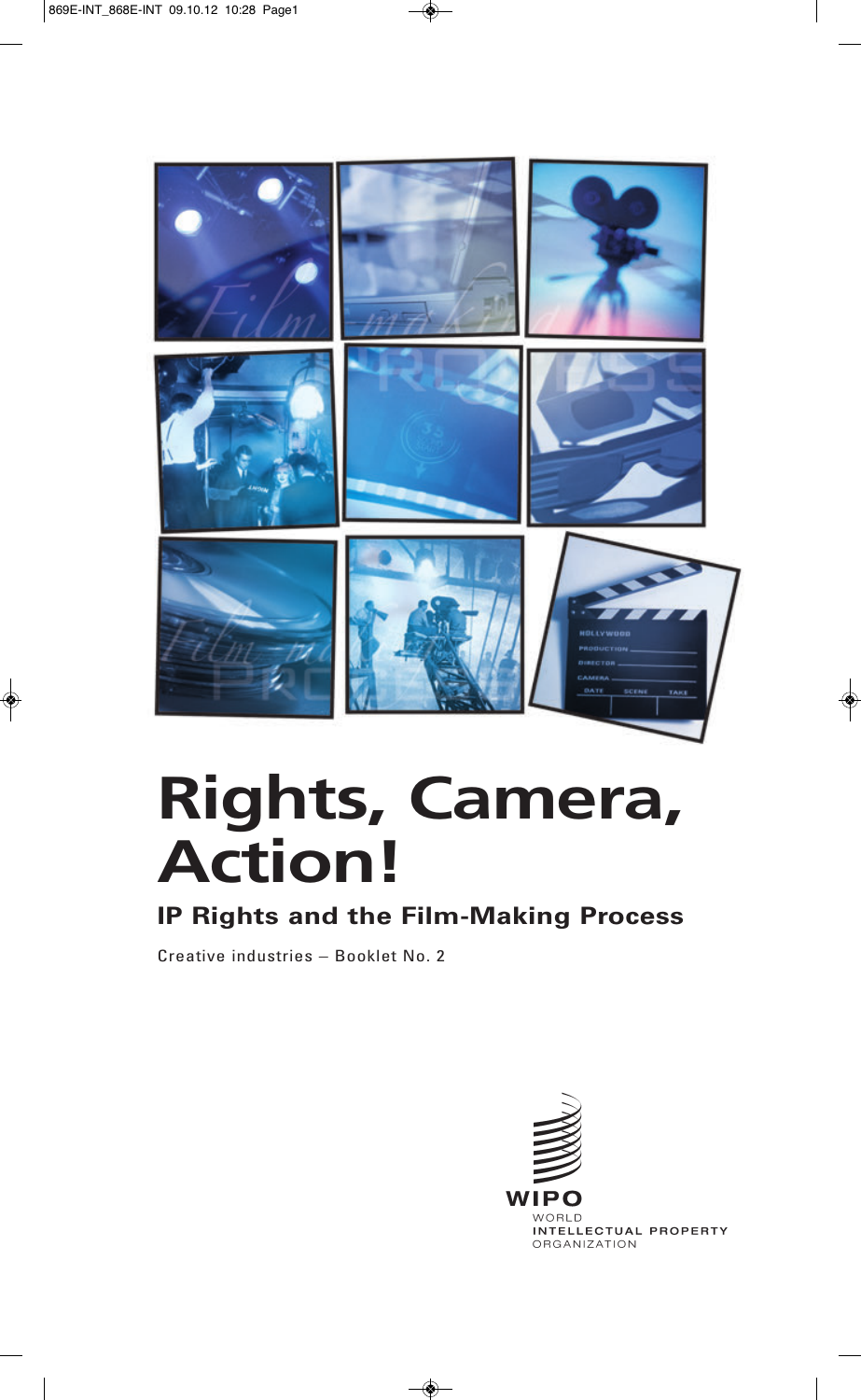

# **Rights, Camera, Action!**

## **IP Rights and the Film-Making Process**

Creative industries – Booklet No. 2

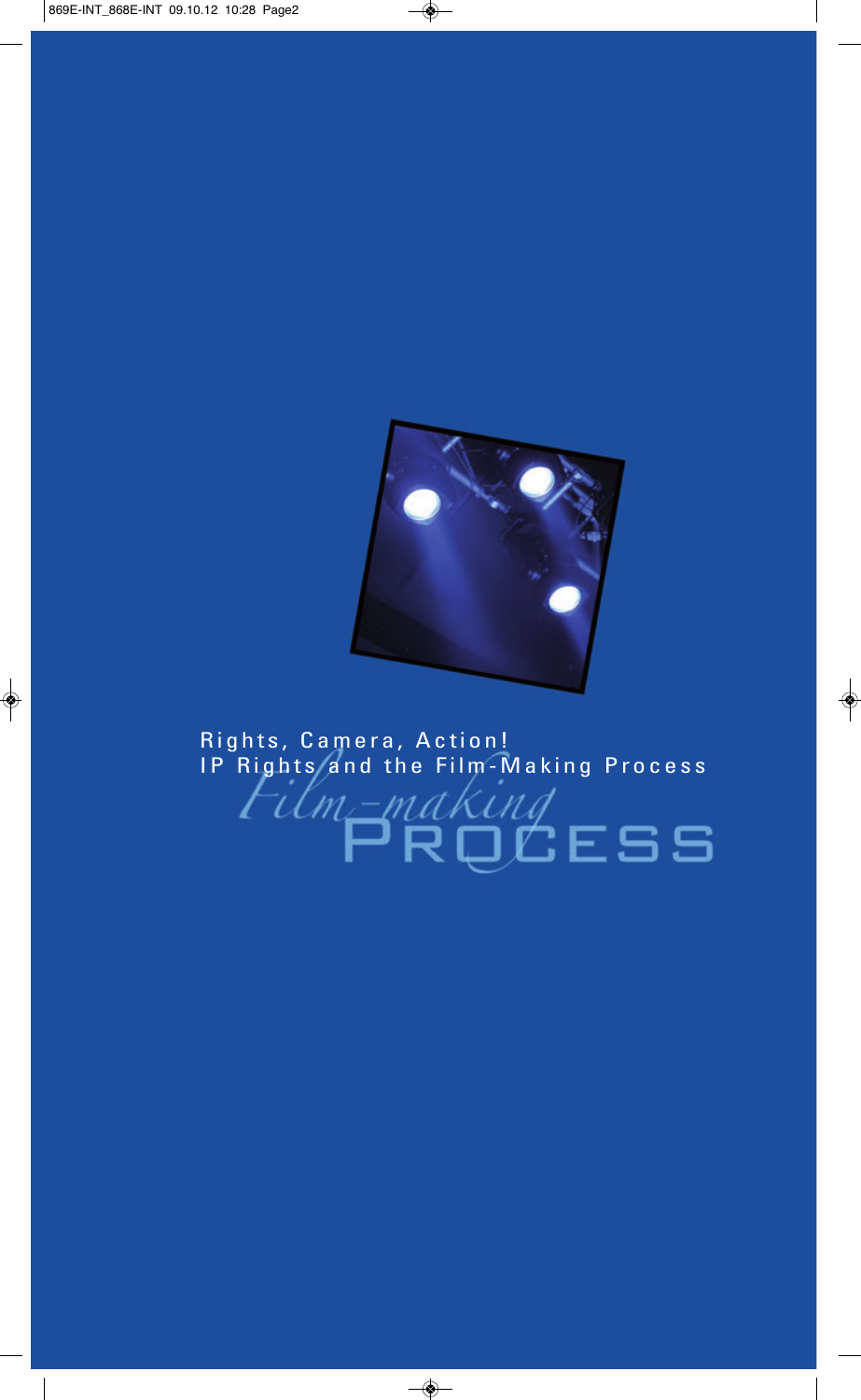

## Rights, Camera, Action! IP Rights and the Film-Making Process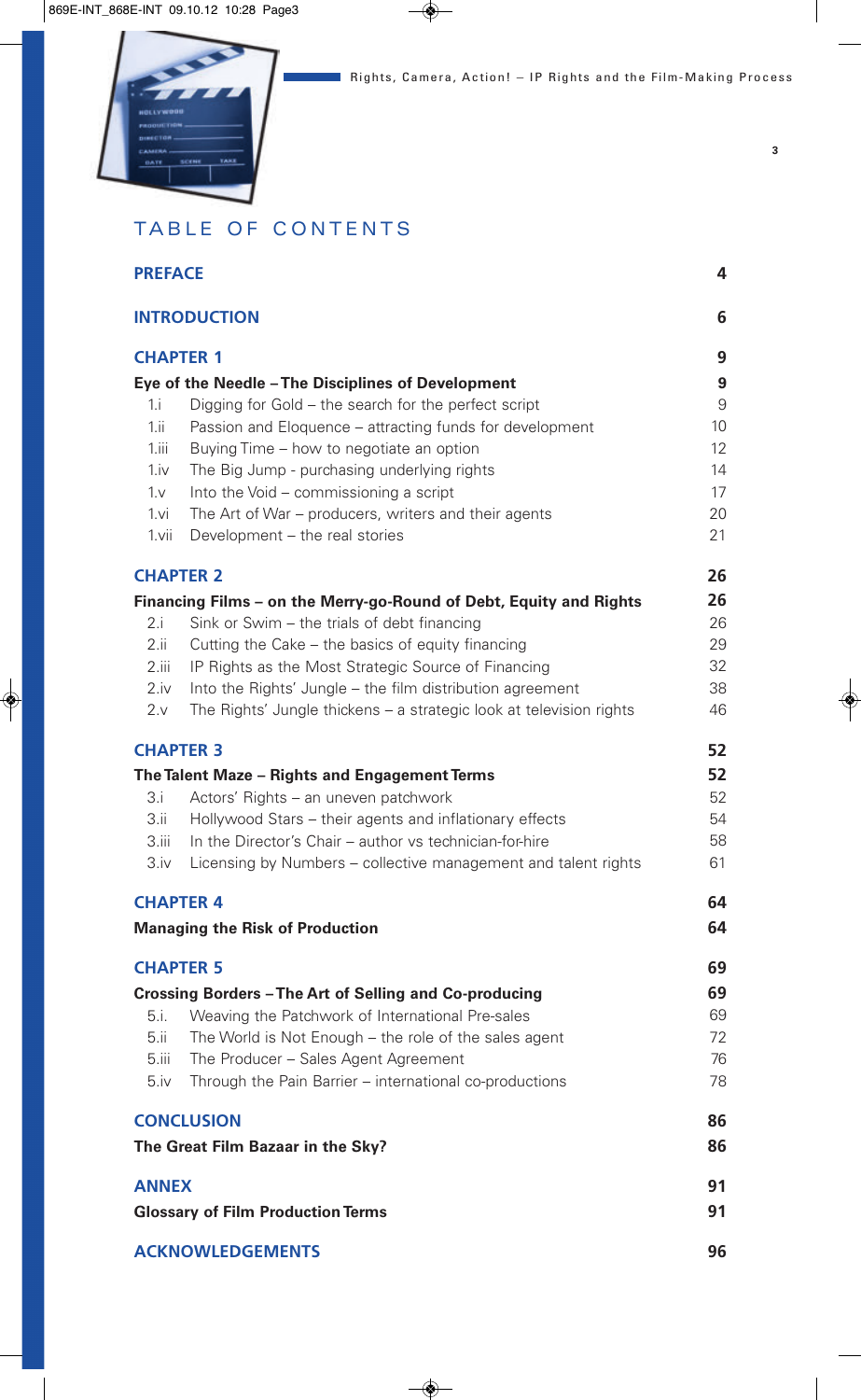

**3**

## TABLE OF CONTENTS

| <b>PREFACE</b><br><b>INTRODUCTION</b><br><b>CHAPTER 1</b> |                                                                     | 4  |  |
|-----------------------------------------------------------|---------------------------------------------------------------------|----|--|
|                                                           |                                                                     | 6  |  |
|                                                           |                                                                     | 9  |  |
|                                                           | Eye of the Needle - The Disciplines of Development                  | 9  |  |
| 1.1                                                       | Digging for Gold – the search for the perfect script                | 9  |  |
| 1.ii                                                      | Passion and Eloquence - attracting funds for development            | 10 |  |
| 1.iii                                                     | Buying Time – how to negotiate an option                            | 12 |  |
| 1.iv                                                      | The Big Jump - purchasing underlying rights                         | 14 |  |
| $1_v$                                                     | Into the Void - commissioning a script                              | 17 |  |
| 1.vi                                                      | The Art of War – producers, writers and their agents                | 20 |  |
| 1.vii                                                     | Development - the real stories                                      | 21 |  |
| <b>CHAPTER 2</b>                                          |                                                                     | 26 |  |
|                                                           | Financing Films – on the Merry-go-Round of Debt, Equity and Rights  | 26 |  |
| 2.i                                                       | Sink or Swim – the trials of debt financing                         | 26 |  |
| 2.ii                                                      | Cutting the Cake – the basics of equity financing                   | 29 |  |
| 2.iii                                                     | IP Rights as the Most Strategic Source of Financing                 | 32 |  |
| 2.iv                                                      | Into the Rights' Jungle – the film distribution agreement           | 38 |  |
| 2.v                                                       | The Rights' Jungle thickens - a strategic look at television rights | 46 |  |
| <b>CHAPTER 3</b>                                          |                                                                     |    |  |
|                                                           | The Talent Maze - Rights and Engagement Terms                       | 52 |  |
| 3.i                                                       | Actors' Rights - an uneven patchwork                                | 52 |  |
| 3.ii                                                      | Hollywood Stars – their agents and inflationary effects             | 54 |  |
| 3.iii                                                     | In the Director's Chair - author vs technician-for-hire             | 58 |  |
| 3.iv                                                      | Licensing by Numbers - collective management and talent rights      | 61 |  |
| <b>CHAPTER 4</b>                                          |                                                                     |    |  |
| <b>Managing the Risk of Production</b>                    |                                                                     |    |  |
| <b>CHAPTER 5</b>                                          |                                                                     | 69 |  |
| Crossing Borders - The Art of Selling and Co-producing    |                                                                     | 69 |  |
| 5.i.                                                      | Weaving the Patchwork of International Pre-sales                    | 69 |  |
| 5.ii                                                      | The World is Not Enough - the role of the sales agent               | 72 |  |
| 5.iii                                                     | The Producer - Sales Agent Agreement                                | 76 |  |
| 5.iv                                                      | Through the Pain Barrier - international co-productions             | 78 |  |
|                                                           | <b>CONCLUSION</b>                                                   |    |  |
| The Great Film Bazaar in the Sky?                         |                                                                     |    |  |
| <b>ANNEX</b>                                              |                                                                     |    |  |
| <b>Glossary of Film Production Terms</b>                  |                                                                     |    |  |
| <b>ACKNOWLEDGEMENTS</b>                                   |                                                                     |    |  |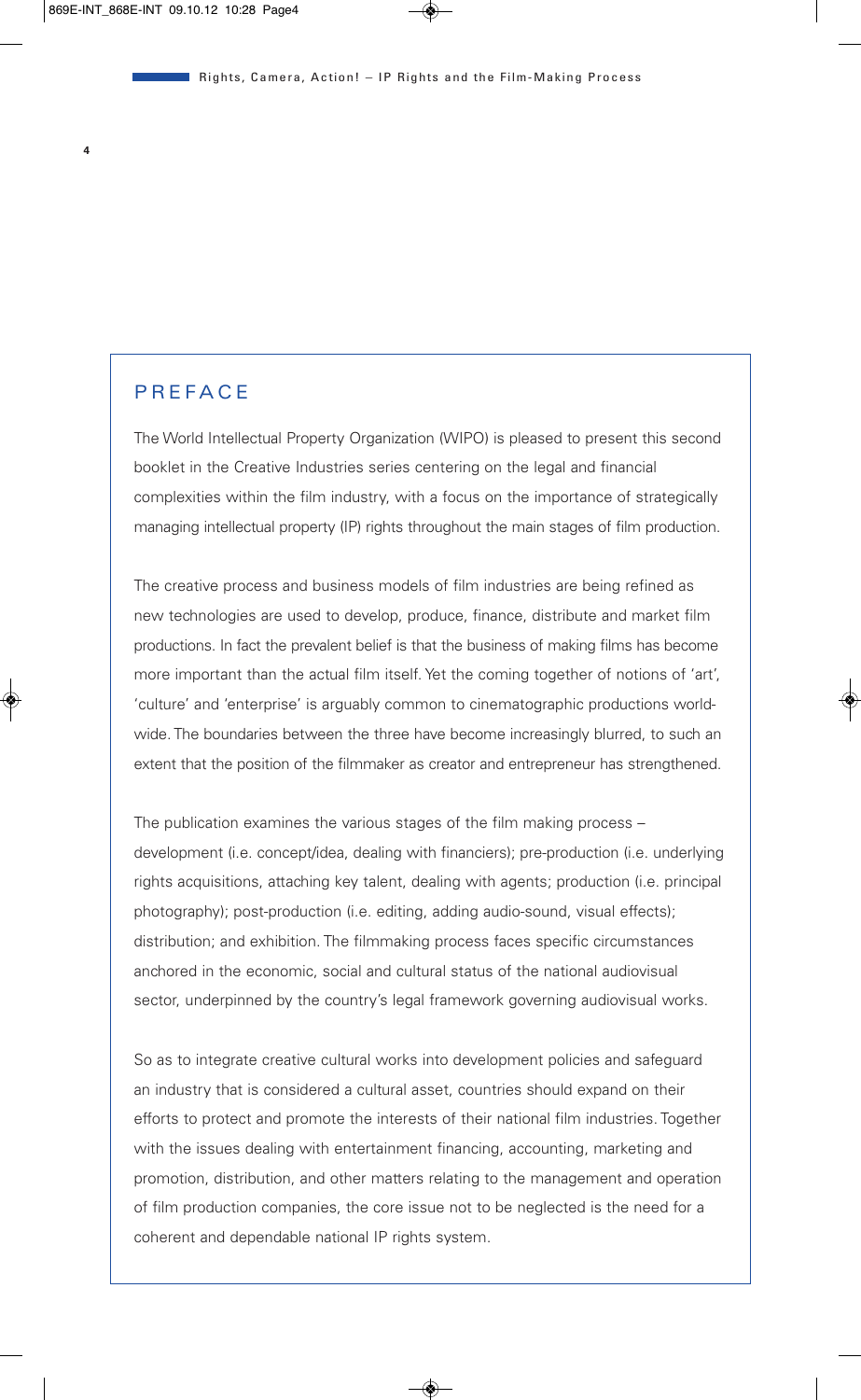#### **P R E F A C E**

The World Intellectual Property Organization (WIPO) is pleased to present this second booklet in the Creative Industries series centering on the legal and financial complexities within the film industry, with a focus on the importance of strategically managing intellectual property (IP) rights throughout the main stages of film production.

The creative process and business models of film industries are being refined as new technologies are used to develop, produce, finance, distribute and market film productions. In fact the prevalent belief is that the business of making films has become more important than the actual film itself. Yet the coming together of notions of 'art', 'culture' and 'enterprise' is arguably common to cinematographic productions worldwide. The boundaries between the three have become increasingly blurred, to such an extent that the position of the filmmaker as creator and entrepreneur has strengthened.

The publication examines the various stages of the film making process – development (i.e. concept/idea, dealing with financiers); pre-production (i.e. underlying rights acquisitions, attaching key talent, dealing with agents; production (i.e. principal photography); post-production (i.e. editing, adding audio-sound, visual effects); distribution; and exhibition. The filmmaking process faces specific circumstances anchored in the economic, social and cultural status of the national audiovisual sector, underpinned by the country's legal framework governing audiovisual works.

So as to integrate creative cultural works into development policies and safeguard an industry that is considered a cultural asset, countries should expand on their efforts to protect and promote the interests of their national film industries. Together with the issues dealing with entertainment financing, accounting, marketing and promotion, distribution, and other matters relating to the management and operation of film production companies, the core issue not to be neglected is the need for a coherent and dependable national IP rights system.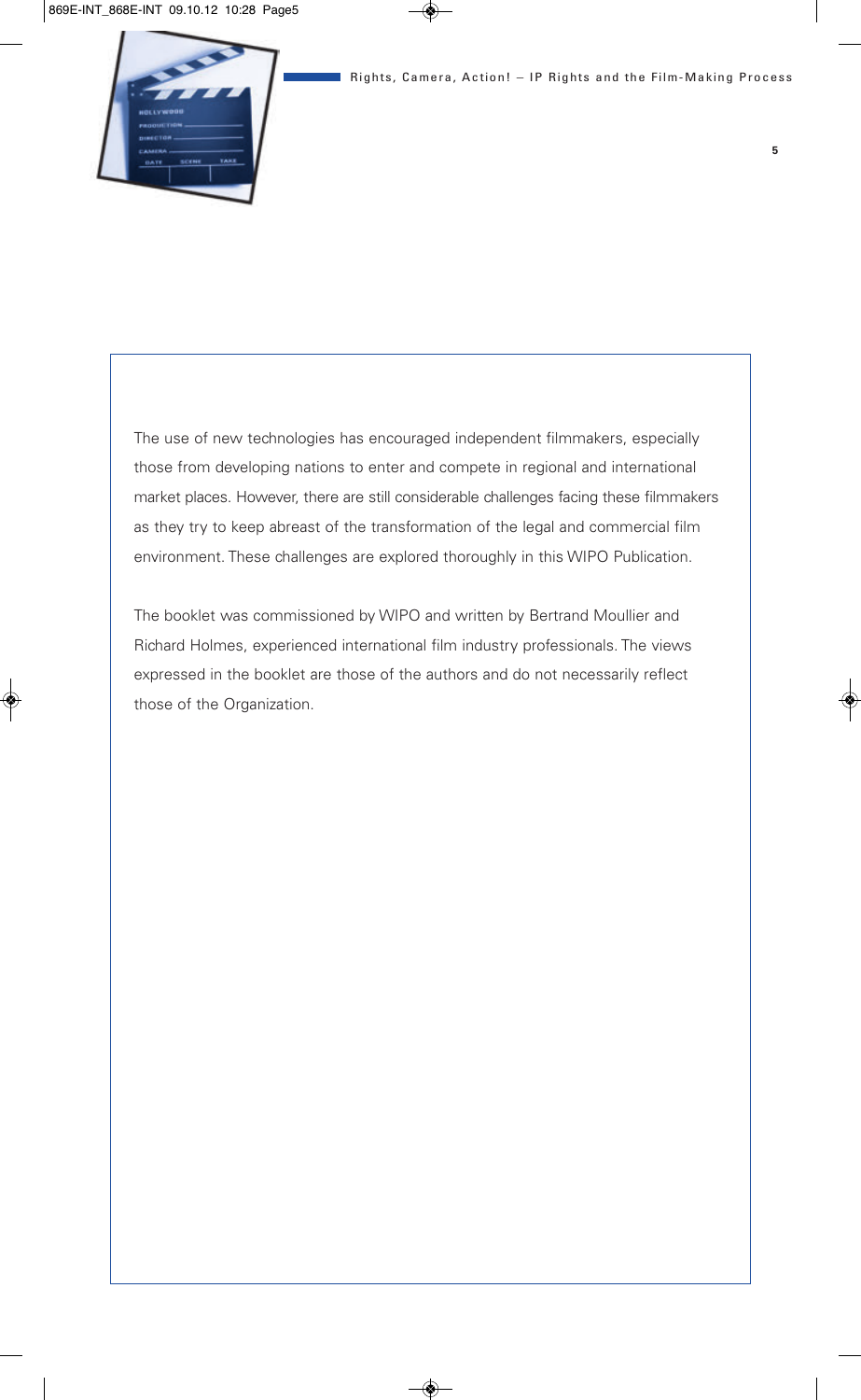The use of new technologies has encouraged independent filmmakers, especially those from developing nations to enter and compete in regional and international market places. However, there are still considerable challenges facing these filmmakers as they try to keep abreast of the transformation of the legal and commercial film environment. These challenges are explored thoroughly in this WIPO Publication.

The booklet was commissioned by WIPO and written by Bertrand Moullier and Richard Holmes, experienced international film industry professionals. The views expressed in the booklet are those of the authors and do not necessarily reflect those of the Organization.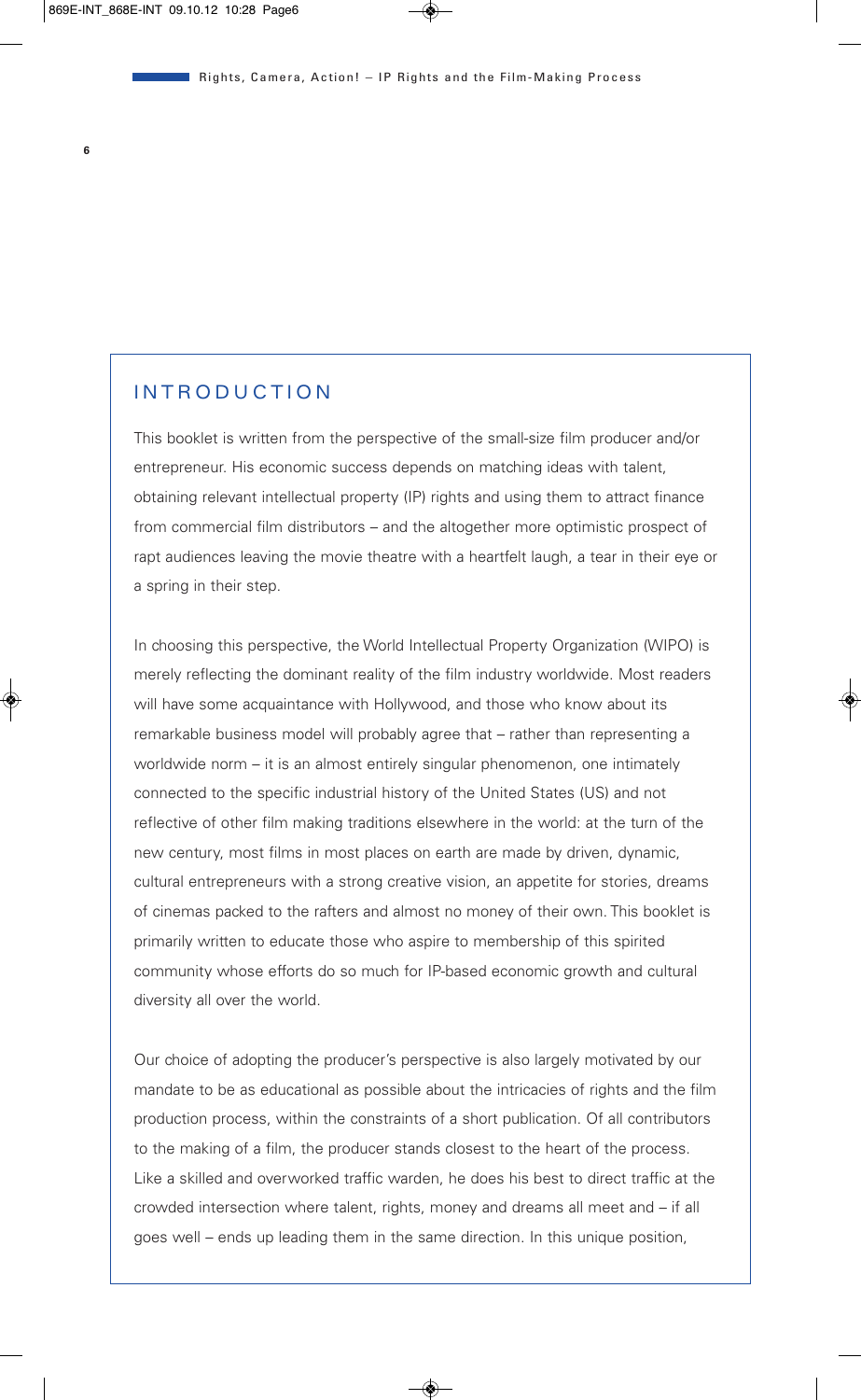#### **INTRODUCTION**

This booklet is written from the perspective of the small-size film producer and/or entrepreneur. His economic success depends on matching ideas with talent, obtaining relevant intellectual property (IP) rights and using them to attract finance from commercial film distributors – and the altogether more optimistic prospect of rapt audiences leaving the movie theatre with a heartfelt laugh, a tear in their eye or a spring in their step.

In choosing this perspective, the World Intellectual Property Organization (WIPO) is merely reflecting the dominant reality of the film industry worldwide. Most readers will have some acquaintance with Hollywood, and those who know about its remarkable business model will probably agree that – rather than representing a worldwide norm – it is an almost entirely singular phenomenon, one intimately connected to the specific industrial history of the United States (US) and not reflective of other film making traditions elsewhere in the world: at the turn of the new century, most films in most places on earth are made by driven, dynamic, cultural entrepreneurs with a strong creative vision, an appetite for stories, dreams of cinemas packed to the rafters and almost no money of their own. This booklet is primarily written to educate those who aspire to membership of this spirited community whose efforts do so much for IP-based economic growth and cultural diversity all over the world.

Our choice of adopting the producer's perspective is also largely motivated by our mandate to be as educational as possible about the intricacies of rights and the film production process, within the constraints of a short publication. Of all contributors to the making of a film, the producer stands closest to the heart of the process. Like a skilled and overworked traffic warden, he does his best to direct traffic at the crowded intersection where talent, rights, money and dreams all meet and – if all goes well – ends up leading them in the same direction. In this unique position,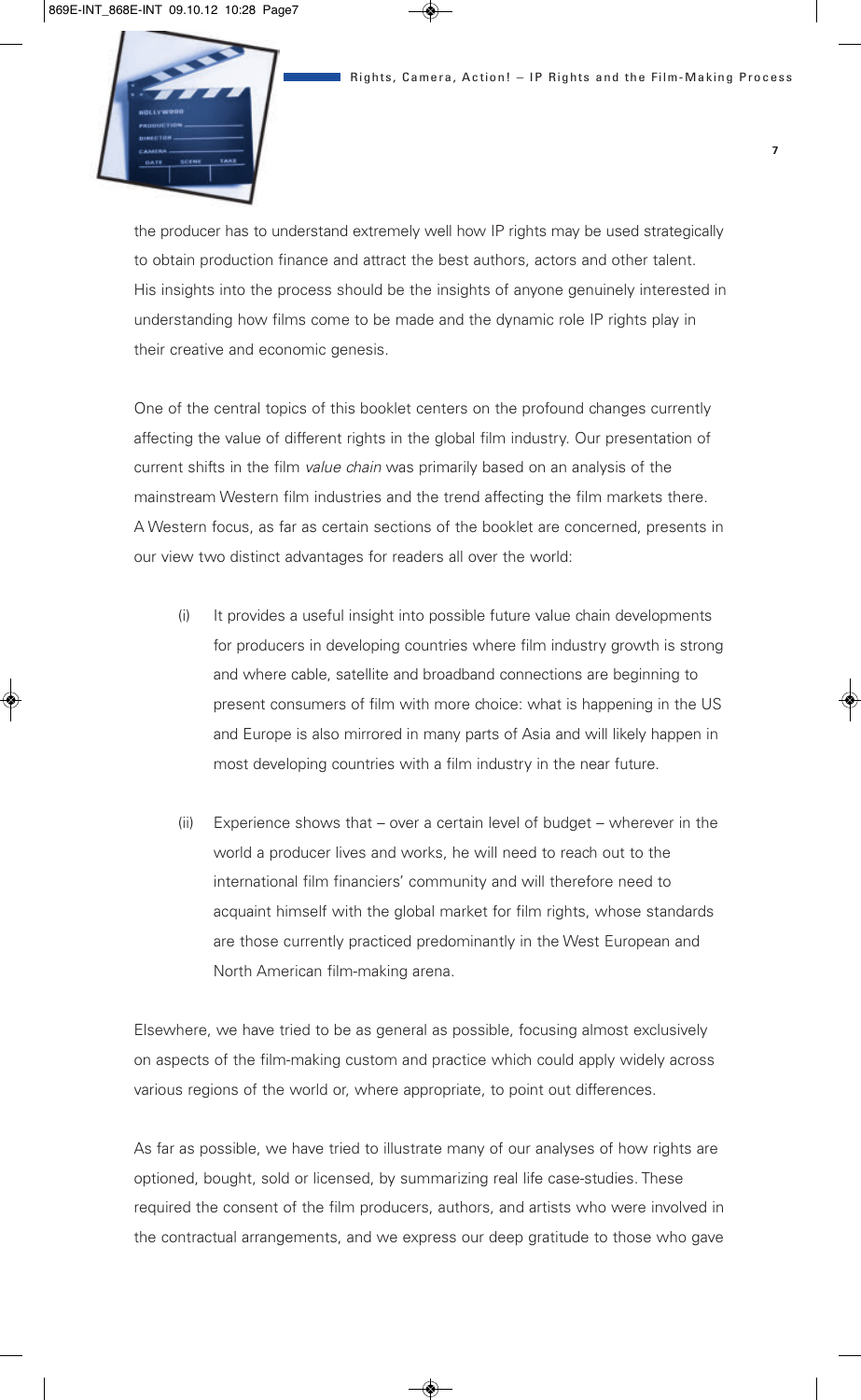the producer has to understand extremely well how IP rights may be used strategically to obtain production finance and attract the best authors, actors and other talent. His insights into the process should be the insights of anyone genuinely interested in understanding how films come to be made and the dynamic role IP rights play in their creative and economic genesis.

One of the central topics of this booklet centers on the profound changes currently affecting the value of different rights in the global film industry. Our presentation of current shifts in the film *value chain* was primarily based on an analysis of the mainstream Western film industries and the trend affecting the film markets there. A Western focus, as far as certain sections of the booklet are concerned, presents in our view two distinct advantages for readers all over the world:

- (i) It provides a useful insight into possible future value chain developments for producers in developing countries where film industry growth is strong and where cable, satellite and broadband connections are beginning to present consumers of film with more choice: what is happening in the US and Europe is also mirrored in many parts of Asia and will likely happen in most developing countries with a film industry in the near future.
- (ii) Experience shows that over a certain level of budget wherever in the world a producer lives and works, he will need to reach out to the international film financiers' community and will therefore need to acquaint himself with the global market for film rights, whose standards are those currently practiced predominantly in the West European and North American film-making arena.

Elsewhere, we have tried to be as general as possible, focusing almost exclusively on aspects of the film-making custom and practice which could apply widely across various regions of the world or, where appropriate, to point out differences.

As far as possible, we have tried to illustrate many of our analyses of how rights are optioned, bought, sold or licensed, by summarizing real life case-studies. These required the consent of the film producers, authors, and artists who were involved in the contractual arrangements, and we express our deep gratitude to those who gave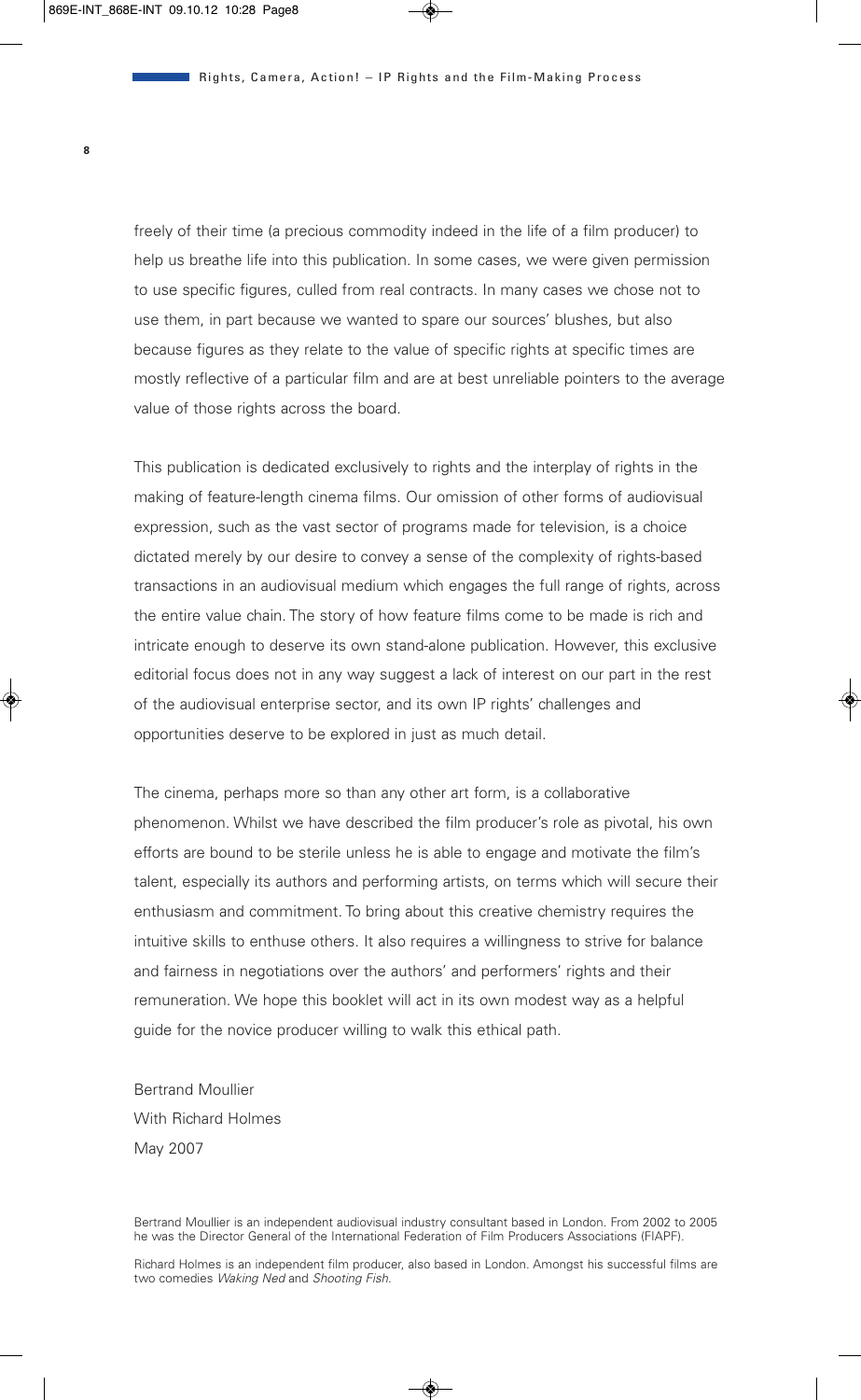freely of their time (a precious commodity indeed in the life of a film producer) to help us breathe life into this publication. In some cases, we were given permission to use specific figures, culled from real contracts. In many cases we chose not to use them, in part because we wanted to spare our sources' blushes, but also because figures as they relate to the value of specific rights at specific times are mostly reflective of a particular film and are at best unreliable pointers to the average value of those rights across the board.

This publication is dedicated exclusively to rights and the interplay of rights in the making of feature-length cinema films. Our omission of other forms of audiovisual expression, such as the vast sector of programs made for television, is a choice dictated merely by our desire to convey a sense of the complexity of rights-based transactions in an audiovisual medium which engages the full range of rights, across the entire value chain. The story of how feature films come to be made is rich and intricate enough to deserve its own stand-alone publication. However, this exclusive editorial focus does not in any way suggest a lack of interest on our part in the rest of the audiovisual enterprise sector, and its own IP rights' challenges and opportunities deserve to be explored in just as much detail.

The cinema, perhaps more so than any other art form, is a collaborative phenomenon. Whilst we have described the film producer's role as pivotal, his own efforts are bound to be sterile unless he is able to engage and motivate the film's talent, especially its authors and performing artists, on terms which will secure their enthusiasm and commitment. To bring about this creative chemistry requires the intuitive skills to enthuse others. It also requires a willingness to strive for balance and fairness in negotiations over the authors' and performers' rights and their remuneration. We hope this booklet will act in its own modest way as a helpful guide for the novice producer willing to walk this ethical path.

Bertrand Moullier With Richard Holmes May 2007

Bertrand Moullier is an independent audiovisual industry consultant based in London. From 2002 to 2005 he was the Director General of the International Federation of Film Producers Associations (FIAPF).

Richard Holmes is an independent film producer, also based in London. Amongst his successful films are two comedies *Waking Ned* and *Shooting Fish*.

**8**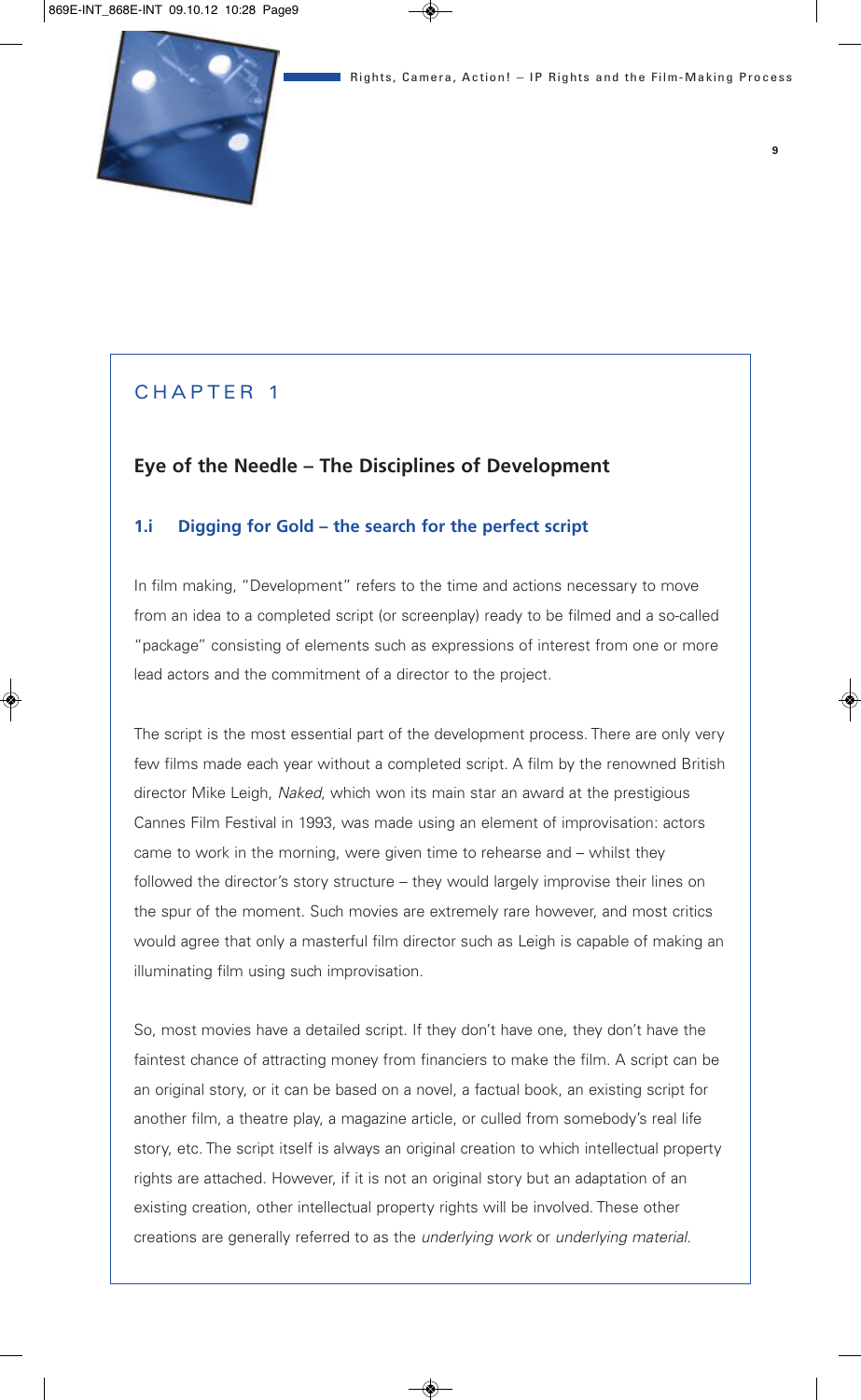## CHAPTER 1

## **Eye of the Needle – The Disciplines of Development**

#### **1.i Digging for Gold – the search for the perfect script**

In film making, "Development" refers to the time and actions necessary to move from an idea to a completed script (or screenplay) ready to be filmed and a so-called "package" consisting of elements such as expressions of interest from one or more lead actors and the commitment of a director to the project.

The script is the most essential part of the development process. There are only very few films made each year without a completed script. A film by the renowned British director Mike Leigh, *Naked*, which won its main star an award at the prestigious Cannes Film Festival in 1993, was made using an element of improvisation: actors came to work in the morning, were given time to rehearse and – whilst they followed the director's story structure – they would largely improvise their lines on the spur of the moment. Such movies are extremely rare however, and most critics would agree that only a masterful film director such as Leigh is capable of making an illuminating film using such improvisation.

So, most movies have a detailed script. If they don't have one, they don't have the faintest chance of attracting money from financiers to make the film. A script can be an original story, or it can be based on a novel, a factual book, an existing script for another film, a theatre play, a magazine article, or culled from somebody's real life story, etc. The script itself is always an original creation to which intellectual property rights are attached. However, if it is not an original story but an adaptation of an existing creation, other intellectual property rights will be involved. These other creations are generally referred to as the *underlying work* or *underlying material*.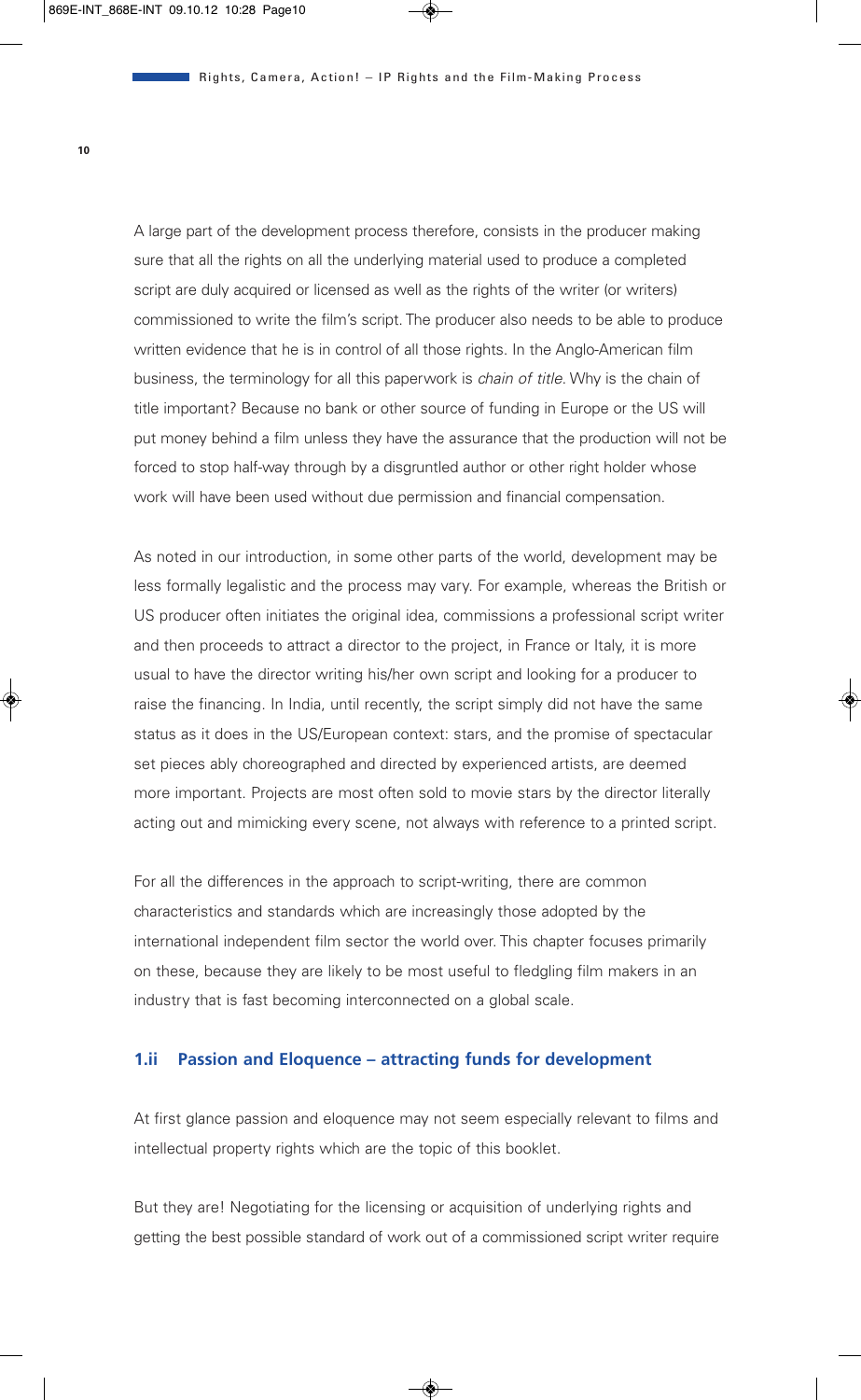A large part of the development process therefore, consists in the producer making sure that all the rights on all the underlying material used to produce a completed script are duly acquired or licensed as well as the rights of the writer (or writers) commissioned to write the film's script. The producer also needs to be able to produce written evidence that he is in control of all those rights. In the Anglo-American film business, the terminology for all this paperwork is *chain of title*. Why is the chain of title important? Because no bank or other source of funding in Europe or the US will put money behind a film unless they have the assurance that the production will not be forced to stop half-way through by a disgruntled author or other right holder whose work will have been used without due permission and financial compensation.

As noted in our introduction, in some other parts of the world, development may be less formally legalistic and the process may vary. For example, whereas the British or US producer often initiates the original idea, commissions a professional script writer and then proceeds to attract a director to the project, in France or Italy, it is more usual to have the director writing his/her own script and looking for a producer to raise the financing. In India, until recently, the script simply did not have the same status as it does in the US/European context: stars, and the promise of spectacular set pieces ably choreographed and directed by experienced artists, are deemed more important. Projects are most often sold to movie stars by the director literally acting out and mimicking every scene, not always with reference to a printed script.

For all the differences in the approach to script-writing, there are common characteristics and standards which are increasingly those adopted by the international independent film sector the world over. This chapter focuses primarily on these, because they are likely to be most useful to fledgling film makers in an industry that is fast becoming interconnected on a global scale.

#### **1.ii Passion and Eloquence – attracting funds for development**

At first glance passion and eloquence may not seem especially relevant to films and intellectual property rights which are the topic of this booklet.

But they are! Negotiating for the licensing or acquisition of underlying rights and getting the best possible standard of work out of a commissioned script writer require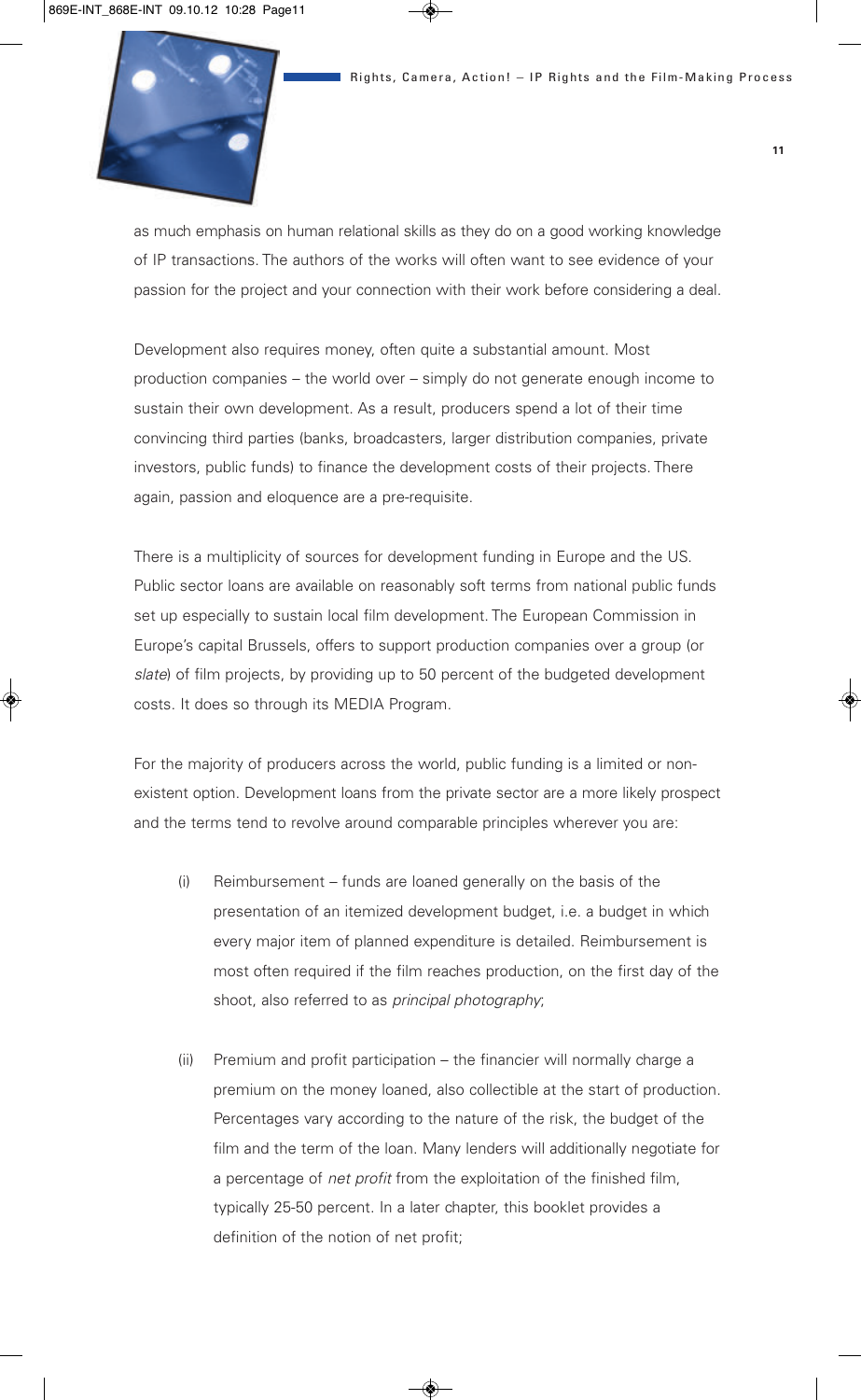

as much emphasis on human relational skills as they do on a good working knowledge of IP transactions. The authors of the works will often want to see evidence of your passion for the project and your connection with their work before considering a deal.

Development also requires money, often quite a substantial amount. Most production companies – the world over – simply do not generate enough income to sustain their own development. As a result, producers spend a lot of their time convincing third parties (banks, broadcasters, larger distribution companies, private investors, public funds) to finance the development costs of their projects. There again, passion and eloquence are a pre-requisite.

There is a multiplicity of sources for development funding in Europe and the US. Public sector loans are available on reasonably soft terms from national public funds set up especially to sustain local film development. The European Commission in Europe's capital Brussels, offers to support production companies over a group (or *slate*) of film projects, by providing up to 50 percent of the budgeted development costs. It does so through its MEDIA Program.

For the majority of producers across the world, public funding is a limited or nonexistent option. Development loans from the private sector are a more likely prospect and the terms tend to revolve around comparable principles wherever you are:

- (i) Reimbursement funds are loaned generally on the basis of the presentation of an itemized development budget, i.e. a budget in which every major item of planned expenditure is detailed. Reimbursement is most often required if the film reaches production, on the first day of the shoot, also referred to as *principal photography*;
- (ii) Premium and profit participation the financier will normally charge a premium on the money loaned, also collectible at the start of production. Percentages vary according to the nature of the risk, the budget of the film and the term of the loan. Many lenders will additionally negotiate for a percentage of *net profit* from the exploitation of the finished film, typically 25-50 percent. In a later chapter, this booklet provides a definition of the notion of net profit;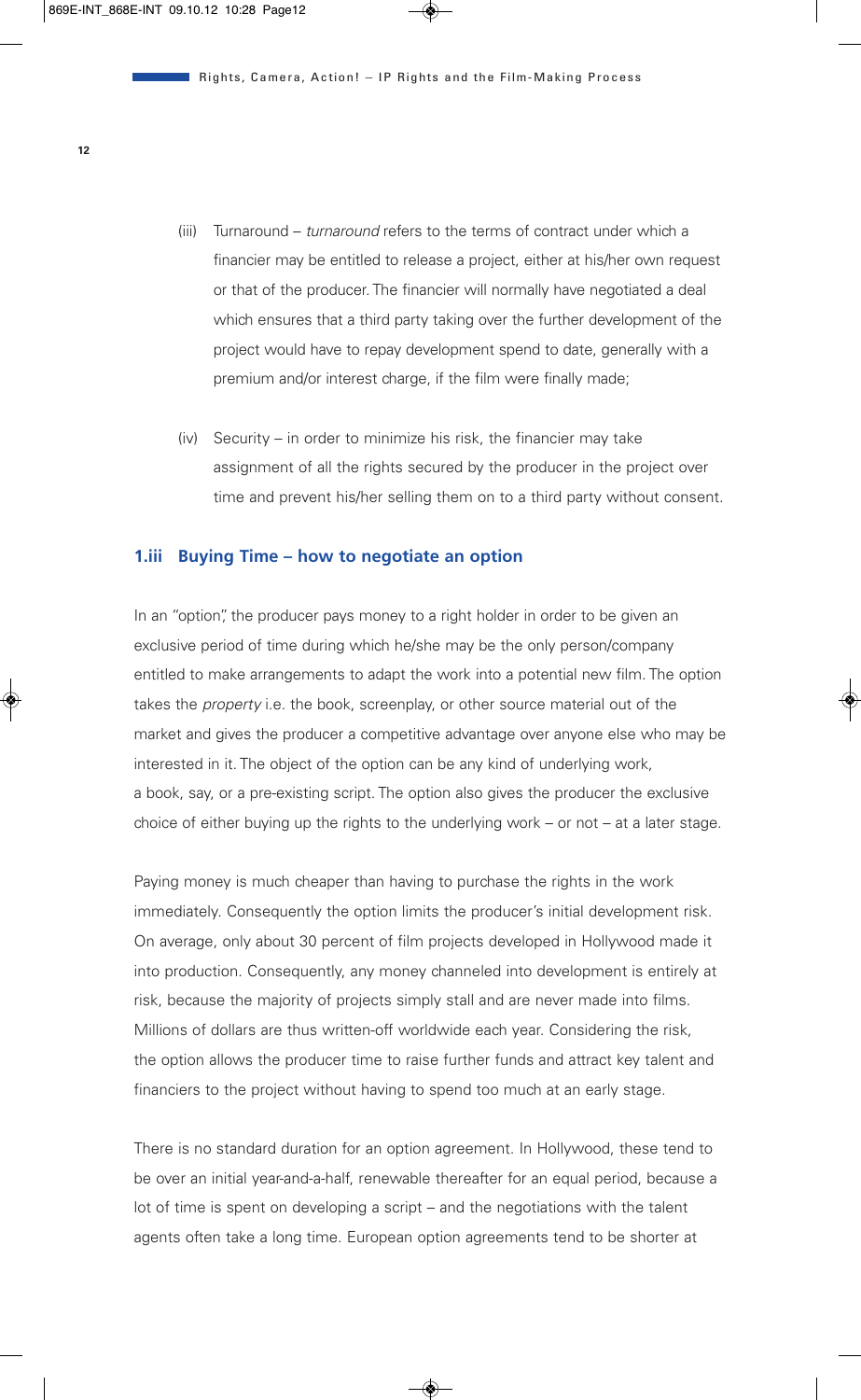- (iii) Turnaround *turnaround* refers to the terms of contract under which a financier may be entitled to release a project, either at his/her own request or that of the producer. The financier will normally have negotiated a deal which ensures that a third party taking over the further development of the project would have to repay development spend to date, generally with a premium and/or interest charge, if the film were finally made;
- (iv) Security in order to minimize his risk, the financier may take assignment of all the rights secured by the producer in the project over time and prevent his/her selling them on to a third party without consent.

#### **1.iii Buying Time – how to negotiate an option**

In an "option", the producer pays money to a right holder in order to be given an exclusive period of time during which he/she may be the only person/company entitled to make arrangements to adapt the work into a potential new film. The option takes the *property* i.e. the book, screenplay, or other source material out of the market and gives the producer a competitive advantage over anyone else who may be interested in it. The object of the option can be any kind of underlying work, a book, say, or a pre-existing script. The option also gives the producer the exclusive choice of either buying up the rights to the underlying work – or not – at a later stage.

Paying money is much cheaper than having to purchase the rights in the work immediately. Consequently the option limits the producer's initial development risk. On average, only about 30 percent of film projects developed in Hollywood made it into production. Consequently, any money channeled into development is entirely at risk, because the majority of projects simply stall and are never made into films. Millions of dollars are thus written-off worldwide each year. Considering the risk, the option allows the producer time to raise further funds and attract key talent and financiers to the project without having to spend too much at an early stage.

There is no standard duration for an option agreement. In Hollywood, these tend to be over an initial year-and-a-half, renewable thereafter for an equal period, because a lot of time is spent on developing a script – and the negotiations with the talent agents often take a long time. European option agreements tend to be shorter at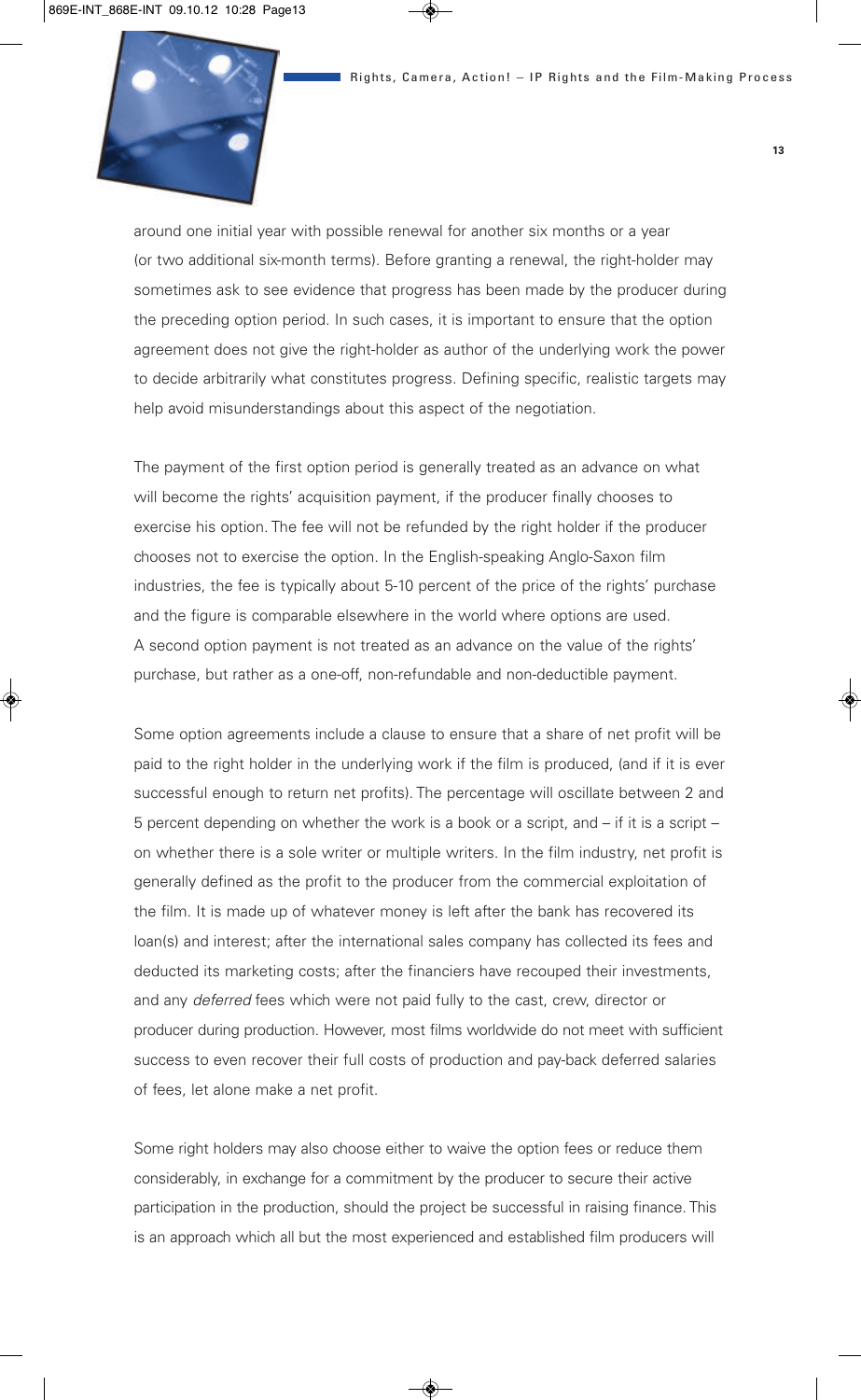

around one initial year with possible renewal for another six months or a year (or two additional six-month terms). Before granting a renewal, the right-holder may sometimes ask to see evidence that progress has been made by the producer during the preceding option period. In such cases, it is important to ensure that the option agreement does not give the right-holder as author of the underlying work the power to decide arbitrarily what constitutes progress. Defining specific, realistic targets may help avoid misunderstandings about this aspect of the negotiation.

The payment of the first option period is generally treated as an advance on what will become the rights' acquisition payment, if the producer finally chooses to exercise his option. The fee will not be refunded by the right holder if the producer chooses not to exercise the option. In the English-speaking Anglo-Saxon film industries, the fee is typically about 5-10 percent of the price of the rights' purchase and the figure is comparable elsewhere in the world where options are used. A second option payment is not treated as an advance on the value of the rights' purchase, but rather as a one-off, non-refundable and non-deductible payment.

Some option agreements include a clause to ensure that a share of net profit will be paid to the right holder in the underlying work if the film is produced, (and if it is ever successful enough to return net profits). The percentage will oscillate between 2 and 5 percent depending on whether the work is a book or a script, and – if it is a script – on whether there is a sole writer or multiple writers. In the film industry, net profit is generally defined as the profit to the producer from the commercial exploitation of the film. It is made up of whatever money is left after the bank has recovered its loan(s) and interest; after the international sales company has collected its fees and deducted its marketing costs; after the financiers have recouped their investments, and any *deferred* fees which were not paid fully to the cast, crew, director or producer during production. However, most films worldwide do not meet with sufficient success to even recover their full costs of production and pay-back deferred salaries of fees, let alone make a net profit.

Some right holders may also choose either to waive the option fees or reduce them considerably, in exchange for a commitment by the producer to secure their active participation in the production, should the project be successful in raising finance. This is an approach which all but the most experienced and established film producers will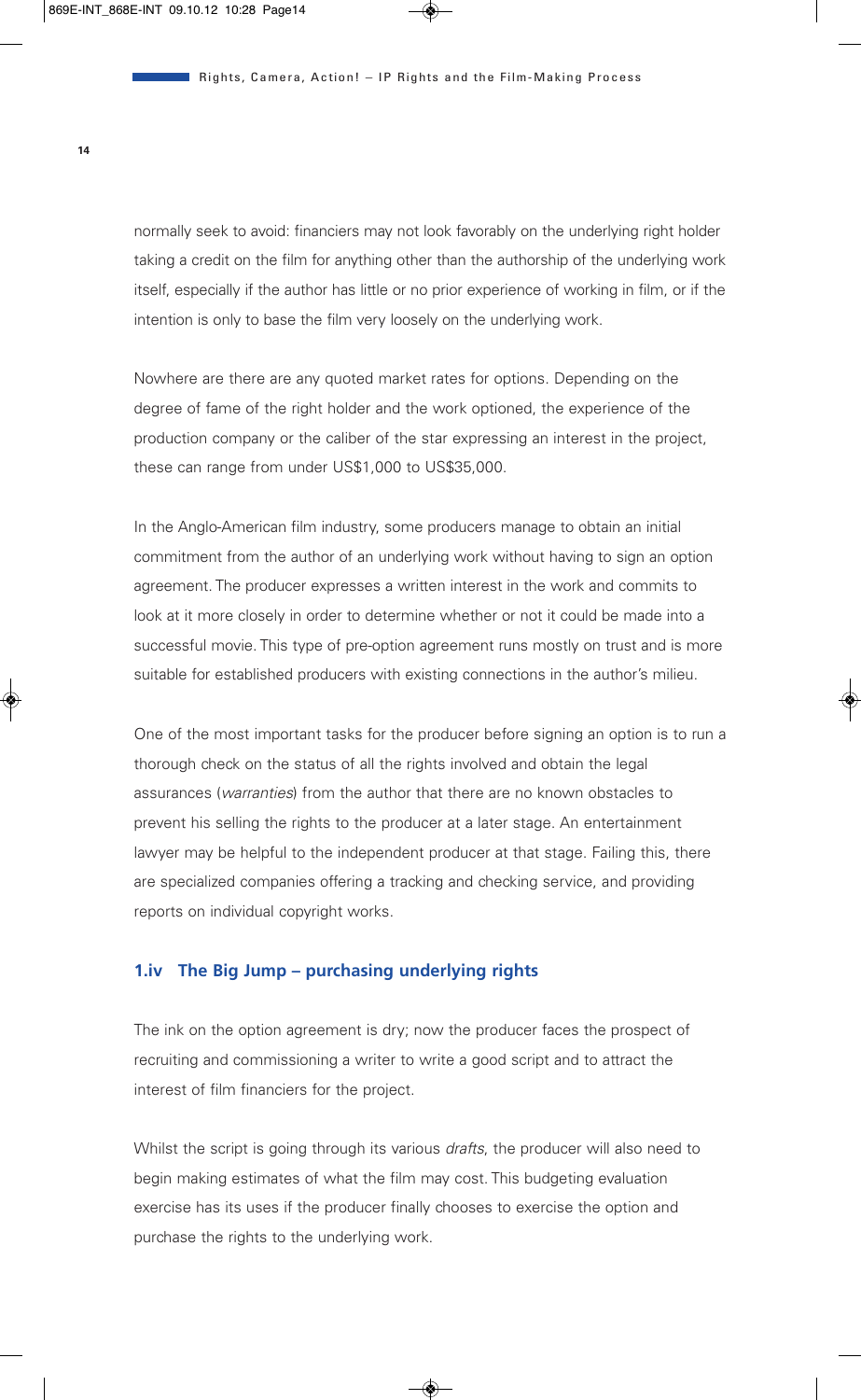normally seek to avoid: financiers may not look favorably on the underlying right holder taking a credit on the film for anything other than the authorship of the underlying work itself, especially if the author has little or no prior experience of working in film, or if the intention is only to base the film very loosely on the underlying work.

Nowhere are there are any quoted market rates for options. Depending on the degree of fame of the right holder and the work optioned, the experience of the production company or the caliber of the star expressing an interest in the project, these can range from under US\$1,000 to US\$35,000.

In the Anglo-American film industry, some producers manage to obtain an initial commitment from the author of an underlying work without having to sign an option agreement. The producer expresses a written interest in the work and commits to look at it more closely in order to determine whether or not it could be made into a successful movie. This type of pre-option agreement runs mostly on trust and is more suitable for established producers with existing connections in the author's milieu.

One of the most important tasks for the producer before signing an option is to run a thorough check on the status of all the rights involved and obtain the legal assurances (*warranties*) from the author that there are no known obstacles to prevent his selling the rights to the producer at a later stage. An entertainment lawyer may be helpful to the independent producer at that stage. Failing this, there are specialized companies offering a tracking and checking service, and providing reports on individual copyright works.

#### **1.iv The Big Jump – purchasing underlying rights**

The ink on the option agreement is dry; now the producer faces the prospect of recruiting and commissioning a writer to write a good script and to attract the interest of film financiers for the project.

Whilst the script is going through its various *drafts*, the producer will also need to begin making estimates of what the film may cost. This budgeting evaluation exercise has its uses if the producer finally chooses to exercise the option and purchase the rights to the underlying work.

**14**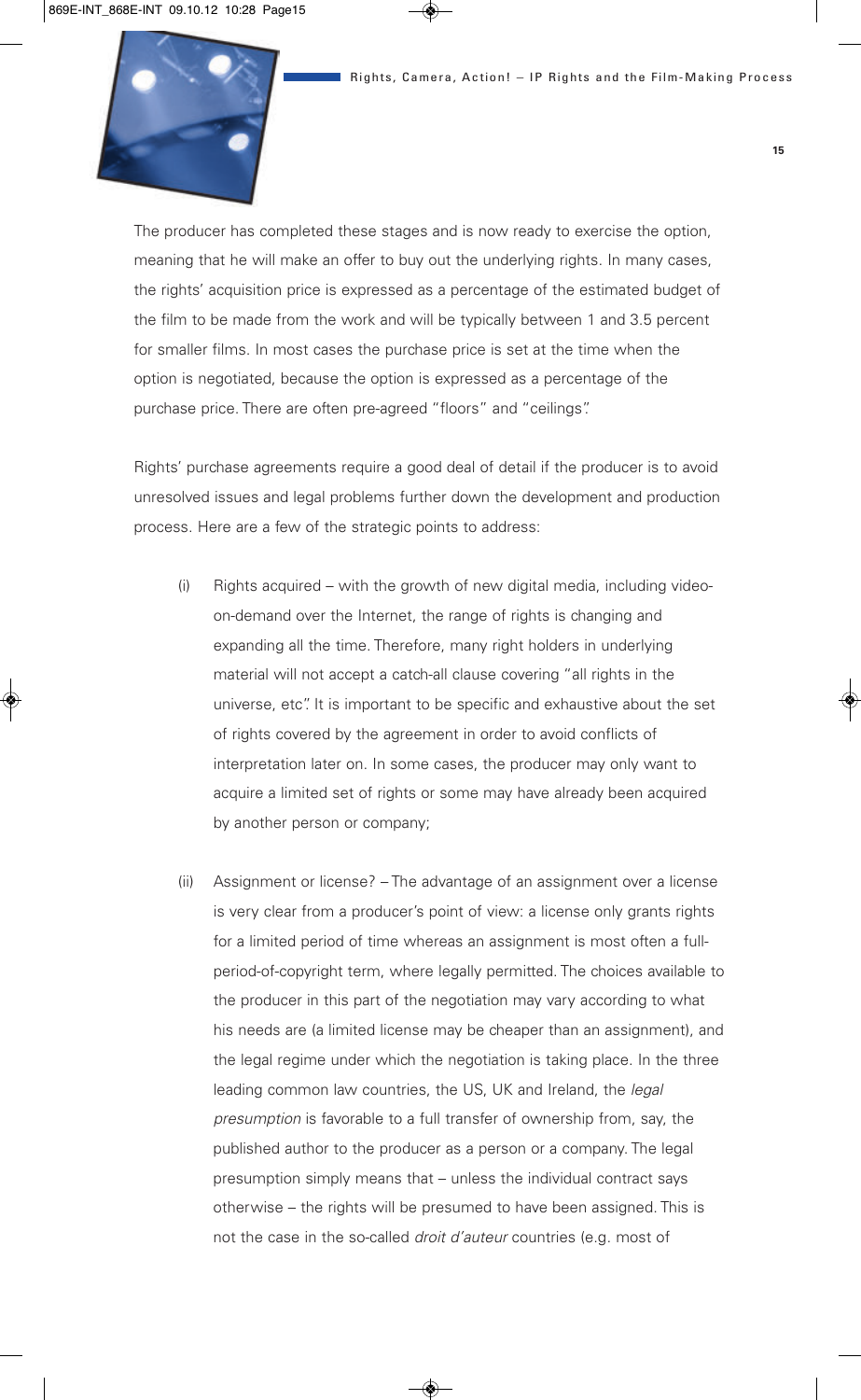

The producer has completed these stages and is now ready to exercise the option, meaning that he will make an offer to buy out the underlying rights. In many cases, the rights' acquisition price is expressed as a percentage of the estimated budget of the film to be made from the work and will be typically between 1 and 3.5 percent for smaller films. In most cases the purchase price is set at the time when the option is negotiated, because the option is expressed as a percentage of the purchase price. There are often pre-agreed "floors" and "ceilings".

Rights' purchase agreements require a good deal of detail if the producer is to avoid unresolved issues and legal problems further down the development and production process. Here are a few of the strategic points to address:

- (i) Rights acquired with the growth of new digital media, including videoon-demand over the Internet, the range of rights is changing and expanding all the time. Therefore, many right holders in underlying material will not accept a catch-all clause covering "all rights in the universe, etc". It is important to be specific and exhaustive about the set of rights covered by the agreement in order to avoid conflicts of interpretation later on. In some cases, the producer may only want to acquire a limited set of rights or some may have already been acquired by another person or company;
- (ii) Assignment or license? The advantage of an assignment over a license is very clear from a producer's point of view: a license only grants rights for a limited period of time whereas an assignment is most often a fullperiod-of-copyright term, where legally permitted. The choices available to the producer in this part of the negotiation may vary according to what his needs are (a limited license may be cheaper than an assignment), and the legal regime under which the negotiation is taking place. In the three leading common law countries, the US, UK and Ireland, the *legal presumption* is favorable to a full transfer of ownership from, say, the published author to the producer as a person or a company. The legal presumption simply means that – unless the individual contract says otherwise – the rights will be presumed to have been assigned. This is not the case in the so-called *droit d'auteur* countries (e.g. most of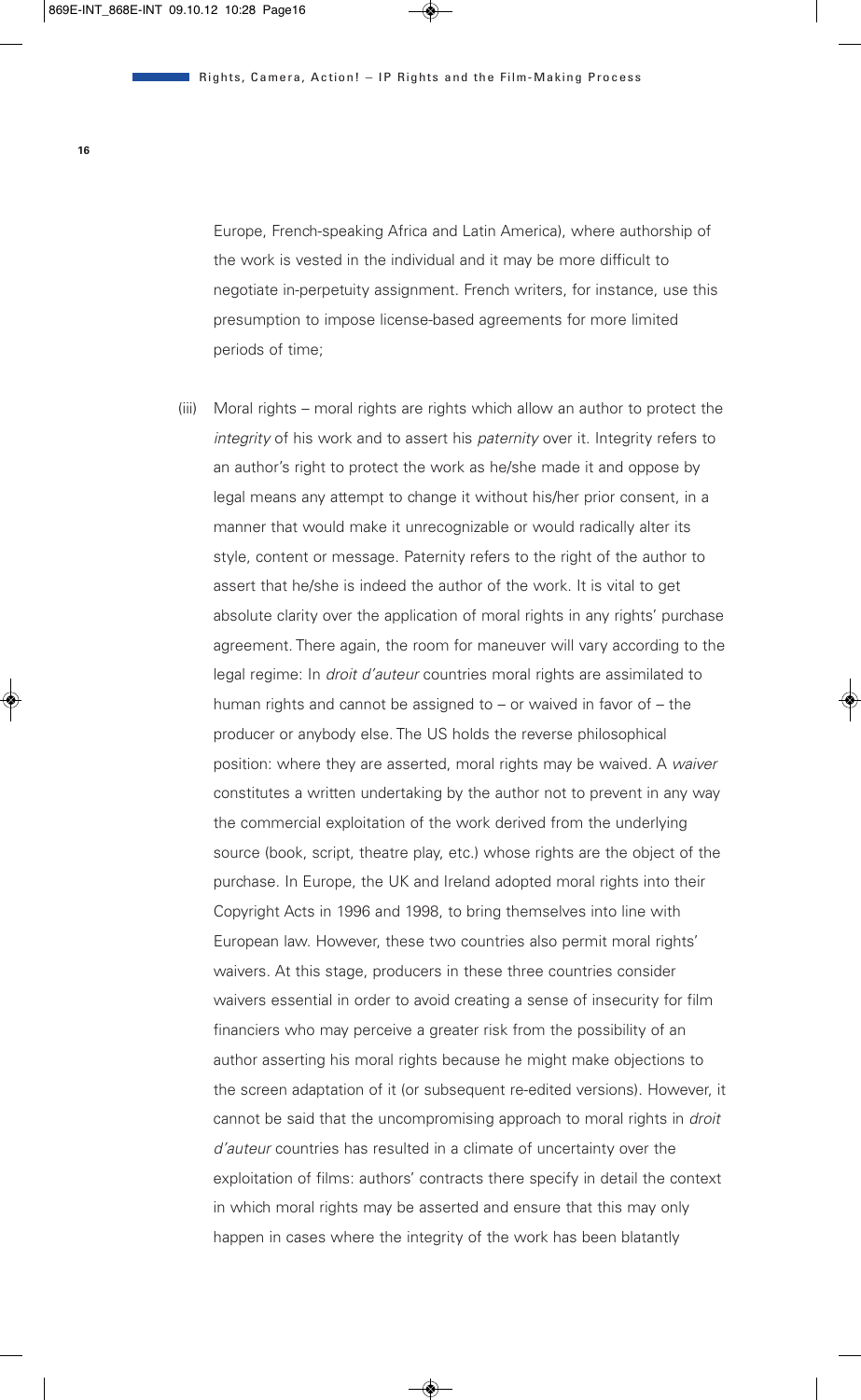Europe, French-speaking Africa and Latin America), where authorship of the work is vested in the individual and it may be more difficult to negotiate in-perpetuity assignment. French writers, for instance, use this presumption to impose license-based agreements for more limited periods of time;

(iii) Moral rights – moral rights are rights which allow an author to protect the *integrity* of his work and to assert his *paternity* over it. Integrity refers to an author's right to protect the work as he/she made it and oppose by legal means any attempt to change it without his/her prior consent, in a manner that would make it unrecognizable or would radically alter its style, content or message. Paternity refers to the right of the author to assert that he/she is indeed the author of the work. It is vital to get absolute clarity over the application of moral rights in any rights' purchase agreement. There again, the room for maneuver will vary according to the legal regime: In *droit d'auteur* countries moral rights are assimilated to human rights and cannot be assigned to – or waived in favor of – the producer or anybody else. The US holds the reverse philosophical position: where they are asserted, moral rights may be waived. A *waiver* constitutes a written undertaking by the author not to prevent in any way the commercial exploitation of the work derived from the underlying source (book, script, theatre play, etc.) whose rights are the object of the purchase. In Europe, the UK and Ireland adopted moral rights into their Copyright Acts in 1996 and 1998, to bring themselves into line with European law. However, these two countries also permit moral rights' waivers. At this stage, producers in these three countries consider waivers essential in order to avoid creating a sense of insecurity for film financiers who may perceive a greater risk from the possibility of an author asserting his moral rights because he might make objections to the screen adaptation of it (or subsequent re-edited versions). However, it cannot be said that the uncompromising approach to moral rights in *droit d'auteur* countries has resulted in a climate of uncertainty over the exploitation of films: authors' contracts there specify in detail the context in which moral rights may be asserted and ensure that this may only happen in cases where the integrity of the work has been blatantly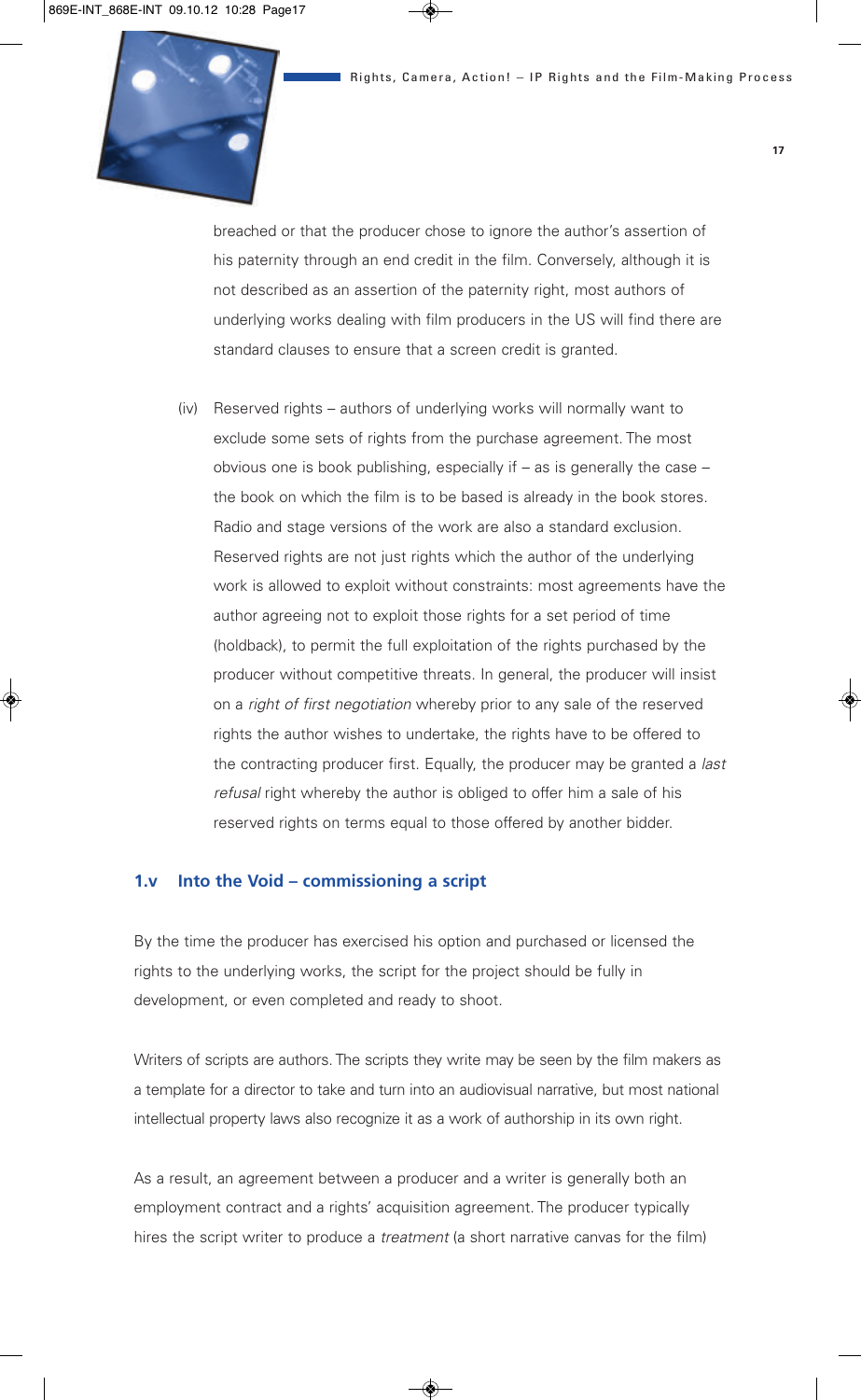

breached or that the producer chose to ignore the author's assertion of his paternity through an end credit in the film. Conversely, although it is not described as an assertion of the paternity right, most authors of underlying works dealing with film producers in the US will find there are standard clauses to ensure that a screen credit is granted.

(iv) Reserved rights – authors of underlying works will normally want to exclude some sets of rights from the purchase agreement. The most obvious one is book publishing, especially if – as is generally the case – the book on which the film is to be based is already in the book stores. Radio and stage versions of the work are also a standard exclusion. Reserved rights are not just rights which the author of the underlying work is allowed to exploit without constraints: most agreements have the author agreeing not to exploit those rights for a set period of time (holdback), to permit the full exploitation of the rights purchased by the producer without competitive threats. In general, the producer will insist on a *right of first negotiation* whereby prior to any sale of the reserved rights the author wishes to undertake, the rights have to be offered to the contracting producer first. Equally, the producer may be granted a *last refusal* right whereby the author is obliged to offer him a sale of his reserved rights on terms equal to those offered by another bidder.

#### **1.v Into the Void – commissioning a script**

By the time the producer has exercised his option and purchased or licensed the rights to the underlying works, the script for the project should be fully in development, or even completed and ready to shoot.

Writers of scripts are authors. The scripts they write may be seen by the film makers as a template for a director to take and turn into an audiovisual narrative, but most national intellectual property laws also recognize it as a work of authorship in its own right.

As a result, an agreement between a producer and a writer is generally both an employment contract and a rights' acquisition agreement. The producer typically hires the script writer to produce a *treatment* (a short narrative canvas for the film)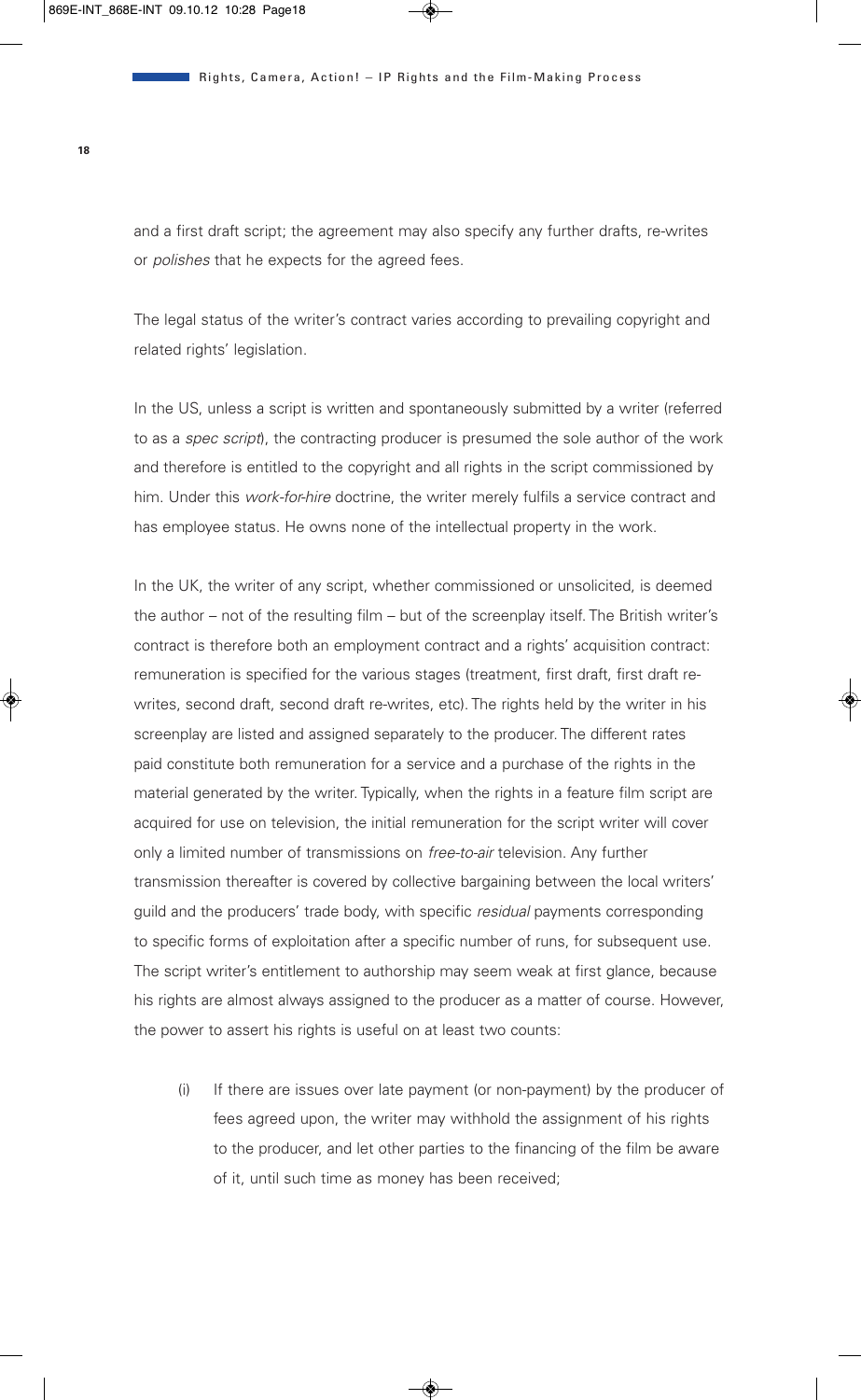and a first draft script; the agreement may also specify any further drafts, re-writes or *polishes* that he expects for the agreed fees.

The legal status of the writer's contract varies according to prevailing copyright and related rights' legislation.

In the US, unless a script is written and spontaneously submitted by a writer (referred to as a *spec script*), the contracting producer is presumed the sole author of the work and therefore is entitled to the copyright and all rights in the script commissioned by him. Under this *work-for-hire* doctrine, the writer merely fulfils a service contract and has employee status. He owns none of the intellectual property in the work.

In the UK, the writer of any script, whether commissioned or unsolicited, is deemed the author – not of the resulting film – but of the screenplay itself. The British writer's contract is therefore both an employment contract and a rights' acquisition contract: remuneration is specified for the various stages (treatment, first draft, first draft rewrites, second draft, second draft re-writes, etc). The rights held by the writer in his screenplay are listed and assigned separately to the producer. The different rates paid constitute both remuneration for a service and a purchase of the rights in the material generated by the writer. Typically, when the rights in a feature film script are acquired for use on television, the initial remuneration for the script writer will cover only a limited number of transmissions on *free-to-air* television. Any further transmission thereafter is covered by collective bargaining between the local writers' guild and the producers' trade body, with specific *residual* payments corresponding to specific forms of exploitation after a specific number of runs, for subsequent use. The script writer's entitlement to authorship may seem weak at first glance, because his rights are almost always assigned to the producer as a matter of course. However, the power to assert his rights is useful on at least two counts:

(i) If there are issues over late payment (or non-payment) by the producer of fees agreed upon, the writer may withhold the assignment of his rights to the producer, and let other parties to the financing of the film be aware of it, until such time as money has been received;

**18**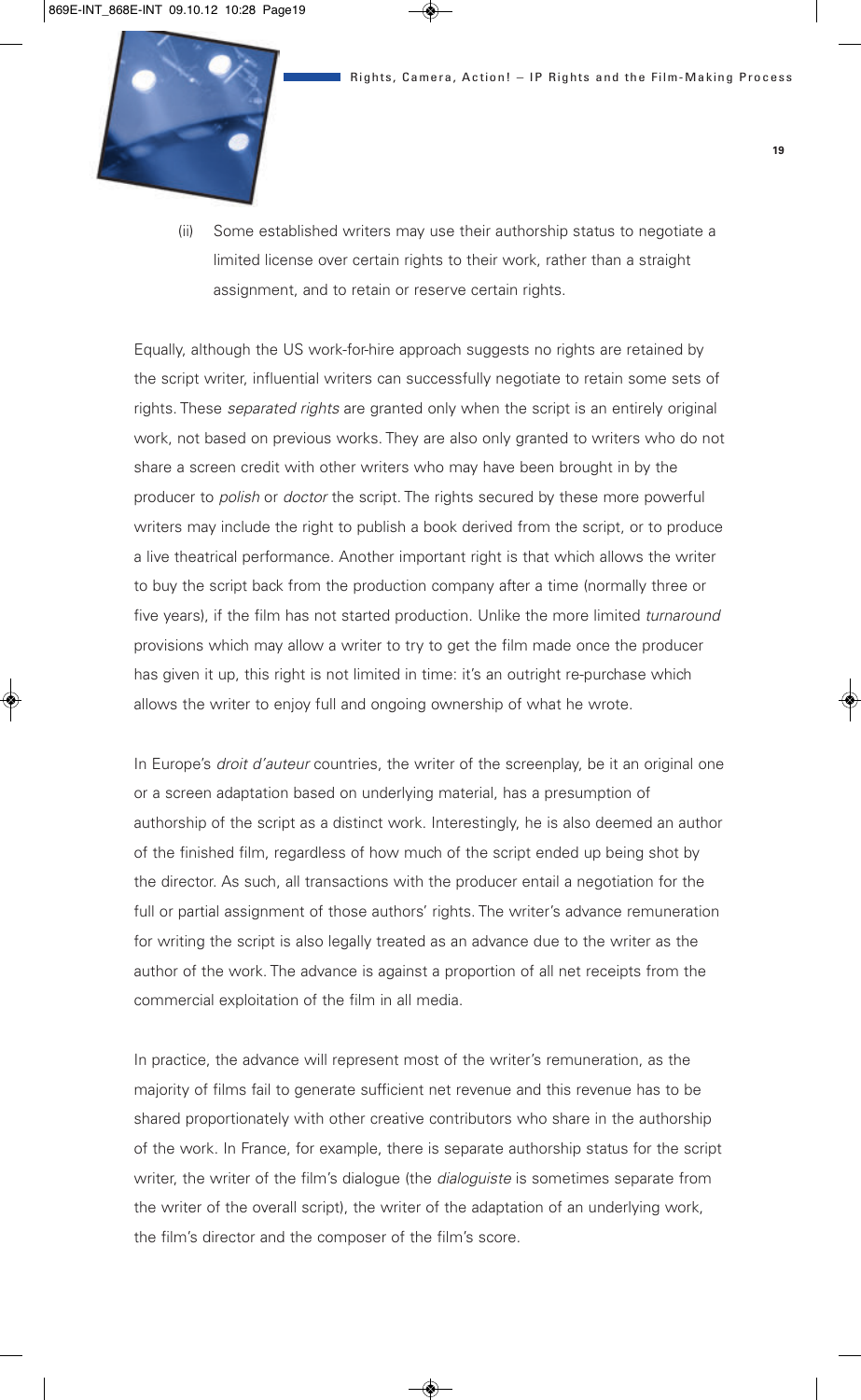

(ii) Some established writers may use their authorship status to negotiate a limited license over certain rights to their work, rather than a straight assignment, and to retain or reserve certain rights.

Equally, although the US work-for-hire approach suggests no rights are retained by the script writer, influential writers can successfully negotiate to retain some sets of rights. These *separated rights* are granted only when the script is an entirely original work, not based on previous works. They are also only granted to writers who do not share a screen credit with other writers who may have been brought in by the producer to *polish* or *doctor* the script. The rights secured by these more powerful writers may include the right to publish a book derived from the script, or to produce a live theatrical performance. Another important right is that which allows the writer to buy the script back from the production company after a time (normally three or five years), if the film has not started production. Unlike the more limited *turnaround* provisions which may allow a writer to try to get the film made once the producer has given it up, this right is not limited in time: it's an outright re-purchase which allows the writer to enjoy full and ongoing ownership of what he wrote.

In Europe's *droit d'auteur* countries, the writer of the screenplay, be it an original one or a screen adaptation based on underlying material, has a presumption of authorship of the script as a distinct work. Interestingly, he is also deemed an author of the finished film, regardless of how much of the script ended up being shot by the director. As such, all transactions with the producer entail a negotiation for the full or partial assignment of those authors' rights. The writer's advance remuneration for writing the script is also legally treated as an advance due to the writer as the author of the work. The advance is against a proportion of all net receipts from the commercial exploitation of the film in all media.

In practice, the advance will represent most of the writer's remuneration, as the majority of films fail to generate sufficient net revenue and this revenue has to be shared proportionately with other creative contributors who share in the authorship of the work. In France, for example, there is separate authorship status for the script writer, the writer of the film's dialogue (the *dialoguiste* is sometimes separate from the writer of the overall script), the writer of the adaptation of an underlying work, the film's director and the composer of the film's score.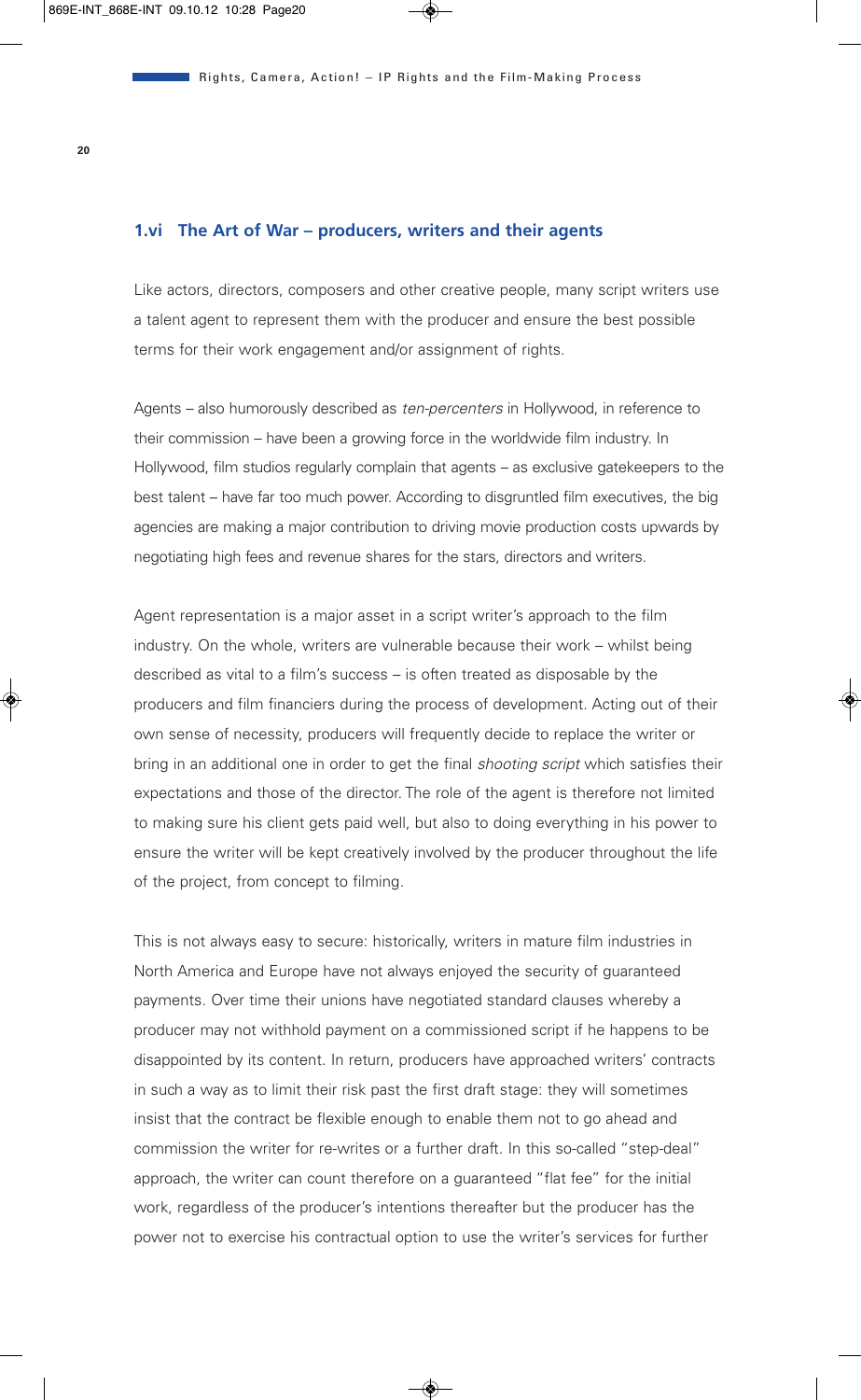#### **1.vi The Art of War – producers, writers and their agents**

Like actors, directors, composers and other creative people, many script writers use a talent agent to represent them with the producer and ensure the best possible terms for their work engagement and/or assignment of rights.

Agents – also humorously described as *ten-percenters* in Hollywood, in reference to their commission – have been a growing force in the worldwide film industry. In Hollywood, film studios regularly complain that agents – as exclusive gatekeepers to the best talent – have far too much power. According to disgruntled film executives, the big agencies are making a major contribution to driving movie production costs upwards by negotiating high fees and revenue shares for the stars, directors and writers.

Agent representation is a major asset in a script writer's approach to the film industry. On the whole, writers are vulnerable because their work – whilst being described as vital to a film's success – is often treated as disposable by the producers and film financiers during the process of development. Acting out of their own sense of necessity, producers will frequently decide to replace the writer or bring in an additional one in order to get the final *shooting script* which satisfies their expectations and those of the director. The role of the agent is therefore not limited to making sure his client gets paid well, but also to doing everything in his power to ensure the writer will be kept creatively involved by the producer throughout the life of the project, from concept to filming.

This is not always easy to secure: historically, writers in mature film industries in North America and Europe have not always enjoyed the security of guaranteed payments. Over time their unions have negotiated standard clauses whereby a producer may not withhold payment on a commissioned script if he happens to be disappointed by its content. In return, producers have approached writers' contracts in such a way as to limit their risk past the first draft stage: they will sometimes insist that the contract be flexible enough to enable them not to go ahead and commission the writer for re-writes or a further draft. In this so-called "step-deal" approach, the writer can count therefore on a guaranteed "flat fee" for the initial work, regardless of the producer's intentions thereafter but the producer has the power not to exercise his contractual option to use the writer's services for further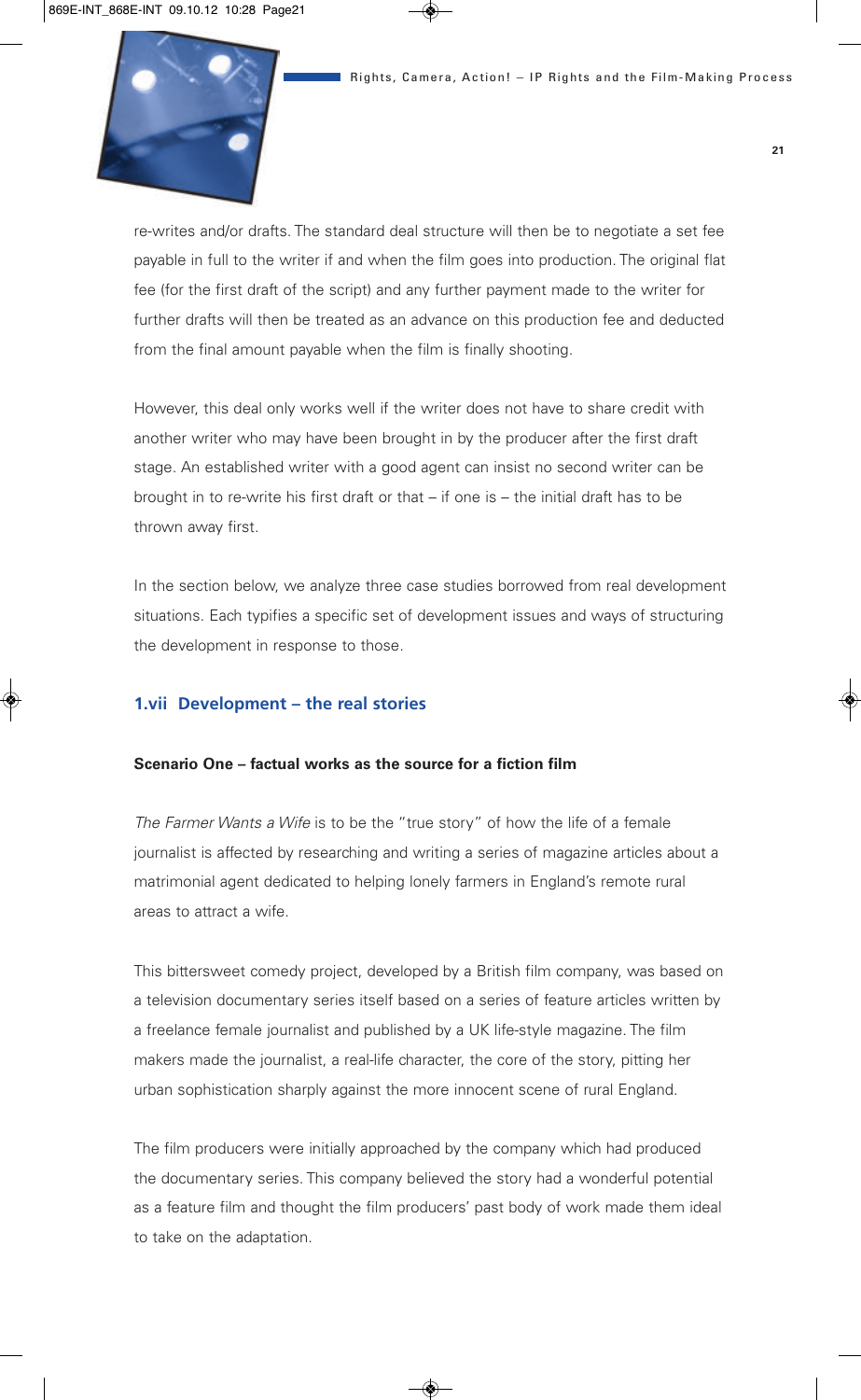

re-writes and/or drafts. The standard deal structure will then be to negotiate a set fee payable in full to the writer if and when the film goes into production. The original flat fee (for the first draft of the script) and any further payment made to the writer for further drafts will then be treated as an advance on this production fee and deducted from the final amount payable when the film is finally shooting.

However, this deal only works well if the writer does not have to share credit with another writer who may have been brought in by the producer after the first draft stage. An established writer with a good agent can insist no second writer can be brought in to re-write his first draft or that – if one is – the initial draft has to be thrown away first.

In the section below, we analyze three case studies borrowed from real development situations. Each typifies a specific set of development issues and ways of structuring the development in response to those.

#### **1.vii Development – the real stories**

#### **Scenario One – factual works as the source for a fiction film**

*The Farmer Wants a Wife* is to be the "true story" of how the life of a female journalist is affected by researching and writing a series of magazine articles about a matrimonial agent dedicated to helping lonely farmers in England's remote rural areas to attract a wife.

This bittersweet comedy project, developed by a British film company, was based on a television documentary series itself based on a series of feature articles written by a freelance female journalist and published by a UK life-style magazine. The film makers made the journalist, a real-life character, the core of the story, pitting her urban sophistication sharply against the more innocent scene of rural England.

The film producers were initially approached by the company which had produced the documentary series. This company believed the story had a wonderful potential as a feature film and thought the film producers' past body of work made them ideal to take on the adaptation.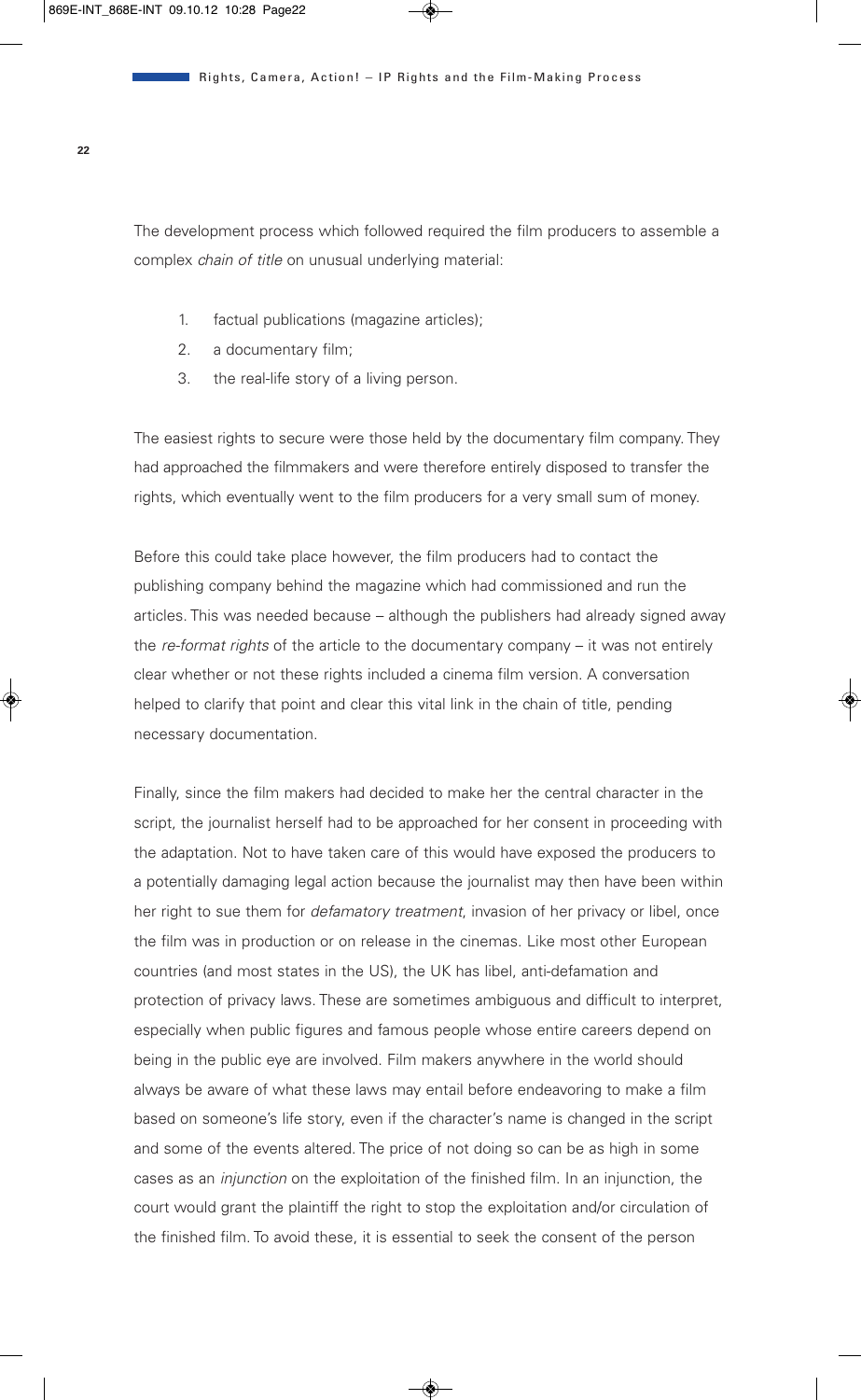The development process which followed required the film producers to assemble a complex *chain of title* on unusual underlying material:

- 1. factual publications (magazine articles);
- 2. a documentary film;
- 3. the real-life story of a living person.

The easiest rights to secure were those held by the documentary film company. They had approached the filmmakers and were therefore entirely disposed to transfer the rights, which eventually went to the film producers for a very small sum of money.

Before this could take place however, the film producers had to contact the publishing company behind the magazine which had commissioned and run the articles. This was needed because – although the publishers had already signed away the *re-format rights* of the article to the documentary company – it was not entirely clear whether or not these rights included a cinema film version. A conversation helped to clarify that point and clear this vital link in the chain of title, pending necessary documentation.

Finally, since the film makers had decided to make her the central character in the script, the journalist herself had to be approached for her consent in proceeding with the adaptation. Not to have taken care of this would have exposed the producers to a potentially damaging legal action because the journalist may then have been within her right to sue them for *defamatory treatment*, invasion of her privacy or libel, once the film was in production or on release in the cinemas. Like most other European countries (and most states in the US), the UK has libel, anti-defamation and protection of privacy laws. These are sometimes ambiguous and difficult to interpret, especially when public figures and famous people whose entire careers depend on being in the public eye are involved. Film makers anywhere in the world should always be aware of what these laws may entail before endeavoring to make a film based on someone's life story, even if the character's name is changed in the script and some of the events altered. The price of not doing so can be as high in some cases as an *injunction* on the exploitation of the finished film. In an injunction, the court would grant the plaintiff the right to stop the exploitation and/or circulation of the finished film. To avoid these, it is essential to seek the consent of the person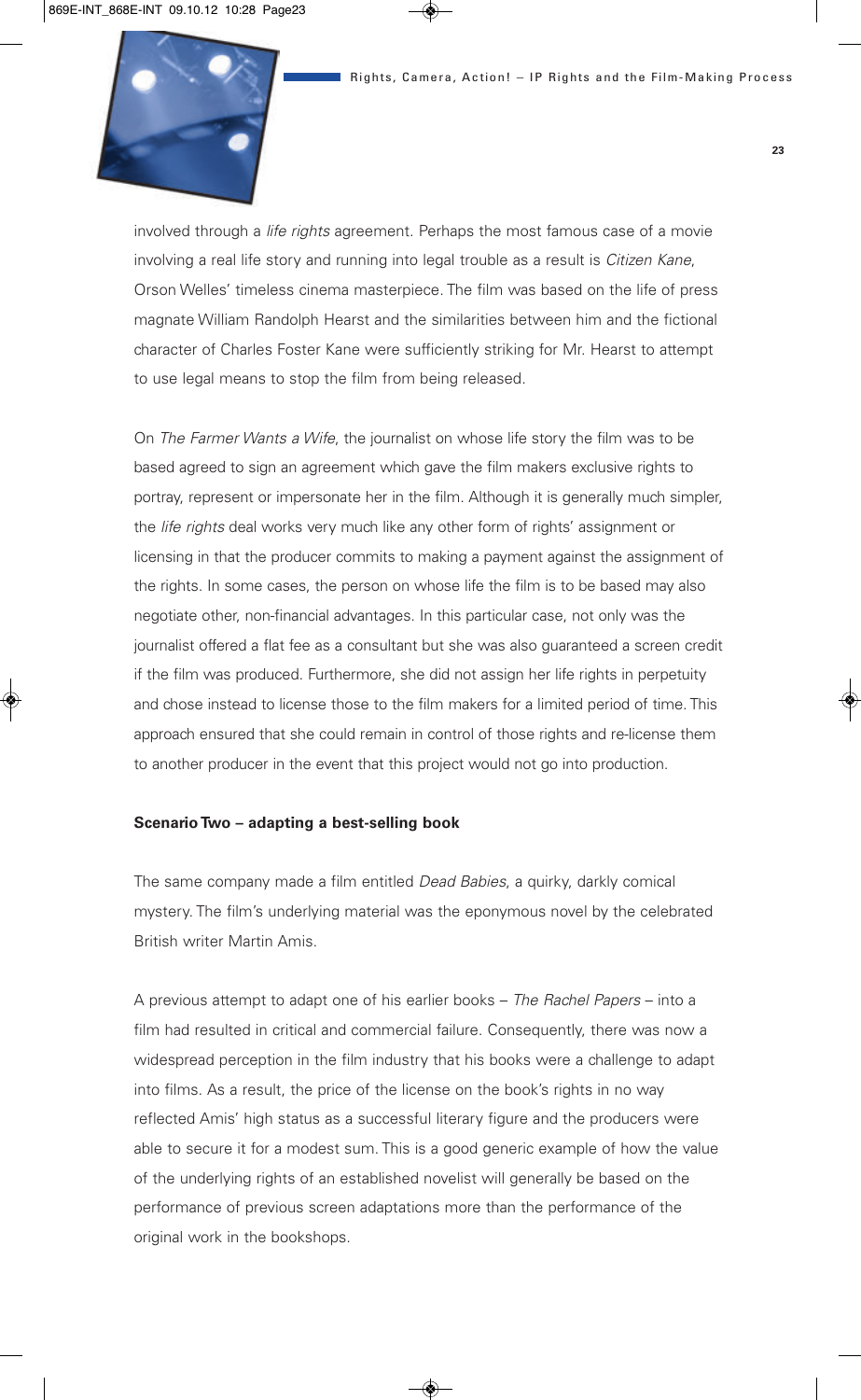

involved through a *life rights* agreement. Perhaps the most famous case of a movie involving a real life story and running into legal trouble as a result is *Citizen Kane*, Orson Welles' timeless cinema masterpiece. The film was based on the life of press magnate William Randolph Hearst and the similarities between him and the fictional character of Charles Foster Kane were sufficiently striking for Mr. Hearst to attempt to use legal means to stop the film from being released.

On *The Farmer Wants a Wife*, the journalist on whose life story the film was to be based agreed to sign an agreement which gave the film makers exclusive rights to portray, represent or impersonate her in the film. Although it is generally much simpler, the *life rights* deal works very much like any other form of rights' assignment or licensing in that the producer commits to making a payment against the assignment of the rights. In some cases, the person on whose life the film is to be based may also negotiate other, non-financial advantages. In this particular case, not only was the journalist offered a flat fee as a consultant but she was also guaranteed a screen credit if the film was produced. Furthermore, she did not assign her life rights in perpetuity and chose instead to license those to the film makers for a limited period of time. This approach ensured that she could remain in control of those rights and re-license them to another producer in the event that this project would not go into production.

#### **Scenario Two – adapting a best-selling book**

The same company made a film entitled *Dead Babies*, a quirky, darkly comical mystery. The film's underlying material was the eponymous novel by the celebrated British writer Martin Amis.

A previous attempt to adapt one of his earlier books – *The Rachel Papers* – into a film had resulted in critical and commercial failure. Consequently, there was now a widespread perception in the film industry that his books were a challenge to adapt into films. As a result, the price of the license on the book's rights in no way reflected Amis' high status as a successful literary figure and the producers were able to secure it for a modest sum. This is a good generic example of how the value of the underlying rights of an established novelist will generally be based on the performance of previous screen adaptations more than the performance of the original work in the bookshops.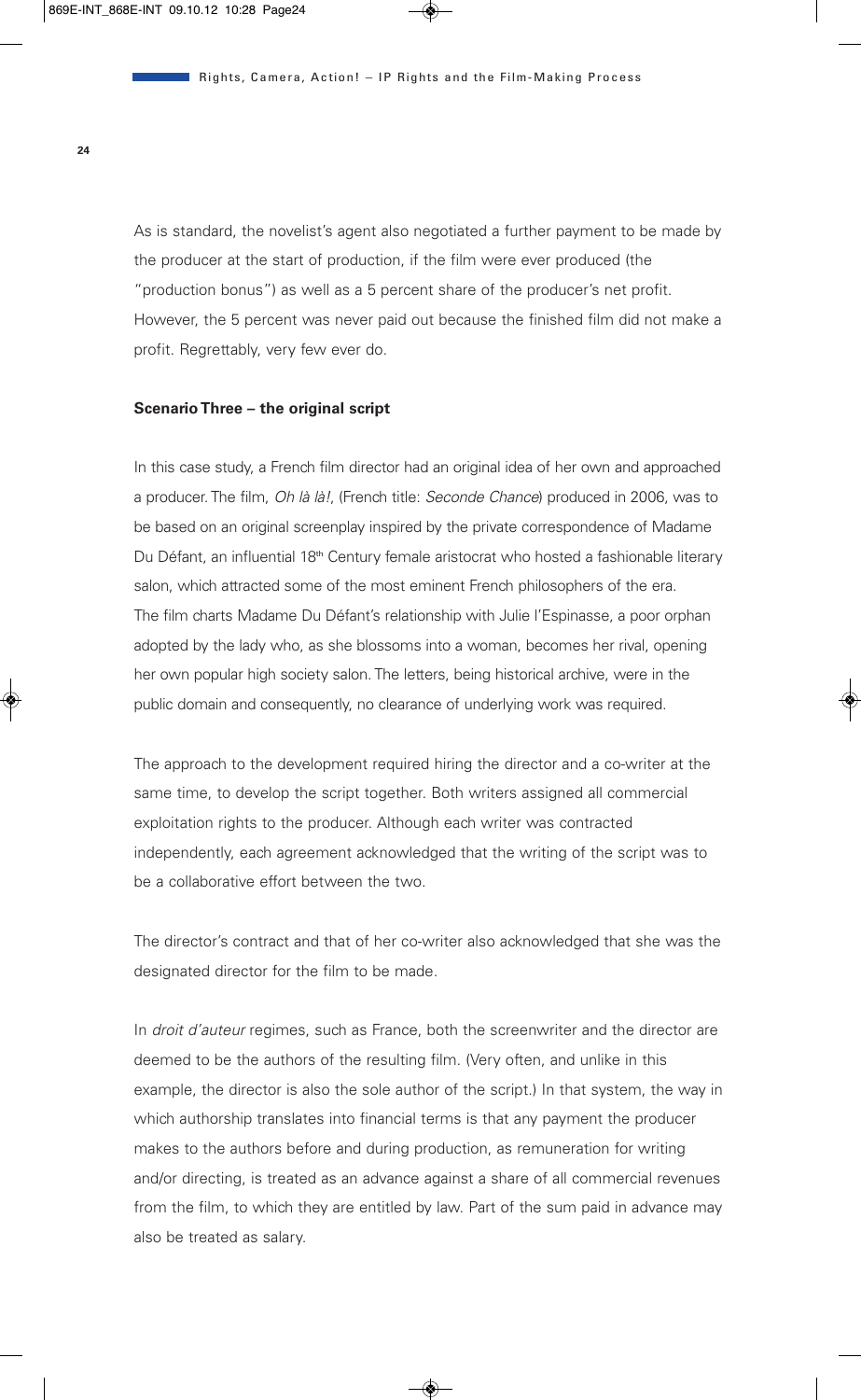As is standard, the novelist's agent also negotiated a further payment to be made by the producer at the start of production, if the film were ever produced (the "production bonus") as well as a 5 percent share of the producer's net profit. However, the 5 percent was never paid out because the finished film did not make a profit. Regrettably, very few ever do.

#### **Scenario Three – the original script**

In this case study, a French film director had an original idea of her own and approached a producer. The film, *Oh là là!*, (French title: *Seconde Chance*) produced in 2006, was to be based on an original screenplay inspired by the private correspondence of Madame Du Défant, an influential 18<sup>th</sup> Century female aristocrat who hosted a fashionable literary salon, which attracted some of the most eminent French philosophers of the era. The film charts Madame Du Défant's relationship with Julie l'Espinasse, a poor orphan adopted by the lady who, as she blossoms into a woman, becomes her rival, opening her own popular high society salon. The letters, being historical archive, were in the public domain and consequently, no clearance of underlying work was required.

The approach to the development required hiring the director and a co-writer at the same time, to develop the script together. Both writers assigned all commercial exploitation rights to the producer. Although each writer was contracted independently, each agreement acknowledged that the writing of the script was to be a collaborative effort between the two.

The director's contract and that of her co-writer also acknowledged that she was the designated director for the film to be made.

In *droit d'auteur* regimes, such as France, both the screenwriter and the director are deemed to be the authors of the resulting film. (Very often, and unlike in this example, the director is also the sole author of the script.) In that system, the way in which authorship translates into financial terms is that any payment the producer makes to the authors before and during production, as remuneration for writing and/or directing, is treated as an advance against a share of all commercial revenues from the film, to which they are entitled by law. Part of the sum paid in advance may also be treated as salary.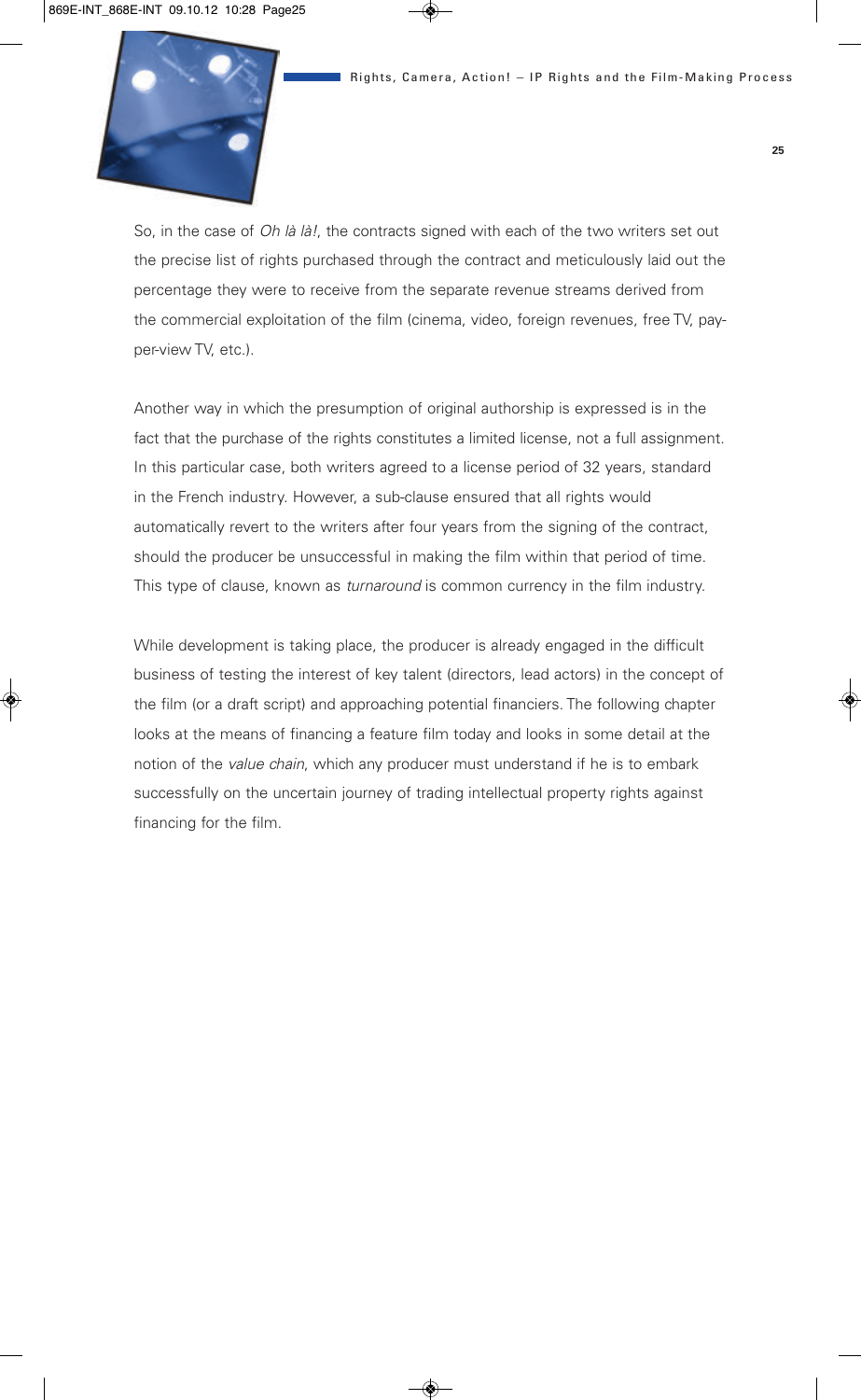

So, in the case of *Oh là là!*, the contracts signed with each of the two writers set out the precise list of rights purchased through the contract and meticulously laid out the percentage they were to receive from the separate revenue streams derived from the commercial exploitation of the film (cinema, video, foreign revenues, free TV, payper-view TV, etc.).

Another way in which the presumption of original authorship is expressed is in the fact that the purchase of the rights constitutes a limited license, not a full assignment. In this particular case, both writers agreed to a license period of 32 years, standard in the French industry. However, a sub-clause ensured that all rights would automatically revert to the writers after four years from the signing of the contract, should the producer be unsuccessful in making the film within that period of time. This type of clause, known as *turnaround* is common currency in the film industry.

While development is taking place, the producer is already engaged in the difficult business of testing the interest of key talent (directors, lead actors) in the concept of the film (or a draft script) and approaching potential financiers. The following chapter looks at the means of financing a feature film today and looks in some detail at the notion of the *value chain*, which any producer must understand if he is to embark successfully on the uncertain journey of trading intellectual property rights against financing for the film.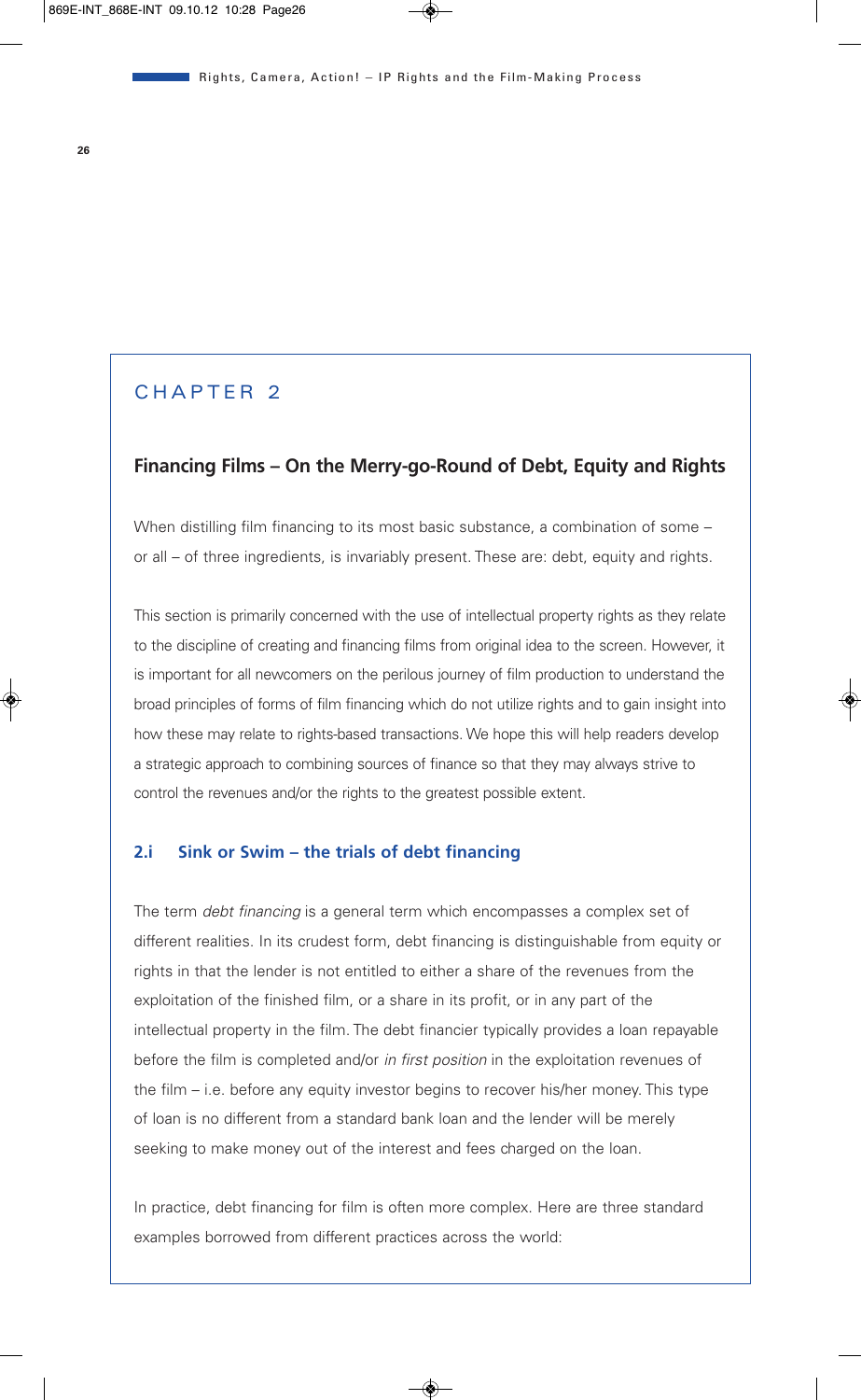### CHAPTER 2

#### **Financing Films – On the Merry-go-Round of Debt, Equity and Rights**

When distilling film financing to its most basic substance, a combination of some or all – of three ingredients, is invariably present. These are: debt, equity and rights.

This section is primarily concerned with the use of intellectual property rights as they relate to the discipline of creating and financing films from original idea to the screen. However, it is important for all newcomers on the perilous journey of film production to understand the broad principles of forms of film financing which do not utilize rights and to gain insight into how these may relate to rights-based transactions. We hope this will help readers develop a strategic approach to combining sources of finance so that they may always strive to control the revenues and/or the rights to the greatest possible extent.

#### **2.i Sink or Swim – the trials of debt financing**

The term *debt financing* is a general term which encompasses a complex set of different realities. In its crudest form, debt financing is distinguishable from equity or rights in that the lender is not entitled to either a share of the revenues from the exploitation of the finished film, or a share in its profit, or in any part of the intellectual property in the film. The debt financier typically provides a loan repayable before the film is completed and/or *in first position* in the exploitation revenues of the film – i.e. before any equity investor begins to recover his/her money. This type of loan is no different from a standard bank loan and the lender will be merely seeking to make money out of the interest and fees charged on the loan.

In practice, debt financing for film is often more complex. Here are three standard examples borrowed from different practices across the world: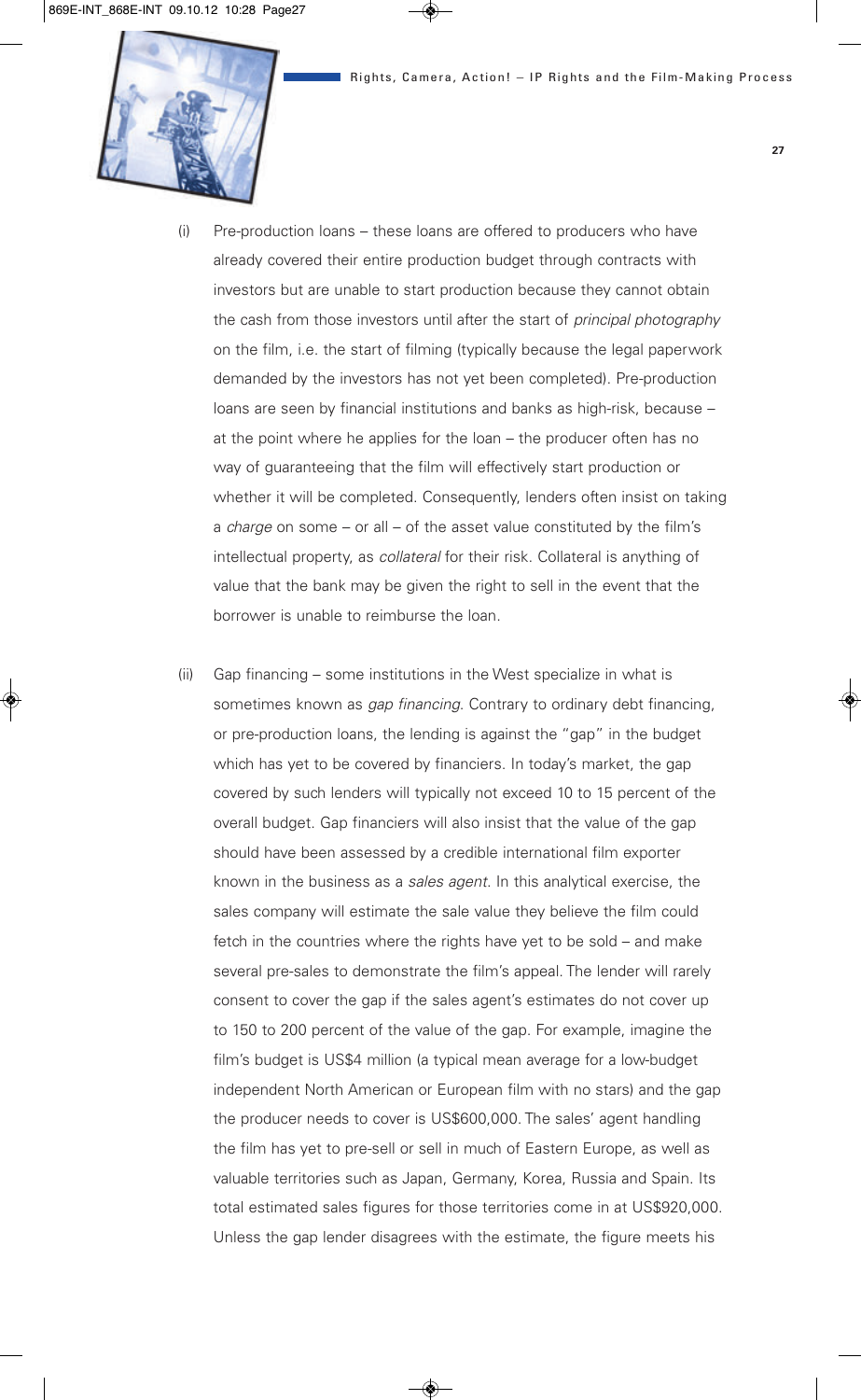

- (i) Pre-production loans these loans are offered to producers who have already covered their entire production budget through contracts with investors but are unable to start production because they cannot obtain the cash from those investors until after the start of *principal photography* on the film, i.e. the start of filming (typically because the legal paperwork demanded by the investors has not yet been completed). Pre-production loans are seen by financial institutions and banks as high-risk, because – at the point where he applies for the loan – the producer often has no way of guaranteeing that the film will effectively start production or whether it will be completed. Consequently, lenders often insist on taking a *charge* on some – or all – of the asset value constituted by the film's intellectual property, as *collateral* for their risk. Collateral is anything of value that the bank may be given the right to sell in the event that the borrower is unable to reimburse the loan.
- (ii) Gap financing some institutions in the West specialize in what is sometimes known as *gap financing*. Contrary to ordinary debt financing, or pre-production loans, the lending is against the "gap" in the budget which has yet to be covered by financiers. In today's market, the gap covered by such lenders will typically not exceed 10 to 15 percent of the overall budget. Gap financiers will also insist that the value of the gap should have been assessed by a credible international film exporter known in the business as a *sales agent*. In this analytical exercise, the sales company will estimate the sale value they believe the film could fetch in the countries where the rights have yet to be sold – and make several pre-sales to demonstrate the film's appeal. The lender will rarely consent to cover the gap if the sales agent's estimates do not cover up to 150 to 200 percent of the value of the gap. For example, imagine the film's budget is US\$4 million (a typical mean average for a low-budget independent North American or European film with no stars) and the gap the producer needs to cover is US\$600,000. The sales' agent handling the film has yet to pre-sell or sell in much of Eastern Europe, as well as valuable territories such as Japan, Germany, Korea, Russia and Spain. Its total estimated sales figures for those territories come in at US\$920,000. Unless the gap lender disagrees with the estimate, the figure meets his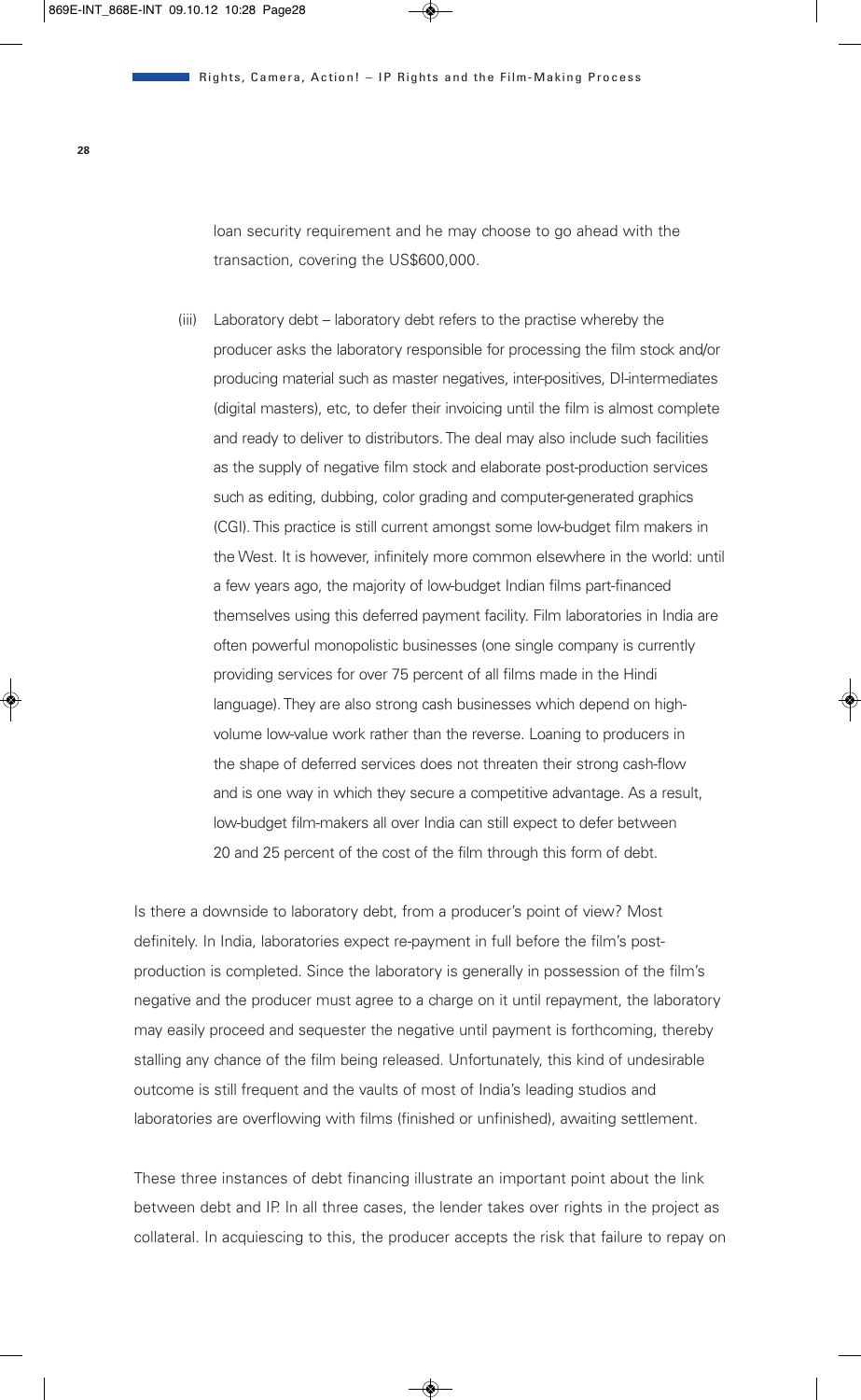loan security requirement and he may choose to go ahead with the transaction, covering the US\$600,000.

(iii) Laboratory debt – laboratory debt refers to the practise whereby the producer asks the laboratory responsible for processing the film stock and/or producing material such as master negatives, inter-positives, DI-intermediates (digital masters), etc, to defer their invoicing until the film is almost complete and ready to deliver to distributors. The deal may also include such facilities as the supply of negative film stock and elaborate post-production services such as editing, dubbing, color grading and computer-generated graphics (CGI). This practice is still current amongst some low-budget film makers in the West. It is however, infinitely more common elsewhere in the world: until a few years ago, the majority of low-budget Indian films part-financed themselves using this deferred payment facility. Film laboratories in India are often powerful monopolistic businesses (one single company is currently providing services for over 75 percent of all films made in the Hindi language). They are also strong cash businesses which depend on highvolume low-value work rather than the reverse. Loaning to producers in the shape of deferred services does not threaten their strong cash-flow and is one way in which they secure a competitive advantage. As a result, low-budget film-makers all over India can still expect to defer between 20 and 25 percent of the cost of the film through this form of debt.

Is there a downside to laboratory debt, from a producer's point of view? Most definitely. In India, laboratories expect re-payment in full before the film's postproduction is completed. Since the laboratory is generally in possession of the film's negative and the producer must agree to a charge on it until repayment, the laboratory may easily proceed and sequester the negative until payment is forthcoming, thereby stalling any chance of the film being released. Unfortunately, this kind of undesirable outcome is still frequent and the vaults of most of India's leading studios and laboratories are overflowing with films (finished or unfinished), awaiting settlement.

These three instances of debt financing illustrate an important point about the link between debt and IP. In all three cases, the lender takes over rights in the project as collateral. In acquiescing to this, the producer accepts the risk that failure to repay on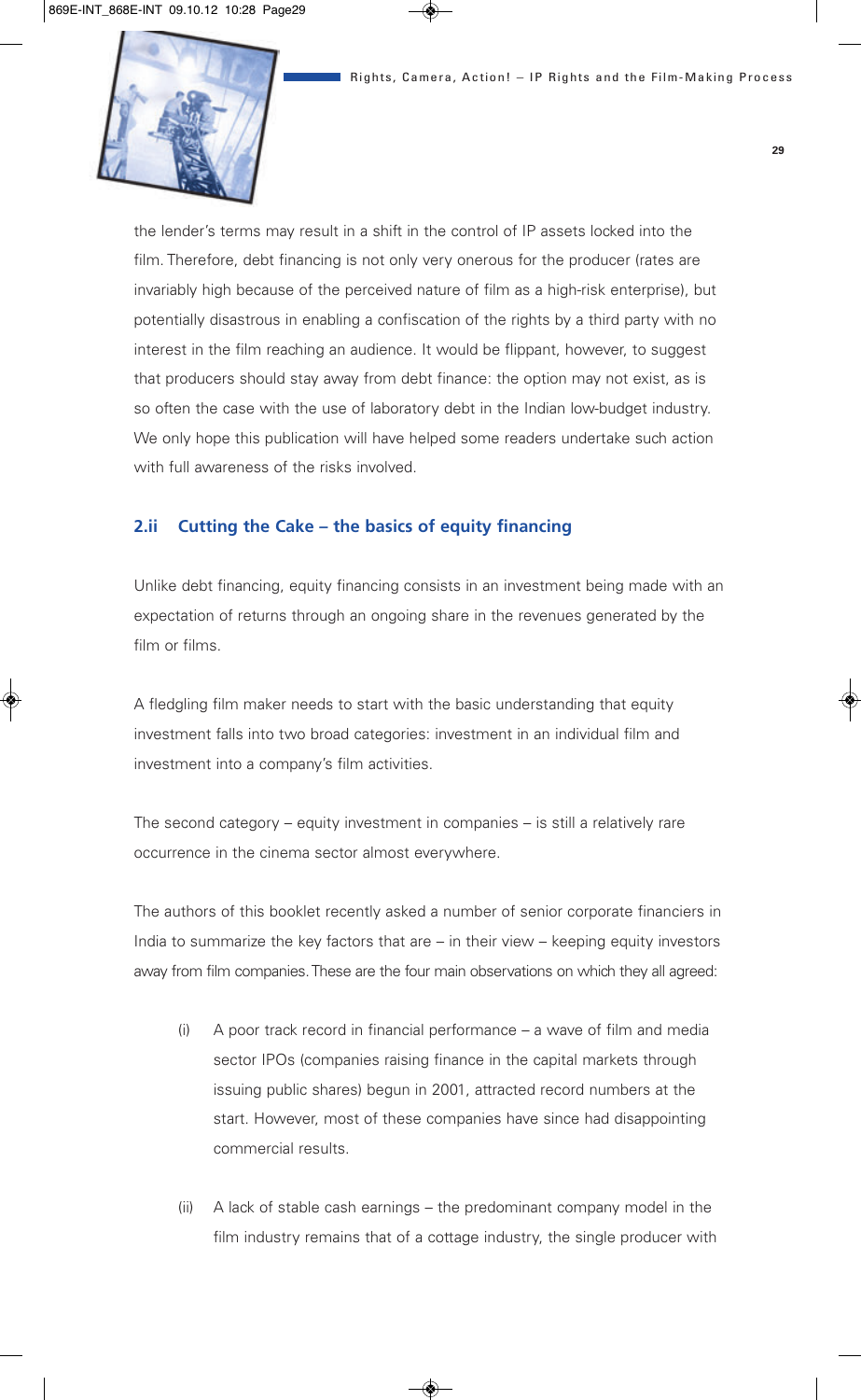

the lender's terms may result in a shift in the control of IP assets locked into the film. Therefore, debt financing is not only very onerous for the producer (rates are invariably high because of the perceived nature of film as a high-risk enterprise), but potentially disastrous in enabling a confiscation of the rights by a third party with no interest in the film reaching an audience. It would be flippant, however, to suggest that producers should stay away from debt finance: the option may not exist, as is so often the case with the use of laboratory debt in the Indian low-budget industry. We only hope this publication will have helped some readers undertake such action with full awareness of the risks involved.

#### **2.ii Cutting the Cake – the basics of equity financing**

Unlike debt financing, equity financing consists in an investment being made with an expectation of returns through an ongoing share in the revenues generated by the film or films.

A fledgling film maker needs to start with the basic understanding that equity investment falls into two broad categories: investment in an individual film and investment into a company's film activities.

The second category – equity investment in companies – is still a relatively rare occurrence in the cinema sector almost everywhere.

The authors of this booklet recently asked a number of senior corporate financiers in India to summarize the key factors that are – in their view – keeping equity investors away from film companies. These are the four main observations on which they all agreed:

- (i) A poor track record in financial performance a wave of film and media sector IPOs (companies raising finance in the capital markets through issuing public shares) begun in 2001, attracted record numbers at the start. However, most of these companies have since had disappointing commercial results.
- (ii) A lack of stable cash earnings the predominant company model in the film industry remains that of a cottage industry, the single producer with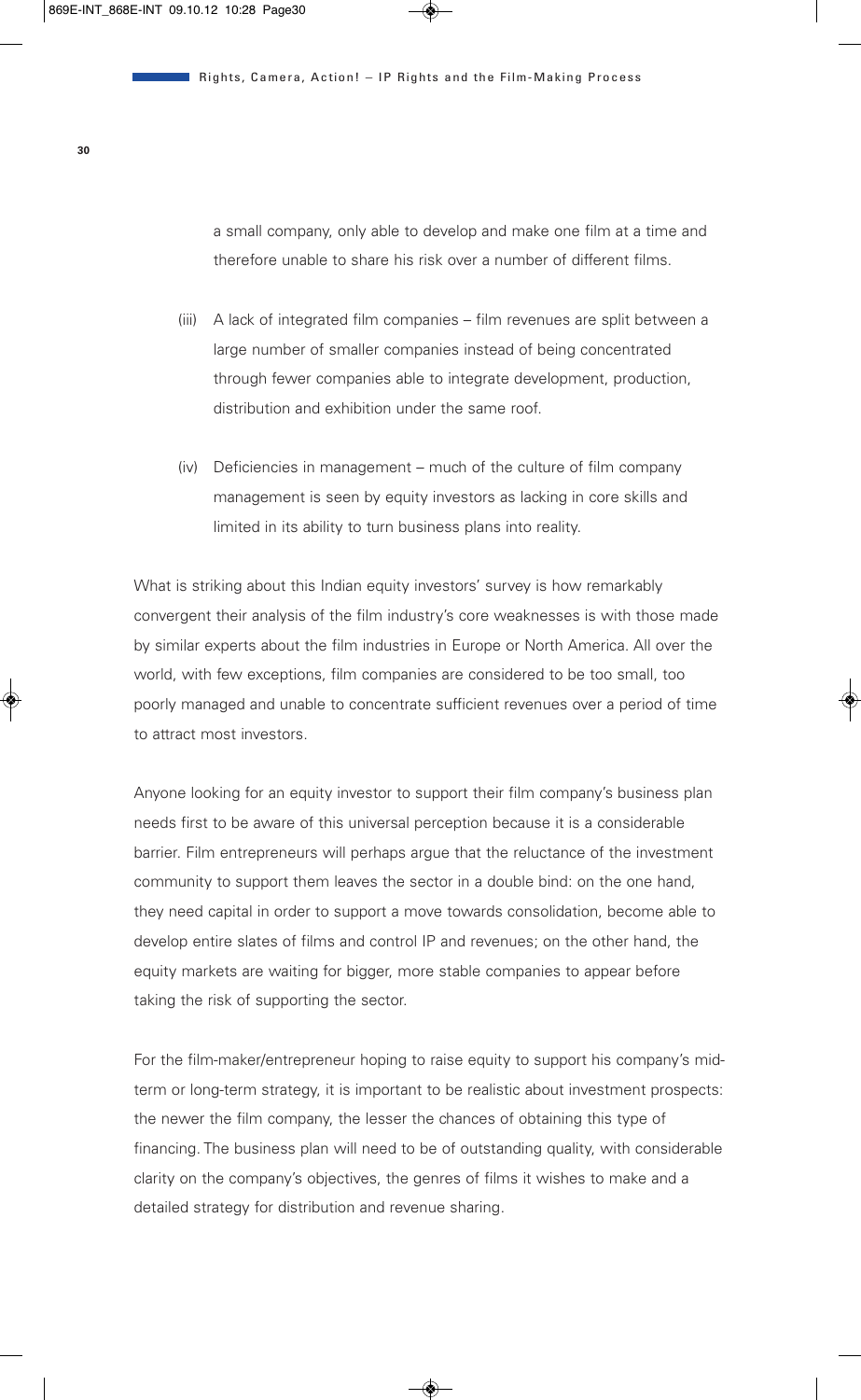a small company, only able to develop and make one film at a time and therefore unable to share his risk over a number of different films.

- (iii) A lack of integrated film companies film revenues are split between a large number of smaller companies instead of being concentrated through fewer companies able to integrate development, production, distribution and exhibition under the same roof.
- (iv) Deficiencies in management much of the culture of film company management is seen by equity investors as lacking in core skills and limited in its ability to turn business plans into reality.

What is striking about this Indian equity investors' survey is how remarkably convergent their analysis of the film industry's core weaknesses is with those made by similar experts about the film industries in Europe or North America. All over the world, with few exceptions, film companies are considered to be too small, too poorly managed and unable to concentrate sufficient revenues over a period of time to attract most investors.

Anyone looking for an equity investor to support their film company's business plan needs first to be aware of this universal perception because it is a considerable barrier. Film entrepreneurs will perhaps argue that the reluctance of the investment community to support them leaves the sector in a double bind: on the one hand, they need capital in order to support a move towards consolidation, become able to develop entire slates of films and control IP and revenues; on the other hand, the equity markets are waiting for bigger, more stable companies to appear before taking the risk of supporting the sector.

For the film-maker/entrepreneur hoping to raise equity to support his company's midterm or long-term strategy, it is important to be realistic about investment prospects: the newer the film company, the lesser the chances of obtaining this type of financing. The business plan will need to be of outstanding quality, with considerable clarity on the company's objectives, the genres of films it wishes to make and a detailed strategy for distribution and revenue sharing.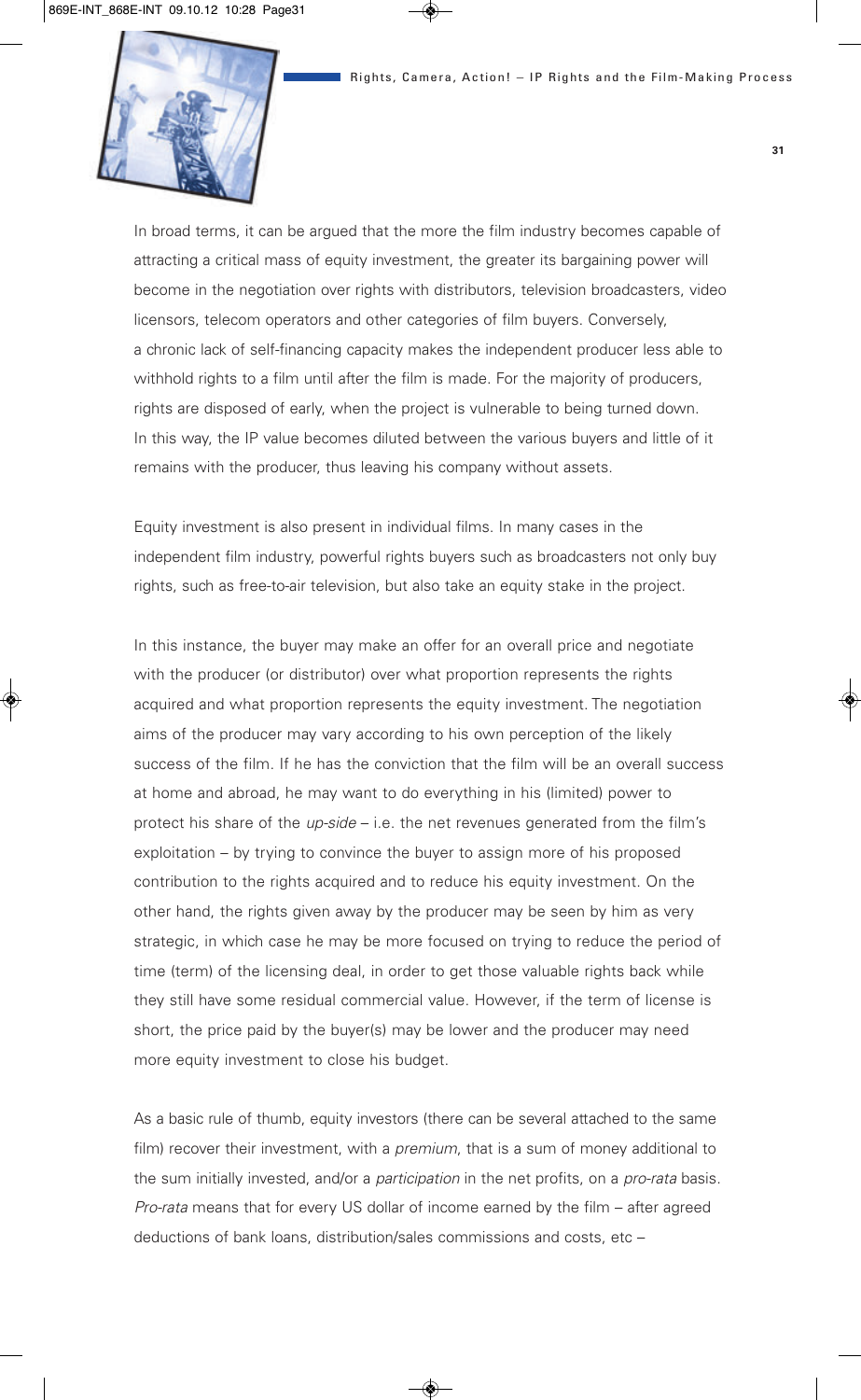

In broad terms, it can be argued that the more the film industry becomes capable of attracting a critical mass of equity investment, the greater its bargaining power will become in the negotiation over rights with distributors, television broadcasters, video licensors, telecom operators and other categories of film buyers. Conversely, a chronic lack of self-financing capacity makes the independent producer less able to withhold rights to a film until after the film is made. For the majority of producers, rights are disposed of early, when the project is vulnerable to being turned down. In this way, the IP value becomes diluted between the various buyers and little of it remains with the producer, thus leaving his company without assets.

Equity investment is also present in individual films. In many cases in the independent film industry, powerful rights buyers such as broadcasters not only buy rights, such as free-to-air television, but also take an equity stake in the project.

In this instance, the buyer may make an offer for an overall price and negotiate with the producer (or distributor) over what proportion represents the rights acquired and what proportion represents the equity investment. The negotiation aims of the producer may vary according to his own perception of the likely success of the film. If he has the conviction that the film will be an overall success at home and abroad, he may want to do everything in his (limited) power to protect his share of the *up-side* – i.e. the net revenues generated from the film's exploitation – by trying to convince the buyer to assign more of his proposed contribution to the rights acquired and to reduce his equity investment. On the other hand, the rights given away by the producer may be seen by him as very strategic, in which case he may be more focused on trying to reduce the period of time (term) of the licensing deal, in order to get those valuable rights back while they still have some residual commercial value. However, if the term of license is short, the price paid by the buyer(s) may be lower and the producer may need more equity investment to close his budget.

As a basic rule of thumb, equity investors (there can be several attached to the same film) recover their investment, with a *premium*, that is a sum of money additional to the sum initially invested, and/or a *participation* in the net profits, on a *pro-rata* basis. *Pro-rata* means that for every US dollar of income earned by the film – after agreed deductions of bank loans, distribution/sales commissions and costs, etc –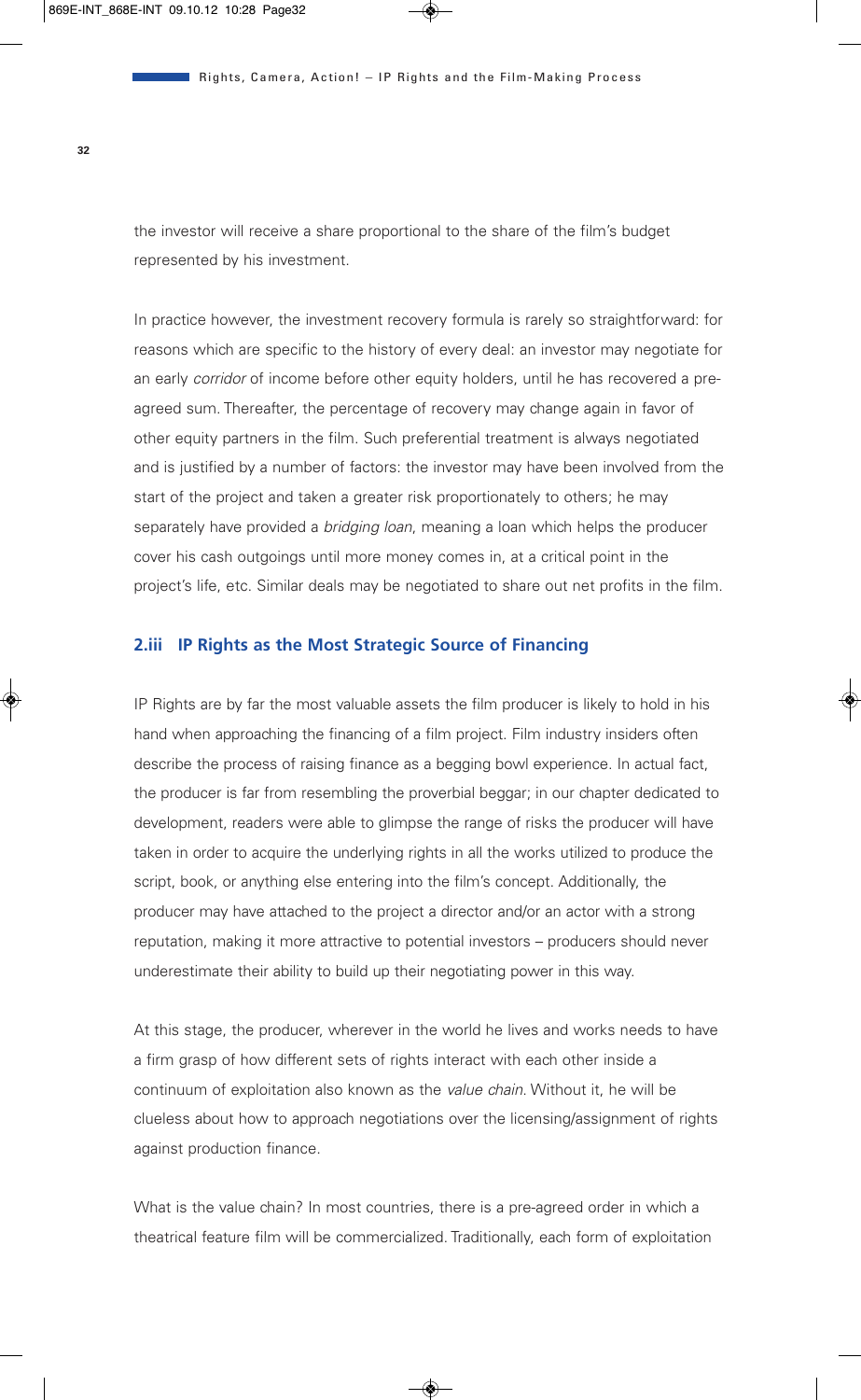the investor will receive a share proportional to the share of the film's budget represented by his investment.

In practice however, the investment recovery formula is rarely so straightforward: for reasons which are specific to the history of every deal: an investor may negotiate for an early *corridor* of income before other equity holders, until he has recovered a preagreed sum. Thereafter, the percentage of recovery may change again in favor of other equity partners in the film. Such preferential treatment is always negotiated and is justified by a number of factors: the investor may have been involved from the start of the project and taken a greater risk proportionately to others; he may separately have provided a *bridging loan*, meaning a loan which helps the producer cover his cash outgoings until more money comes in, at a critical point in the project's life, etc. Similar deals may be negotiated to share out net profits in the film.

#### **2.iii IP Rights as the Most Strategic Source of Financing**

IP Rights are by far the most valuable assets the film producer is likely to hold in his hand when approaching the financing of a film project. Film industry insiders often describe the process of raising finance as a begging bowl experience. In actual fact, the producer is far from resembling the proverbial beggar; in our chapter dedicated to development, readers were able to glimpse the range of risks the producer will have taken in order to acquire the underlying rights in all the works utilized to produce the script, book, or anything else entering into the film's concept. Additionally, the producer may have attached to the project a director and/or an actor with a strong reputation, making it more attractive to potential investors – producers should never underestimate their ability to build up their negotiating power in this way.

At this stage, the producer, wherever in the world he lives and works needs to have a firm grasp of how different sets of rights interact with each other inside a continuum of exploitation also known as the *value chain*. Without it, he will be clueless about how to approach negotiations over the licensing/assignment of rights against production finance.

What is the value chain? In most countries, there is a pre-agreed order in which a theatrical feature film will be commercialized. Traditionally, each form of exploitation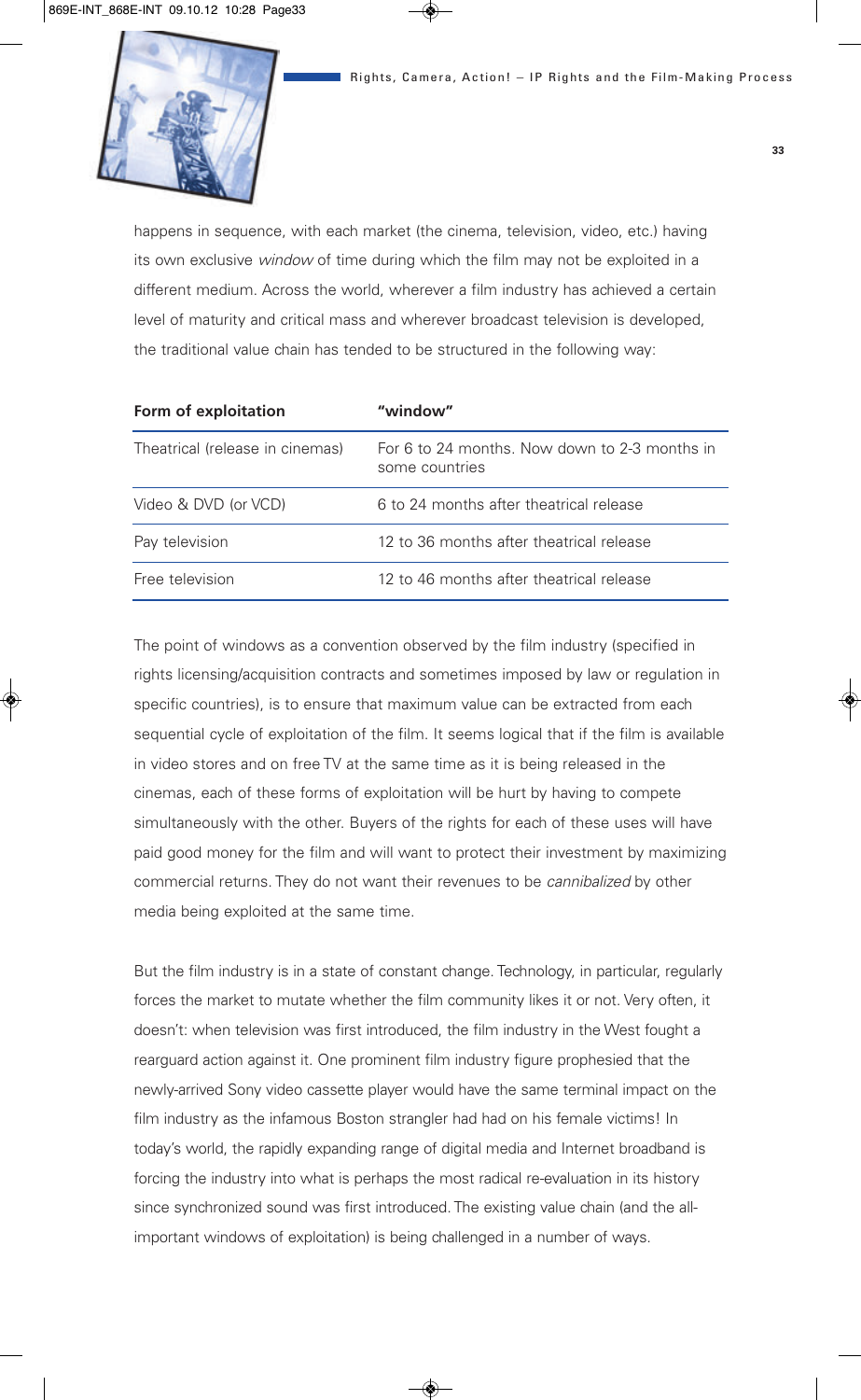

happens in sequence, with each market (the cinema, television, video, etc.) having its own exclusive *window* of time during which the film may not be exploited in a different medium. Across the world, wherever a film industry has achieved a certain level of maturity and critical mass and wherever broadcast television is developed, the traditional value chain has tended to be structured in the following way:

| Form of exploitation            | "window"                                                        |  |
|---------------------------------|-----------------------------------------------------------------|--|
| Theatrical (release in cinemas) | For 6 to 24 months. Now down to 2-3 months in<br>some countries |  |
| Video & DVD (or VCD)            | 6 to 24 months after theatrical release                         |  |
| Pay television                  | 12 to 36 months after theatrical release                        |  |
| Free television                 | 12 to 46 months after theatrical release                        |  |

The point of windows as a convention observed by the film industry (specified in rights licensing/acquisition contracts and sometimes imposed by law or regulation in specific countries), is to ensure that maximum value can be extracted from each sequential cycle of exploitation of the film. It seems logical that if the film is available in video stores and on free TV at the same time as it is being released in the cinemas, each of these forms of exploitation will be hurt by having to compete simultaneously with the other. Buyers of the rights for each of these uses will have paid good money for the film and will want to protect their investment by maximizing commercial returns. They do not want their revenues to be *cannibalized* by other media being exploited at the same time.

But the film industry is in a state of constant change. Technology, in particular, regularly forces the market to mutate whether the film community likes it or not. Very often, it doesn't: when television was first introduced, the film industry in the West fought a rearguard action against it. One prominent film industry figure prophesied that the newly-arrived Sony video cassette player would have the same terminal impact on the film industry as the infamous Boston strangler had had on his female victims! In today's world, the rapidly expanding range of digital media and Internet broadband is forcing the industry into what is perhaps the most radical re-evaluation in its history since synchronized sound was first introduced. The existing value chain (and the allimportant windows of exploitation) is being challenged in a number of ways.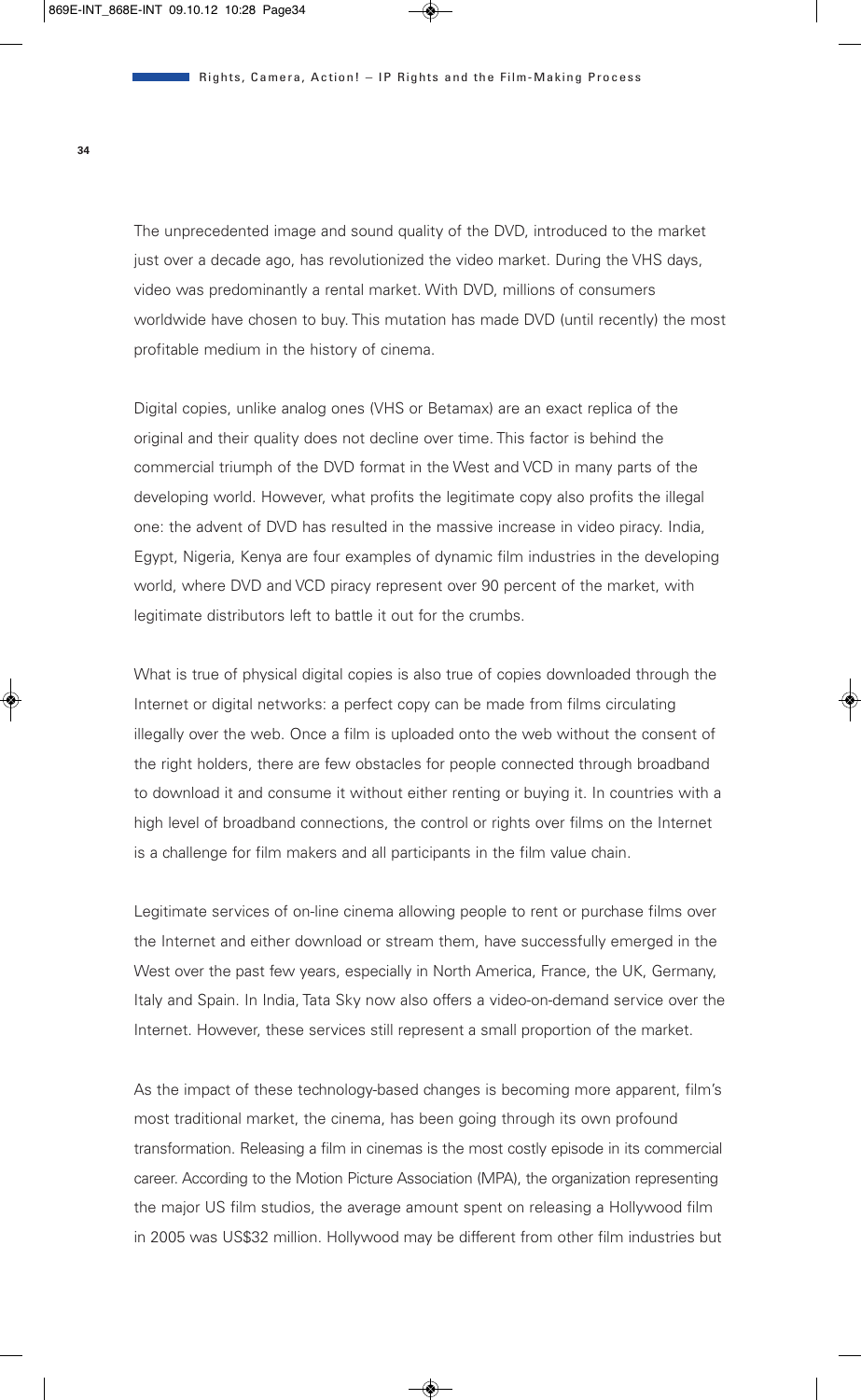The unprecedented image and sound quality of the DVD, introduced to the market just over a decade ago, has revolutionized the video market. During the VHS days, video was predominantly a rental market. With DVD, millions of consumers worldwide have chosen to buy. This mutation has made DVD (until recently) the most profitable medium in the history of cinema.

Digital copies, unlike analog ones (VHS or Betamax) are an exact replica of the original and their quality does not decline over time. This factor is behind the commercial triumph of the DVD format in the West and VCD in many parts of the developing world. However, what profits the legitimate copy also profits the illegal one: the advent of DVD has resulted in the massive increase in video piracy. India, Egypt, Nigeria, Kenya are four examples of dynamic film industries in the developing world, where DVD and VCD piracy represent over 90 percent of the market, with legitimate distributors left to battle it out for the crumbs.

What is true of physical digital copies is also true of copies downloaded through the Internet or digital networks: a perfect copy can be made from films circulating illegally over the web. Once a film is uploaded onto the web without the consent of the right holders, there are few obstacles for people connected through broadband to download it and consume it without either renting or buying it. In countries with a high level of broadband connections, the control or rights over films on the Internet is a challenge for film makers and all participants in the film value chain.

Legitimate services of on-line cinema allowing people to rent or purchase films over the Internet and either download or stream them, have successfully emerged in the West over the past few years, especially in North America, France, the UK, Germany, Italy and Spain. In India, Tata Sky now also offers a video-on-demand service over the Internet. However, these services still represent a small proportion of the market.

As the impact of these technology-based changes is becoming more apparent, film's most traditional market, the cinema, has been going through its own profound transformation. Releasing a film in cinemas is the most costly episode in its commercial career. According to the Motion Picture Association (MPA), the organization representing the major US film studios, the average amount spent on releasing a Hollywood film in 2005 was US\$32 million. Hollywood may be different from other film industries but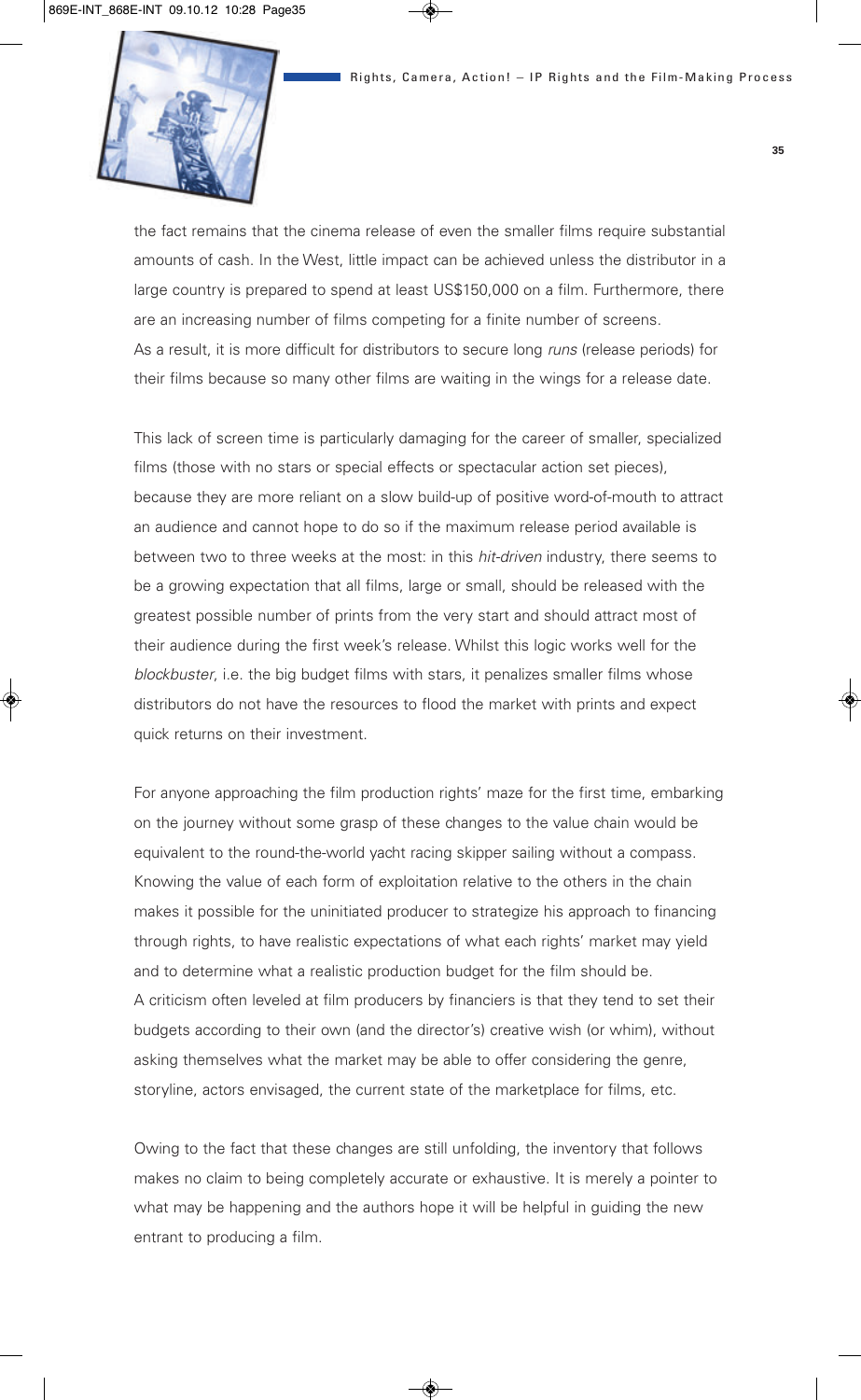

the fact remains that the cinema release of even the smaller films require substantial amounts of cash. In the West, little impact can be achieved unless the distributor in a large country is prepared to spend at least US\$150,000 on a film. Furthermore, there are an increasing number of films competing for a finite number of screens. As a result, it is more difficult for distributors to secure long *runs* (release periods) for their films because so many other films are waiting in the wings for a release date.

This lack of screen time is particularly damaging for the career of smaller, specialized films (those with no stars or special effects or spectacular action set pieces), because they are more reliant on a slow build-up of positive word-of-mouth to attract an audience and cannot hope to do so if the maximum release period available is between two to three weeks at the most: in this *hit-driven* industry, there seems to be a growing expectation that all films, large or small, should be released with the greatest possible number of prints from the very start and should attract most of their audience during the first week's release. Whilst this logic works well for the *blockbuster*, i.e. the big budget films with stars, it penalizes smaller films whose distributors do not have the resources to flood the market with prints and expect quick returns on their investment.

For anyone approaching the film production rights' maze for the first time, embarking on the journey without some grasp of these changes to the value chain would be equivalent to the round-the-world yacht racing skipper sailing without a compass. Knowing the value of each form of exploitation relative to the others in the chain makes it possible for the uninitiated producer to strategize his approach to financing through rights, to have realistic expectations of what each rights' market may yield and to determine what a realistic production budget for the film should be. A criticism often leveled at film producers by financiers is that they tend to set their budgets according to their own (and the director's) creative wish (or whim), without asking themselves what the market may be able to offer considering the genre, storyline, actors envisaged, the current state of the marketplace for films, etc.

Owing to the fact that these changes are still unfolding, the inventory that follows makes no claim to being completely accurate or exhaustive. It is merely a pointer to what may be happening and the authors hope it will be helpful in guiding the new entrant to producing a film.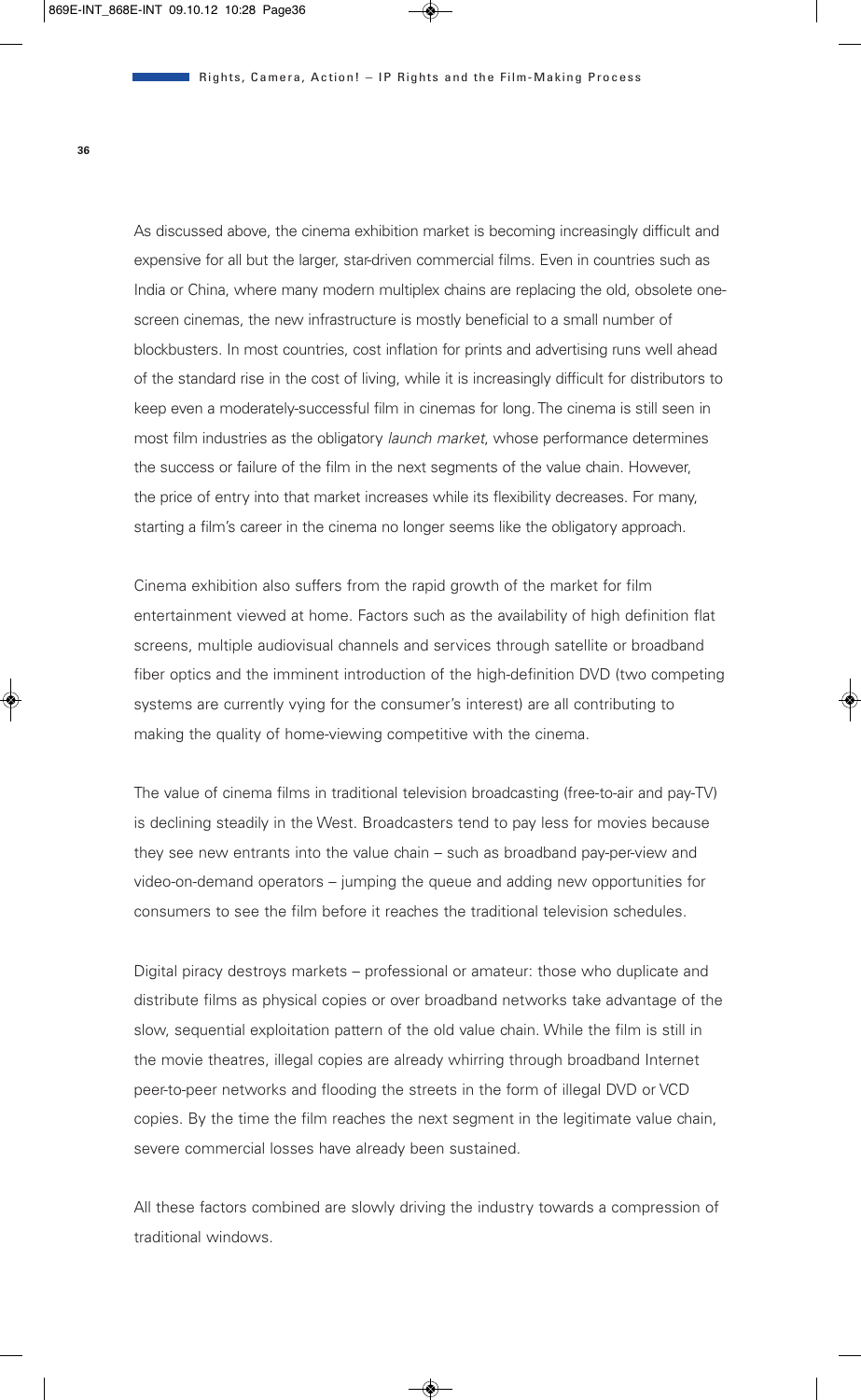As discussed above, the cinema exhibition market is becoming increasingly difficult and expensive for all but the larger, star-driven commercial films. Even in countries such as India or China, where many modern multiplex chains are replacing the old, obsolete onescreen cinemas, the new infrastructure is mostly beneficial to a small number of blockbusters. In most countries, cost inflation for prints and advertising runs well ahead of the standard rise in the cost of living, while it is increasingly difficult for distributors to keep even a moderately-successful film in cinemas for long. The cinema is still seen in most film industries as the obligatory *launch market*, whose performance determines the success or failure of the film in the next segments of the value chain. However, the price of entry into that market increases while its flexibility decreases. For many, starting a film's career in the cinema no longer seems like the obligatory approach.

Cinema exhibition also suffers from the rapid growth of the market for film entertainment viewed at home. Factors such as the availability of high definition flat screens, multiple audiovisual channels and services through satellite or broadband fiber optics and the imminent introduction of the high-definition DVD (two competing systems are currently vying for the consumer's interest) are all contributing to making the quality of home-viewing competitive with the cinema.

The value of cinema films in traditional television broadcasting (free-to-air and pay-TV) is declining steadily in the West. Broadcasters tend to pay less for movies because they see new entrants into the value chain – such as broadband pay-per-view and video-on-demand operators – jumping the queue and adding new opportunities for consumers to see the film before it reaches the traditional television schedules.

Digital piracy destroys markets – professional or amateur: those who duplicate and distribute films as physical copies or over broadband networks take advantage of the slow, sequential exploitation pattern of the old value chain. While the film is still in the movie theatres, illegal copies are already whirring through broadband Internet peer-to-peer networks and flooding the streets in the form of illegal DVD or VCD copies. By the time the film reaches the next segment in the legitimate value chain, severe commercial losses have already been sustained.

All these factors combined are slowly driving the industry towards a compression of traditional windows.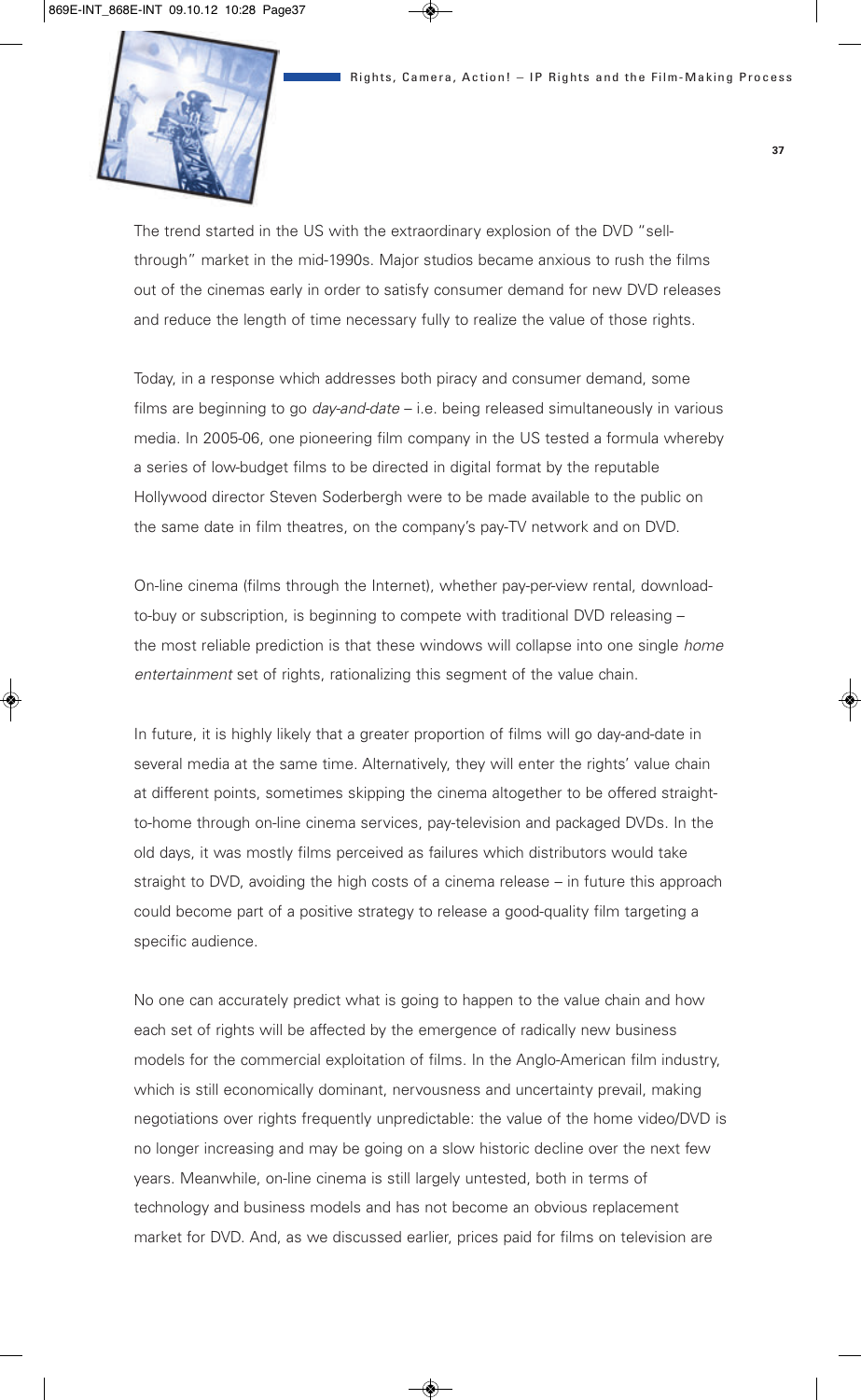

The trend started in the US with the extraordinary explosion of the DVD "sellthrough" market in the mid-1990s. Major studios became anxious to rush the films out of the cinemas early in order to satisfy consumer demand for new DVD releases and reduce the length of time necessary fully to realize the value of those rights.

Today, in a response which addresses both piracy and consumer demand, some films are beginning to go *day-and-date* – i.e. being released simultaneously in various media. In 2005-06, one pioneering film company in the US tested a formula whereby a series of low-budget films to be directed in digital format by the reputable Hollywood director Steven Soderbergh were to be made available to the public on the same date in film theatres, on the company's pay-TV network and on DVD.

On-line cinema (films through the Internet), whether pay-per-view rental, downloadto-buy or subscription, is beginning to compete with traditional DVD releasing – the most reliable prediction is that these windows will collapse into one single *home entertainment* set of rights, rationalizing this segment of the value chain.

In future, it is highly likely that a greater proportion of films will go day-and-date in several media at the same time. Alternatively, they will enter the rights' value chain at different points, sometimes skipping the cinema altogether to be offered straightto-home through on-line cinema services, pay-television and packaged DVDs. In the old days, it was mostly films perceived as failures which distributors would take straight to DVD, avoiding the high costs of a cinema release – in future this approach could become part of a positive strategy to release a good-quality film targeting a specific audience.

No one can accurately predict what is going to happen to the value chain and how each set of rights will be affected by the emergence of radically new business models for the commercial exploitation of films. In the Anglo-American film industry, which is still economically dominant, nervousness and uncertainty prevail, making negotiations over rights frequently unpredictable: the value of the home video/DVD is no longer increasing and may be going on a slow historic decline over the next few years. Meanwhile, on-line cinema is still largely untested, both in terms of technology and business models and has not become an obvious replacement market for DVD. And, as we discussed earlier, prices paid for films on television are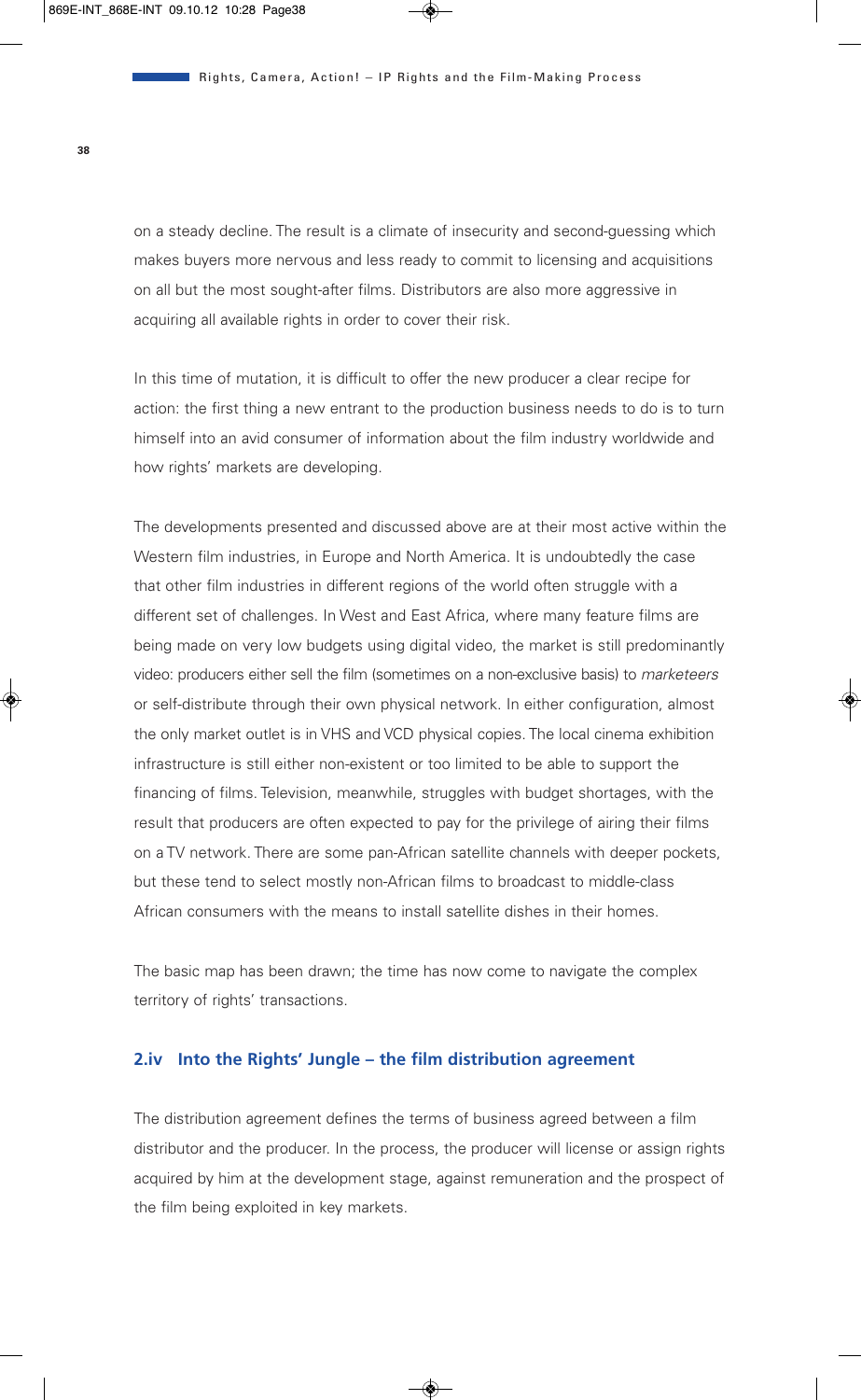on a steady decline. The result is a climate of insecurity and second-guessing which makes buyers more nervous and less ready to commit to licensing and acquisitions on all but the most sought-after films. Distributors are also more aggressive in acquiring all available rights in order to cover their risk.

In this time of mutation, it is difficult to offer the new producer a clear recipe for action: the first thing a new entrant to the production business needs to do is to turn himself into an avid consumer of information about the film industry worldwide and how rights' markets are developing.

The developments presented and discussed above are at their most active within the Western film industries, in Europe and North America. It is undoubtedly the case that other film industries in different regions of the world often struggle with a different set of challenges. In West and East Africa, where many feature films are being made on very low budgets using digital video, the market is still predominantly video: producers either sell the film (sometimes on a non-exclusive basis) to *marketeers* or self-distribute through their own physical network. In either configuration, almost the only market outlet is in VHS and VCD physical copies. The local cinema exhibition infrastructure is still either non-existent or too limited to be able to support the financing of films. Television, meanwhile, struggles with budget shortages, with the result that producers are often expected to pay for the privilege of airing their films on a TV network. There are some pan-African satellite channels with deeper pockets, but these tend to select mostly non-African films to broadcast to middle-class African consumers with the means to install satellite dishes in their homes.

The basic map has been drawn; the time has now come to navigate the complex territory of rights' transactions.

### **2.iv Into the Rights' Jungle – the film distribution agreement**

The distribution agreement defines the terms of business agreed between a film distributor and the producer. In the process, the producer will license or assign rights acquired by him at the development stage, against remuneration and the prospect of the film being exploited in key markets.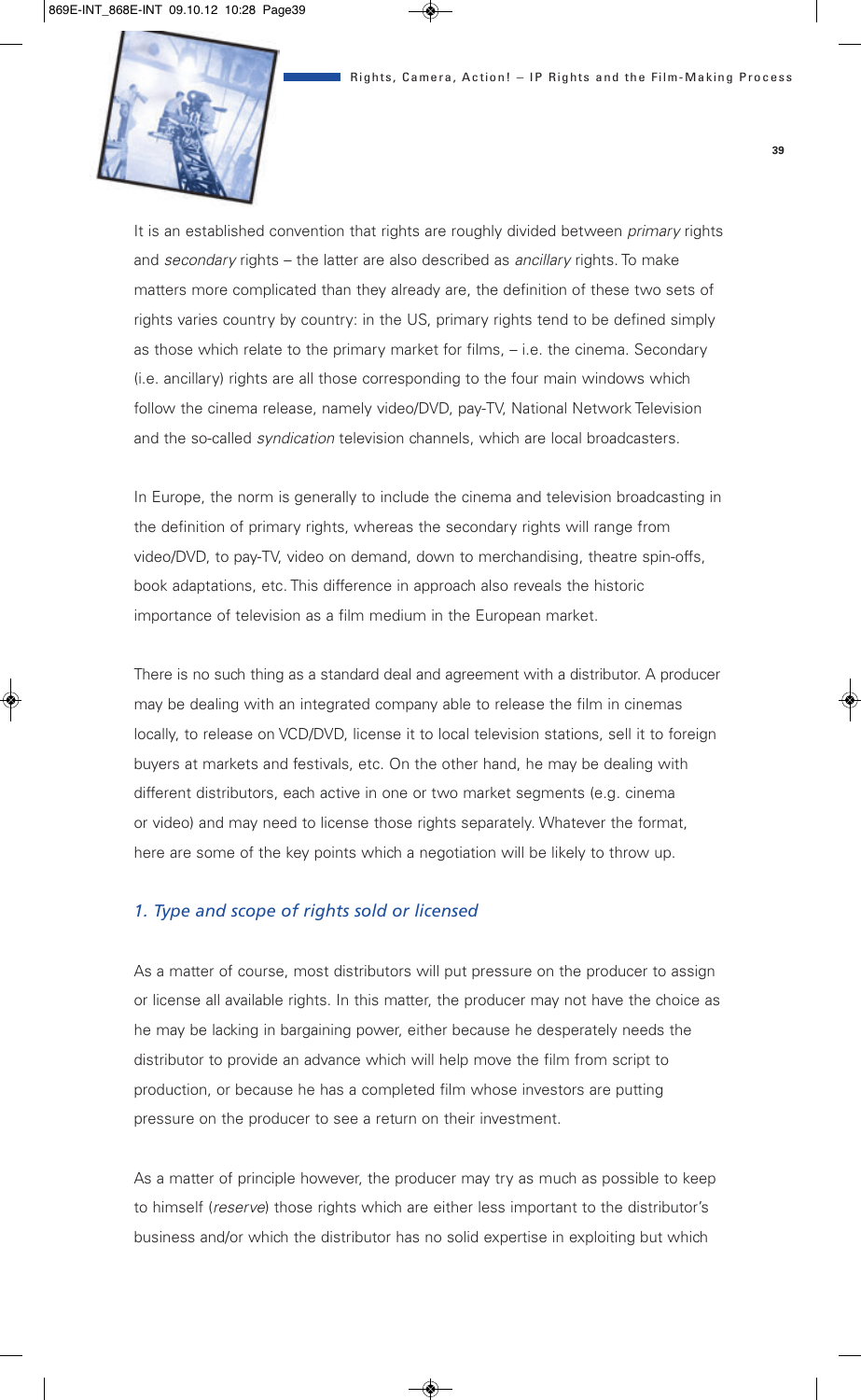

It is an established convention that rights are roughly divided between *primary* rights and *secondary* rights – the latter are also described as *ancillary* rights. To make matters more complicated than they already are, the definition of these two sets of rights varies country by country: in the US, primary rights tend to be defined simply as those which relate to the primary market for films, – i.e. the cinema. Secondary (i.e. ancillary) rights are all those corresponding to the four main windows which follow the cinema release, namely video/DVD, pay-TV, National Network Television and the so-called *syndication* television channels, which are local broadcasters.

In Europe, the norm is generally to include the cinema and television broadcasting in the definition of primary rights, whereas the secondary rights will range from video/DVD, to pay-TV, video on demand, down to merchandising, theatre spin-offs, book adaptations, etc. This difference in approach also reveals the historic importance of television as a film medium in the European market.

There is no such thing as a standard deal and agreement with a distributor. A producer may be dealing with an integrated company able to release the film in cinemas locally, to release on VCD/DVD, license it to local television stations, sell it to foreign buyers at markets and festivals, etc. On the other hand, he may be dealing with different distributors, each active in one or two market segments (e.g. cinema or video) and may need to license those rights separately. Whatever the format, here are some of the key points which a negotiation will be likely to throw up.

#### *1. Type and scope of rights sold or licensed*

As a matter of course, most distributors will put pressure on the producer to assign or license all available rights. In this matter, the producer may not have the choice as he may be lacking in bargaining power, either because he desperately needs the distributor to provide an advance which will help move the film from script to production, or because he has a completed film whose investors are putting pressure on the producer to see a return on their investment.

As a matter of principle however, the producer may try as much as possible to keep to himself (*reserve*) those rights which are either less important to the distributor's business and/or which the distributor has no solid expertise in exploiting but which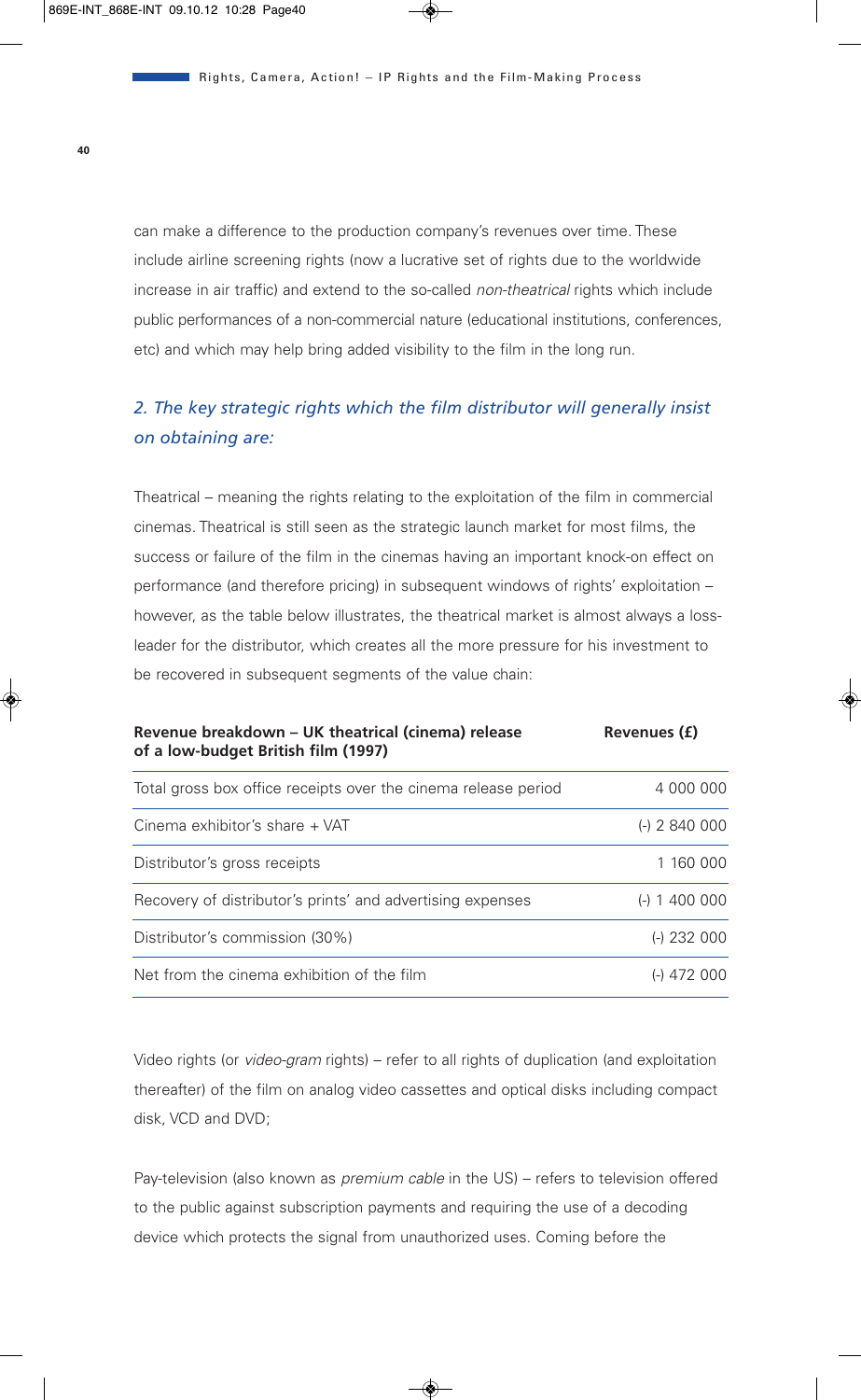can make a difference to the production company's revenues over time. These include airline screening rights (now a lucrative set of rights due to the worldwide increase in air traffic) and extend to the so-called *non-theatrical* rights which include public performances of a non-commercial nature (educational institutions, conferences, etc) and which may help bring added visibility to the film in the long run.

# *2. The key strategic rights which the film distributor will generally insist on obtaining are:*

Theatrical – meaning the rights relating to the exploitation of the film in commercial cinemas. Theatrical is still seen as the strategic launch market for most films, the success or failure of the film in the cinemas having an important knock-on effect on performance (and therefore pricing) in subsequent windows of rights' exploitation – however, as the table below illustrates, the theatrical market is almost always a lossleader for the distributor, which creates all the more pressure for his investment to be recovered in subsequent segments of the value chain:

| Revenue breakdown – UK theatrical (cinema) release<br>of a low-budget British film (1997) | Revenues (£)    |  |
|-------------------------------------------------------------------------------------------|-----------------|--|
| Total gross box office receipts over the cinema release period                            | 4 000 000       |  |
| Cinema exhibitor's share + VAT                                                            | $(-)$ 2 840 000 |  |
| Distributor's gross receipts                                                              | 1 160 000       |  |
| Recovery of distributor's prints' and advertising expenses                                | 1 400 000       |  |
| Distributor's commission (30%)                                                            | $(-)$ 232 000   |  |
| Net from the cinema exhibition of the film                                                | 472 000         |  |

Video rights (or *video-gram* rights) – refer to all rights of duplication (and exploitation thereafter) of the film on analog video cassettes and optical disks including compact disk, VCD and DVD;

Pay-television (also known as *premium cable* in the US) – refers to television offered to the public against subscription payments and requiring the use of a decoding device which protects the signal from unauthorized uses. Coming before the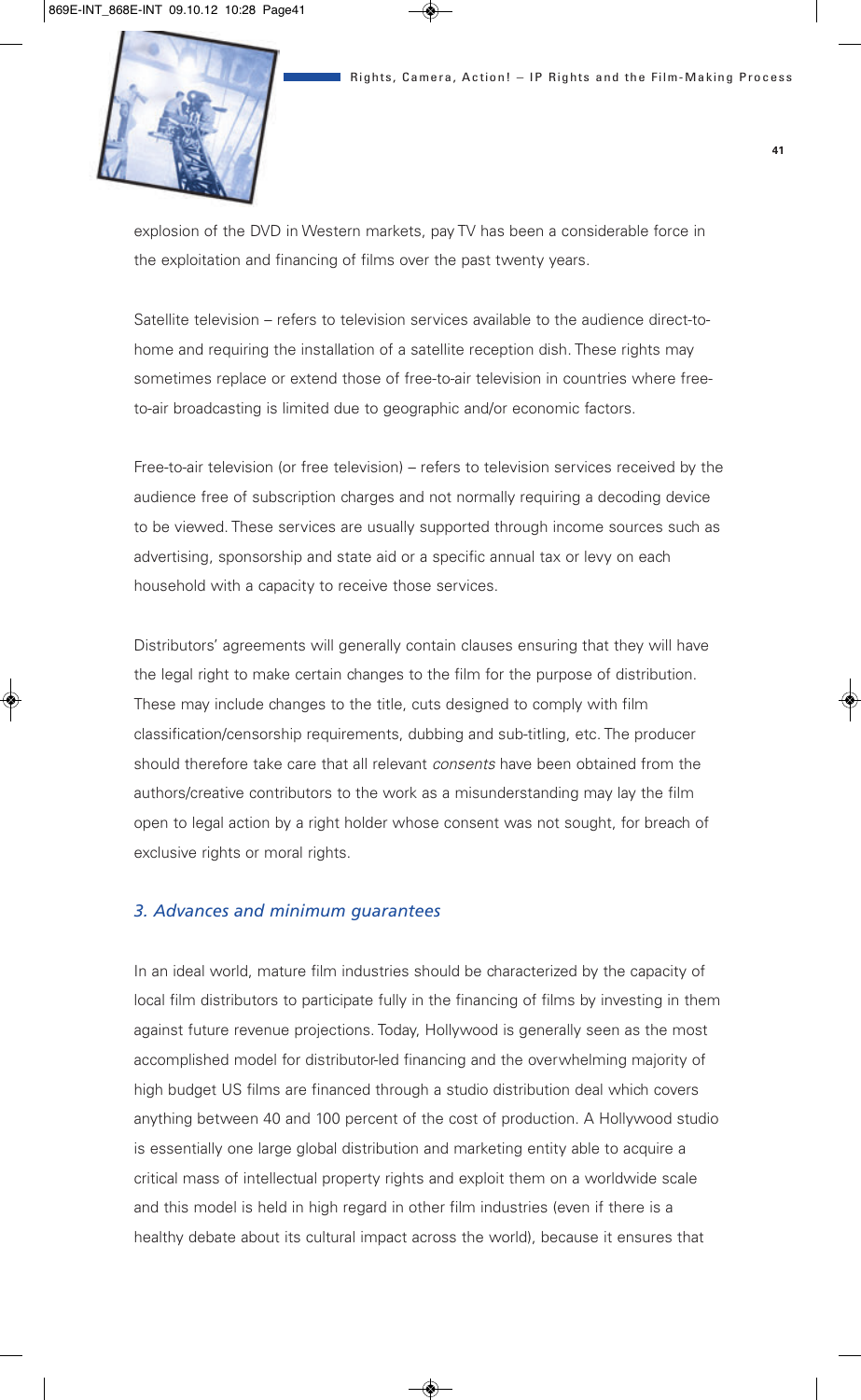

explosion of the DVD in Western markets, pay TV has been a considerable force in the exploitation and financing of films over the past twenty years.

Satellite television – refers to television services available to the audience direct-tohome and requiring the installation of a satellite reception dish. These rights may sometimes replace or extend those of free-to-air television in countries where freeto-air broadcasting is limited due to geographic and/or economic factors.

Free-to-air television (or free television) – refers to television services received by the audience free of subscription charges and not normally requiring a decoding device to be viewed. These services are usually supported through income sources such as advertising, sponsorship and state aid or a specific annual tax or levy on each household with a capacity to receive those services.

Distributors' agreements will generally contain clauses ensuring that they will have the legal right to make certain changes to the film for the purpose of distribution. These may include changes to the title, cuts designed to comply with film classification/censorship requirements, dubbing and sub-titling, etc. The producer should therefore take care that all relevant *consents* have been obtained from the authors/creative contributors to the work as a misunderstanding may lay the film open to legal action by a right holder whose consent was not sought, for breach of exclusive rights or moral rights.

#### *3. Advances and minimum guarantees*

In an ideal world, mature film industries should be characterized by the capacity of local film distributors to participate fully in the financing of films by investing in them against future revenue projections. Today, Hollywood is generally seen as the most accomplished model for distributor-led financing and the overwhelming majority of high budget US films are financed through a studio distribution deal which covers anything between 40 and 100 percent of the cost of production. A Hollywood studio is essentially one large global distribution and marketing entity able to acquire a critical mass of intellectual property rights and exploit them on a worldwide scale and this model is held in high regard in other film industries (even if there is a healthy debate about its cultural impact across the world), because it ensures that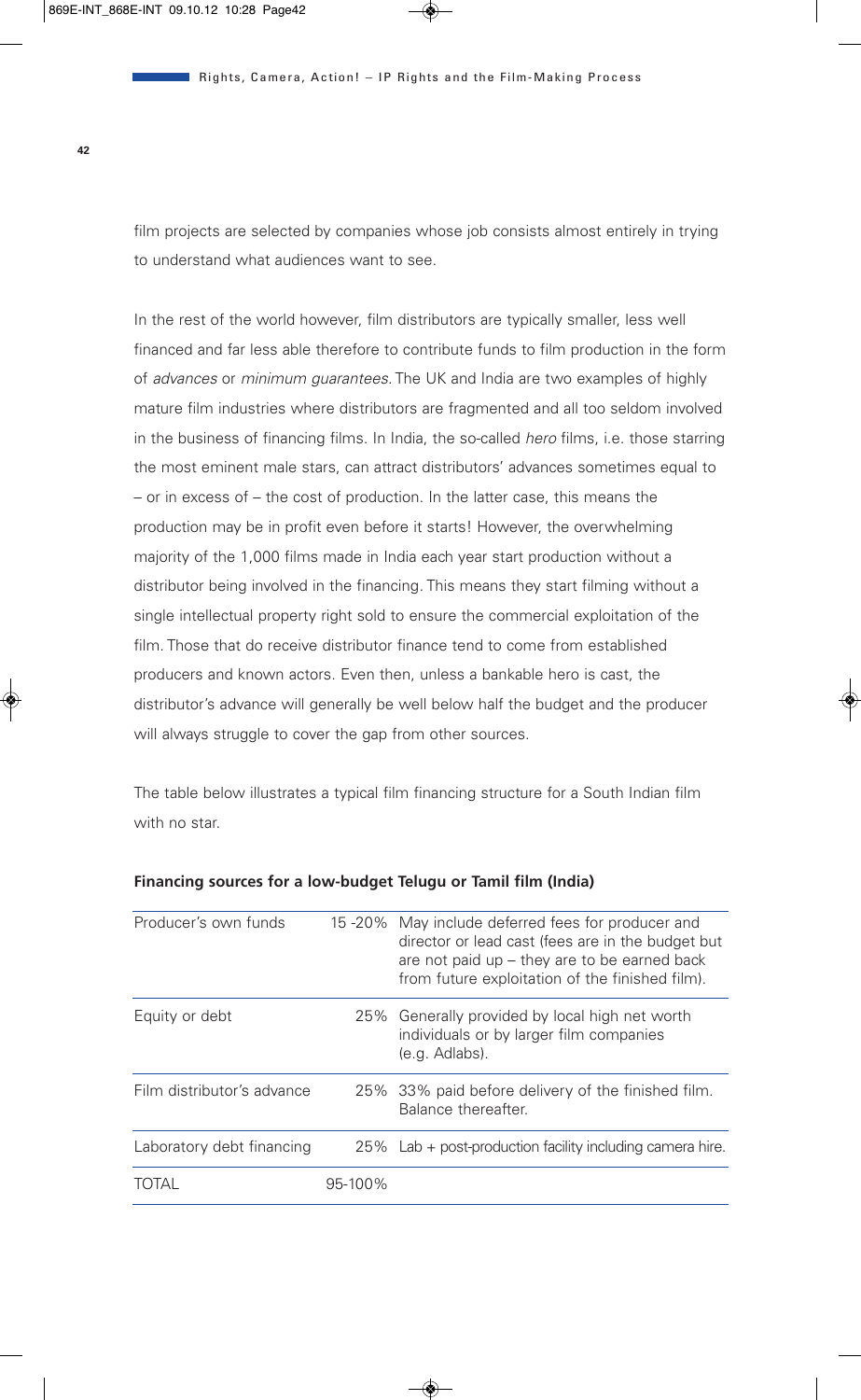film projects are selected by companies whose job consists almost entirely in trying to understand what audiences want to see.

In the rest of the world however, film distributors are typically smaller, less well financed and far less able therefore to contribute funds to film production in the form of *advances* or *minimum guarantees*. The UK and India are two examples of highly mature film industries where distributors are fragmented and all too seldom involved in the business of financing films. In India, the so-called *hero* films, i.e. those starring the most eminent male stars, can attract distributors' advances sometimes equal to – or in excess of – the cost of production. In the latter case, this means the production may be in profit even before it starts! However, the overwhelming majority of the 1,000 films made in India each year start production without a distributor being involved in the financing. This means they start filming without a single intellectual property right sold to ensure the commercial exploitation of the film. Those that do receive distributor finance tend to come from established producers and known actors. Even then, unless a bankable hero is cast, the distributor's advance will generally be well below half the budget and the producer will always struggle to cover the gap from other sources.

The table below illustrates a typical film financing structure for a South Indian film with no star.

| Producer's own funds       |         | 15 -20% May include deferred fees for producer and<br>director or lead cast (fees are in the budget but<br>are not paid $up$ – they are to be earned back<br>from future exploitation of the finished film). |
|----------------------------|---------|--------------------------------------------------------------------------------------------------------------------------------------------------------------------------------------------------------------|
| Equity or debt             |         | 25% Generally provided by local high net worth<br>individuals or by larger film companies<br>(e.g. Adlabs).                                                                                                  |
| Film distributor's advance |         | 25% 33% paid before delivery of the finished film.<br>Balance thereafter.                                                                                                                                    |
| Laboratory debt financing  |         | 25% Lab + post-production facility including camera hire.                                                                                                                                                    |
|                            | 95-100% |                                                                                                                                                                                                              |

#### **Financing sources for a low-budget Telugu or Tamil film (India)**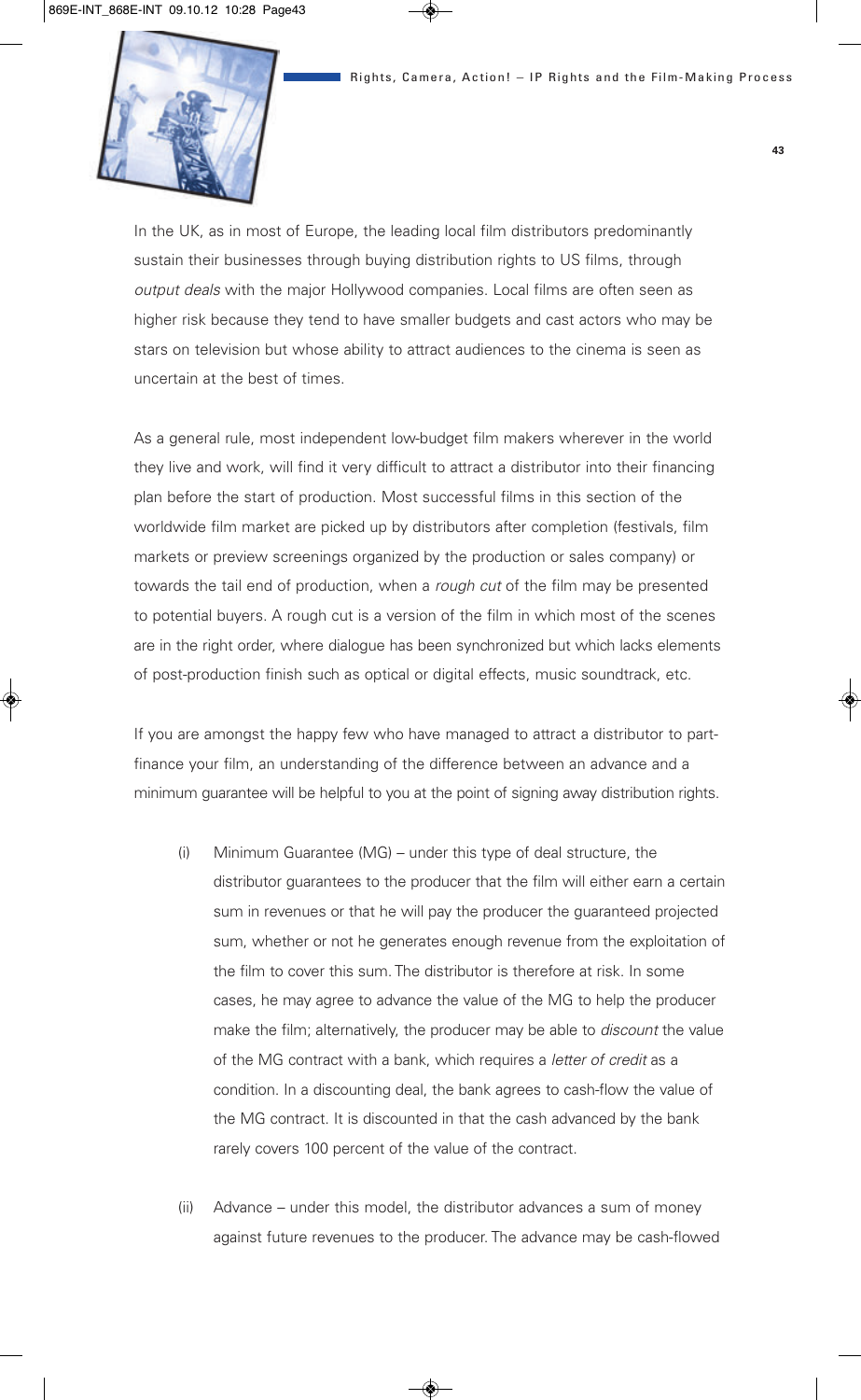

In the UK, as in most of Europe, the leading local film distributors predominantly sustain their businesses through buying distribution rights to US films, through *output deals* with the major Hollywood companies. Local films are often seen as higher risk because they tend to have smaller budgets and cast actors who may be stars on television but whose ability to attract audiences to the cinema is seen as uncertain at the best of times.

As a general rule, most independent low-budget film makers wherever in the world they live and work, will find it very difficult to attract a distributor into their financing plan before the start of production. Most successful films in this section of the worldwide film market are picked up by distributors after completion (festivals, film markets or preview screenings organized by the production or sales company) or towards the tail end of production, when a *rough cut* of the film may be presented to potential buyers. A rough cut is a version of the film in which most of the scenes are in the right order, where dialogue has been synchronized but which lacks elements of post-production finish such as optical or digital effects, music soundtrack, etc.

If you are amongst the happy few who have managed to attract a distributor to partfinance your film, an understanding of the difference between an advance and a minimum guarantee will be helpful to you at the point of signing away distribution rights.

- (i) Minimum Guarantee (MG) under this type of deal structure, the distributor guarantees to the producer that the film will either earn a certain sum in revenues or that he will pay the producer the guaranteed projected sum, whether or not he generates enough revenue from the exploitation of the film to cover this sum. The distributor is therefore at risk. In some cases, he may agree to advance the value of the MG to help the producer make the film; alternatively, the producer may be able to *discount* the value of the MG contract with a bank, which requires a *letter of credit* as a condition. In a discounting deal, the bank agrees to cash-flow the value of the MG contract. It is discounted in that the cash advanced by the bank rarely covers 100 percent of the value of the contract.
- (ii) Advance under this model, the distributor advances a sum of money against future revenues to the producer. The advance may be cash-flowed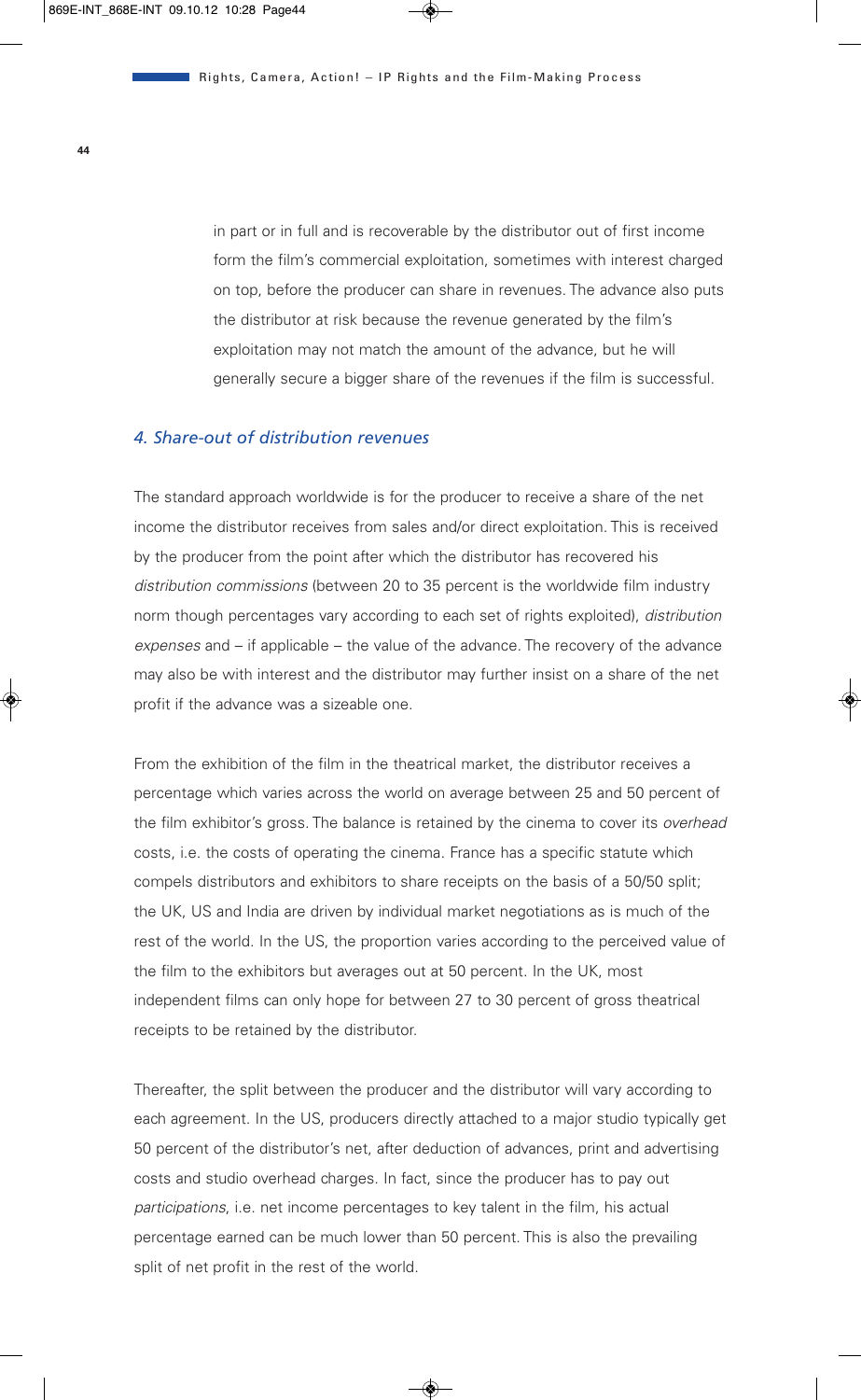in part or in full and is recoverable by the distributor out of first income form the film's commercial exploitation, sometimes with interest charged on top, before the producer can share in revenues. The advance also puts the distributor at risk because the revenue generated by the film's exploitation may not match the amount of the advance, but he will generally secure a bigger share of the revenues if the film is successful.

### *4. Share-out of distribution revenues*

The standard approach worldwide is for the producer to receive a share of the net income the distributor receives from sales and/or direct exploitation. This is received by the producer from the point after which the distributor has recovered his *distribution commissions* (between 20 to 35 percent is the worldwide film industry norm though percentages vary according to each set of rights exploited), *distribution expenses* and – if applicable – the value of the advance. The recovery of the advance may also be with interest and the distributor may further insist on a share of the net profit if the advance was a sizeable one.

From the exhibition of the film in the theatrical market, the distributor receives a percentage which varies across the world on average between 25 and 50 percent of the film exhibitor's gross. The balance is retained by the cinema to cover its *overhead* costs, i.e. the costs of operating the cinema. France has a specific statute which compels distributors and exhibitors to share receipts on the basis of a 50/50 split; the UK, US and India are driven by individual market negotiations as is much of the rest of the world. In the US, the proportion varies according to the perceived value of the film to the exhibitors but averages out at 50 percent. In the UK, most independent films can only hope for between 27 to 30 percent of gross theatrical receipts to be retained by the distributor.

Thereafter, the split between the producer and the distributor will vary according to each agreement. In the US, producers directly attached to a major studio typically get 50 percent of the distributor's net, after deduction of advances, print and advertising costs and studio overhead charges. In fact, since the producer has to pay out *participations*, i.e. net income percentages to key talent in the film, his actual percentage earned can be much lower than 50 percent. This is also the prevailing split of net profit in the rest of the world.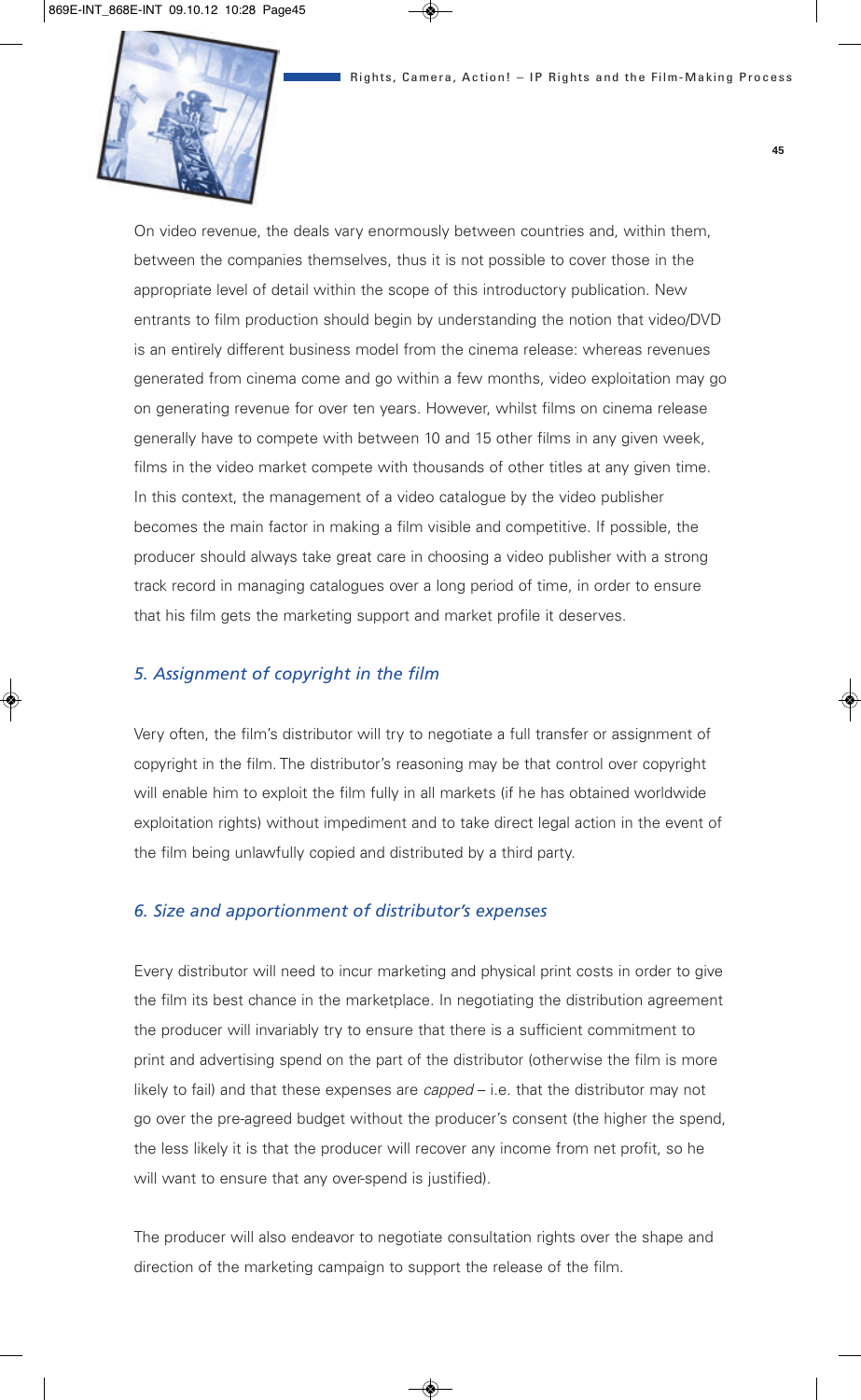

On video revenue, the deals vary enormously between countries and, within them, between the companies themselves, thus it is not possible to cover those in the appropriate level of detail within the scope of this introductory publication. New entrants to film production should begin by understanding the notion that video/DVD is an entirely different business model from the cinema release: whereas revenues generated from cinema come and go within a few months, video exploitation may go on generating revenue for over ten years. However, whilst films on cinema release generally have to compete with between 10 and 15 other films in any given week, films in the video market compete with thousands of other titles at any given time. In this context, the management of a video catalogue by the video publisher becomes the main factor in making a film visible and competitive. If possible, the producer should always take great care in choosing a video publisher with a strong track record in managing catalogues over a long period of time, in order to ensure that his film gets the marketing support and market profile it deserves.

### *5. Assignment of copyright in the film*

Very often, the film's distributor will try to negotiate a full transfer or assignment of copyright in the film. The distributor's reasoning may be that control over copyright will enable him to exploit the film fully in all markets (if he has obtained worldwide exploitation rights) without impediment and to take direct legal action in the event of the film being unlawfully copied and distributed by a third party.

### *6. Size and apportionment of distributor's expenses*

Every distributor will need to incur marketing and physical print costs in order to give the film its best chance in the marketplace. In negotiating the distribution agreement the producer will invariably try to ensure that there is a sufficient commitment to print and advertising spend on the part of the distributor (otherwise the film is more likely to fail) and that these expenses are *capped* – i.e. that the distributor may not go over the pre-agreed budget without the producer's consent (the higher the spend, the less likely it is that the producer will recover any income from net profit, so he will want to ensure that any over-spend is justified).

The producer will also endeavor to negotiate consultation rights over the shape and direction of the marketing campaign to support the release of the film.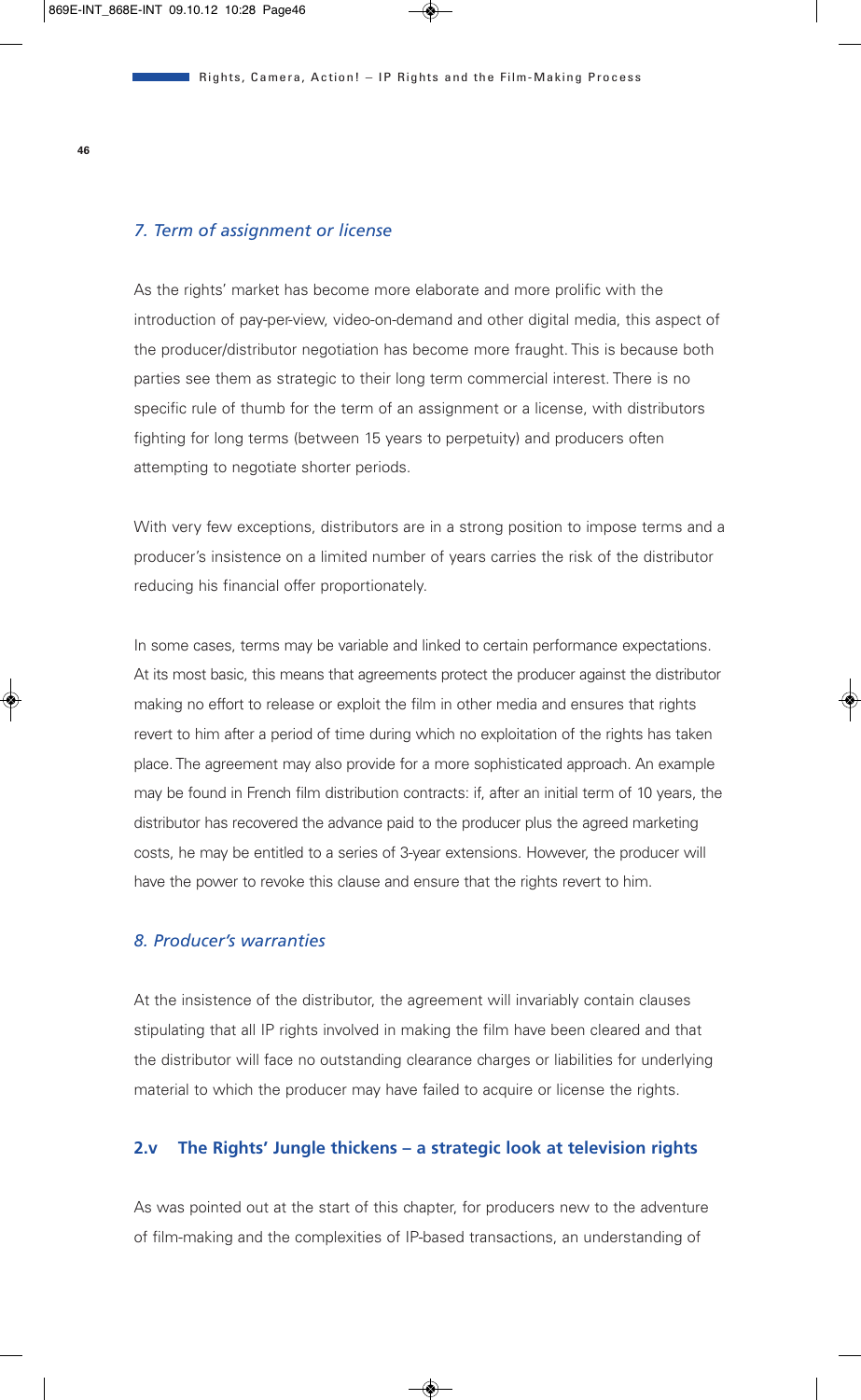#### *7. Term of assignment or license*

As the rights' market has become more elaborate and more prolific with the introduction of pay-per-view, video-on-demand and other digital media, this aspect of the producer/distributor negotiation has become more fraught. This is because both parties see them as strategic to their long term commercial interest. There is no specific rule of thumb for the term of an assignment or a license, with distributors fighting for long terms (between 15 years to perpetuity) and producers often attempting to negotiate shorter periods.

With very few exceptions, distributors are in a strong position to impose terms and a producer's insistence on a limited number of years carries the risk of the distributor reducing his financial offer proportionately.

In some cases, terms may be variable and linked to certain performance expectations. At its most basic, this means that agreements protect the producer against the distributor making no effort to release or exploit the film in other media and ensures that rights revert to him after a period of time during which no exploitation of the rights has taken place. The agreement may also provide for a more sophisticated approach. An example may be found in French film distribution contracts: if, after an initial term of 10 years, the distributor has recovered the advance paid to the producer plus the agreed marketing costs, he may be entitled to a series of 3-year extensions. However, the producer will have the power to revoke this clause and ensure that the rights revert to him.

#### *8. Producer's warranties*

At the insistence of the distributor, the agreement will invariably contain clauses stipulating that all IP rights involved in making the film have been cleared and that the distributor will face no outstanding clearance charges or liabilities for underlying material to which the producer may have failed to acquire or license the rights.

#### **2.v The Rights' Jungle thickens – a strategic look at television rights**

As was pointed out at the start of this chapter, for producers new to the adventure of film-making and the complexities of IP-based transactions, an understanding of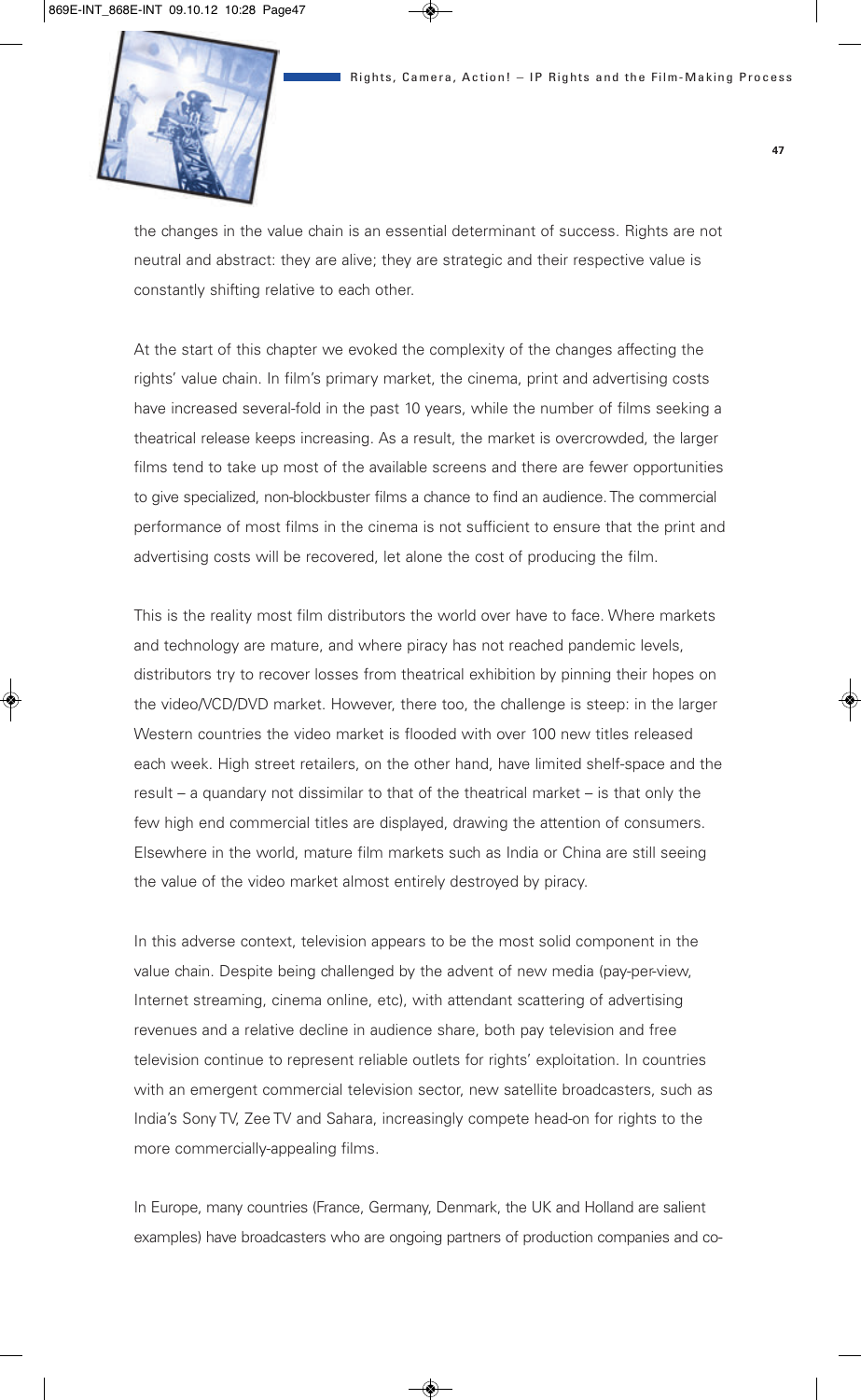

the changes in the value chain is an essential determinant of success. Rights are not neutral and abstract: they are alive; they are strategic and their respective value is constantly shifting relative to each other.

At the start of this chapter we evoked the complexity of the changes affecting the rights' value chain. In film's primary market, the cinema, print and advertising costs have increased several-fold in the past 10 years, while the number of films seeking a theatrical release keeps increasing. As a result, the market is overcrowded, the larger films tend to take up most of the available screens and there are fewer opportunities to give specialized, non-blockbuster films a chance to find an audience. The commercial performance of most films in the cinema is not sufficient to ensure that the print and advertising costs will be recovered, let alone the cost of producing the film.

This is the reality most film distributors the world over have to face. Where markets and technology are mature, and where piracy has not reached pandemic levels, distributors try to recover losses from theatrical exhibition by pinning their hopes on the video/VCD/DVD market. However, there too, the challenge is steep: in the larger Western countries the video market is flooded with over 100 new titles released each week. High street retailers, on the other hand, have limited shelf-space and the result – a quandary not dissimilar to that of the theatrical market – is that only the few high end commercial titles are displayed, drawing the attention of consumers. Elsewhere in the world, mature film markets such as India or China are still seeing the value of the video market almost entirely destroyed by piracy.

In this adverse context, television appears to be the most solid component in the value chain. Despite being challenged by the advent of new media (pay-per-view, Internet streaming, cinema online, etc), with attendant scattering of advertising revenues and a relative decline in audience share, both pay television and free television continue to represent reliable outlets for rights' exploitation. In countries with an emergent commercial television sector, new satellite broadcasters, such as India's Sony TV, Zee TV and Sahara, increasingly compete head-on for rights to the more commercially-appealing films.

In Europe, many countries (France, Germany, Denmark, the UK and Holland are salient examples) have broadcasters who are ongoing partners of production companies and co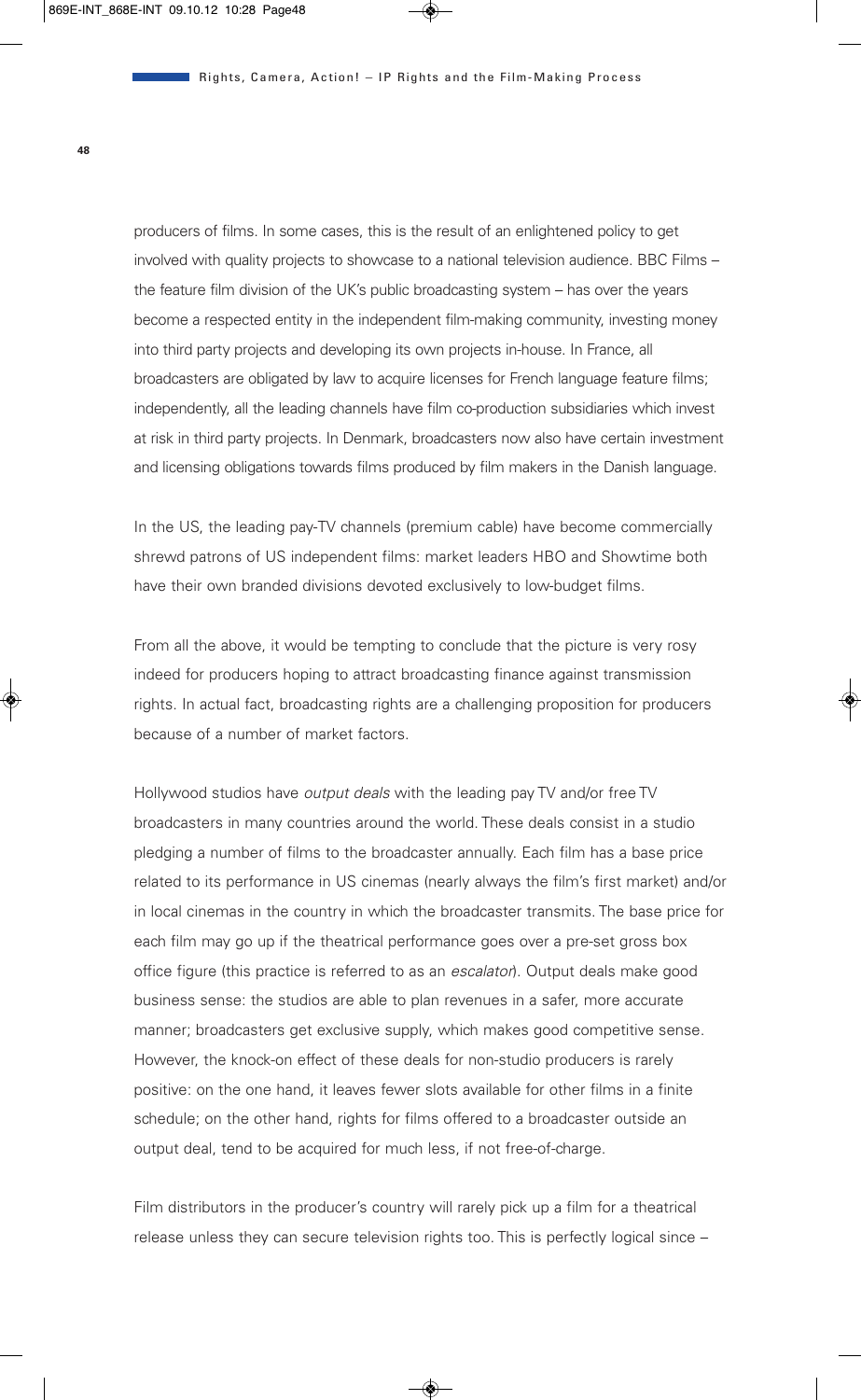producers of films. In some cases, this is the result of an enlightened policy to get involved with quality projects to showcase to a national television audience. BBC Films – the feature film division of the UK's public broadcasting system – has over the years become a respected entity in the independent film-making community, investing money into third party projects and developing its own projects in-house. In France, all broadcasters are obligated by law to acquire licenses for French language feature films; independently, all the leading channels have film co-production subsidiaries which invest at risk in third party projects. In Denmark, broadcasters now also have certain investment and licensing obligations towards films produced by film makers in the Danish language.

In the US, the leading pay-TV channels (premium cable) have become commercially shrewd patrons of US independent films: market leaders HBO and Showtime both have their own branded divisions devoted exclusively to low-budget films.

From all the above, it would be tempting to conclude that the picture is very rosy indeed for producers hoping to attract broadcasting finance against transmission rights. In actual fact, broadcasting rights are a challenging proposition for producers because of a number of market factors.

Hollywood studios have *output deals* with the leading pay TV and/or free TV broadcasters in many countries around the world. These deals consist in a studio pledging a number of films to the broadcaster annually. Each film has a base price related to its performance in US cinemas (nearly always the film's first market) and/or in local cinemas in the country in which the broadcaster transmits. The base price for each film may go up if the theatrical performance goes over a pre-set gross box office figure (this practice is referred to as an *escalator*). Output deals make good business sense: the studios are able to plan revenues in a safer, more accurate manner; broadcasters get exclusive supply, which makes good competitive sense. However, the knock-on effect of these deals for non-studio producers is rarely positive: on the one hand, it leaves fewer slots available for other films in a finite schedule; on the other hand, rights for films offered to a broadcaster outside an output deal, tend to be acquired for much less, if not free-of-charge.

Film distributors in the producer's country will rarely pick up a film for a theatrical release unless they can secure television rights too. This is perfectly logical since –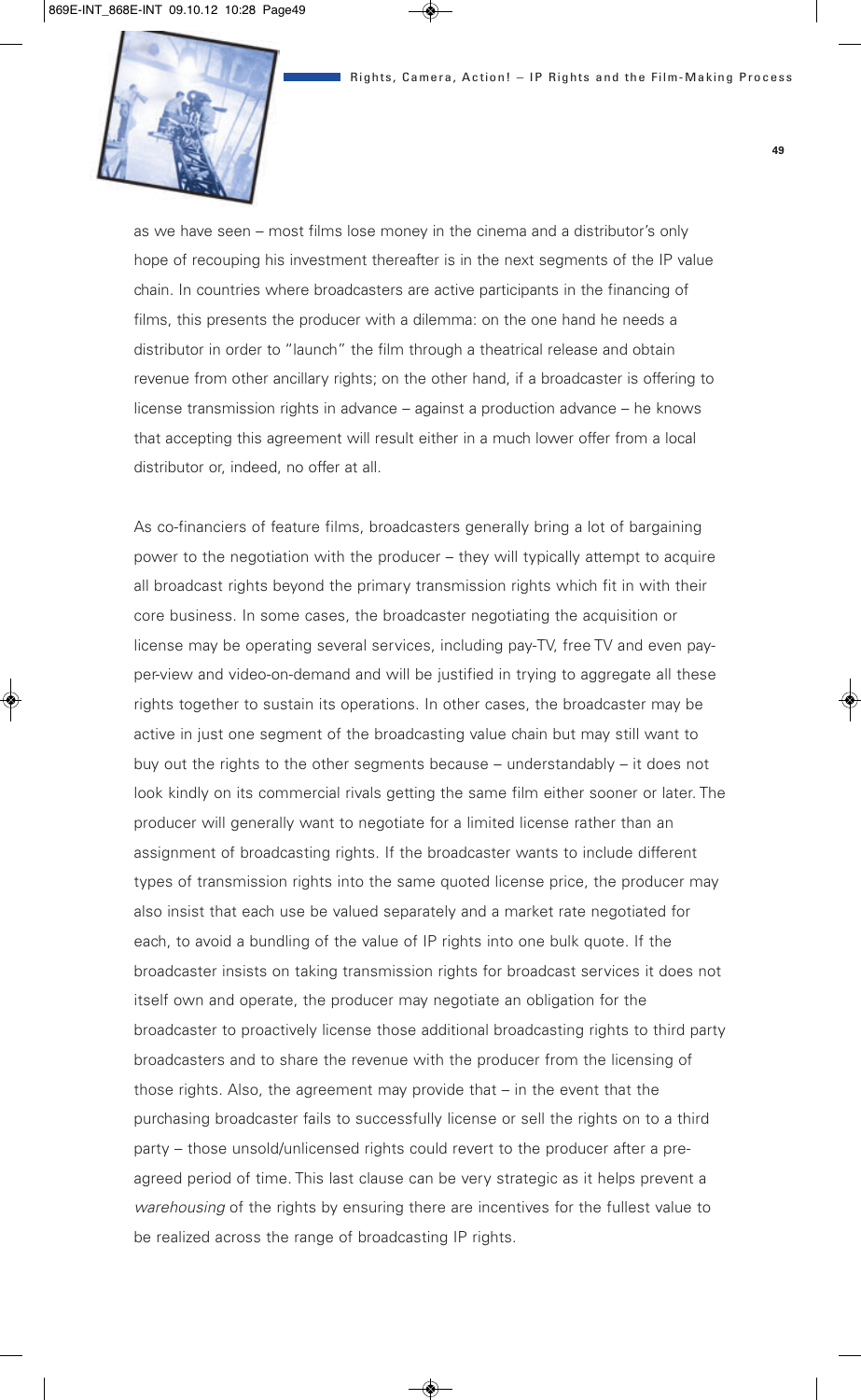

as we have seen – most films lose money in the cinema and a distributor's only hope of recouping his investment thereafter is in the next segments of the IP value chain. In countries where broadcasters are active participants in the financing of films, this presents the producer with a dilemma: on the one hand he needs a distributor in order to "launch" the film through a theatrical release and obtain revenue from other ancillary rights; on the other hand, if a broadcaster is offering to license transmission rights in advance – against a production advance – he knows that accepting this agreement will result either in a much lower offer from a local distributor or, indeed, no offer at all.

As co-financiers of feature films, broadcasters generally bring a lot of bargaining power to the negotiation with the producer – they will typically attempt to acquire all broadcast rights beyond the primary transmission rights which fit in with their core business. In some cases, the broadcaster negotiating the acquisition or license may be operating several services, including pay-TV, free TV and even payper-view and video-on-demand and will be justified in trying to aggregate all these rights together to sustain its operations. In other cases, the broadcaster may be active in just one segment of the broadcasting value chain but may still want to buy out the rights to the other segments because – understandably – it does not look kindly on its commercial rivals getting the same film either sooner or later. The producer will generally want to negotiate for a limited license rather than an assignment of broadcasting rights. If the broadcaster wants to include different types of transmission rights into the same quoted license price, the producer may also insist that each use be valued separately and a market rate negotiated for each, to avoid a bundling of the value of IP rights into one bulk quote. If the broadcaster insists on taking transmission rights for broadcast services it does not itself own and operate, the producer may negotiate an obligation for the broadcaster to proactively license those additional broadcasting rights to third party broadcasters and to share the revenue with the producer from the licensing of those rights. Also, the agreement may provide that – in the event that the purchasing broadcaster fails to successfully license or sell the rights on to a third party – those unsold/unlicensed rights could revert to the producer after a preagreed period of time. This last clause can be very strategic as it helps prevent a *warehousing* of the rights by ensuring there are incentives for the fullest value to be realized across the range of broadcasting IP rights.

**49**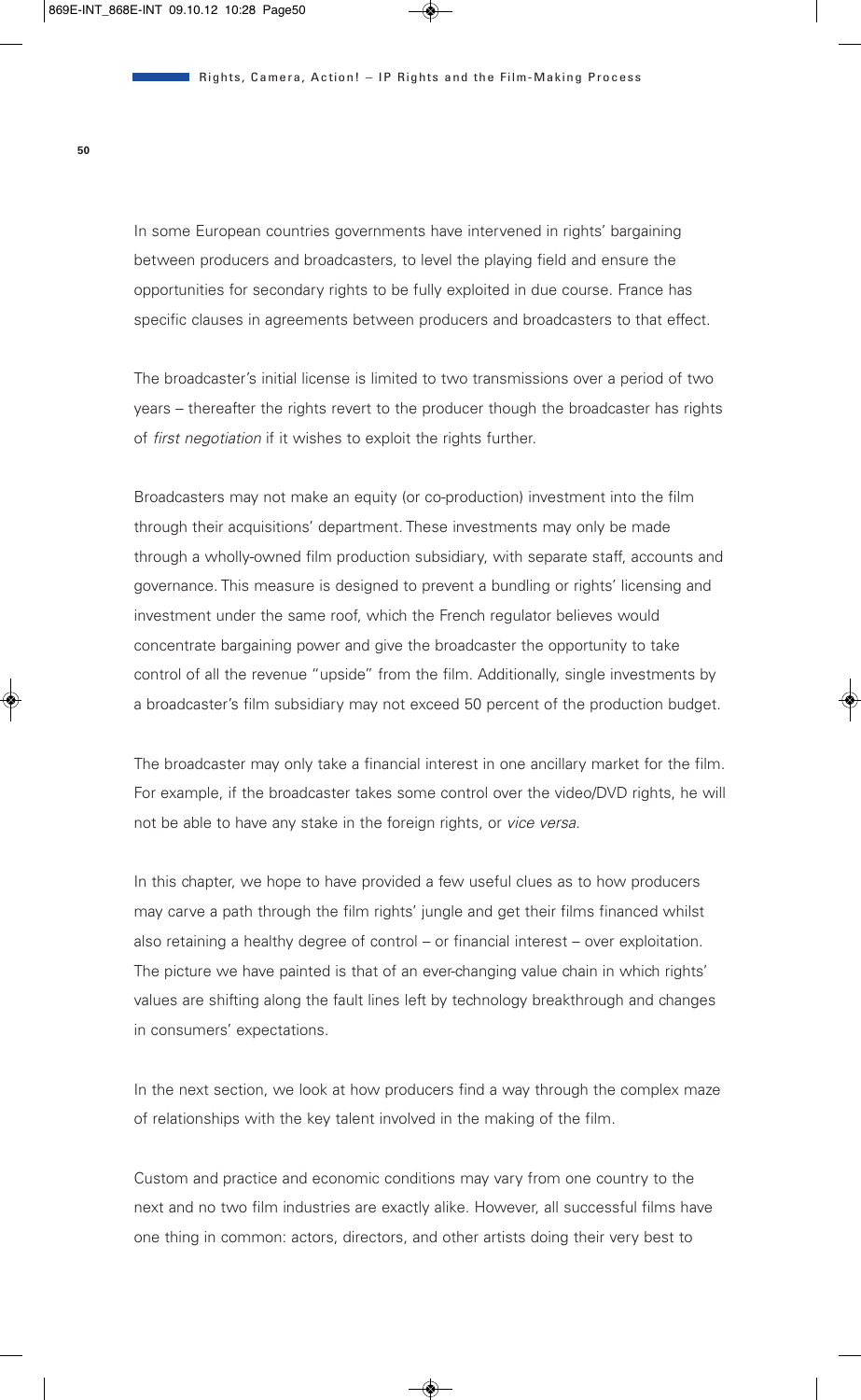In some European countries governments have intervened in rights' bargaining between producers and broadcasters, to level the playing field and ensure the opportunities for secondary rights to be fully exploited in due course. France has specific clauses in agreements between producers and broadcasters to that effect.

The broadcaster's initial license is limited to two transmissions over a period of two years – thereafter the rights revert to the producer though the broadcaster has rights of *first negotiation* if it wishes to exploit the rights further.

Broadcasters may not make an equity (or co-production) investment into the film through their acquisitions' department. These investments may only be made through a wholly-owned film production subsidiary, with separate staff, accounts and governance. This measure is designed to prevent a bundling or rights' licensing and investment under the same roof, which the French regulator believes would concentrate bargaining power and give the broadcaster the opportunity to take control of all the revenue "upside" from the film. Additionally, single investments by a broadcaster's film subsidiary may not exceed 50 percent of the production budget.

The broadcaster may only take a financial interest in one ancillary market for the film. For example, if the broadcaster takes some control over the video/DVD rights, he will not be able to have any stake in the foreign rights, or *vice versa*.

In this chapter, we hope to have provided a few useful clues as to how producers may carve a path through the film rights' jungle and get their films financed whilst also retaining a healthy degree of control – or financial interest – over exploitation. The picture we have painted is that of an ever-changing value chain in which rights' values are shifting along the fault lines left by technology breakthrough and changes in consumers' expectations.

In the next section, we look at how producers find a way through the complex maze of relationships with the key talent involved in the making of the film.

Custom and practice and economic conditions may vary from one country to the next and no two film industries are exactly alike. However, all successful films have one thing in common: actors, directors, and other artists doing their very best to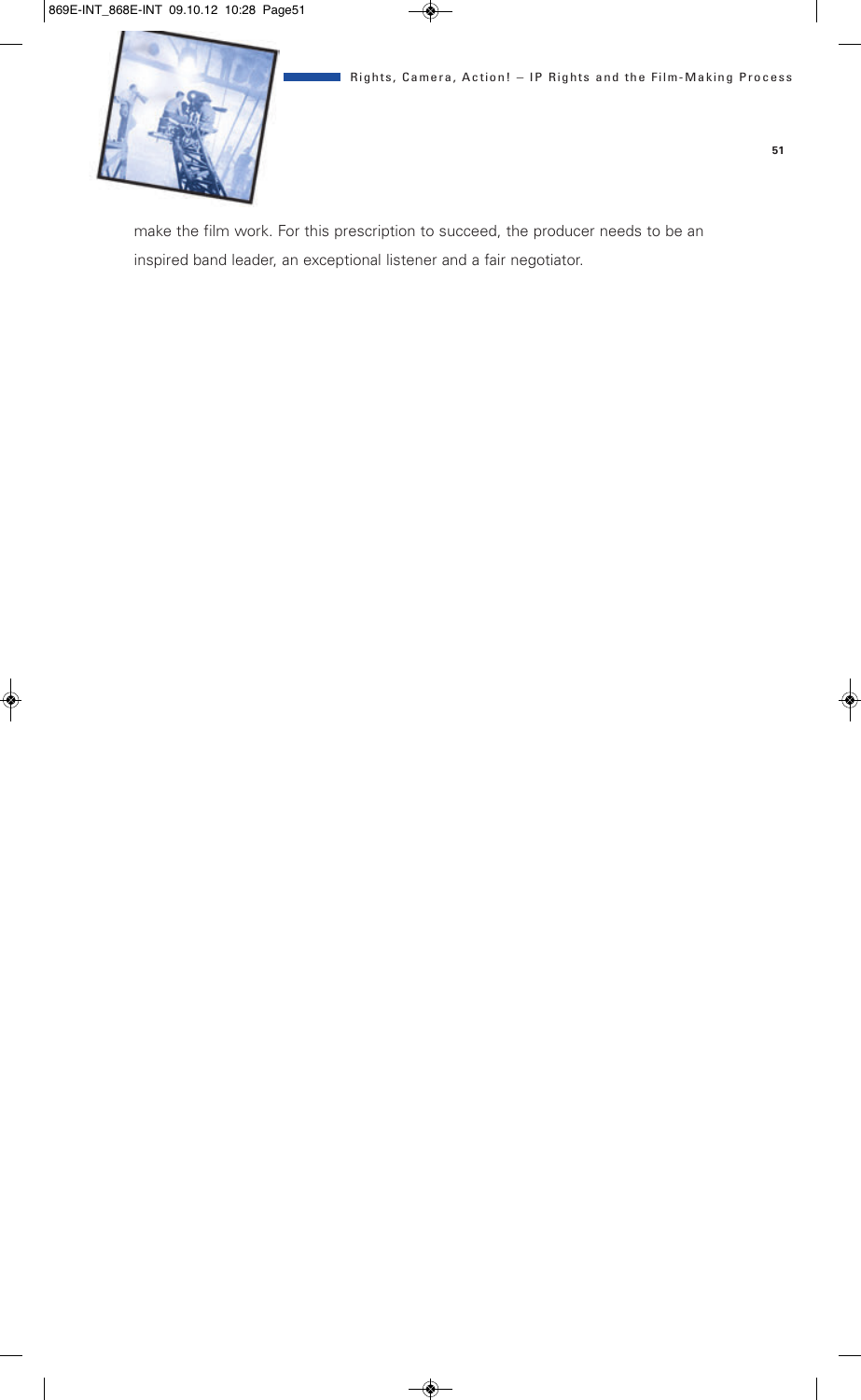make the film work. For this prescription to succeed, the producer needs to be an inspired band leader, an exceptional listener and a fair negotiator.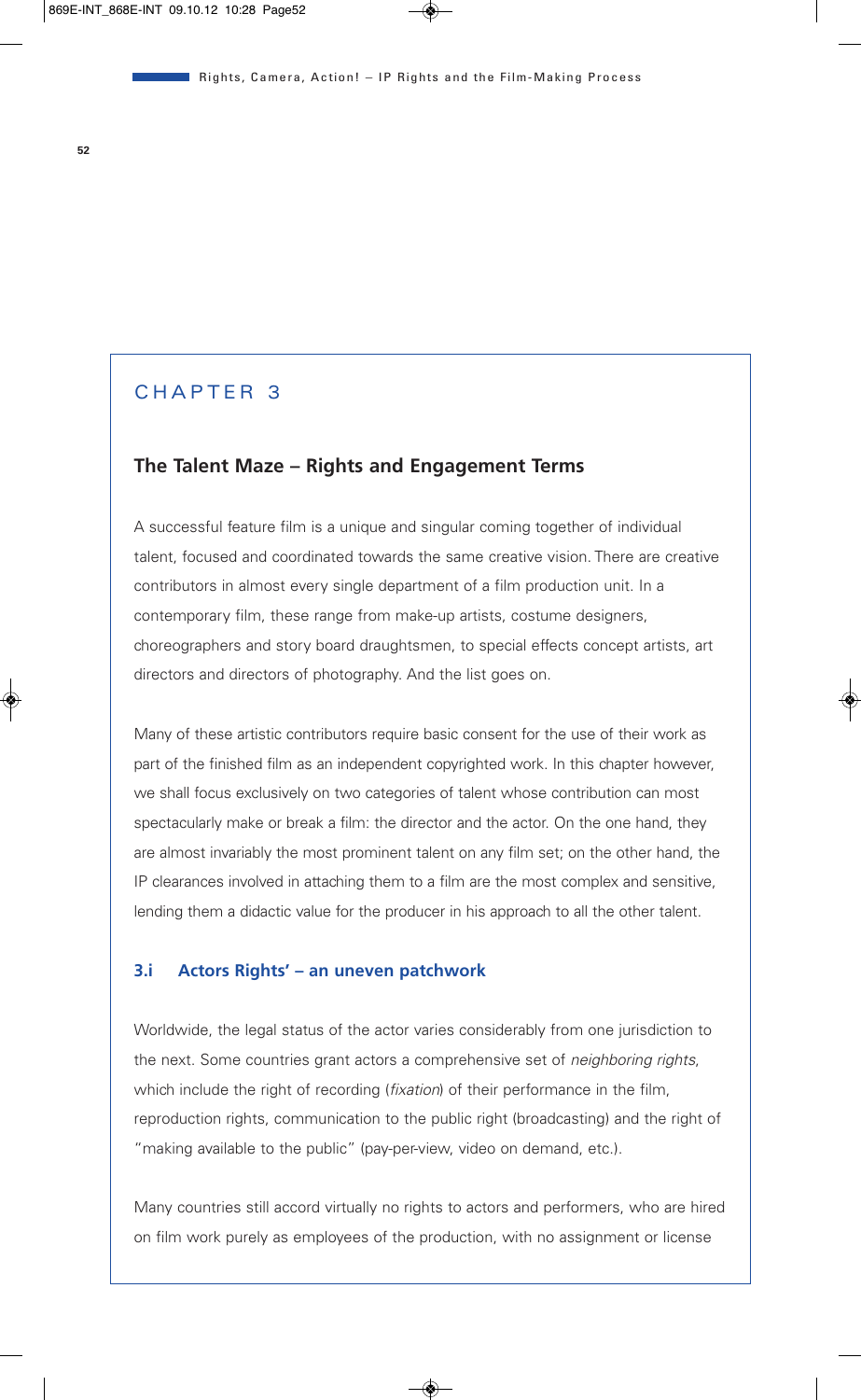# CHAPTER 3

### **The Talent Maze – Rights and Engagement Terms**

A successful feature film is a unique and singular coming together of individual talent, focused and coordinated towards the same creative vision. There are creative contributors in almost every single department of a film production unit. In a contemporary film, these range from make-up artists, costume designers, choreographers and story board draughtsmen, to special effects concept artists, art directors and directors of photography. And the list goes on.

Many of these artistic contributors require basic consent for the use of their work as part of the finished film as an independent copyrighted work. In this chapter however, we shall focus exclusively on two categories of talent whose contribution can most spectacularly make or break a film: the director and the actor. On the one hand, they are almost invariably the most prominent talent on any film set; on the other hand, the IP clearances involved in attaching them to a film are the most complex and sensitive, lending them a didactic value for the producer in his approach to all the other talent.

#### **3.i Actors Rights' – an uneven patchwork**

Worldwide, the legal status of the actor varies considerably from one jurisdiction to the next. Some countries grant actors a comprehensive set of *neighboring rights*, which include the right of recording (*fixation*) of their performance in the film, reproduction rights, communication to the public right (broadcasting) and the right of "making available to the public" (pay-per-view, video on demand, etc.).

Many countries still accord virtually no rights to actors and performers, who are hired on film work purely as employees of the production, with no assignment or license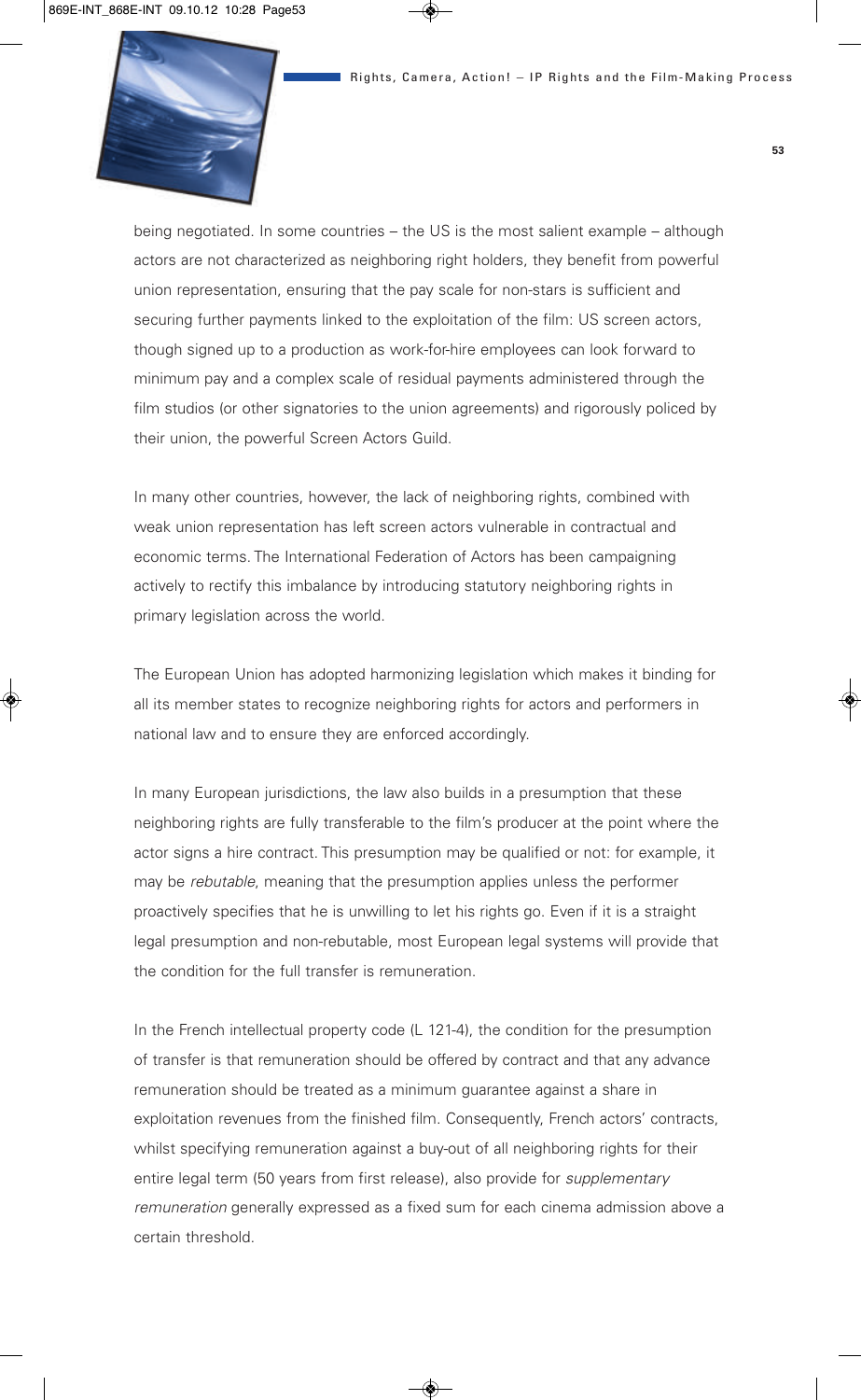

being negotiated. In some countries – the US is the most salient example – although actors are not characterized as neighboring right holders, they benefit from powerful union representation, ensuring that the pay scale for non-stars is sufficient and securing further payments linked to the exploitation of the film: US screen actors, though signed up to a production as work-for-hire employees can look forward to minimum pay and a complex scale of residual payments administered through the film studios (or other signatories to the union agreements) and rigorously policed by their union, the powerful Screen Actors Guild.

In many other countries, however, the lack of neighboring rights, combined with weak union representation has left screen actors vulnerable in contractual and economic terms. The International Federation of Actors has been campaigning actively to rectify this imbalance by introducing statutory neighboring rights in primary legislation across the world.

The European Union has adopted harmonizing legislation which makes it binding for all its member states to recognize neighboring rights for actors and performers in national law and to ensure they are enforced accordingly.

In many European jurisdictions, the law also builds in a presumption that these neighboring rights are fully transferable to the film's producer at the point where the actor signs a hire contract. This presumption may be qualified or not: for example, it may be *rebutable*, meaning that the presumption applies unless the performer proactively specifies that he is unwilling to let his rights go. Even if it is a straight legal presumption and non-rebutable, most European legal systems will provide that the condition for the full transfer is remuneration.

In the French intellectual property code (L 121-4), the condition for the presumption of transfer is that remuneration should be offered by contract and that any advance remuneration should be treated as a minimum guarantee against a share in exploitation revenues from the finished film. Consequently, French actors' contracts, whilst specifying remuneration against a buy-out of all neighboring rights for their entire legal term (50 years from first release), also provide for *supplementary remuneration* generally expressed as a fixed sum for each cinema admission above a certain threshold.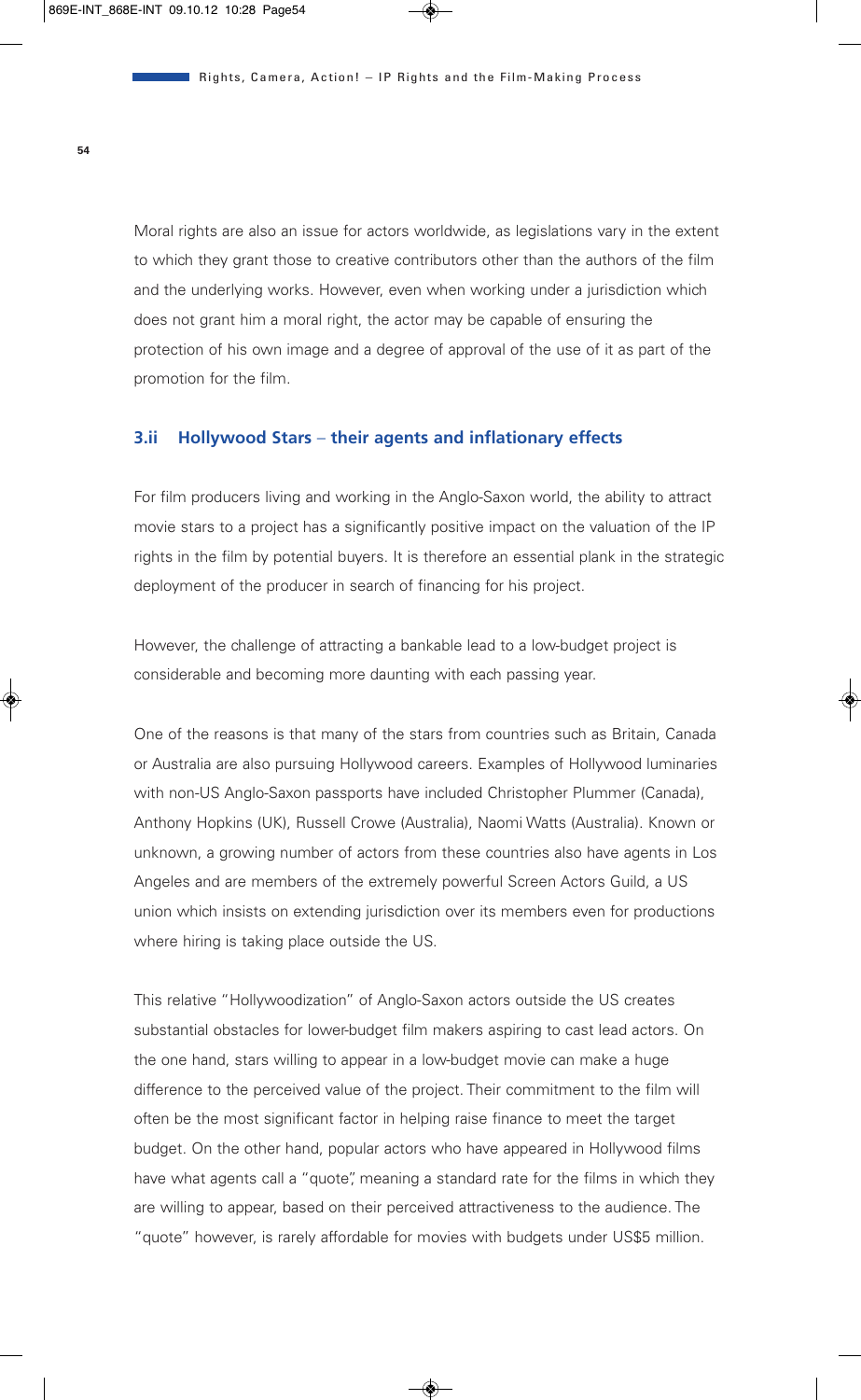Moral rights are also an issue for actors worldwide, as legislations vary in the extent to which they grant those to creative contributors other than the authors of the film and the underlying works. However, even when working under a jurisdiction which does not grant him a moral right, the actor may be capable of ensuring the protection of his own image and a degree of approval of the use of it as part of the promotion for the film.

#### **3.ii Hollywood Stars** – **their agents and inflationary effects**

For film producers living and working in the Anglo-Saxon world, the ability to attract movie stars to a project has a significantly positive impact on the valuation of the IP rights in the film by potential buyers. It is therefore an essential plank in the strategic deployment of the producer in search of financing for his project.

However, the challenge of attracting a bankable lead to a low-budget project is considerable and becoming more daunting with each passing year.

One of the reasons is that many of the stars from countries such as Britain, Canada or Australia are also pursuing Hollywood careers. Examples of Hollywood luminaries with non-US Anglo-Saxon passports have included Christopher Plummer (Canada), Anthony Hopkins (UK), Russell Crowe (Australia), Naomi Watts (Australia). Known or unknown, a growing number of actors from these countries also have agents in Los Angeles and are members of the extremely powerful Screen Actors Guild, a US union which insists on extending jurisdiction over its members even for productions where hiring is taking place outside the US.

This relative "Hollywoodization" of Anglo-Saxon actors outside the US creates substantial obstacles for lower-budget film makers aspiring to cast lead actors. On the one hand, stars willing to appear in a low-budget movie can make a huge difference to the perceived value of the project. Their commitment to the film will often be the most significant factor in helping raise finance to meet the target budget. On the other hand, popular actors who have appeared in Hollywood films have what agents call a "quote", meaning a standard rate for the films in which they are willing to appear, based on their perceived attractiveness to the audience. The "quote" however, is rarely affordable for movies with budgets under US\$5 million.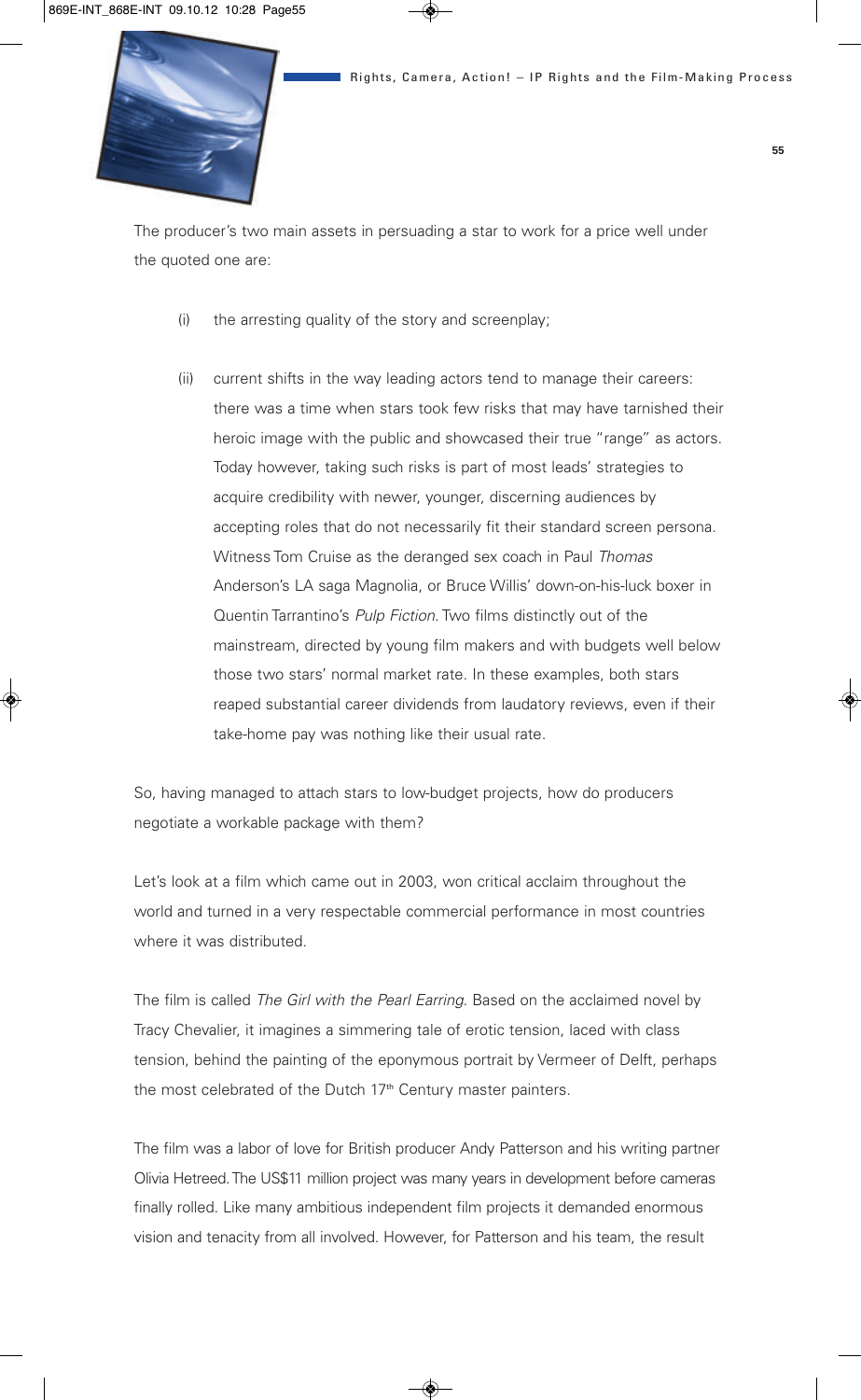

The producer's two main assets in persuading a star to work for a price well under the quoted one are:

- (i) the arresting quality of the story and screenplay;
- (ii) current shifts in the way leading actors tend to manage their careers: there was a time when stars took few risks that may have tarnished their heroic image with the public and showcased their true "range" as actors. Today however, taking such risks is part of most leads' strategies to acquire credibility with newer, younger, discerning audiences by accepting roles that do not necessarily fit their standard screen persona. Witness Tom Cruise as the deranged sex coach in Paul *Thomas* Anderson's LA saga Magnolia, or Bruce Willis' down-on-his-luck boxer in Quentin Tarrantino's *Pulp Fiction*. Two films distinctly out of the mainstream, directed by young film makers and with budgets well below those two stars' normal market rate. In these examples, both stars reaped substantial career dividends from laudatory reviews, even if their take-home pay was nothing like their usual rate.

So, having managed to attach stars to low-budget projects, how do producers negotiate a workable package with them?

Let's look at a film which came out in 2003, won critical acclaim throughout the world and turned in a very respectable commercial performance in most countries where it was distributed.

The film is called *The Girl with the Pearl Earring*. Based on the acclaimed novel by Tracy Chevalier, it imagines a simmering tale of erotic tension, laced with class tension, behind the painting of the eponymous portrait by Vermeer of Delft, perhaps the most celebrated of the Dutch 17<sup>th</sup> Century master painters.

The film was a labor of love for British producer Andy Patterson and his writing partner Olivia Hetreed. The US\$11 million project was many years in development before cameras finally rolled. Like many ambitious independent film projects it demanded enormous vision and tenacity from all involved. However, for Patterson and his team, the result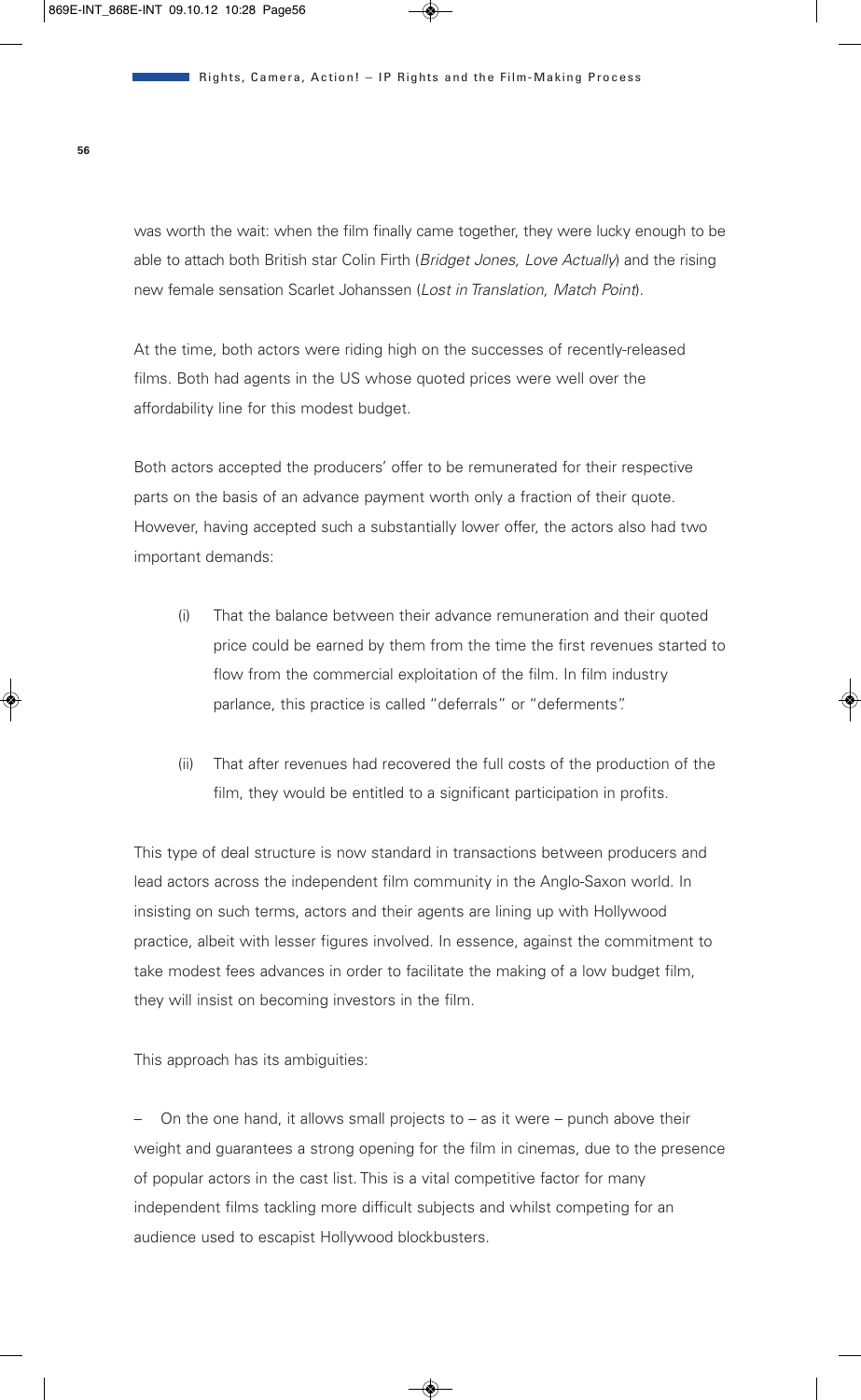was worth the wait: when the film finally came together, they were lucky enough to be able to attach both British star Colin Firth (*Bridget Jones, Love Actually*) and the rising new female sensation Scarlet Johanssen (*Lost in Translation, Match Point*).

At the time, both actors were riding high on the successes of recently-released films. Both had agents in the US whose quoted prices were well over the affordability line for this modest budget.

Both actors accepted the producers' offer to be remunerated for their respective parts on the basis of an advance payment worth only a fraction of their quote. However, having accepted such a substantially lower offer, the actors also had two important demands:

- (i) That the balance between their advance remuneration and their quoted price could be earned by them from the time the first revenues started to flow from the commercial exploitation of the film. In film industry parlance, this practice is called "deferrals" or "deferments".
- (ii) That after revenues had recovered the full costs of the production of the film, they would be entitled to a significant participation in profits.

This type of deal structure is now standard in transactions between producers and lead actors across the independent film community in the Anglo-Saxon world. In insisting on such terms, actors and their agents are lining up with Hollywood practice, albeit with lesser figures involved. In essence, against the commitment to take modest fees advances in order to facilitate the making of a low budget film, they will insist on becoming investors in the film.

This approach has its ambiguities:

– On the one hand, it allows small projects to – as it were – punch above their weight and guarantees a strong opening for the film in cinemas, due to the presence of popular actors in the cast list. This is a vital competitive factor for many independent films tackling more difficult subjects and whilst competing for an audience used to escapist Hollywood blockbusters.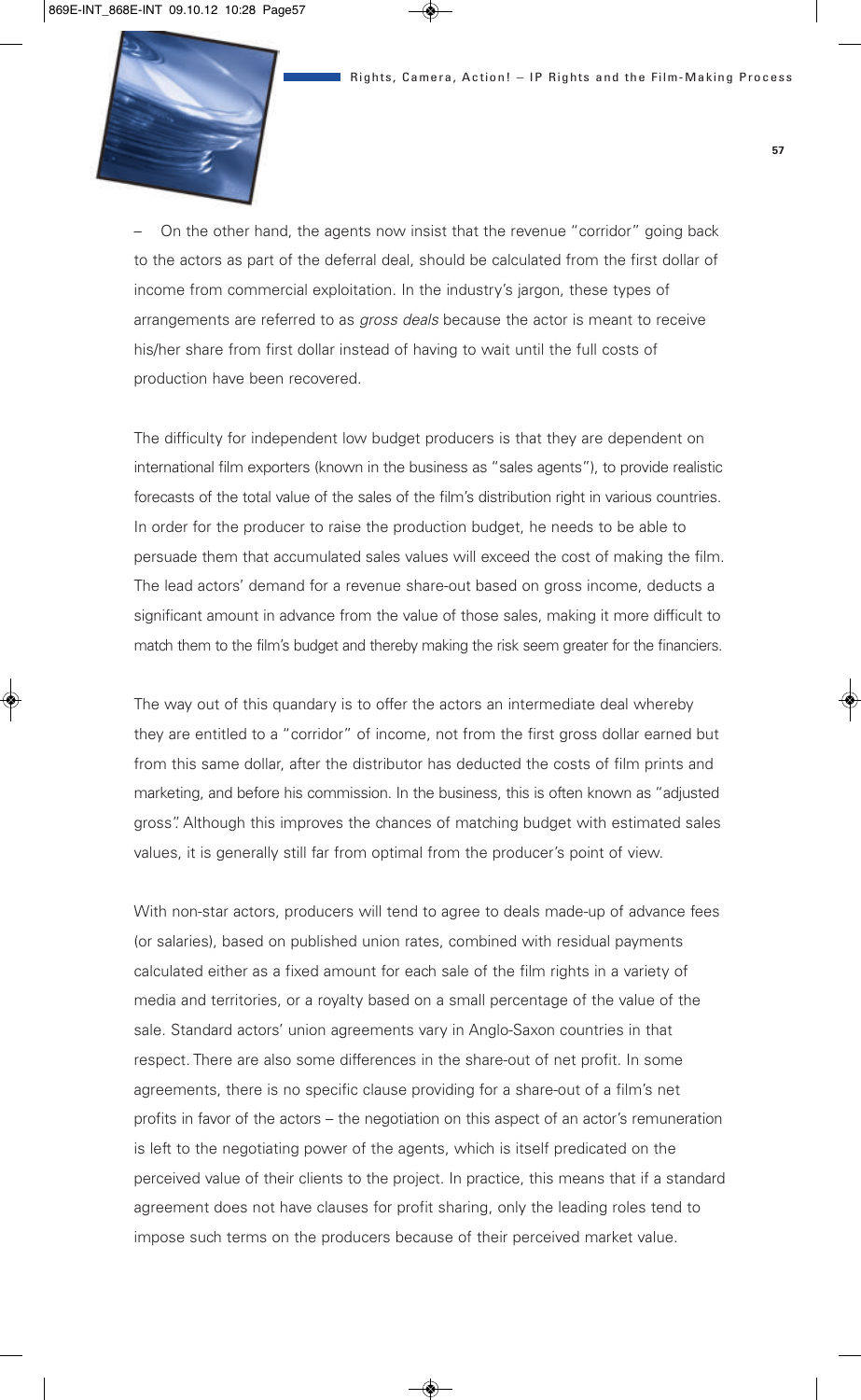

– On the other hand, the agents now insist that the revenue "corridor" going back to the actors as part of the deferral deal, should be calculated from the first dollar of income from commercial exploitation. In the industry's jargon, these types of arrangements are referred to as *gross deals* because the actor is meant to receive his/her share from first dollar instead of having to wait until the full costs of production have been recovered.

The difficulty for independent low budget producers is that they are dependent on international film exporters (known in the business as "sales agents"), to provide realistic forecasts of the total value of the sales of the film's distribution right in various countries. In order for the producer to raise the production budget, he needs to be able to persuade them that accumulated sales values will exceed the cost of making the film. The lead actors' demand for a revenue share-out based on gross income, deducts a significant amount in advance from the value of those sales, making it more difficult to match them to the film's budget and thereby making the risk seem greater for the financiers.

The way out of this quandary is to offer the actors an intermediate deal whereby they are entitled to a "corridor" of income, not from the first gross dollar earned but from this same dollar, after the distributor has deducted the costs of film prints and marketing, and before his commission. In the business, this is often known as "adjusted gross". Although this improves the chances of matching budget with estimated sales values, it is generally still far from optimal from the producer's point of view.

With non-star actors, producers will tend to agree to deals made-up of advance fees (or salaries), based on published union rates, combined with residual payments calculated either as a fixed amount for each sale of the film rights in a variety of media and territories, or a royalty based on a small percentage of the value of the sale. Standard actors' union agreements vary in Anglo-Saxon countries in that respect. There are also some differences in the share-out of net profit. In some agreements, there is no specific clause providing for a share-out of a film's net profits in favor of the actors – the negotiation on this aspect of an actor's remuneration is left to the negotiating power of the agents, which is itself predicated on the perceived value of their clients to the project. In practice, this means that if a standard agreement does not have clauses for profit sharing, only the leading roles tend to impose such terms on the producers because of their perceived market value.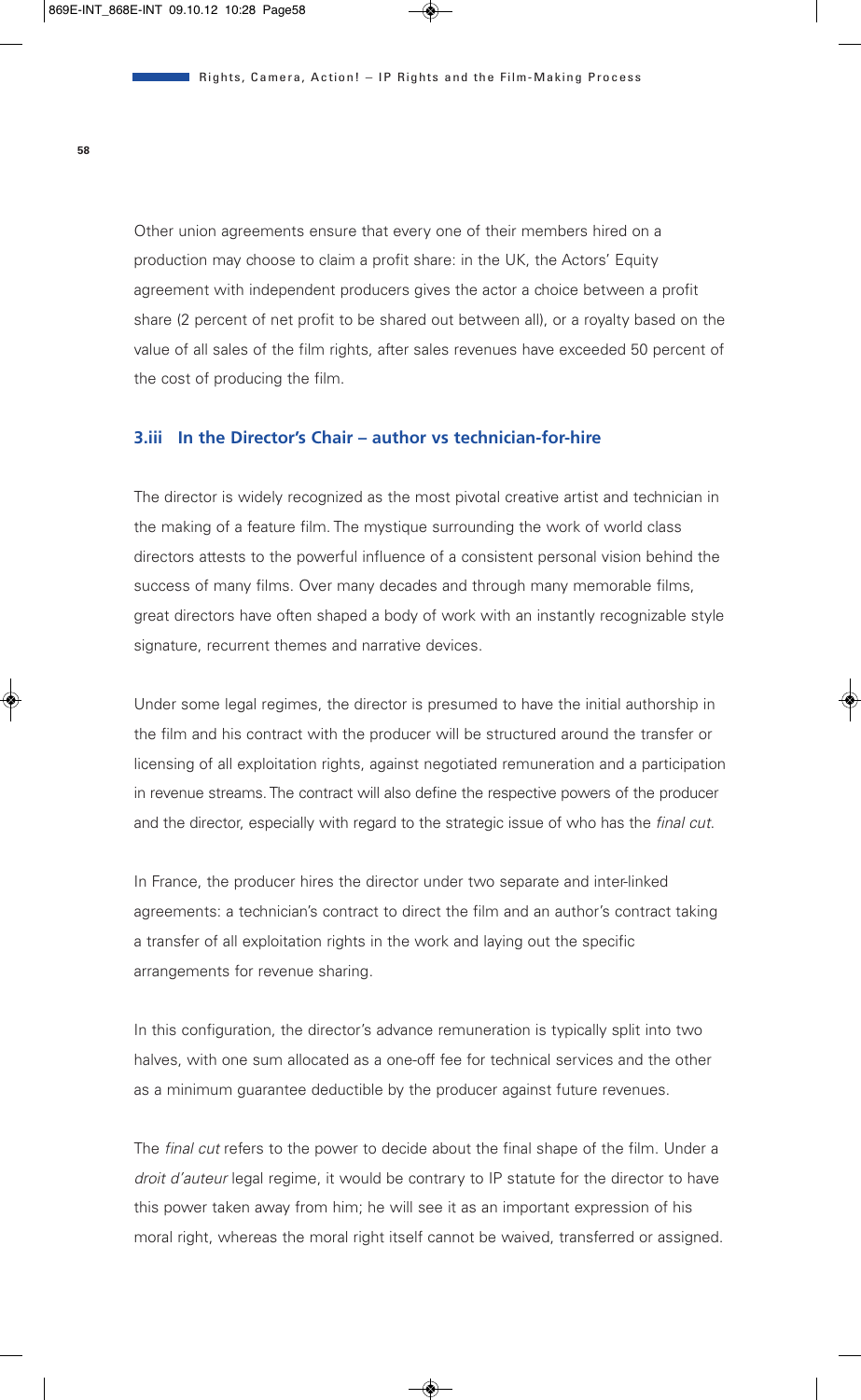Other union agreements ensure that every one of their members hired on a production may choose to claim a profit share: in the UK, the Actors' Equity agreement with independent producers gives the actor a choice between a profit share (2 percent of net profit to be shared out between all), or a royalty based on the value of all sales of the film rights, after sales revenues have exceeded 50 percent of the cost of producing the film.

#### **3.iii In the Director's Chair – author vs technician-for-hire**

The director is widely recognized as the most pivotal creative artist and technician in the making of a feature film. The mystique surrounding the work of world class directors attests to the powerful influence of a consistent personal vision behind the success of many films. Over many decades and through many memorable films, great directors have often shaped a body of work with an instantly recognizable style signature, recurrent themes and narrative devices.

Under some legal regimes, the director is presumed to have the initial authorship in the film and his contract with the producer will be structured around the transfer or licensing of all exploitation rights, against negotiated remuneration and a participation in revenue streams. The contract will also define the respective powers of the producer and the director, especially with regard to the strategic issue of who has the *final cut*.

In France, the producer hires the director under two separate and inter-linked agreements: a technician's contract to direct the film and an author's contract taking a transfer of all exploitation rights in the work and laying out the specific arrangements for revenue sharing.

In this configuration, the director's advance remuneration is typically split into two halves, with one sum allocated as a one-off fee for technical services and the other as a minimum guarantee deductible by the producer against future revenues.

The *final cut* refers to the power to decide about the final shape of the film. Under a *droit d'auteur* legal regime, it would be contrary to IP statute for the director to have this power taken away from him; he will see it as an important expression of his moral right, whereas the moral right itself cannot be waived, transferred or assigned.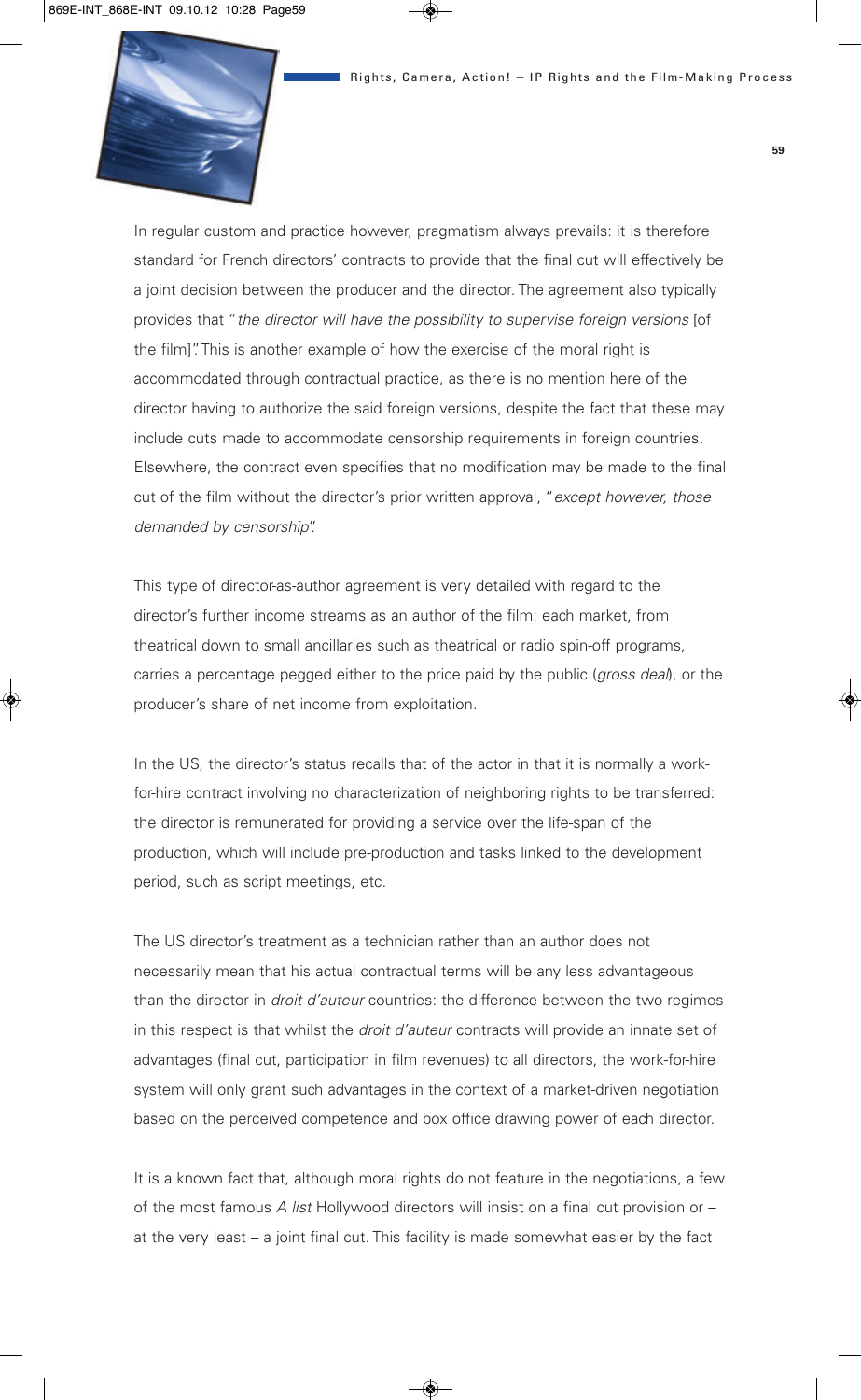

In regular custom and practice however, pragmatism always prevails: it is therefore standard for French directors' contracts to provide that the final cut will effectively be a joint decision between the producer and the director. The agreement also typically provides that "*the director will have the possibility to supervise foreign versions* [of the film]". This is another example of how the exercise of the moral right is accommodated through contractual practice, as there is no mention here of the director having to authorize the said foreign versions, despite the fact that these may include cuts made to accommodate censorship requirements in foreign countries. Elsewhere, the contract even specifies that no modification may be made to the final cut of the film without the director's prior written approval, "*except however, those demanded by censorship*".

This type of director-as-author agreement is very detailed with regard to the director's further income streams as an author of the film: each market, from theatrical down to small ancillaries such as theatrical or radio spin-off programs, carries a percentage pegged either to the price paid by the public (*gross deal*), or the producer's share of net income from exploitation.

In the US, the director's status recalls that of the actor in that it is normally a workfor-hire contract involving no characterization of neighboring rights to be transferred: the director is remunerated for providing a service over the life-span of the production, which will include pre-production and tasks linked to the development period, such as script meetings, etc.

The US director's treatment as a technician rather than an author does not necessarily mean that his actual contractual terms will be any less advantageous than the director in *droit d'auteur* countries: the difference between the two regimes in this respect is that whilst the *droit d'auteur* contracts will provide an innate set of advantages (final cut, participation in film revenues) to all directors, the work-for-hire system will only grant such advantages in the context of a market-driven negotiation based on the perceived competence and box office drawing power of each director.

It is a known fact that, although moral rights do not feature in the negotiations, a few of the most famous *A list* Hollywood directors will insist on a final cut provision or – at the very least – a joint final cut. This facility is made somewhat easier by the fact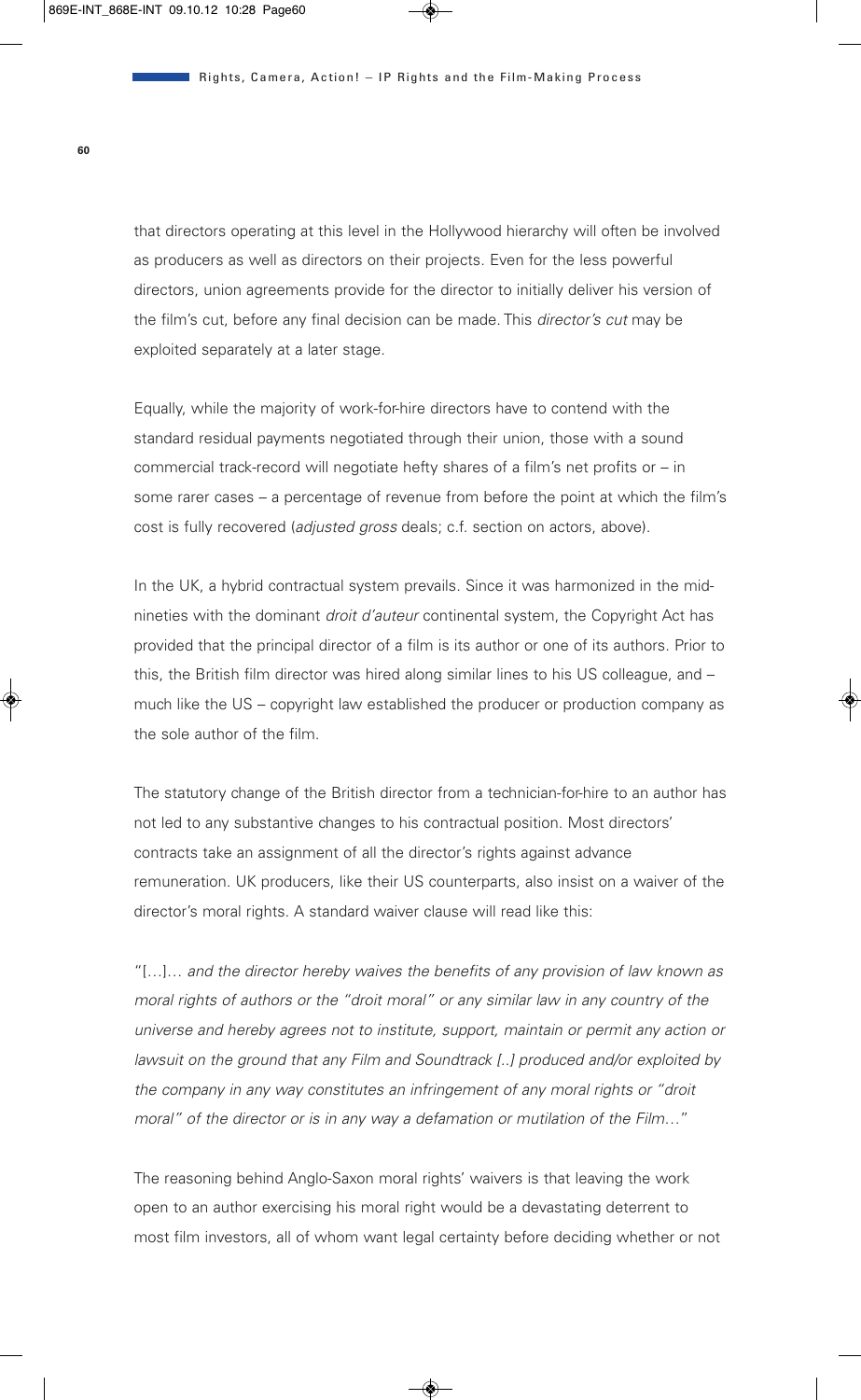that directors operating at this level in the Hollywood hierarchy will often be involved as producers as well as directors on their projects. Even for the less powerful directors, union agreements provide for the director to initially deliver his version of the film's cut, before any final decision can be made. This *director's cut* may be exploited separately at a later stage.

Equally, while the majority of work-for-hire directors have to contend with the standard residual payments negotiated through their union, those with a sound commercial track-record will negotiate hefty shares of a film's net profits or – in some rarer cases – a percentage of revenue from before the point at which the film's cost is fully recovered (*adjusted gross* deals; c.f. section on actors, above).

In the UK, a hybrid contractual system prevails. Since it was harmonized in the midnineties with the dominant *droit d'auteur* continental system, the Copyright Act has provided that the principal director of a film is its author or one of its authors. Prior to this, the British film director was hired along similar lines to his US colleague, and – much like the US – copyright law established the producer or production company as the sole author of the film.

The statutory change of the British director from a technician-for-hire to an author has not led to any substantive changes to his contractual position. Most directors' contracts take an assignment of all the director's rights against advance remuneration. UK producers, like their US counterparts, also insist on a waiver of the director's moral rights. A standard waiver clause will read like this:

"[…]… *and the director hereby waives the benefits of any provision of law known as moral rights of authors or the "droit moral" or any similar law in any country of the universe and hereby agrees not to institute, support, maintain or permit any action or lawsuit on the ground that any Film and Soundtrack [..] produced and/or exploited by the company in any way constitutes an infringement of any moral rights or "droit moral" of the director or is in any way a defamation or mutilation of the Film*…"

The reasoning behind Anglo-Saxon moral rights' waivers is that leaving the work open to an author exercising his moral right would be a devastating deterrent to most film investors, all of whom want legal certainty before deciding whether or not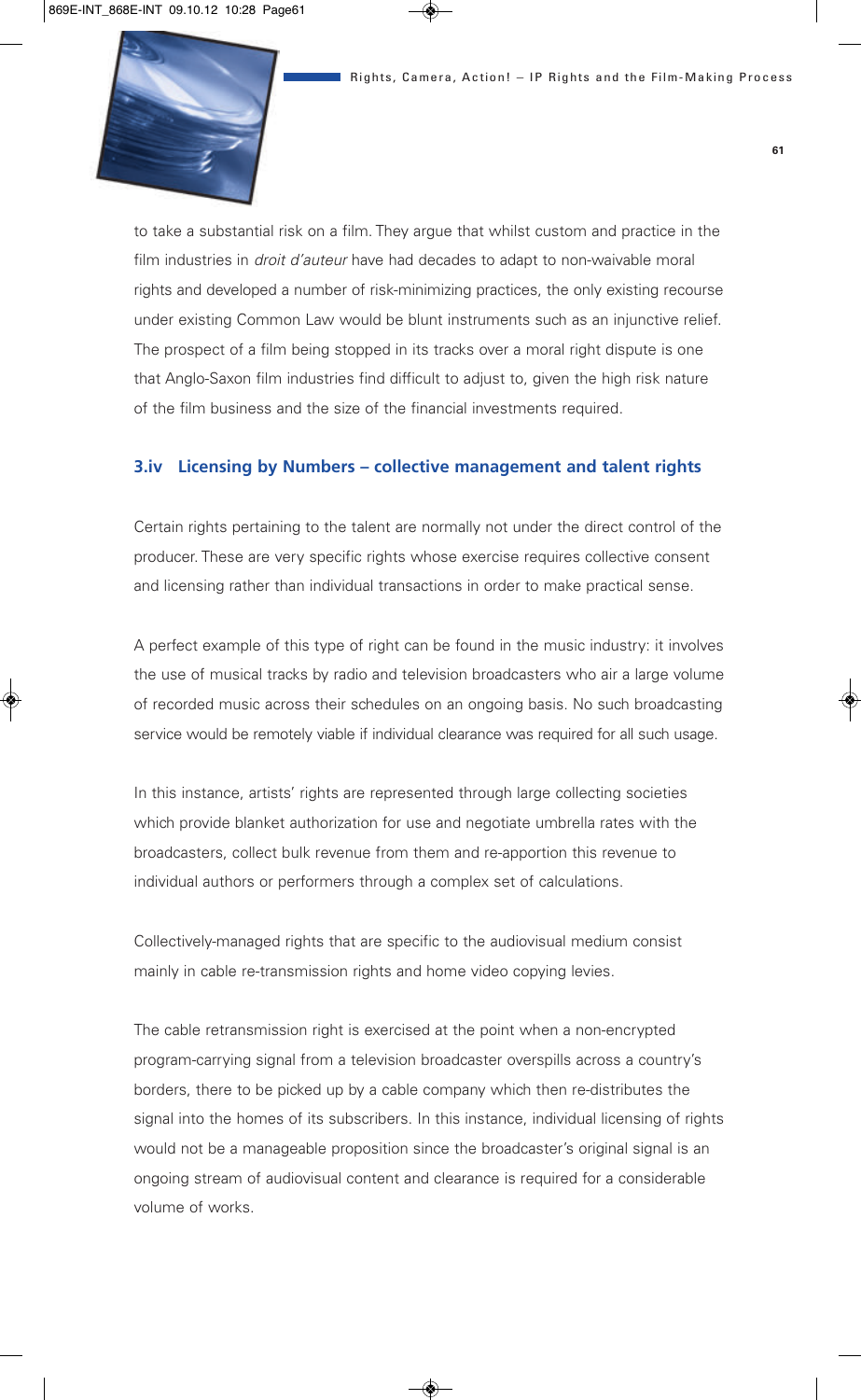

to take a substantial risk on a film. They argue that whilst custom and practice in the film industries in *droit d'auteur* have had decades to adapt to non-waivable moral rights and developed a number of risk-minimizing practices, the only existing recourse under existing Common Law would be blunt instruments such as an injunctive relief. The prospect of a film being stopped in its tracks over a moral right dispute is one that Anglo-Saxon film industries find difficult to adjust to, given the high risk nature of the film business and the size of the financial investments required.

#### **3.iv Licensing by Numbers – collective management and talent rights**

Certain rights pertaining to the talent are normally not under the direct control of the producer. These are very specific rights whose exercise requires collective consent and licensing rather than individual transactions in order to make practical sense.

A perfect example of this type of right can be found in the music industry: it involves the use of musical tracks by radio and television broadcasters who air a large volume of recorded music across their schedules on an ongoing basis. No such broadcasting service would be remotely viable if individual clearance was required for all such usage.

In this instance, artists' rights are represented through large collecting societies which provide blanket authorization for use and negotiate umbrella rates with the broadcasters, collect bulk revenue from them and re-apportion this revenue to individual authors or performers through a complex set of calculations.

Collectively-managed rights that are specific to the audiovisual medium consist mainly in cable re-transmission rights and home video copying levies.

The cable retransmission right is exercised at the point when a non-encrypted program-carrying signal from a television broadcaster overspills across a country's borders, there to be picked up by a cable company which then re-distributes the signal into the homes of its subscribers. In this instance, individual licensing of rights would not be a manageable proposition since the broadcaster's original signal is an ongoing stream of audiovisual content and clearance is required for a considerable volume of works.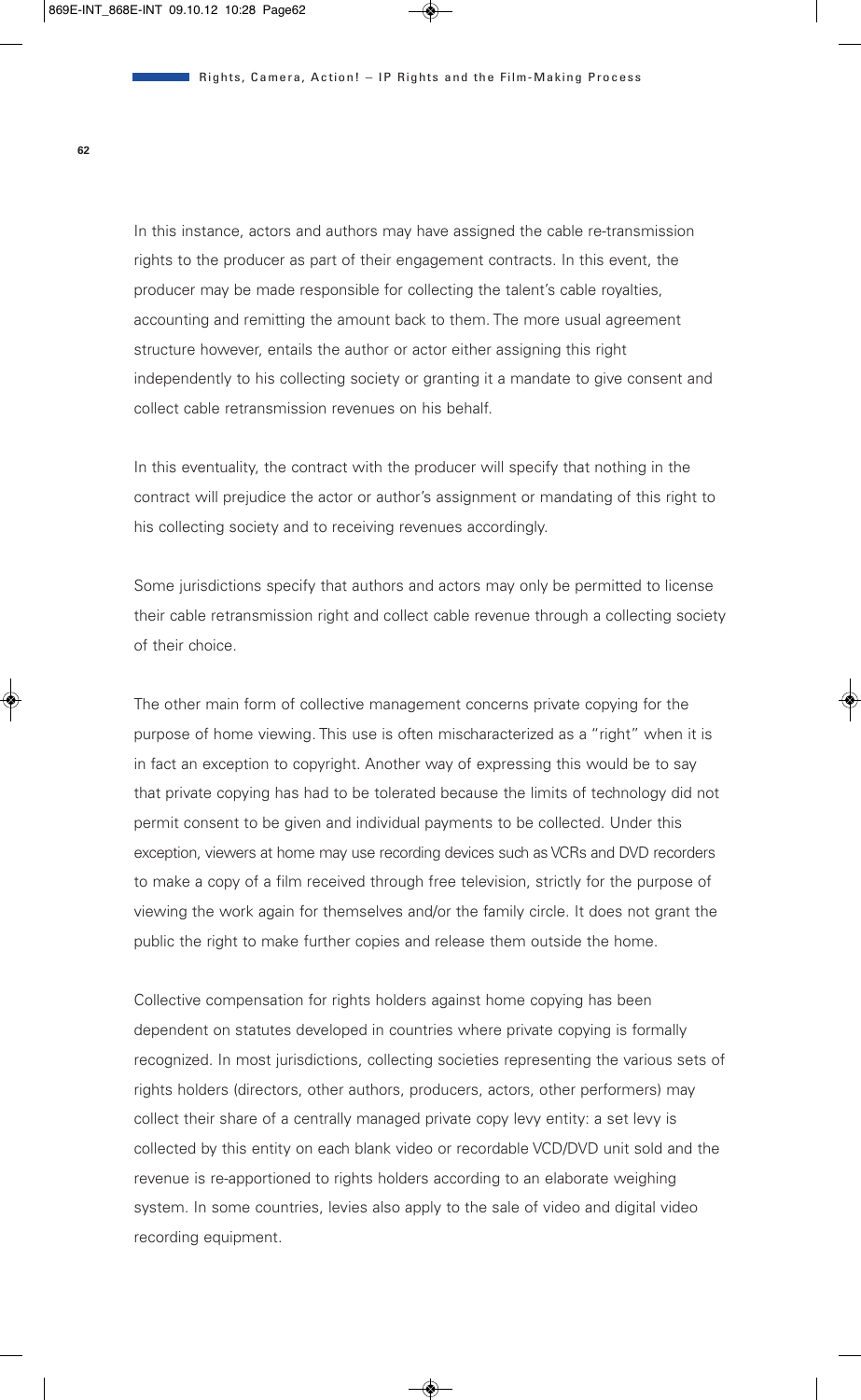In this instance, actors and authors may have assigned the cable re-transmission rights to the producer as part of their engagement contracts. In this event, the producer may be made responsible for collecting the talent's cable royalties, accounting and remitting the amount back to them. The more usual agreement structure however, entails the author or actor either assigning this right independently to his collecting society or granting it a mandate to give consent and collect cable retransmission revenues on his behalf.

In this eventuality, the contract with the producer will specify that nothing in the contract will prejudice the actor or author's assignment or mandating of this right to his collecting society and to receiving revenues accordingly.

Some jurisdictions specify that authors and actors may only be permitted to license their cable retransmission right and collect cable revenue through a collecting society of their choice.

The other main form of collective management concerns private copying for the purpose of home viewing. This use is often mischaracterized as a "right" when it is in fact an exception to copyright. Another way of expressing this would be to say that private copying has had to be tolerated because the limits of technology did not permit consent to be given and individual payments to be collected. Under this exception, viewers at home may use recording devices such as VCRs and DVD recorders to make a copy of a film received through free television, strictly for the purpose of viewing the work again for themselves and/or the family circle. It does not grant the public the right to make further copies and release them outside the home.

Collective compensation for rights holders against home copying has been dependent on statutes developed in countries where private copying is formally recognized. In most jurisdictions, collecting societies representing the various sets of rights holders (directors, other authors, producers, actors, other performers) may collect their share of a centrally managed private copy levy entity: a set levy is collected by this entity on each blank video or recordable VCD/DVD unit sold and the revenue is re-apportioned to rights holders according to an elaborate weighing system. In some countries, levies also apply to the sale of video and digital video recording equipment.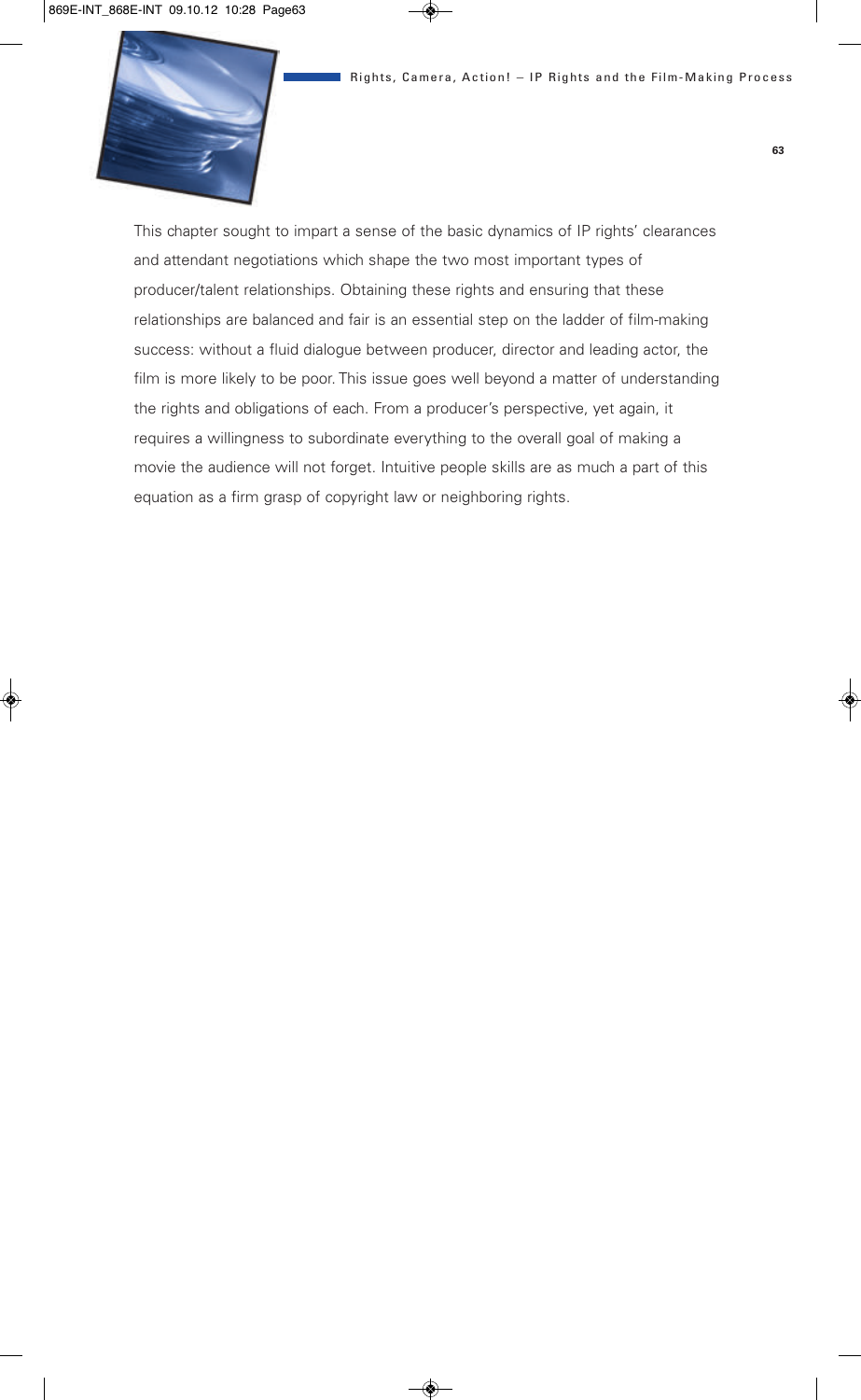

This chapter sought to impart a sense of the basic dynamics of IP rights' clearances and attendant negotiations which shape the two most important types of producer/talent relationships. Obtaining these rights and ensuring that these relationships are balanced and fair is an essential step on the ladder of film-making success: without a fluid dialogue between producer, director and leading actor, the film is more likely to be poor. This issue goes well beyond a matter of understanding the rights and obligations of each. From a producer's perspective, yet again, it requires a willingness to subordinate everything to the overall goal of making a movie the audience will not forget. Intuitive people skills are as much a part of this equation as a firm grasp of copyright law or neighboring rights.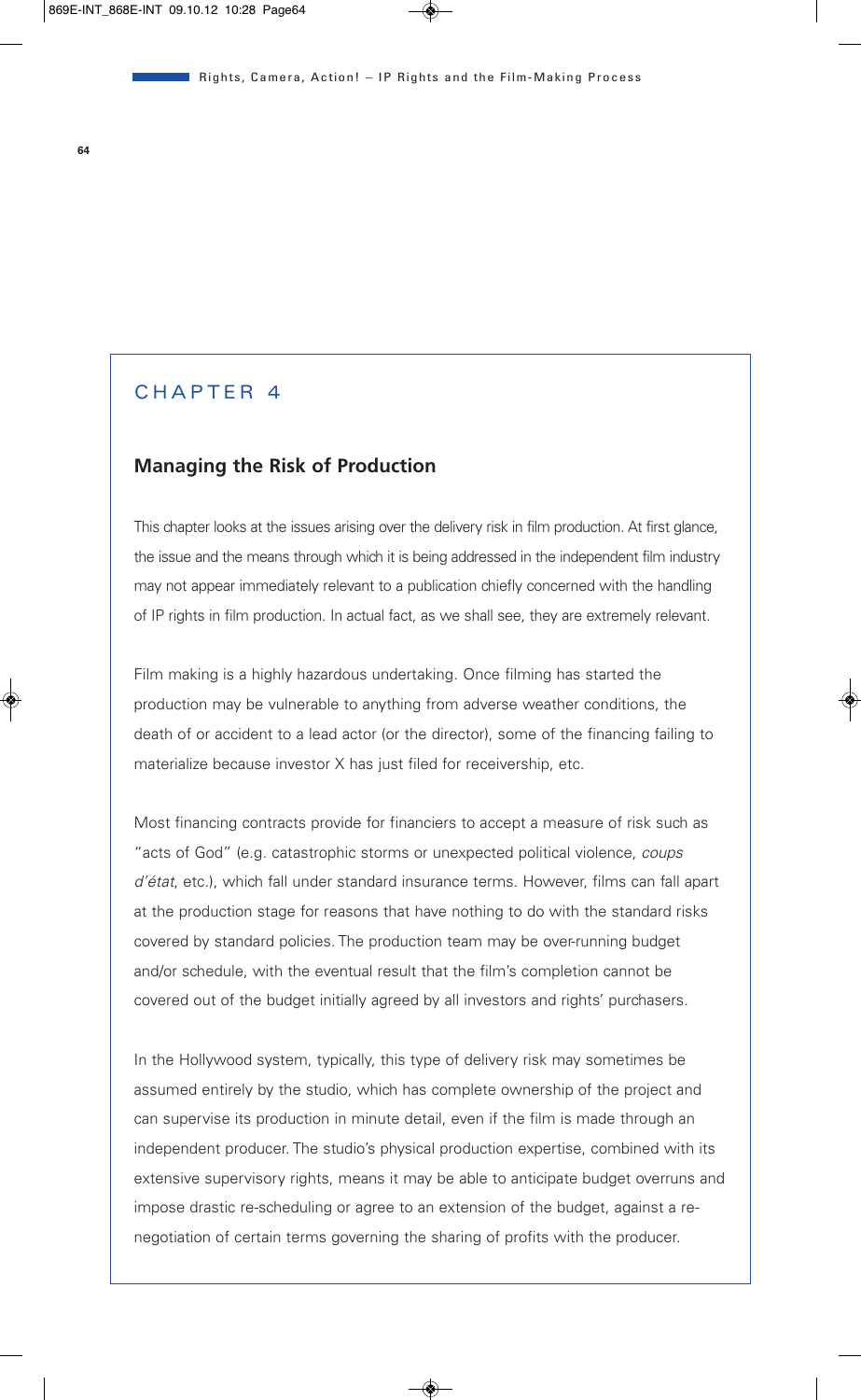## CHAPTER 4

### **Managing the Risk of Production**

This chapter looks at the issues arising over the delivery risk in film production. At first glance, the issue and the means through which it is being addressed in the independent film industry may not appear immediately relevant to a publication chiefly concerned with the handling of IP rights in film production. In actual fact, as we shall see, they are extremely relevant.

Film making is a highly hazardous undertaking. Once filming has started the production may be vulnerable to anything from adverse weather conditions, the death of or accident to a lead actor (or the director), some of the financing failing to materialize because investor X has just filed for receivership, etc.

Most financing contracts provide for financiers to accept a measure of risk such as "acts of God" (e.g. catastrophic storms or unexpected political violence, *coups d'état*, etc.), which fall under standard insurance terms. However, films can fall apart at the production stage for reasons that have nothing to do with the standard risks covered by standard policies. The production team may be over-running budget and/or schedule, with the eventual result that the film's completion cannot be covered out of the budget initially agreed by all investors and rights' purchasers.

In the Hollywood system, typically, this type of delivery risk may sometimes be assumed entirely by the studio, which has complete ownership of the project and can supervise its production in minute detail, even if the film is made through an independent producer. The studio's physical production expertise, combined with its extensive supervisory rights, means it may be able to anticipate budget overruns and impose drastic re-scheduling or agree to an extension of the budget, against a renegotiation of certain terms governing the sharing of profits with the producer.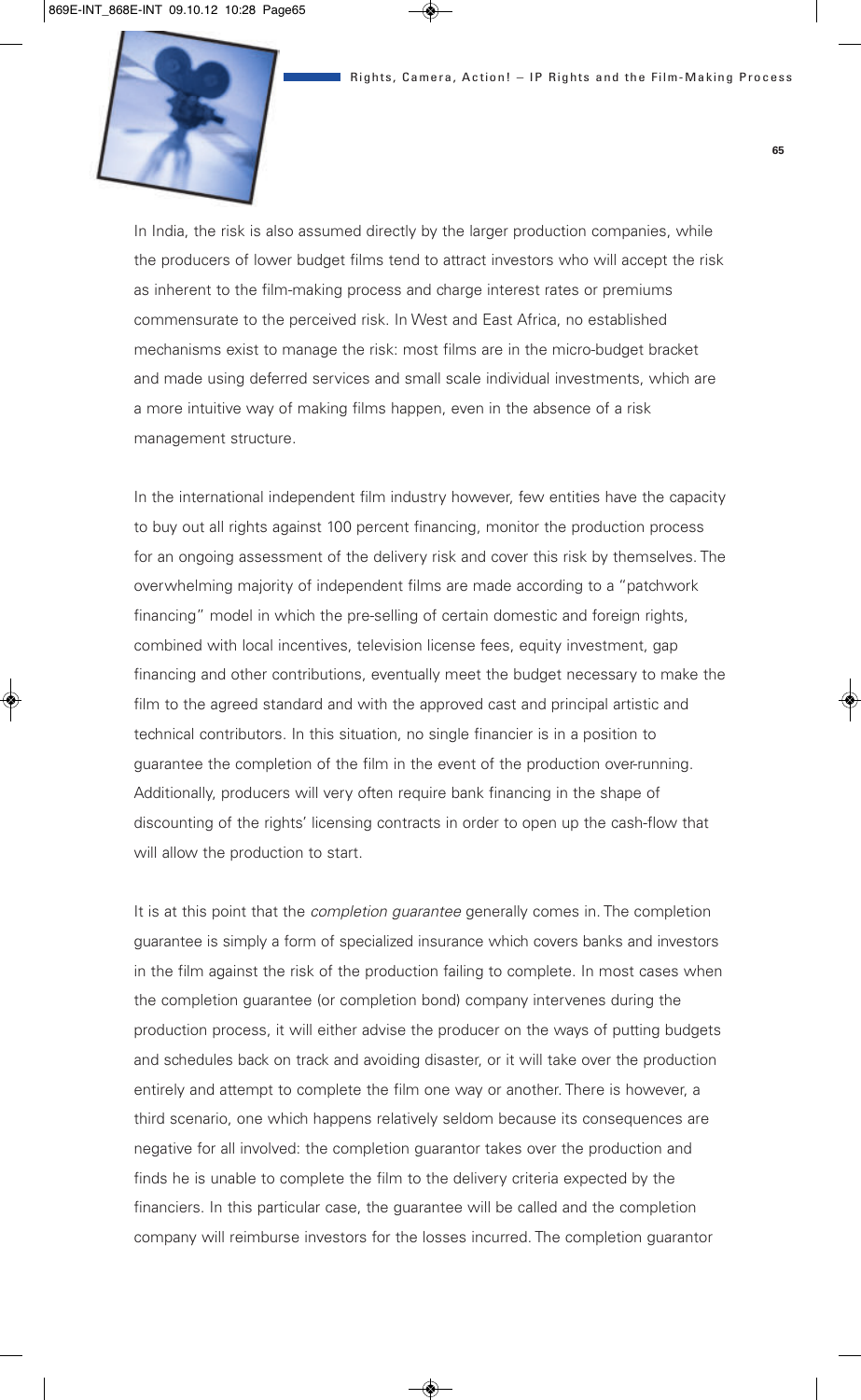

In India, the risk is also assumed directly by the larger production companies, while the producers of lower budget films tend to attract investors who will accept the risk as inherent to the film-making process and charge interest rates or premiums commensurate to the perceived risk. In West and East Africa, no established mechanisms exist to manage the risk: most films are in the micro-budget bracket and made using deferred services and small scale individual investments, which are a more intuitive way of making films happen, even in the absence of a risk management structure.

In the international independent film industry however, few entities have the capacity to buy out all rights against 100 percent financing, monitor the production process for an ongoing assessment of the delivery risk and cover this risk by themselves. The overwhelming majority of independent films are made according to a "patchwork financing" model in which the pre-selling of certain domestic and foreign rights, combined with local incentives, television license fees, equity investment, gap financing and other contributions, eventually meet the budget necessary to make the film to the agreed standard and with the approved cast and principal artistic and technical contributors. In this situation, no single financier is in a position to guarantee the completion of the film in the event of the production over-running. Additionally, producers will very often require bank financing in the shape of discounting of the rights' licensing contracts in order to open up the cash-flow that will allow the production to start.

It is at this point that the *completion guarantee* generally comes in. The completion guarantee is simply a form of specialized insurance which covers banks and investors in the film against the risk of the production failing to complete. In most cases when the completion guarantee (or completion bond) company intervenes during the production process, it will either advise the producer on the ways of putting budgets and schedules back on track and avoiding disaster, or it will take over the production entirely and attempt to complete the film one way or another. There is however, a third scenario, one which happens relatively seldom because its consequences are negative for all involved: the completion guarantor takes over the production and finds he is unable to complete the film to the delivery criteria expected by the financiers. In this particular case, the guarantee will be called and the completion company will reimburse investors for the losses incurred. The completion guarantor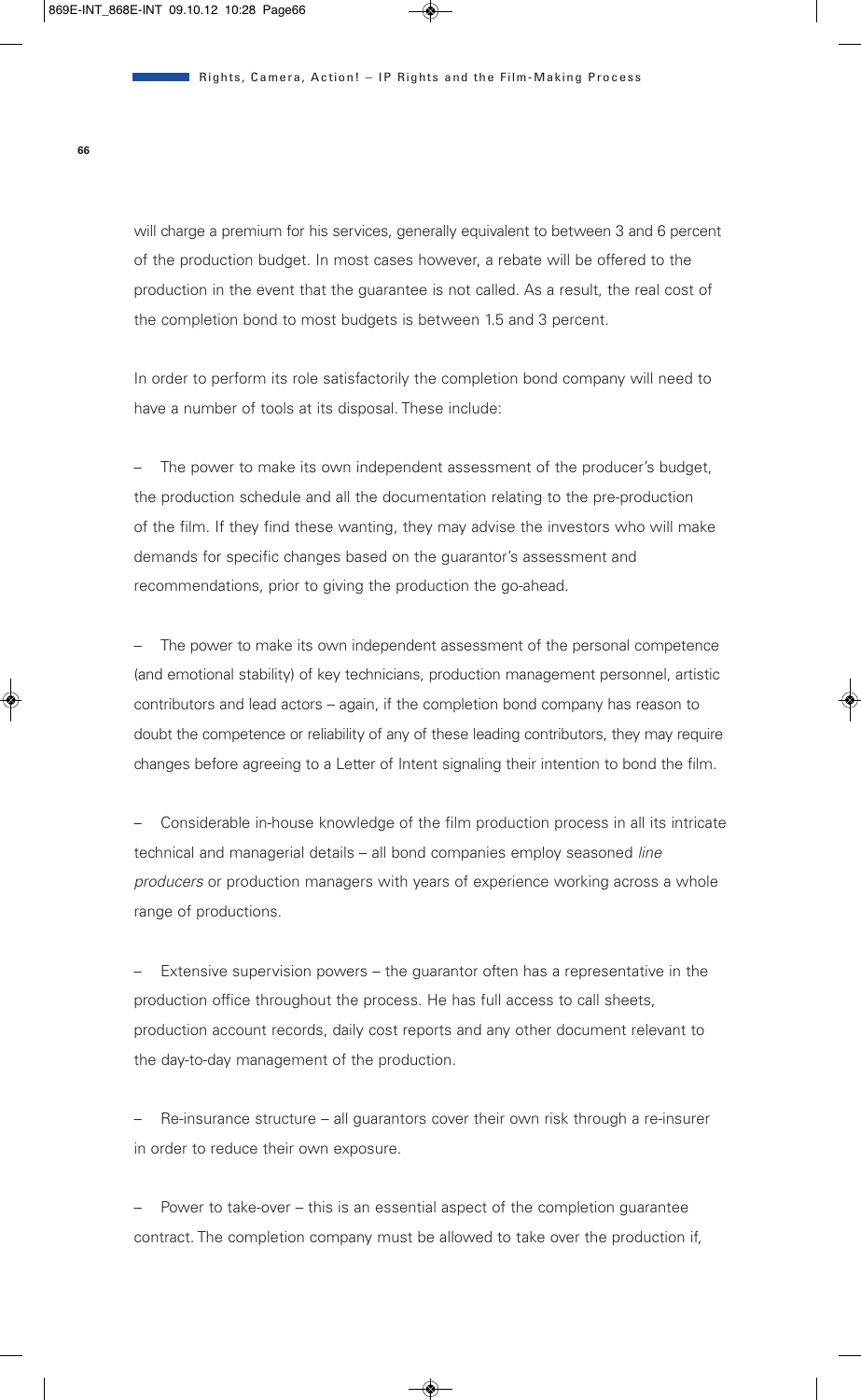will charge a premium for his services, generally equivalent to between 3 and 6 percent of the production budget. In most cases however, a rebate will be offered to the production in the event that the guarantee is not called. As a result, the real cost of the completion bond to most budgets is between 1.5 and 3 percent.

In order to perform its role satisfactorily the completion bond company will need to have a number of tools at its disposal. These include:

The power to make its own independent assessment of the producer's budget. the production schedule and all the documentation relating to the pre-production of the film. If they find these wanting, they may advise the investors who will make demands for specific changes based on the guarantor's assessment and recommendations, prior to giving the production the go-ahead.

– The power to make its own independent assessment of the personal competence (and emotional stability) of key technicians, production management personnel, artistic contributors and lead actors – again, if the completion bond company has reason to doubt the competence or reliability of any of these leading contributors, they may require changes before agreeing to a Letter of Intent signaling their intention to bond the film.

– Considerable in-house knowledge of the film production process in all its intricate technical and managerial details – all bond companies employ seasoned *line producers* or production managers with years of experience working across a whole range of productions.

– Extensive supervision powers – the guarantor often has a representative in the production office throughout the process. He has full access to call sheets, production account records, daily cost reports and any other document relevant to the day-to-day management of the production.

– Re-insurance structure – all guarantors cover their own risk through a re-insurer in order to reduce their own exposure.

Power to take-over – this is an essential aspect of the completion guarantee contract. The completion company must be allowed to take over the production if,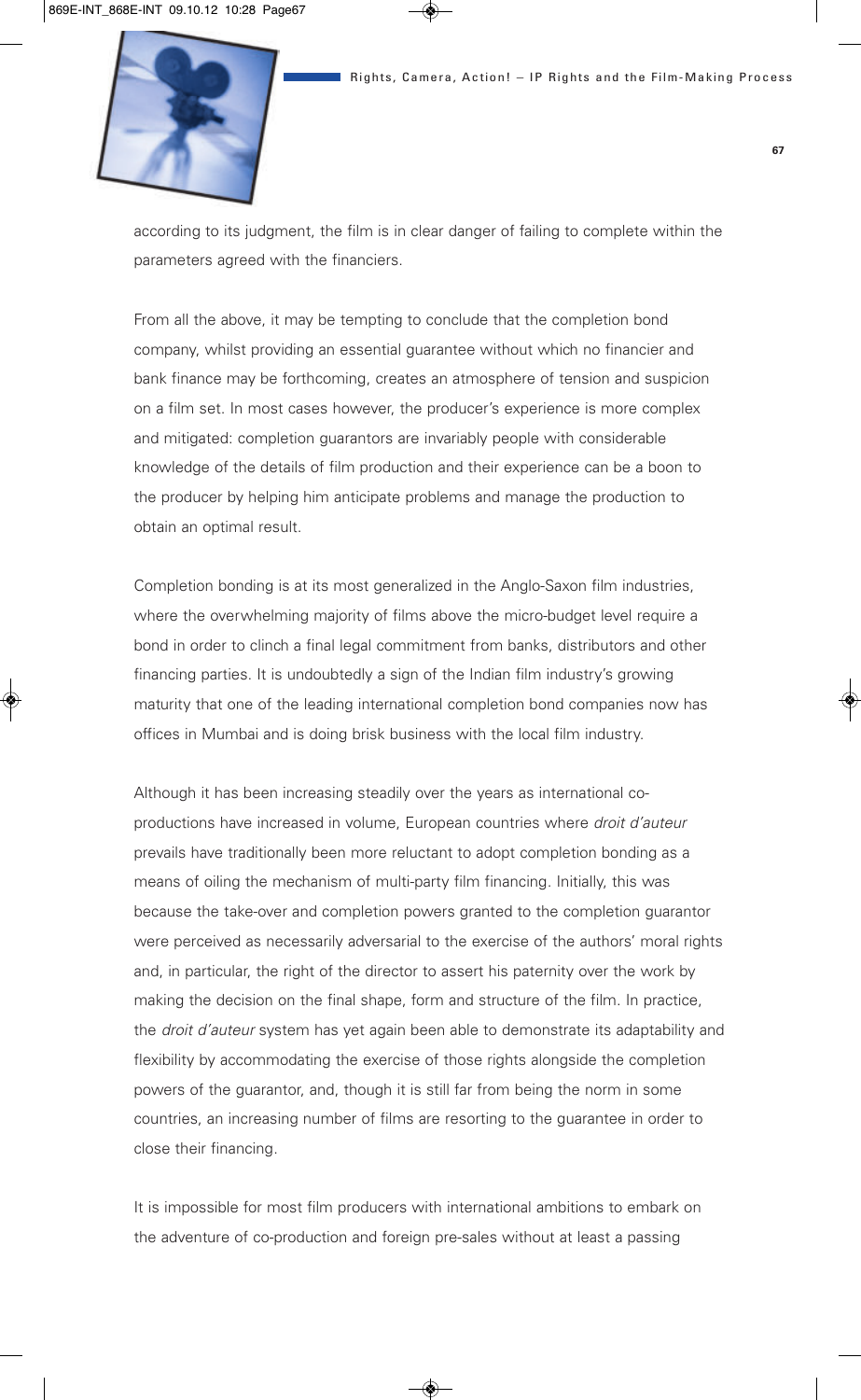

according to its judgment, the film is in clear danger of failing to complete within the parameters agreed with the financiers.

From all the above, it may be tempting to conclude that the completion bond company, whilst providing an essential guarantee without which no financier and bank finance may be forthcoming, creates an atmosphere of tension and suspicion on a film set. In most cases however, the producer's experience is more complex and mitigated: completion guarantors are invariably people with considerable knowledge of the details of film production and their experience can be a boon to the producer by helping him anticipate problems and manage the production to obtain an optimal result.

Completion bonding is at its most generalized in the Anglo-Saxon film industries, where the overwhelming majority of films above the micro-budget level require a bond in order to clinch a final legal commitment from banks, distributors and other financing parties. It is undoubtedly a sign of the Indian film industry's growing maturity that one of the leading international completion bond companies now has offices in Mumbai and is doing brisk business with the local film industry.

Although it has been increasing steadily over the years as international coproductions have increased in volume, European countries where *droit d'auteur* prevails have traditionally been more reluctant to adopt completion bonding as a means of oiling the mechanism of multi-party film financing. Initially, this was because the take-over and completion powers granted to the completion guarantor were perceived as necessarily adversarial to the exercise of the authors' moral rights and, in particular, the right of the director to assert his paternity over the work by making the decision on the final shape, form and structure of the film. In practice, the *droit d'auteur* system has yet again been able to demonstrate its adaptability and flexibility by accommodating the exercise of those rights alongside the completion powers of the guarantor, and, though it is still far from being the norm in some countries, an increasing number of films are resorting to the guarantee in order to close their financing.

It is impossible for most film producers with international ambitions to embark on the adventure of co-production and foreign pre-sales without at least a passing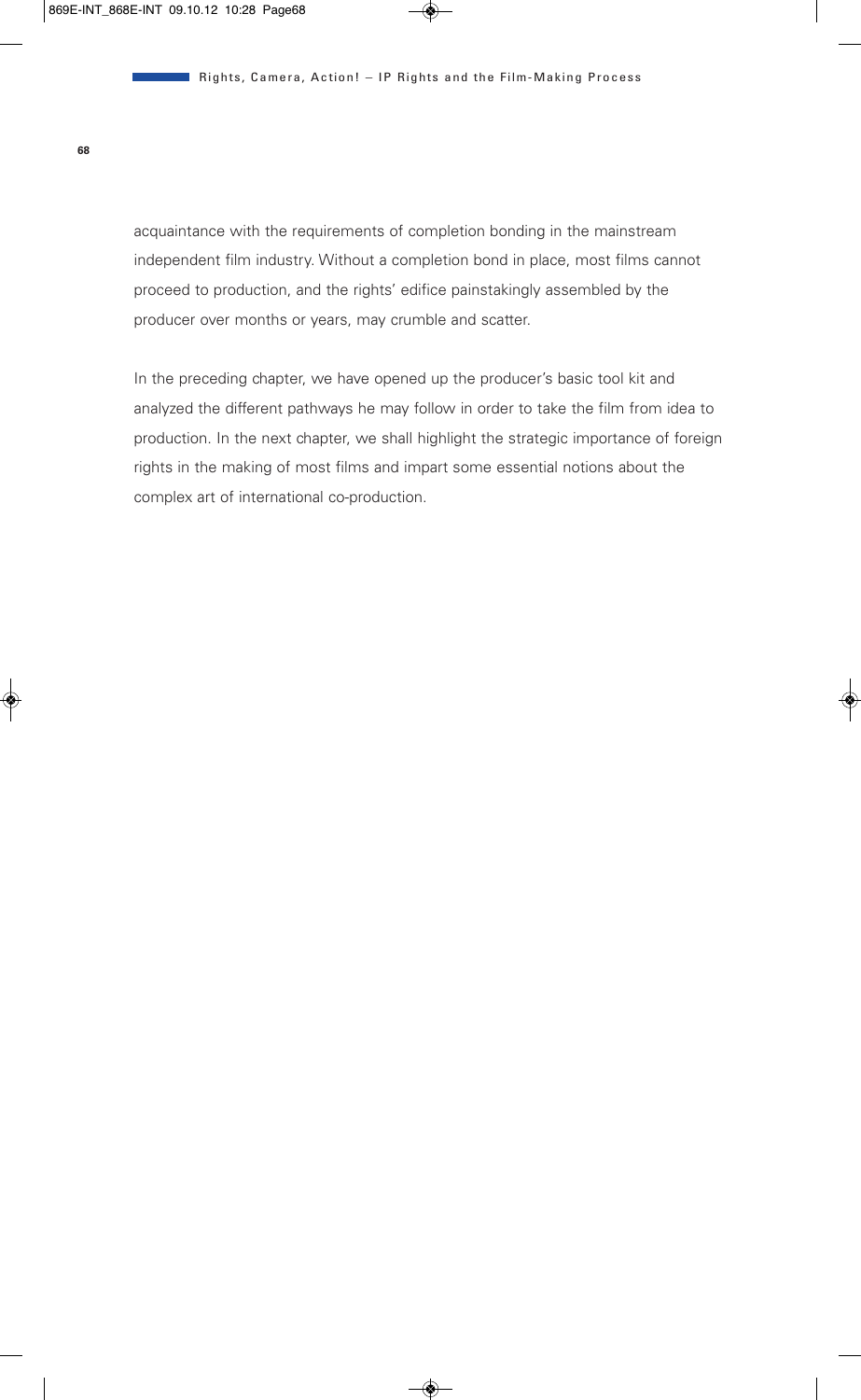acquaintance with the requirements of completion bonding in the mainstream independent film industry. Without a completion bond in place, most films cannot proceed to production, and the rights' edifice painstakingly assembled by the producer over months or years, may crumble and scatter.

In the preceding chapter, we have opened up the producer's basic tool kit and analyzed the different pathways he may follow in order to take the film from idea to production. In the next chapter, we shall highlight the strategic importance of foreign rights in the making of most films and impart some essential notions about the complex art of international co-production.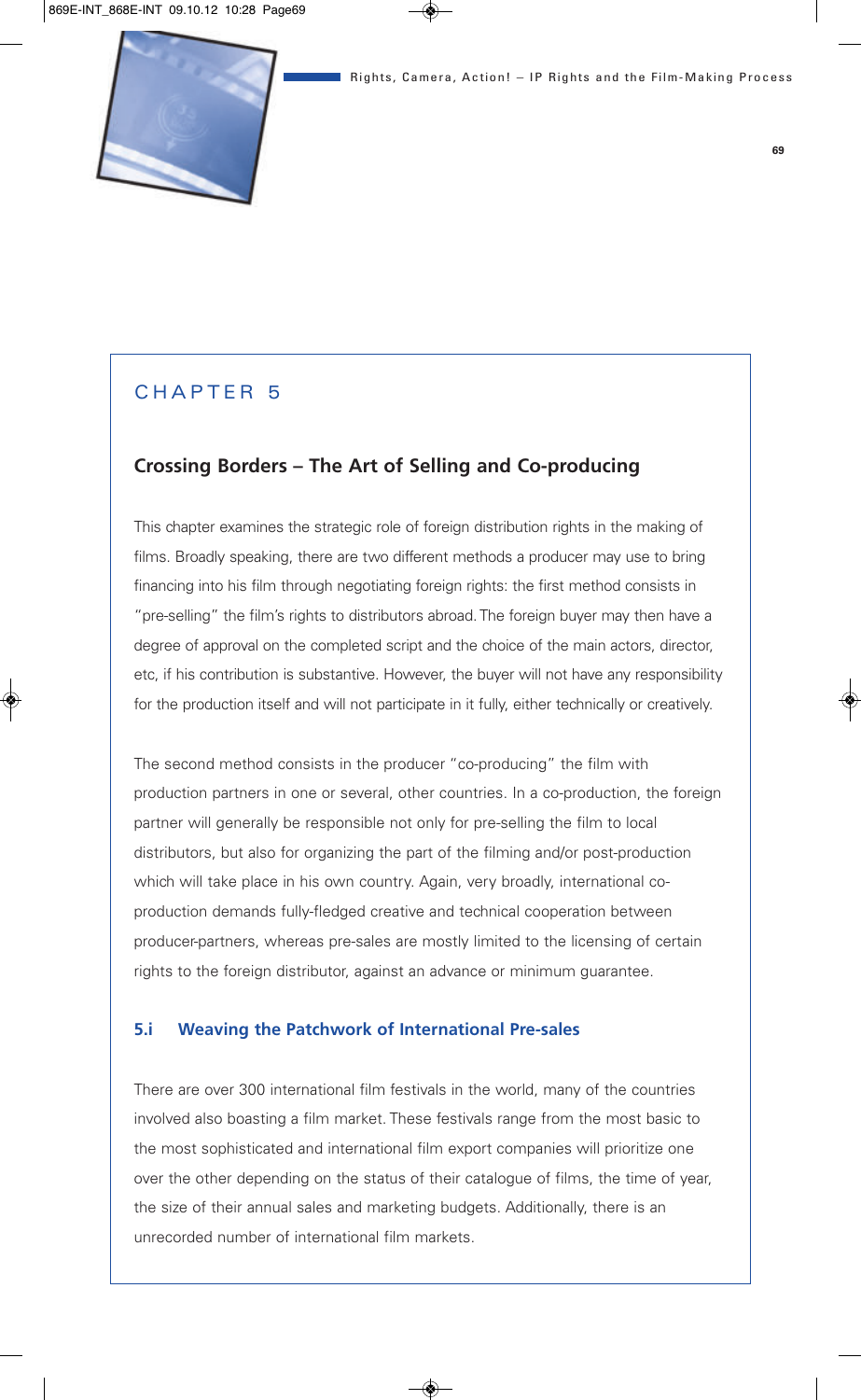# CHAPTER 5

# **Crossing Borders – The Art of Selling and Co-producing**

This chapter examines the strategic role of foreign distribution rights in the making of films. Broadly speaking, there are two different methods a producer may use to bring financing into his film through negotiating foreign rights: the first method consists in "pre-selling" the film's rights to distributors abroad. The foreign buyer may then have a degree of approval on the completed script and the choice of the main actors, director, etc, if his contribution is substantive. However, the buyer will not have any responsibility for the production itself and will not participate in it fully, either technically or creatively.

The second method consists in the producer "co-producing" the film with production partners in one or several, other countries. In a co-production, the foreign partner will generally be responsible not only for pre-selling the film to local distributors, but also for organizing the part of the filming and/or post-production which will take place in his own country. Again, very broadly, international coproduction demands fully-fledged creative and technical cooperation between producer-partners, whereas pre-sales are mostly limited to the licensing of certain rights to the foreign distributor, against an advance or minimum guarantee.

### **5.i Weaving the Patchwork of International Pre-sales**

There are over 300 international film festivals in the world, many of the countries involved also boasting a film market. These festivals range from the most basic to the most sophisticated and international film export companies will prioritize one over the other depending on the status of their catalogue of films, the time of year, the size of their annual sales and marketing budgets. Additionally, there is an unrecorded number of international film markets.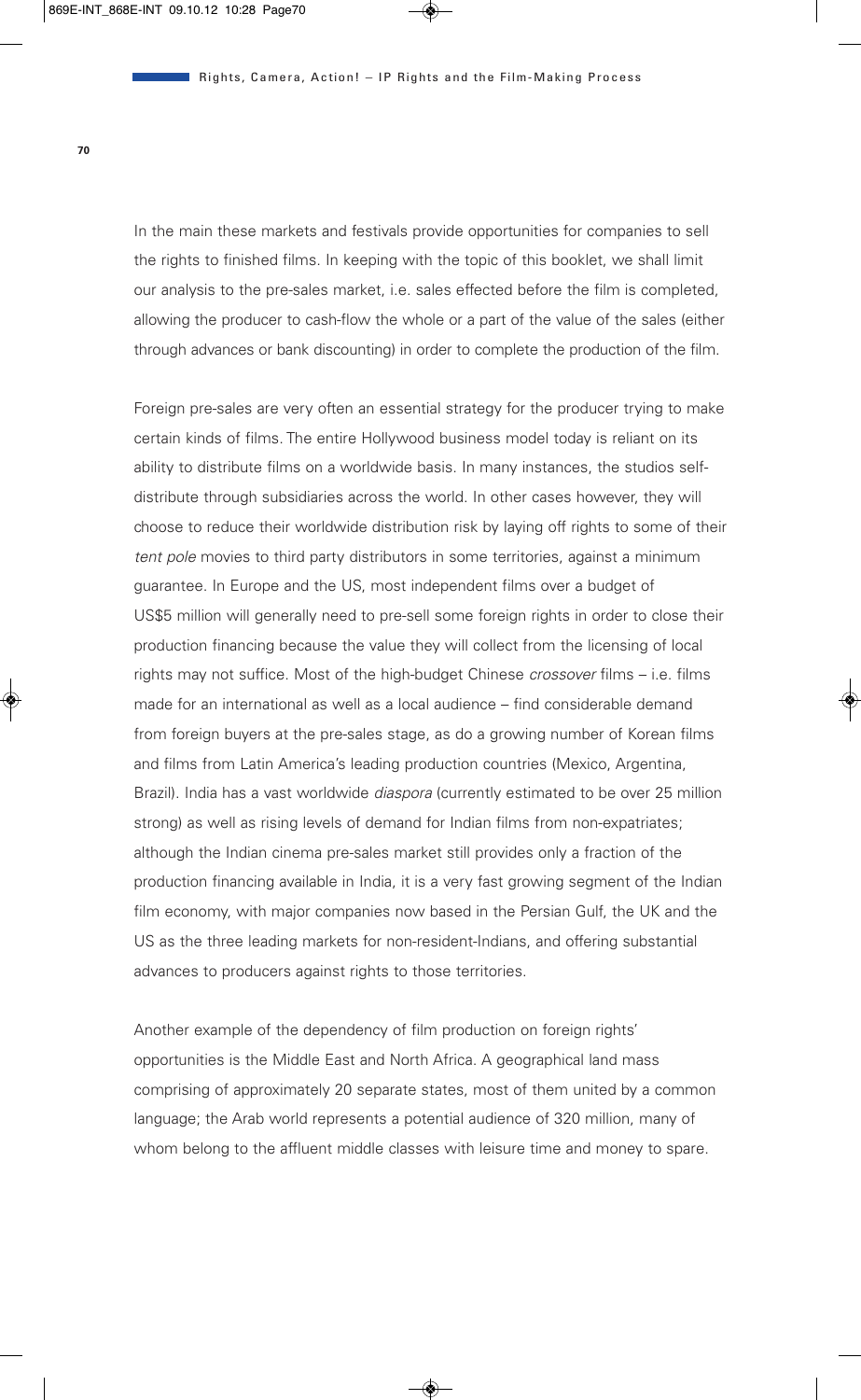In the main these markets and festivals provide opportunities for companies to sell the rights to finished films. In keeping with the topic of this booklet, we shall limit our analysis to the pre-sales market, i.e. sales effected before the film is completed, allowing the producer to cash-flow the whole or a part of the value of the sales (either through advances or bank discounting) in order to complete the production of the film.

Foreign pre-sales are very often an essential strategy for the producer trying to make certain kinds of films. The entire Hollywood business model today is reliant on its ability to distribute films on a worldwide basis. In many instances, the studios selfdistribute through subsidiaries across the world. In other cases however, they will choose to reduce their worldwide distribution risk by laying off rights to some of their *tent pole* movies to third party distributors in some territories, against a minimum guarantee. In Europe and the US, most independent films over a budget of US\$5 million will generally need to pre-sell some foreign rights in order to close their production financing because the value they will collect from the licensing of local rights may not suffice. Most of the high-budget Chinese *crossover* films – i.e. films made for an international as well as a local audience – find considerable demand from foreign buyers at the pre-sales stage, as do a growing number of Korean films and films from Latin America's leading production countries (Mexico, Argentina, Brazil). India has a vast worldwide *diaspora* (currently estimated to be over 25 million strong) as well as rising levels of demand for Indian films from non-expatriates; although the Indian cinema pre-sales market still provides only a fraction of the production financing available in India, it is a very fast growing segment of the Indian film economy, with major companies now based in the Persian Gulf, the UK and the US as the three leading markets for non-resident-Indians, and offering substantial advances to producers against rights to those territories.

Another example of the dependency of film production on foreign rights' opportunities is the Middle East and North Africa. A geographical land mass comprising of approximately 20 separate states, most of them united by a common language; the Arab world represents a potential audience of 320 million, many of whom belong to the affluent middle classes with leisure time and money to spare.

**70**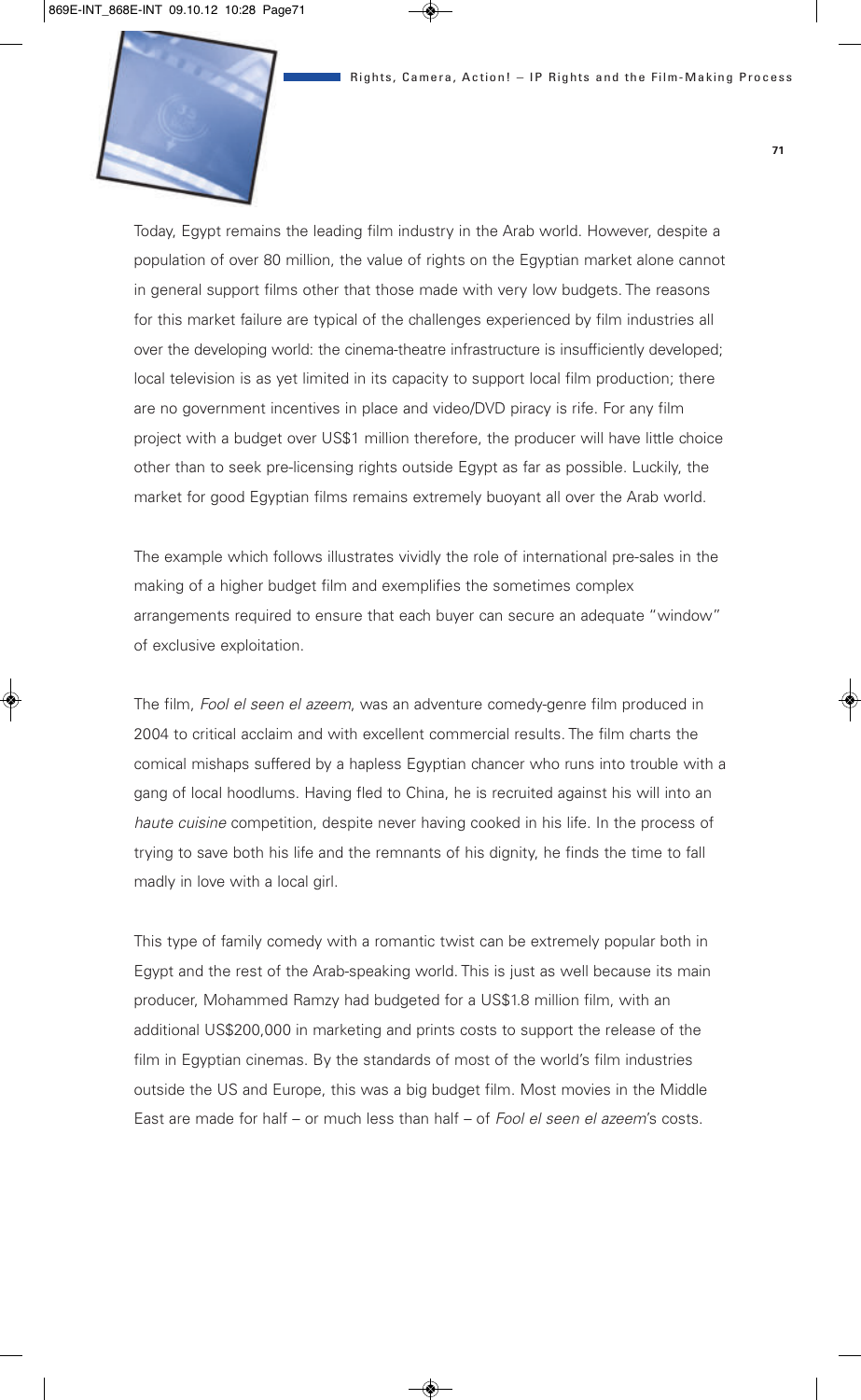

Today, Egypt remains the leading film industry in the Arab world. However, despite a population of over 80 million, the value of rights on the Egyptian market alone cannot in general support films other that those made with very low budgets. The reasons for this market failure are typical of the challenges experienced by film industries all over the developing world: the cinema-theatre infrastructure is insufficiently developed; local television is as yet limited in its capacity to support local film production; there are no government incentives in place and video/DVD piracy is rife. For any film project with a budget over US\$1 million therefore, the producer will have little choice other than to seek pre-licensing rights outside Egypt as far as possible. Luckily, the market for good Egyptian films remains extremely buoyant all over the Arab world.

The example which follows illustrates vividly the role of international pre-sales in the making of a higher budget film and exemplifies the sometimes complex arrangements required to ensure that each buyer can secure an adequate "window" of exclusive exploitation.

The film, *Fool el seen el azeem*, was an adventure comedy-genre film produced in 2004 to critical acclaim and with excellent commercial results. The film charts the comical mishaps suffered by a hapless Egyptian chancer who runs into trouble with a gang of local hoodlums. Having fled to China, he is recruited against his will into an *haute cuisine* competition, despite never having cooked in his life. In the process of trying to save both his life and the remnants of his dignity, he finds the time to fall madly in love with a local girl.

This type of family comedy with a romantic twist can be extremely popular both in Egypt and the rest of the Arab-speaking world. This is just as well because its main producer, Mohammed Ramzy had budgeted for a US\$1.8 million film, with an additional US\$200,000 in marketing and prints costs to support the release of the film in Egyptian cinemas. By the standards of most of the world's film industries outside the US and Europe, this was a big budget film. Most movies in the Middle East are made for half – or much less than half – of *Fool el seen el azeem*'s costs.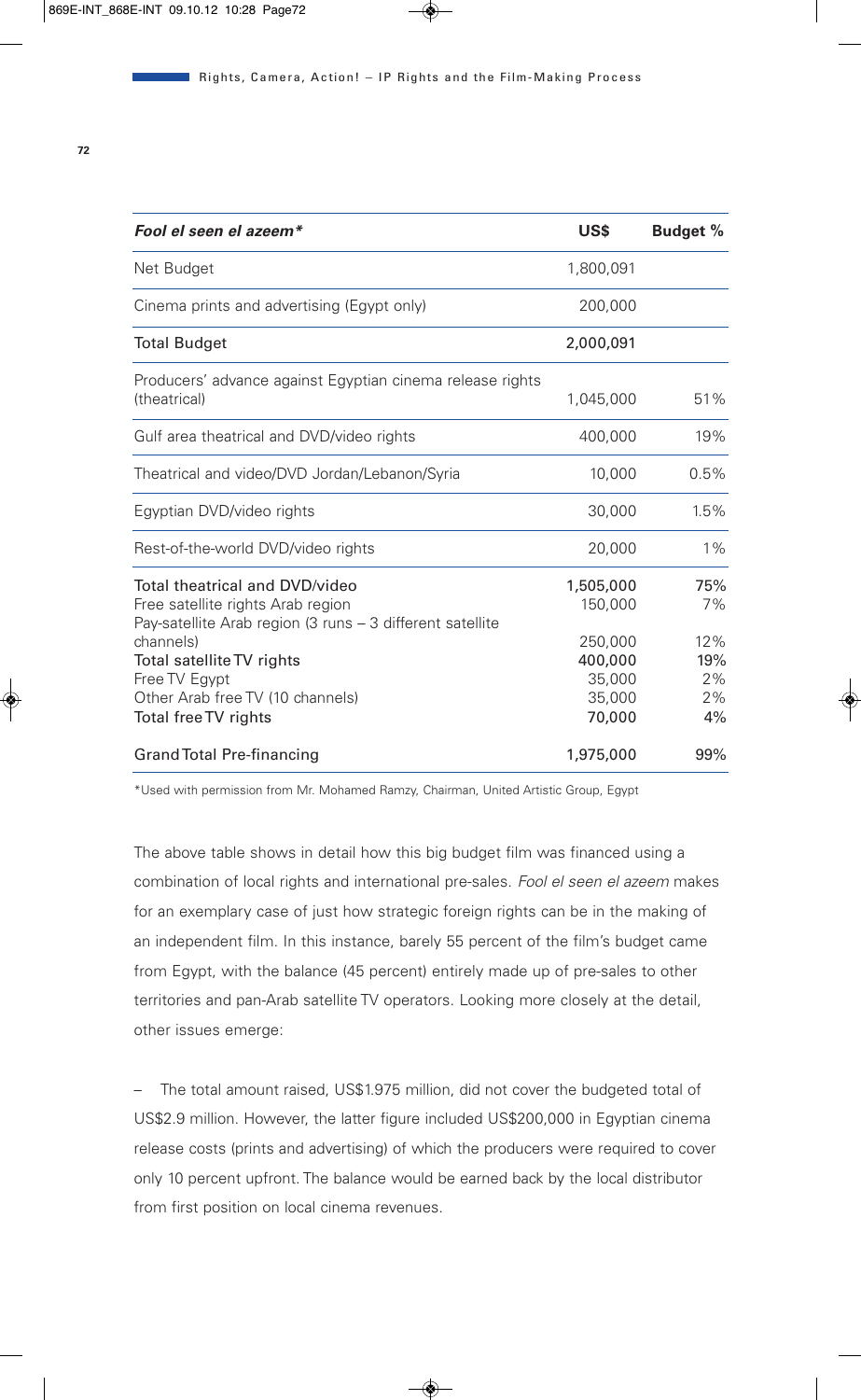| Fool el seen el azeem*                                                                                                                                                                                                                                  | US\$                                                                     | <b>Budget %</b>                           |
|---------------------------------------------------------------------------------------------------------------------------------------------------------------------------------------------------------------------------------------------------------|--------------------------------------------------------------------------|-------------------------------------------|
| Net Budget                                                                                                                                                                                                                                              | 1,800,091                                                                |                                           |
| Cinema prints and advertising (Egypt only)                                                                                                                                                                                                              | 200,000                                                                  |                                           |
| <b>Total Budget</b>                                                                                                                                                                                                                                     | 2,000,091                                                                |                                           |
| Producers' advance against Egyptian cinema release rights<br>(theatrical)                                                                                                                                                                               | 1,045,000                                                                | 51%                                       |
| Gulf area theatrical and DVD/video rights                                                                                                                                                                                                               | 400,000                                                                  | 19%                                       |
| Theatrical and video/DVD Jordan/Lebanon/Syria                                                                                                                                                                                                           | 10,000                                                                   | 0.5%                                      |
| Egyptian DVD/video rights                                                                                                                                                                                                                               | 30,000                                                                   | 1.5%                                      |
| Rest-of-the-world DVD/video rights                                                                                                                                                                                                                      | 20,000                                                                   | $1\%$                                     |
| Total theatrical and DVD/video<br>Free satellite rights Arab region<br>Pay-satellite Arab region (3 runs - 3 different satellite<br>channels)<br>Total satellite TV rights<br>Free TV Egypt<br>Other Arab free TV (10 channels)<br>Total free TV rights | 1,505,000<br>150,000<br>250,000<br>400,000<br>35,000<br>35,000<br>70,000 | 75%<br>7%<br>12%<br>19%<br>2%<br>2%<br>4% |
| <b>Grand Total Pre-financing</b>                                                                                                                                                                                                                        | 1,975,000                                                                | 99%                                       |

\*Used with permission from Mr. Mohamed Ramzy, Chairman, United Artistic Group, Egypt

The above table shows in detail how this big budget film was financed using a combination of local rights and international pre-sales. *Fool el seen el azeem* makes for an exemplary case of just how strategic foreign rights can be in the making of an independent film. In this instance, barely 55 percent of the film's budget came from Egypt, with the balance (45 percent) entirely made up of pre-sales to other territories and pan-Arab satellite TV operators. Looking more closely at the detail, other issues emerge:

– The total amount raised, US\$1.975 million, did not cover the budgeted total of US\$2.9 million. However, the latter figure included US\$200,000 in Egyptian cinema release costs (prints and advertising) of which the producers were required to cover only 10 percent upfront. The balance would be earned back by the local distributor from first position on local cinema revenues.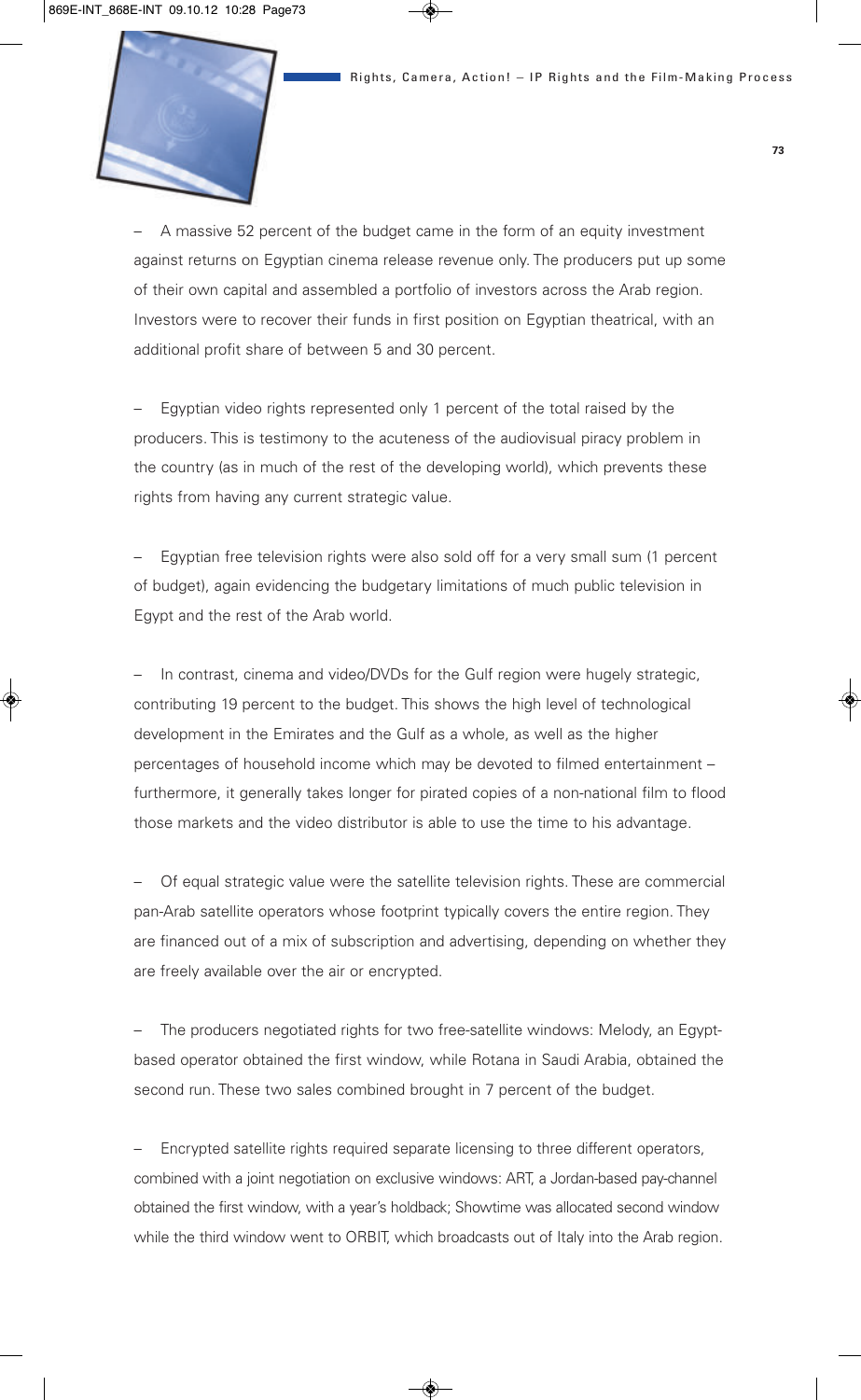

– A massive 52 percent of the budget came in the form of an equity investment against returns on Egyptian cinema release revenue only. The producers put up some of their own capital and assembled a portfolio of investors across the Arab region. Investors were to recover their funds in first position on Egyptian theatrical, with an additional profit share of between 5 and 30 percent.

– Egyptian video rights represented only 1 percent of the total raised by the producers. This is testimony to the acuteness of the audiovisual piracy problem in the country (as in much of the rest of the developing world), which prevents these rights from having any current strategic value.

– Egyptian free television rights were also sold off for a very small sum (1 percent of budget), again evidencing the budgetary limitations of much public television in Egypt and the rest of the Arab world.

In contrast, cinema and video/DVDs for the Gulf region were hugely strategic, contributing 19 percent to the budget. This shows the high level of technological development in the Emirates and the Gulf as a whole, as well as the higher percentages of household income which may be devoted to filmed entertainment – furthermore, it generally takes longer for pirated copies of a non-national film to flood those markets and the video distributor is able to use the time to his advantage.

– Of equal strategic value were the satellite television rights. These are commercial pan-Arab satellite operators whose footprint typically covers the entire region. They are financed out of a mix of subscription and advertising, depending on whether they are freely available over the air or encrypted.

– The producers negotiated rights for two free-satellite windows: Melody, an Egyptbased operator obtained the first window, while Rotana in Saudi Arabia, obtained the second run. These two sales combined brought in 7 percent of the budget.

– Encrypted satellite rights required separate licensing to three different operators, combined with a joint negotiation on exclusive windows: ART, a Jordan-based pay-channel obtained the first window, with a year's holdback; Showtime was allocated second window while the third window went to ORBIT, which broadcasts out of Italy into the Arab region.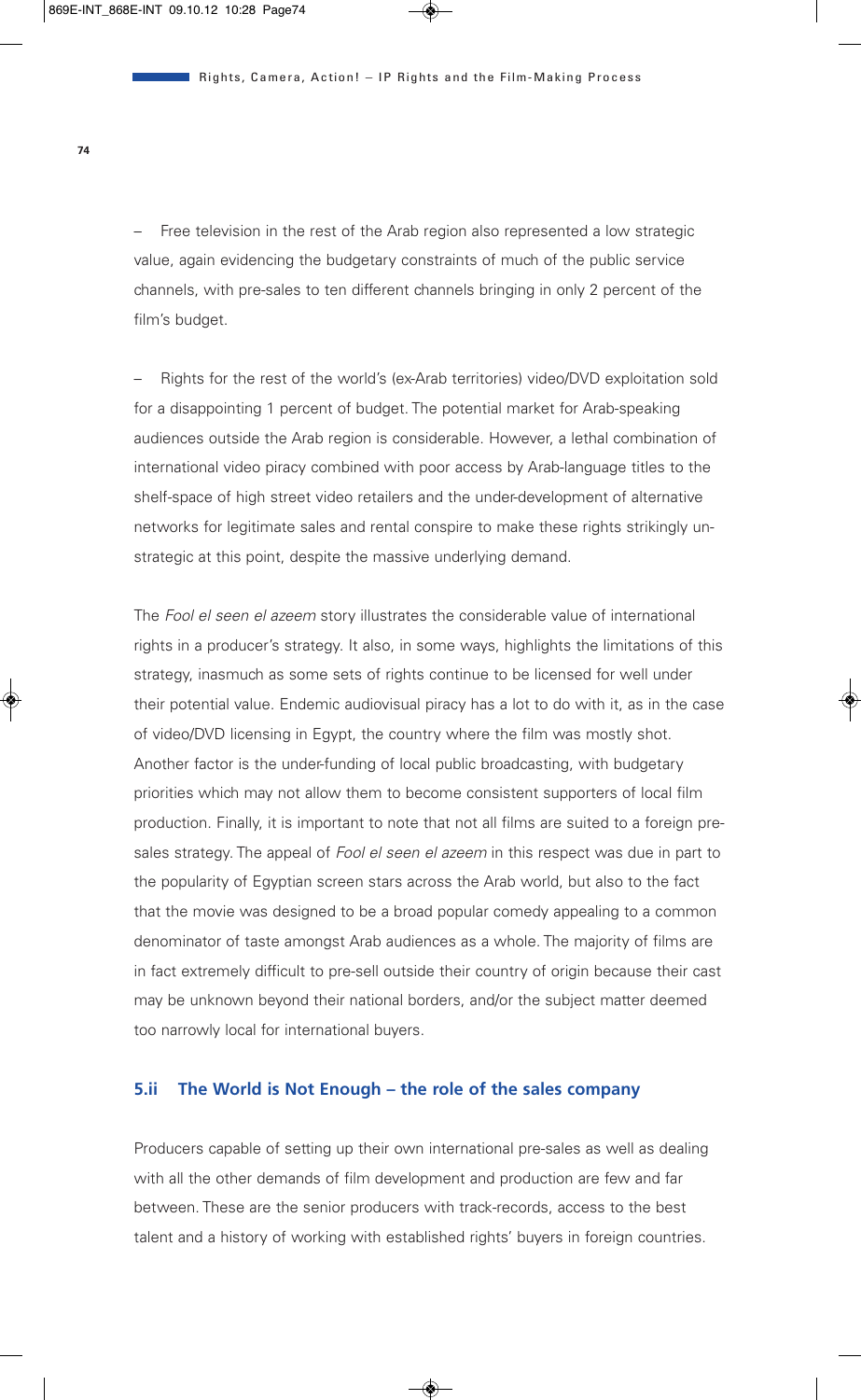Free television in the rest of the Arab region also represented a low strategic value, again evidencing the budgetary constraints of much of the public service channels, with pre-sales to ten different channels bringing in only 2 percent of the film's budget.

– Rights for the rest of the world's (ex-Arab territories) video/DVD exploitation sold for a disappointing 1 percent of budget. The potential market for Arab-speaking audiences outside the Arab region is considerable. However, a lethal combination of international video piracy combined with poor access by Arab-language titles to the shelf-space of high street video retailers and the under-development of alternative networks for legitimate sales and rental conspire to make these rights strikingly unstrategic at this point, despite the massive underlying demand.

The *Fool el seen el azeem* story illustrates the considerable value of international rights in a producer's strategy. It also, in some ways, highlights the limitations of this strategy, inasmuch as some sets of rights continue to be licensed for well under their potential value. Endemic audiovisual piracy has a lot to do with it, as in the case of video/DVD licensing in Egypt, the country where the film was mostly shot. Another factor is the under-funding of local public broadcasting, with budgetary priorities which may not allow them to become consistent supporters of local film production. Finally, it is important to note that not all films are suited to a foreign presales strategy. The appeal of *Fool el seen el azeem* in this respect was due in part to the popularity of Egyptian screen stars across the Arab world, but also to the fact that the movie was designed to be a broad popular comedy appealing to a common denominator of taste amongst Arab audiences as a whole. The majority of films are in fact extremely difficult to pre-sell outside their country of origin because their cast may be unknown beyond their national borders, and/or the subject matter deemed too narrowly local for international buyers.

### **5.ii The World is Not Enough – the role of the sales company**

Producers capable of setting up their own international pre-sales as well as dealing with all the other demands of film development and production are few and far between. These are the senior producers with track-records, access to the best talent and a history of working with established rights' buyers in foreign countries.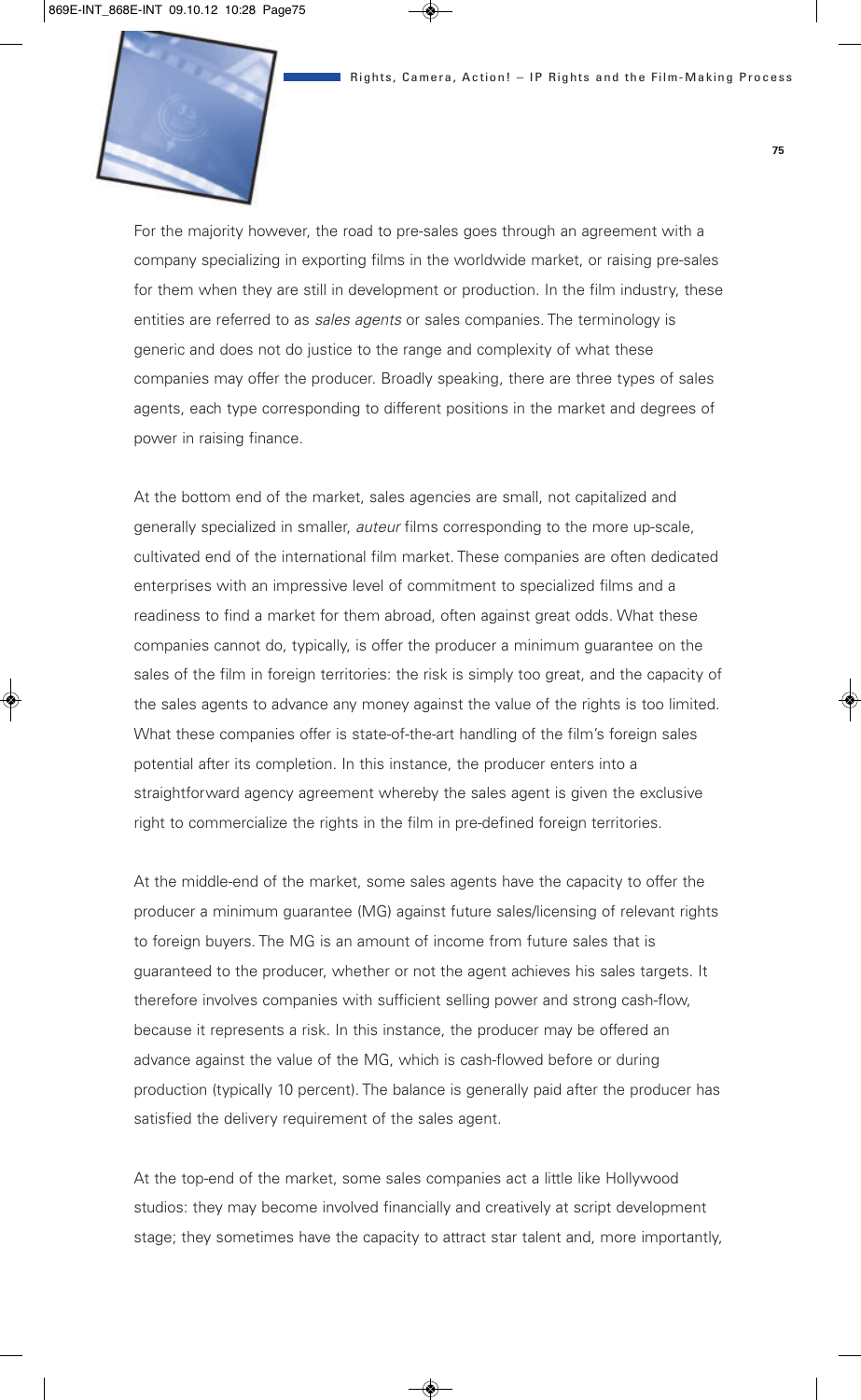

For the majority however, the road to pre-sales goes through an agreement with a company specializing in exporting films in the worldwide market, or raising pre-sales for them when they are still in development or production. In the film industry, these entities are referred to as *sales agents* or sales companies. The terminology is generic and does not do justice to the range and complexity of what these companies may offer the producer. Broadly speaking, there are three types of sales agents, each type corresponding to different positions in the market and degrees of power in raising finance.

At the bottom end of the market, sales agencies are small, not capitalized and generally specialized in smaller, *auteur* films corresponding to the more up-scale, cultivated end of the international film market. These companies are often dedicated enterprises with an impressive level of commitment to specialized films and a readiness to find a market for them abroad, often against great odds. What these companies cannot do, typically, is offer the producer a minimum guarantee on the sales of the film in foreign territories: the risk is simply too great, and the capacity of the sales agents to advance any money against the value of the rights is too limited. What these companies offer is state-of-the-art handling of the film's foreign sales potential after its completion. In this instance, the producer enters into a straightforward agency agreement whereby the sales agent is given the exclusive right to commercialize the rights in the film in pre-defined foreign territories.

At the middle-end of the market, some sales agents have the capacity to offer the producer a minimum guarantee (MG) against future sales/licensing of relevant rights to foreign buyers. The MG is an amount of income from future sales that is guaranteed to the producer, whether or not the agent achieves his sales targets. It therefore involves companies with sufficient selling power and strong cash-flow, because it represents a risk. In this instance, the producer may be offered an advance against the value of the MG, which is cash-flowed before or during production (typically 10 percent). The balance is generally paid after the producer has satisfied the delivery requirement of the sales agent.

At the top-end of the market, some sales companies act a little like Hollywood studios: they may become involved financially and creatively at script development stage; they sometimes have the capacity to attract star talent and, more importantly,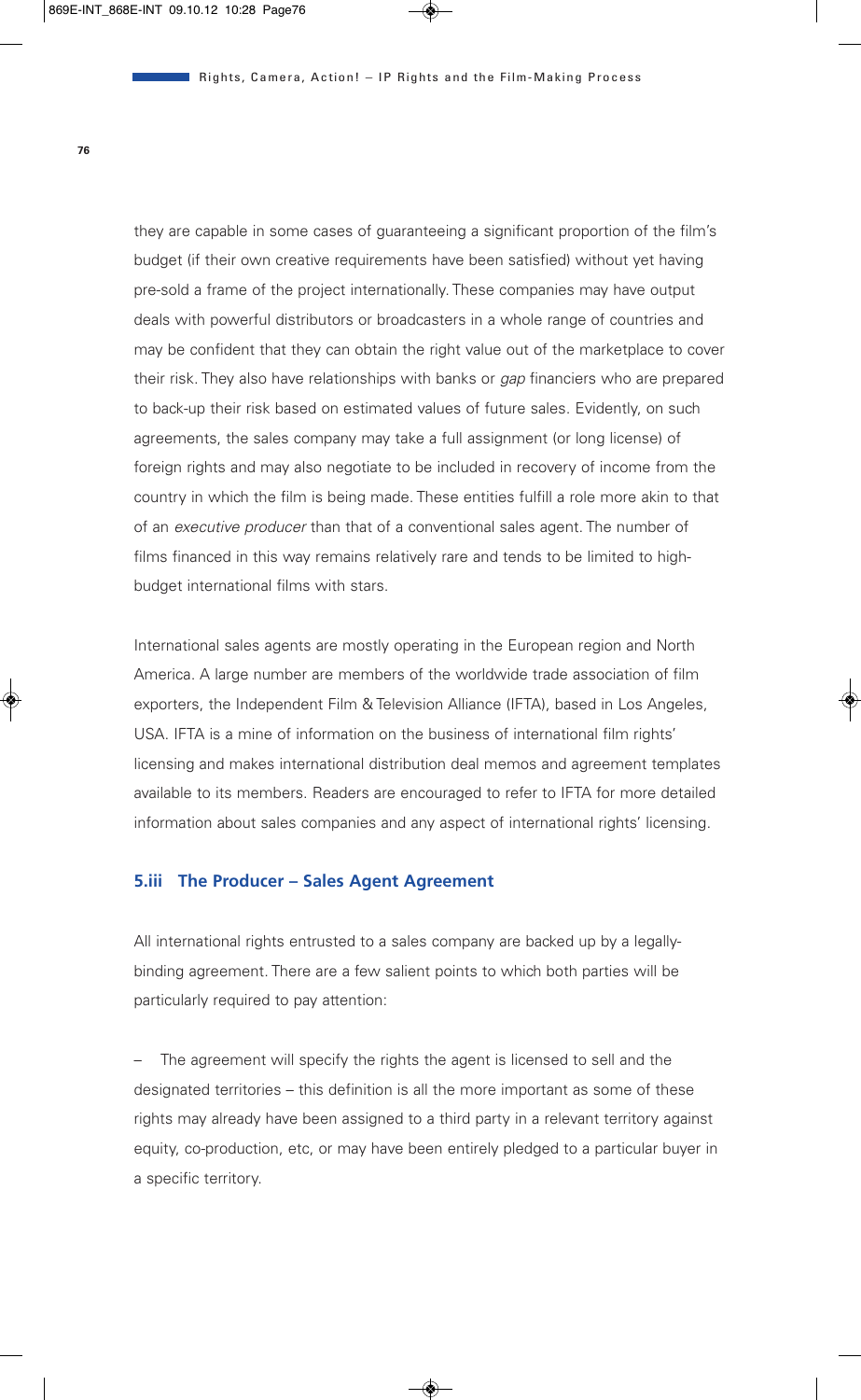they are capable in some cases of guaranteeing a significant proportion of the film's budget (if their own creative requirements have been satisfied) without yet having pre-sold a frame of the project internationally. These companies may have output deals with powerful distributors or broadcasters in a whole range of countries and may be confident that they can obtain the right value out of the marketplace to cover their risk. They also have relationships with banks or *gap* financiers who are prepared to back-up their risk based on estimated values of future sales. Evidently, on such agreements, the sales company may take a full assignment (or long license) of foreign rights and may also negotiate to be included in recovery of income from the country in which the film is being made. These entities fulfill a role more akin to that of an *executive producer* than that of a conventional sales agent. The number of films financed in this way remains relatively rare and tends to be limited to highbudget international films with stars.

International sales agents are mostly operating in the European region and North America. A large number are members of the worldwide trade association of film exporters, the Independent Film & Television Alliance (IFTA), based in Los Angeles, USA. IFTA is a mine of information on the business of international film rights' licensing and makes international distribution deal memos and agreement templates available to its members. Readers are encouraged to refer to IFTA for more detailed information about sales companies and any aspect of international rights' licensing.

## **5.iii The Producer – Sales Agent Agreement**

All international rights entrusted to a sales company are backed up by a legallybinding agreement. There are a few salient points to which both parties will be particularly required to pay attention:

The agreement will specify the rights the agent is licensed to sell and the designated territories – this definition is all the more important as some of these rights may already have been assigned to a third party in a relevant territory against equity, co-production, etc, or may have been entirely pledged to a particular buyer in a specific territory.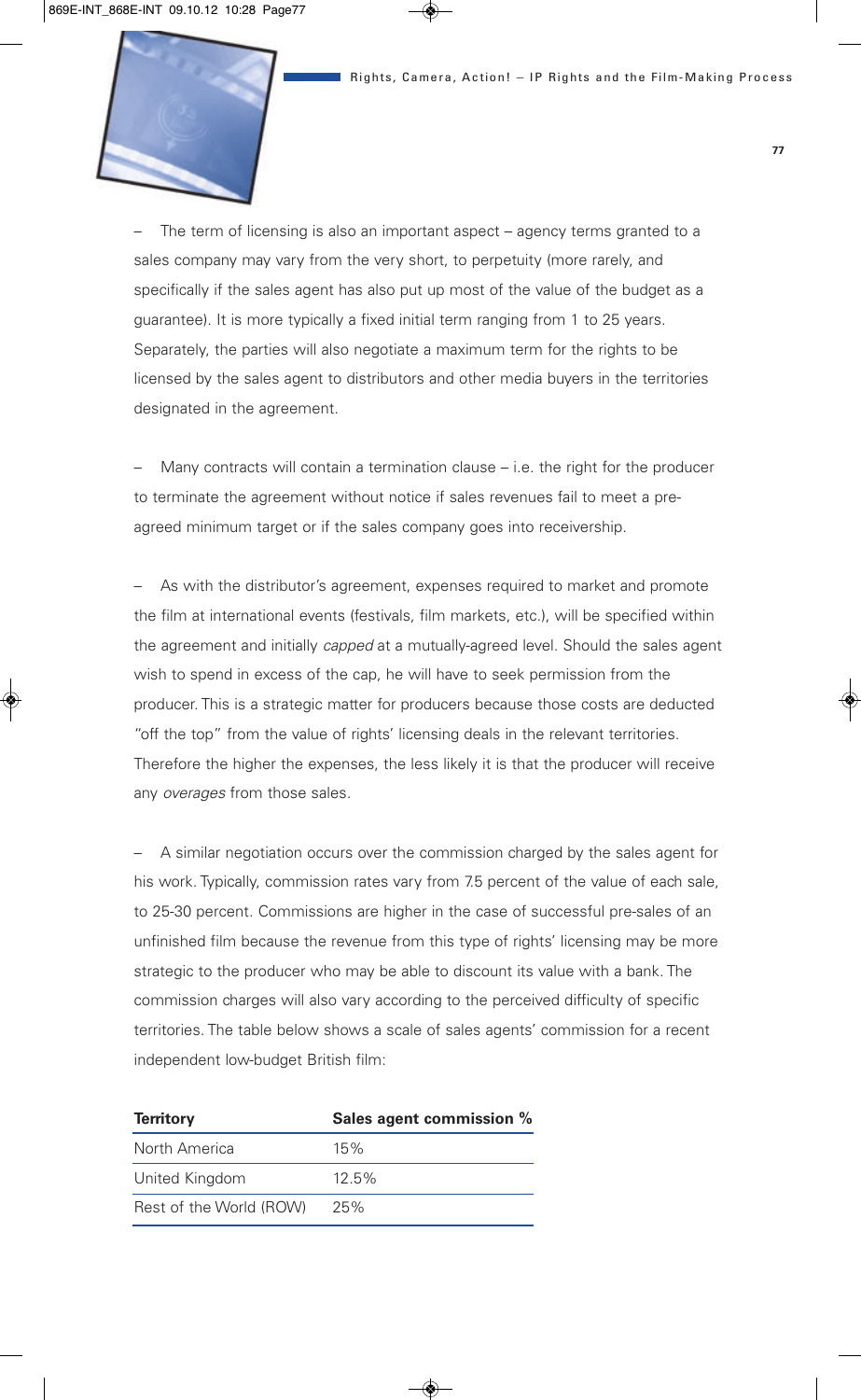

– The term of licensing is also an important aspect – agency terms granted to a sales company may vary from the very short, to perpetuity (more rarely, and specifically if the sales agent has also put up most of the value of the budget as a guarantee). It is more typically a fixed initial term ranging from 1 to 25 years. Separately, the parties will also negotiate a maximum term for the rights to be licensed by the sales agent to distributors and other media buyers in the territories designated in the agreement.

Many contracts will contain a termination clause  $-$  i.e. the right for the producer to terminate the agreement without notice if sales revenues fail to meet a preagreed minimum target or if the sales company goes into receivership.

– As with the distributor's agreement, expenses required to market and promote the film at international events (festivals, film markets, etc.), will be specified within the agreement and initially *capped* at a mutually-agreed level. Should the sales agent wish to spend in excess of the cap, he will have to seek permission from the producer. This is a strategic matter for producers because those costs are deducted "off the top" from the value of rights' licensing deals in the relevant territories. Therefore the higher the expenses, the less likely it is that the producer will receive any *overages* from those sales.

– A similar negotiation occurs over the commission charged by the sales agent for his work. Typically, commission rates vary from 7.5 percent of the value of each sale, to 25-30 percent. Commissions are higher in the case of successful pre-sales of an unfinished film because the revenue from this type of rights' licensing may be more strategic to the producer who may be able to discount its value with a bank. The commission charges will also vary according to the perceived difficulty of specific territories. The table below shows a scale of sales agents' commission for a recent independent low-budget British film:

| <b>Territory</b>        | Sales agent commission % |
|-------------------------|--------------------------|
| North America           | 15%                      |
| United Kingdom          | $12.5\%$                 |
| Rest of the World (ROW) | 25%                      |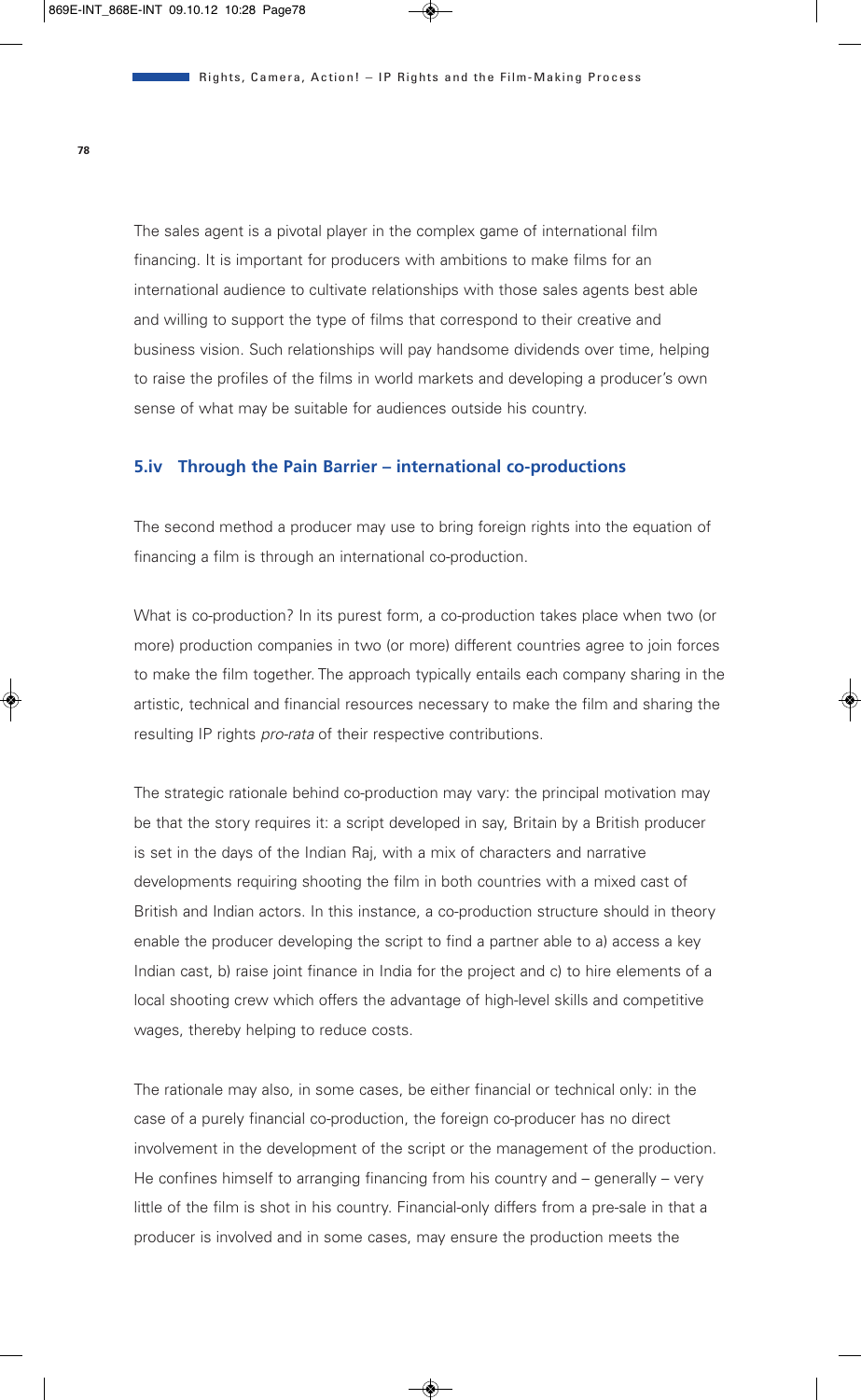The sales agent is a pivotal player in the complex game of international film financing. It is important for producers with ambitions to make films for an international audience to cultivate relationships with those sales agents best able and willing to support the type of films that correspond to their creative and business vision. Such relationships will pay handsome dividends over time, helping to raise the profiles of the films in world markets and developing a producer's own sense of what may be suitable for audiences outside his country.

## **5.iv Through the Pain Barrier – international co-productions**

The second method a producer may use to bring foreign rights into the equation of financing a film is through an international co-production.

What is co-production? In its purest form, a co-production takes place when two (or more) production companies in two (or more) different countries agree to join forces to make the film together. The approach typically entails each company sharing in the artistic, technical and financial resources necessary to make the film and sharing the resulting IP rights *pro-rata* of their respective contributions.

The strategic rationale behind co-production may vary: the principal motivation may be that the story requires it: a script developed in say, Britain by a British producer is set in the days of the Indian Raj, with a mix of characters and narrative developments requiring shooting the film in both countries with a mixed cast of British and Indian actors. In this instance, a co-production structure should in theory enable the producer developing the script to find a partner able to a) access a key Indian cast, b) raise joint finance in India for the project and c) to hire elements of a local shooting crew which offers the advantage of high-level skills and competitive wages, thereby helping to reduce costs.

The rationale may also, in some cases, be either financial or technical only: in the case of a purely financial co-production, the foreign co-producer has no direct involvement in the development of the script or the management of the production. He confines himself to arranging financing from his country and – generally – very little of the film is shot in his country. Financial-only differs from a pre-sale in that a producer is involved and in some cases, may ensure the production meets the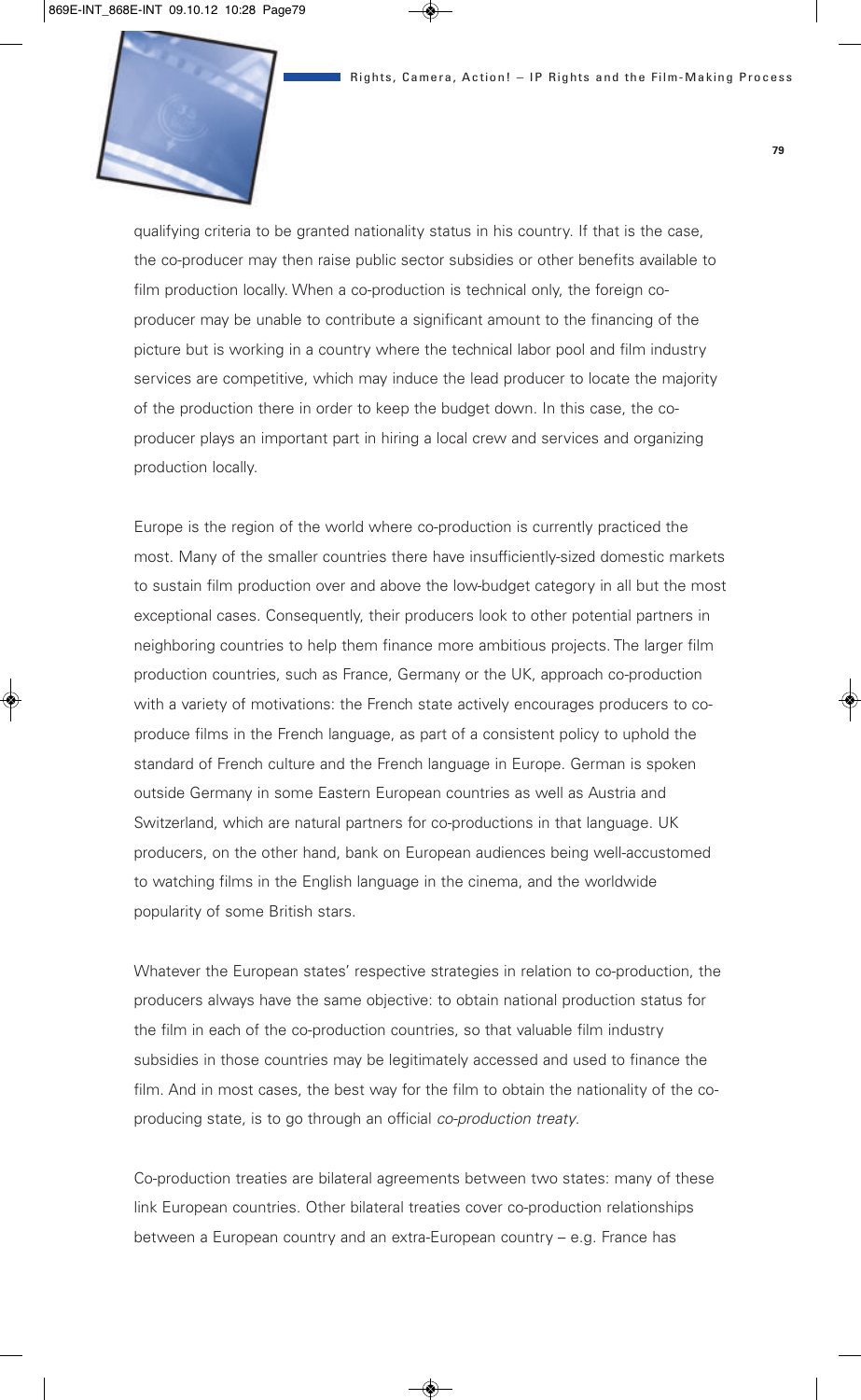

qualifying criteria to be granted nationality status in his country. If that is the case, the co-producer may then raise public sector subsidies or other benefits available to film production locally. When a co-production is technical only, the foreign coproducer may be unable to contribute a significant amount to the financing of the picture but is working in a country where the technical labor pool and film industry services are competitive, which may induce the lead producer to locate the majority of the production there in order to keep the budget down. In this case, the coproducer plays an important part in hiring a local crew and services and organizing production locally.

Europe is the region of the world where co-production is currently practiced the most. Many of the smaller countries there have insufficiently-sized domestic markets to sustain film production over and above the low-budget category in all but the most exceptional cases. Consequently, their producers look to other potential partners in neighboring countries to help them finance more ambitious projects. The larger film production countries, such as France, Germany or the UK, approach co-production with a variety of motivations: the French state actively encourages producers to coproduce films in the French language, as part of a consistent policy to uphold the standard of French culture and the French language in Europe. German is spoken outside Germany in some Eastern European countries as well as Austria and Switzerland, which are natural partners for co-productions in that language. UK producers, on the other hand, bank on European audiences being well-accustomed to watching films in the English language in the cinema, and the worldwide popularity of some British stars.

Whatever the European states' respective strategies in relation to co-production, the producers always have the same objective: to obtain national production status for the film in each of the co-production countries, so that valuable film industry subsidies in those countries may be legitimately accessed and used to finance the film. And in most cases, the best way for the film to obtain the nationality of the coproducing state, is to go through an official *co-production treaty*.

Co-production treaties are bilateral agreements between two states: many of these link European countries. Other bilateral treaties cover co-production relationships between a European country and an extra-European country – e.g. France has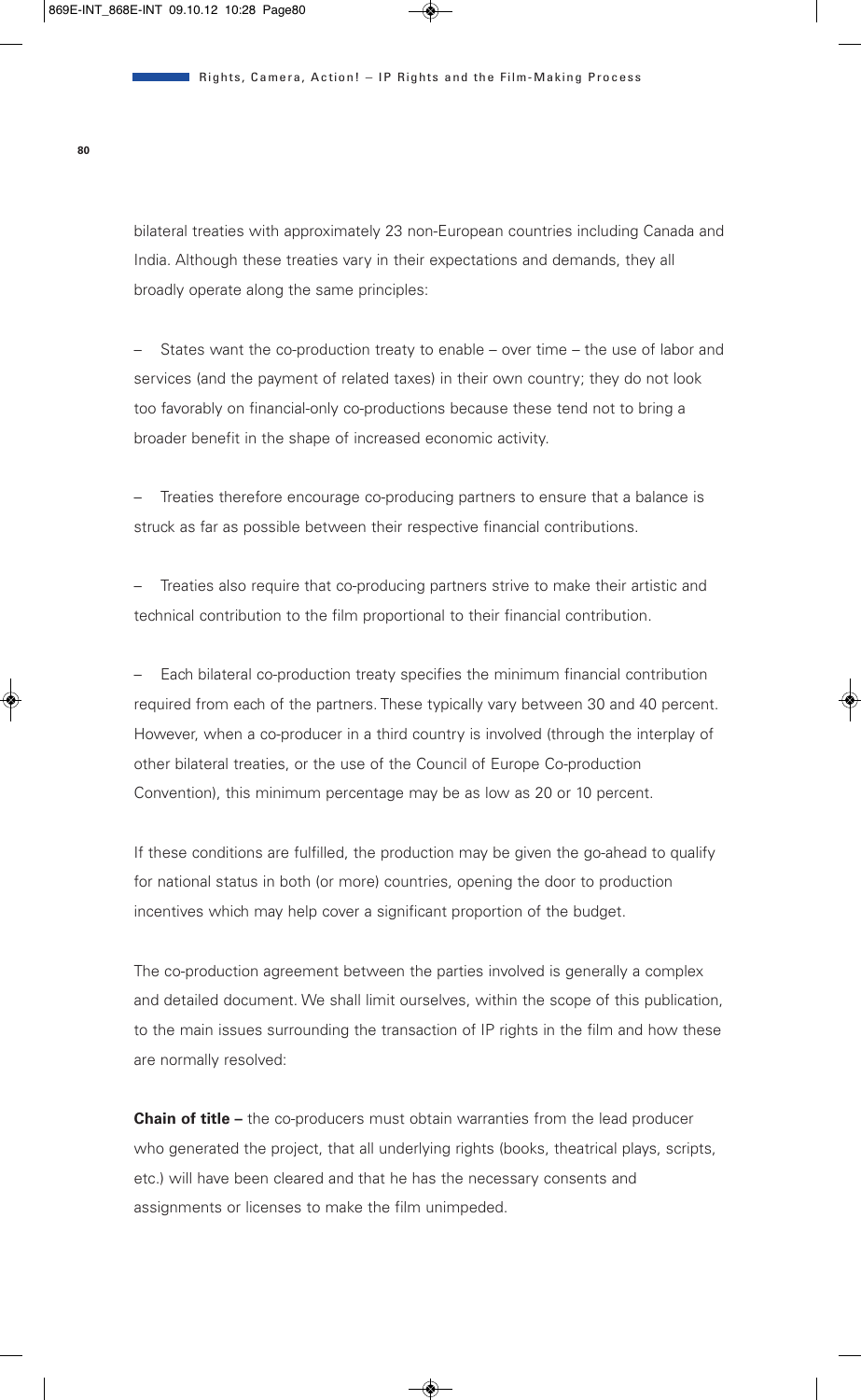bilateral treaties with approximately 23 non-European countries including Canada and India. Although these treaties vary in their expectations and demands, they all broadly operate along the same principles:

– States want the co-production treaty to enable – over time – the use of labor and services (and the payment of related taxes) in their own country; they do not look too favorably on financial-only co-productions because these tend not to bring a broader benefit in the shape of increased economic activity.

– Treaties therefore encourage co-producing partners to ensure that a balance is struck as far as possible between their respective financial contributions.

– Treaties also require that co-producing partners strive to make their artistic and technical contribution to the film proportional to their financial contribution.

– Each bilateral co-production treaty specifies the minimum financial contribution required from each of the partners. These typically vary between 30 and 40 percent. However, when a co-producer in a third country is involved (through the interplay of other bilateral treaties, or the use of the Council of Europe Co-production Convention), this minimum percentage may be as low as 20 or 10 percent.

If these conditions are fulfilled, the production may be given the go-ahead to qualify for national status in both (or more) countries, opening the door to production incentives which may help cover a significant proportion of the budget.

The co-production agreement between the parties involved is generally a complex and detailed document. We shall limit ourselves, within the scope of this publication, to the main issues surrounding the transaction of IP rights in the film and how these are normally resolved:

**Chain of title –** the co-producers must obtain warranties from the lead producer who generated the project, that all underlying rights (books, theatrical plays, scripts, etc.) will have been cleared and that he has the necessary consents and assignments or licenses to make the film unimpeded.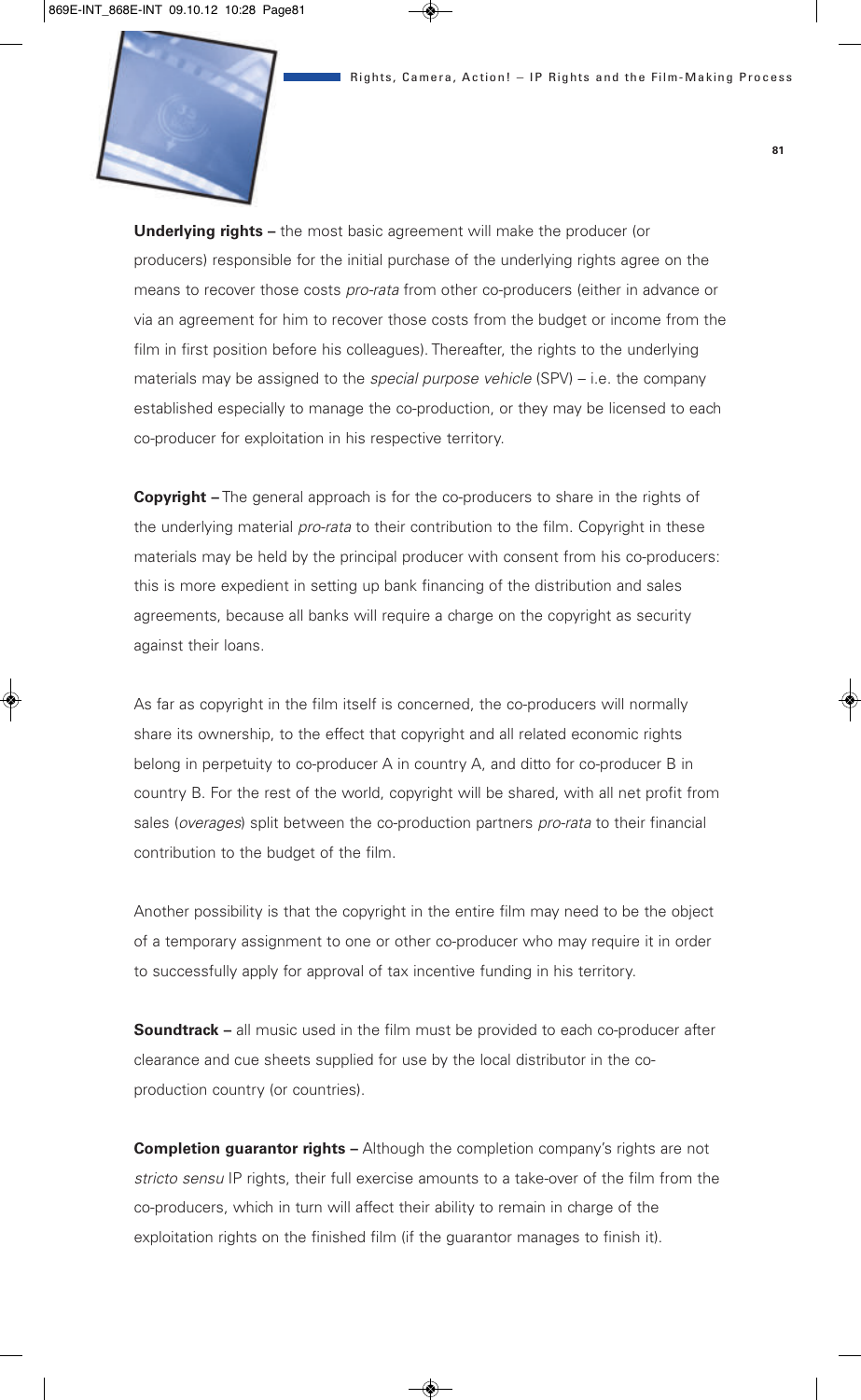

**Underlying rights –** the most basic agreement will make the producer (or producers) responsible for the initial purchase of the underlying rights agree on the means to recover those costs *pro-rata* from other co-producers (either in advance or via an agreement for him to recover those costs from the budget or income from the film in first position before his colleagues). Thereafter, the rights to the underlying materials may be assigned to the *special purpose vehicle* (SPV) – i.e. the company established especially to manage the co-production, or they may be licensed to each co-producer for exploitation in his respective territory.

**Copyright –** The general approach is for the co-producers to share in the rights of the underlying material *pro-rata* to their contribution to the film. Copyright in these materials may be held by the principal producer with consent from his co-producers: this is more expedient in setting up bank financing of the distribution and sales agreements, because all banks will require a charge on the copyright as security against their loans.

As far as copyright in the film itself is concerned, the co-producers will normally share its ownership, to the effect that copyright and all related economic rights belong in perpetuity to co-producer A in country A, and ditto for co-producer B in country B. For the rest of the world, copyright will be shared, with all net profit from sales (*overages*) split between the co-production partners *pro-rata* to their financial contribution to the budget of the film.

Another possibility is that the copyright in the entire film may need to be the object of a temporary assignment to one or other co-producer who may require it in order to successfully apply for approval of tax incentive funding in his territory.

**Soundtrack –** all music used in the film must be provided to each co-producer after clearance and cue sheets supplied for use by the local distributor in the coproduction country (or countries).

**Completion guarantor rights –** Although the completion company's rights are not *stricto sensu* IP rights, their full exercise amounts to a take-over of the film from the co-producers, which in turn will affect their ability to remain in charge of the exploitation rights on the finished film (if the guarantor manages to finish it).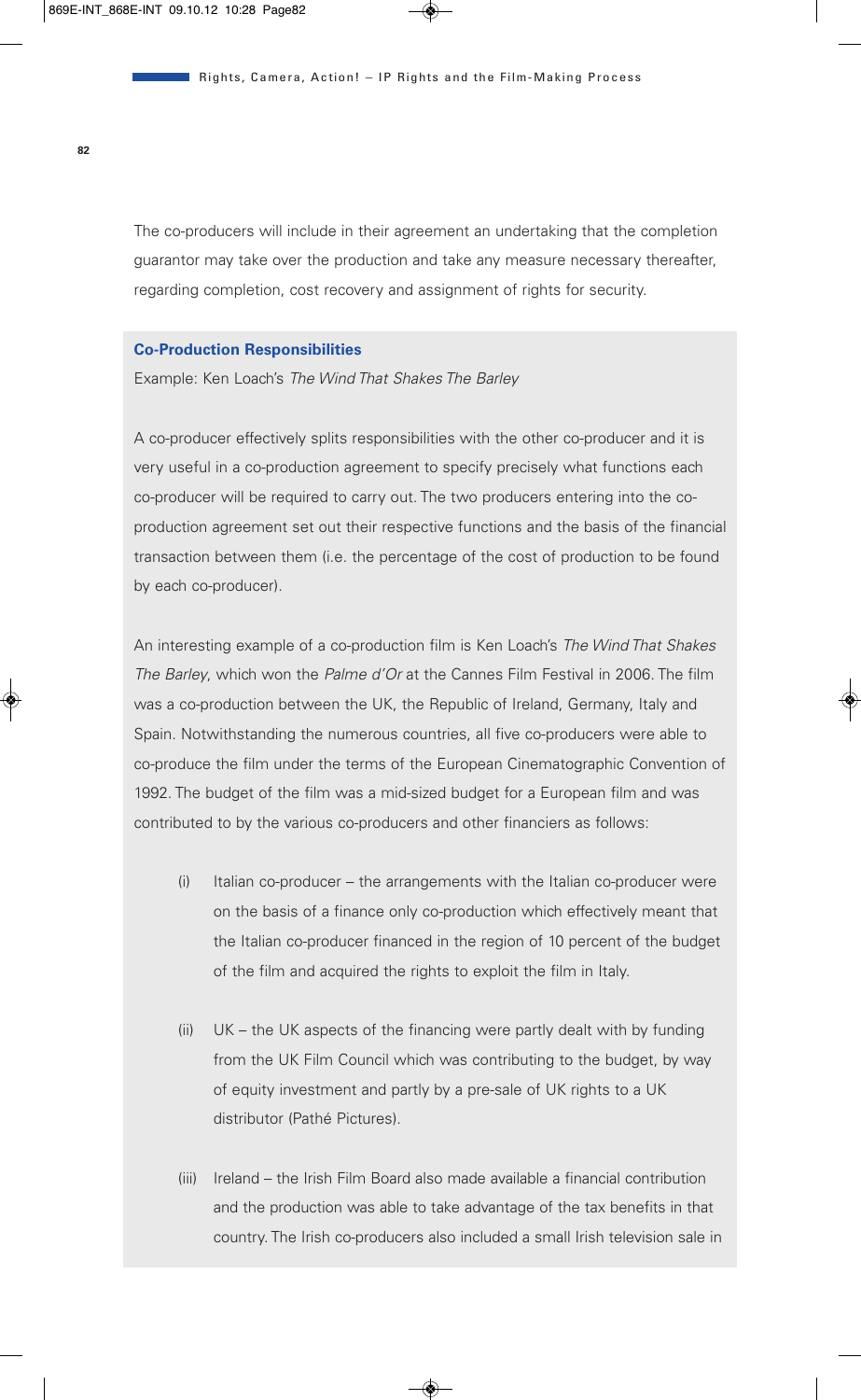The co-producers will include in their agreement an undertaking that the completion guarantor may take over the production and take any measure necessary thereafter, regarding completion, cost recovery and assignment of rights for security.

#### **Co-Production Responsibilities**

Example: Ken Loach's *The Wind That Shakes The Barley*

A co-producer effectively splits responsibilities with the other co-producer and it is very useful in a co-production agreement to specify precisely what functions each co-producer will be required to carry out. The two producers entering into the coproduction agreement set out their respective functions and the basis of the financial transaction between them (i.e. the percentage of the cost of production to be found by each co-producer).

An interesting example of a co-production film is Ken Loach's *The Wind That Shakes The Barley*, which won the *Palme d'Or* at the Cannes Film Festival in 2006. The film was a co-production between the UK, the Republic of Ireland, Germany, Italy and Spain. Notwithstanding the numerous countries, all five co-producers were able to co-produce the film under the terms of the European Cinematographic Convention of 1992. The budget of the film was a mid-sized budget for a European film and was contributed to by the various co-producers and other financiers as follows:

- (i) Italian co-producer the arrangements with the Italian co-producer were on the basis of a finance only co-production which effectively meant that the Italian co-producer financed in the region of 10 percent of the budget of the film and acquired the rights to exploit the film in Italy.
- (ii) UK the UK aspects of the financing were partly dealt with by funding from the UK Film Council which was contributing to the budget, by way of equity investment and partly by a pre-sale of UK rights to a UK distributor (Pathé Pictures).
- (iii) Ireland the Irish Film Board also made available a financial contribution and the production was able to take advantage of the tax benefits in that country. The Irish co-producers also included a small Irish television sale in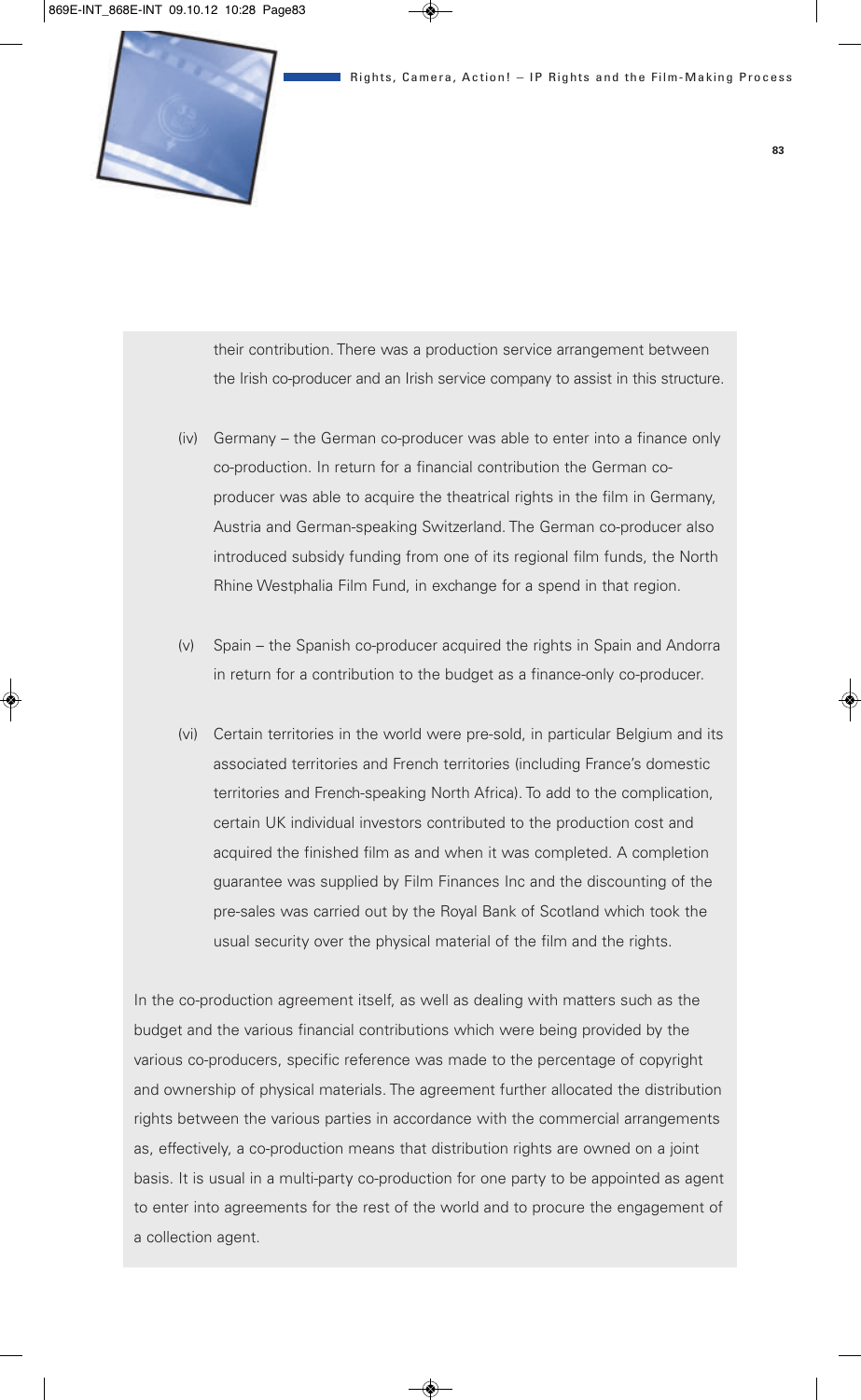

their contribution. There was a production service arrangement between the Irish co-producer and an Irish service company to assist in this structure.

- (iv) Germany the German co-producer was able to enter into a finance only co-production. In return for a financial contribution the German coproducer was able to acquire the theatrical rights in the film in Germany, Austria and German-speaking Switzerland. The German co-producer also introduced subsidy funding from one of its regional film funds, the North Rhine Westphalia Film Fund, in exchange for a spend in that region.
- (v) Spain the Spanish co-producer acquired the rights in Spain and Andorra in return for a contribution to the budget as a finance-only co-producer.
- (vi) Certain territories in the world were pre-sold, in particular Belgium and its associated territories and French territories (including France's domestic territories and French-speaking North Africa). To add to the complication, certain UK individual investors contributed to the production cost and acquired the finished film as and when it was completed. A completion guarantee was supplied by Film Finances Inc and the discounting of the pre-sales was carried out by the Royal Bank of Scotland which took the usual security over the physical material of the film and the rights.

In the co-production agreement itself, as well as dealing with matters such as the budget and the various financial contributions which were being provided by the various co-producers, specific reference was made to the percentage of copyright and ownership of physical materials. The agreement further allocated the distribution rights between the various parties in accordance with the commercial arrangements as, effectively, a co-production means that distribution rights are owned on a joint basis. It is usual in a multi-party co-production for one party to be appointed as agent to enter into agreements for the rest of the world and to procure the engagement of a collection agent.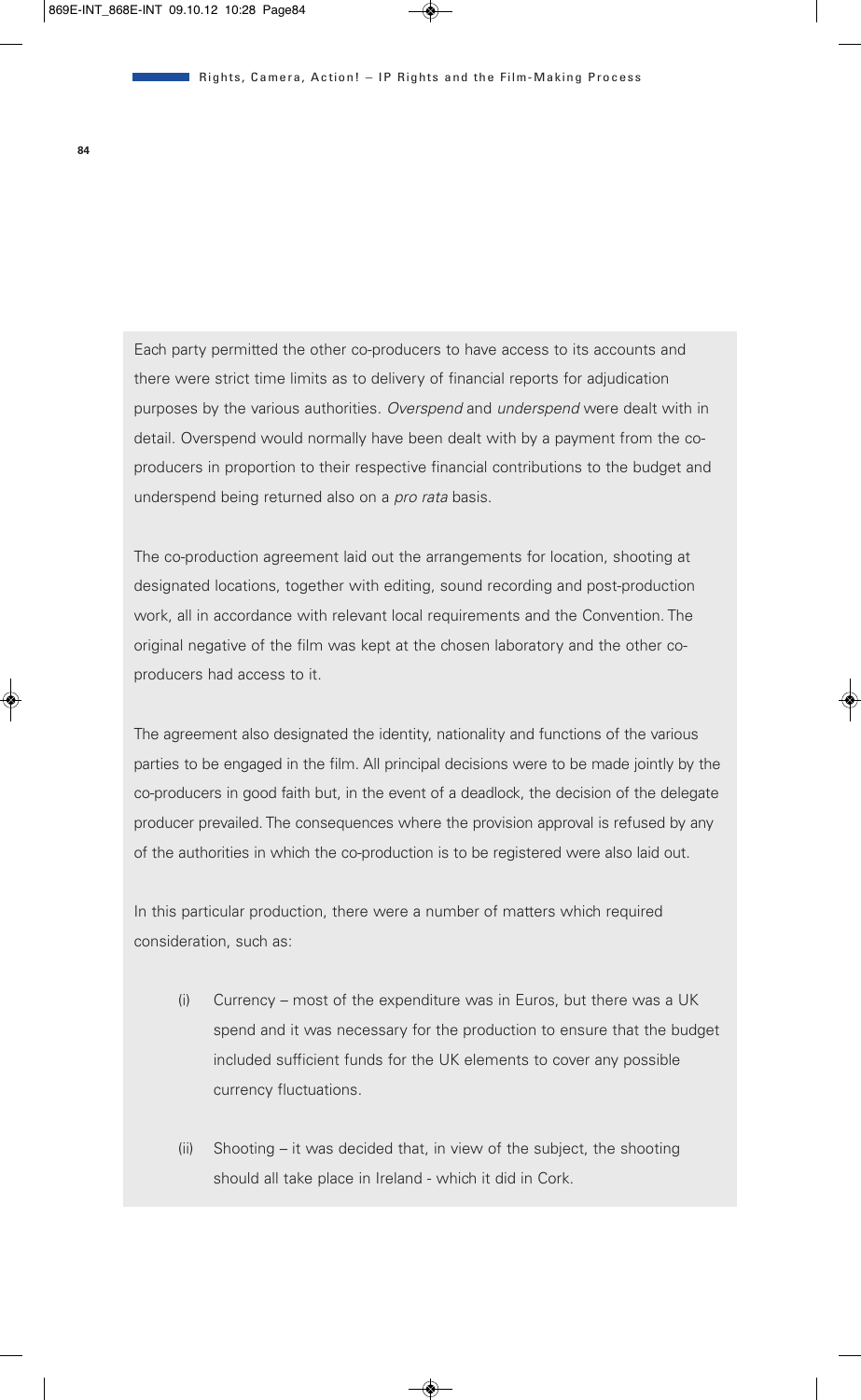Each party permitted the other co-producers to have access to its accounts and there were strict time limits as to delivery of financial reports for adjudication purposes by the various authorities. *Overspend* and *underspend* were dealt with in detail. Overspend would normally have been dealt with by a payment from the coproducers in proportion to their respective financial contributions to the budget and underspend being returned also on a *pro rata* basis.

The co-production agreement laid out the arrangements for location, shooting at designated locations, together with editing, sound recording and post-production work, all in accordance with relevant local requirements and the Convention. The original negative of the film was kept at the chosen laboratory and the other coproducers had access to it.

The agreement also designated the identity, nationality and functions of the various parties to be engaged in the film. All principal decisions were to be made jointly by the co-producers in good faith but, in the event of a deadlock, the decision of the delegate producer prevailed. The consequences where the provision approval is refused by any of the authorities in which the co-production is to be registered were also laid out.

In this particular production, there were a number of matters which required consideration, such as:

- (i) Currency most of the expenditure was in Euros, but there was a UK spend and it was necessary for the production to ensure that the budget included sufficient funds for the UK elements to cover any possible currency fluctuations.
- (ii) Shooting it was decided that, in view of the subject, the shooting should all take place in Ireland - which it did in Cork.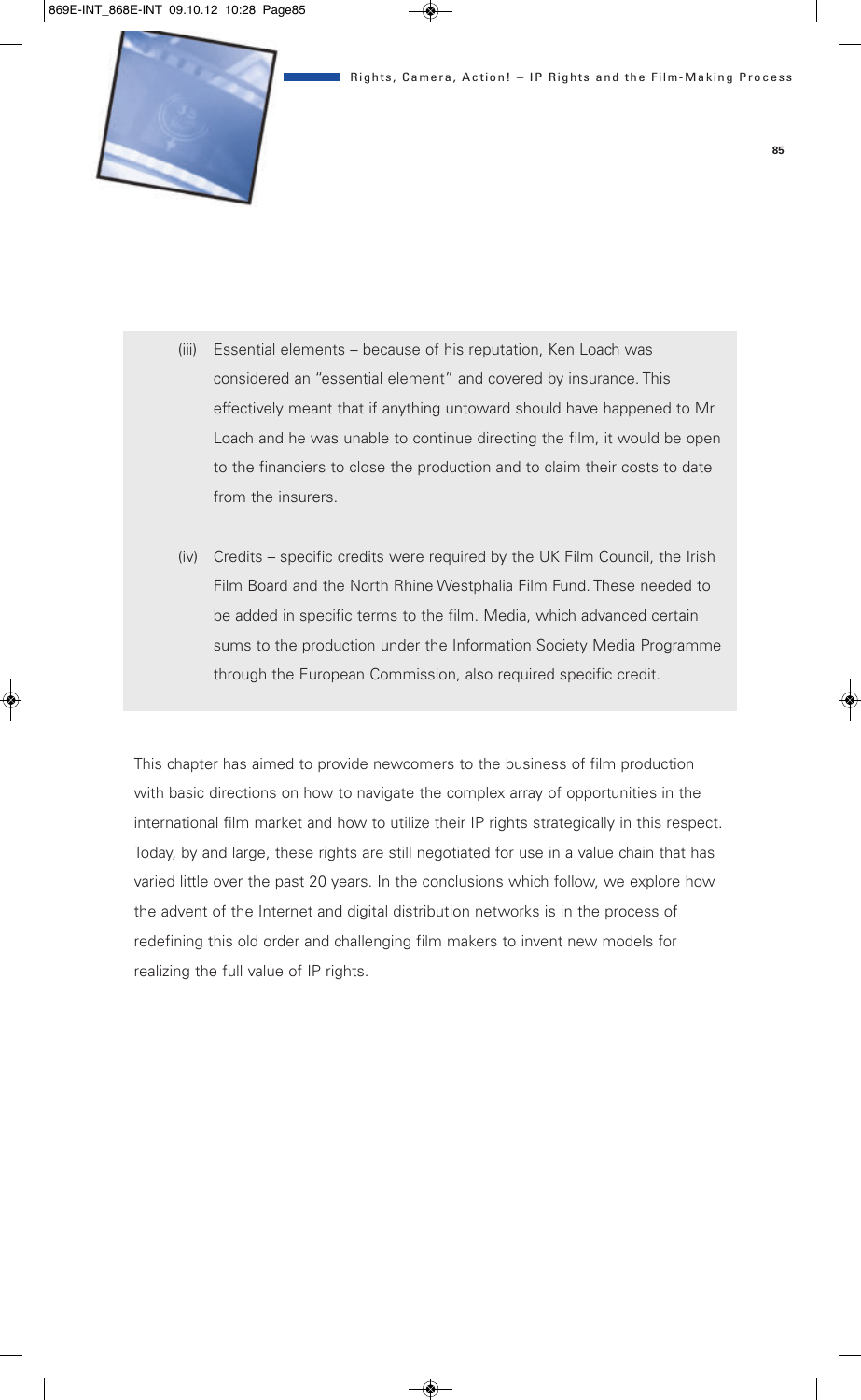

- (iii) Essential elements because of his reputation, Ken Loach was considered an "essential element" and covered by insurance. This effectively meant that if anything untoward should have happened to Mr Loach and he was unable to continue directing the film, it would be open to the financiers to close the production and to claim their costs to date from the insurers.
- (iv) Credits specific credits were required by the UK Film Council, the Irish Film Board and the North Rhine Westphalia Film Fund. These needed to be added in specific terms to the film. Media, which advanced certain sums to the production under the Information Society Media Programme through the European Commission, also required specific credit.

This chapter has aimed to provide newcomers to the business of film production with basic directions on how to navigate the complex array of opportunities in the international film market and how to utilize their IP rights strategically in this respect. Today, by and large, these rights are still negotiated for use in a value chain that has varied little over the past 20 years. In the conclusions which follow, we explore how the advent of the Internet and digital distribution networks is in the process of redefining this old order and challenging film makers to invent new models for realizing the full value of IP rights.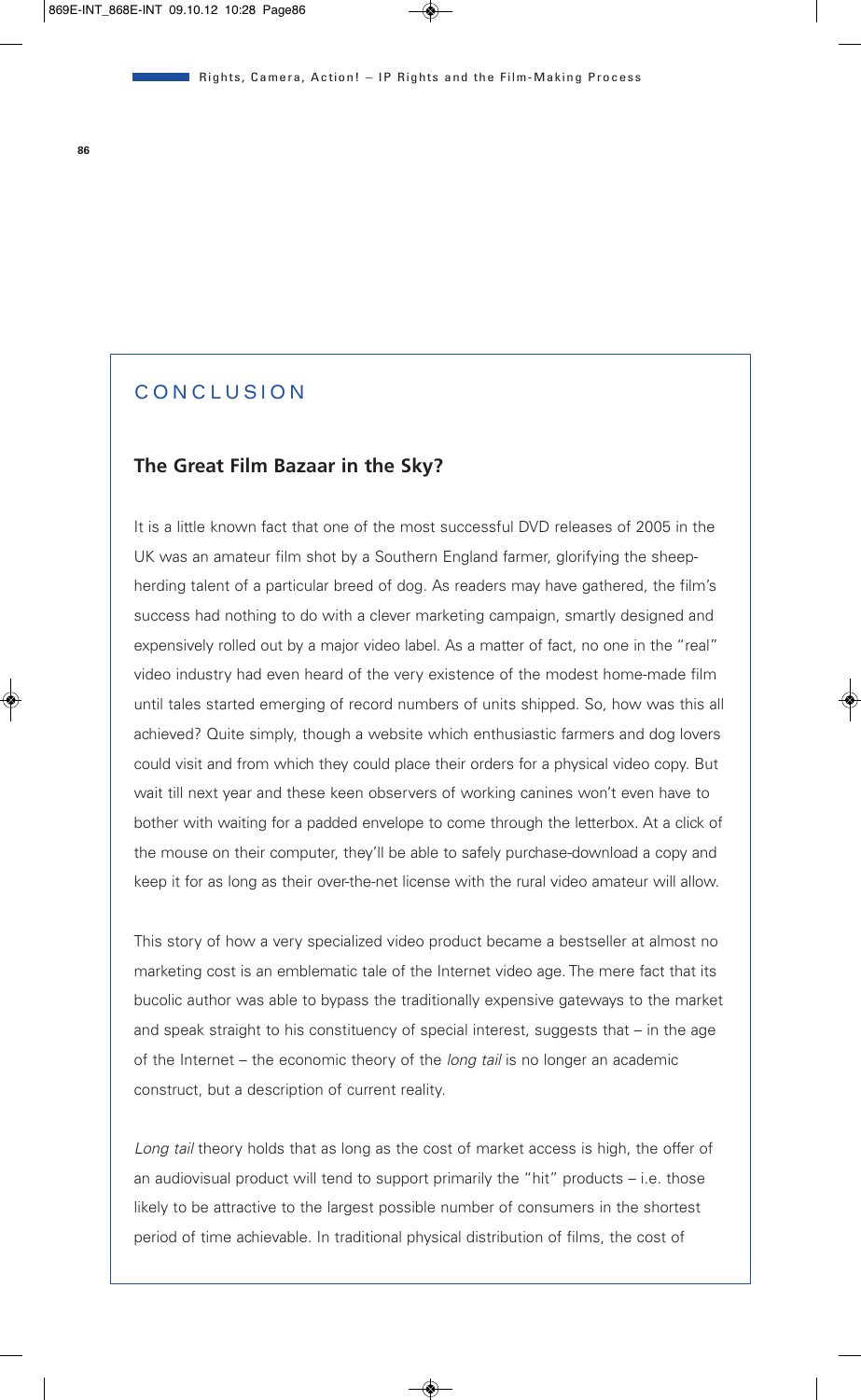# CONCLUSION

# **The Great Film Bazaar in the Sky?**

It is a little known fact that one of the most successful DVD releases of 2005 in the UK was an amateur film shot by a Southern England farmer, glorifying the sheepherding talent of a particular breed of dog. As readers may have gathered, the film's success had nothing to do with a clever marketing campaign, smartly designed and expensively rolled out by a major video label. As a matter of fact, no one in the "real" video industry had even heard of the very existence of the modest home-made film until tales started emerging of record numbers of units shipped. So, how was this all achieved? Quite simply, though a website which enthusiastic farmers and dog lovers could visit and from which they could place their orders for a physical video copy. But wait till next year and these keen observers of working canines won't even have to bother with waiting for a padded envelope to come through the letterbox. At a click of the mouse on their computer, they'll be able to safely purchase-download a copy and keep it for as long as their over-the-net license with the rural video amateur will allow.

This story of how a very specialized video product became a bestseller at almost no marketing cost is an emblematic tale of the Internet video age. The mere fact that its bucolic author was able to bypass the traditionally expensive gateways to the market and speak straight to his constituency of special interest, suggests that – in the age of the Internet – the economic theory of the *long tail* is no longer an academic construct, but a description of current reality.

*Long tail* theory holds that as long as the cost of market access is high, the offer of an audiovisual product will tend to support primarily the "hit" products – i.e. those likely to be attractive to the largest possible number of consumers in the shortest period of time achievable. In traditional physical distribution of films, the cost of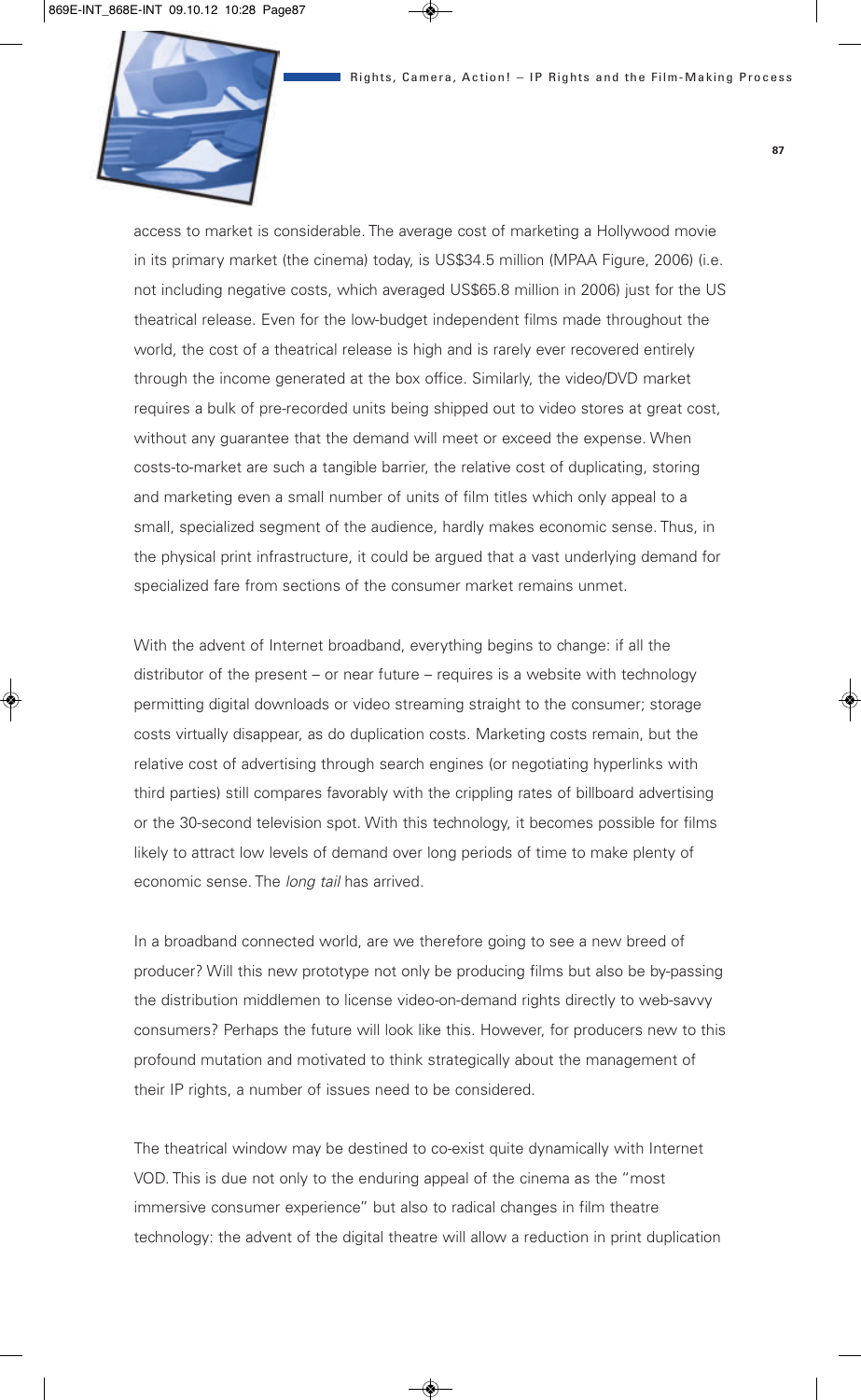

access to market is considerable. The average cost of marketing a Hollywood movie in its primary market (the cinema) today, is US\$34.5 million (MPAA Figure, 2006) (i.e. not including negative costs, which averaged US\$65.8 million in 2006) just for the US theatrical release. Even for the low-budget independent films made throughout the world, the cost of a theatrical release is high and is rarely ever recovered entirely through the income generated at the box office. Similarly, the video/DVD market requires a bulk of pre-recorded units being shipped out to video stores at great cost, without any guarantee that the demand will meet or exceed the expense. When costs-to-market are such a tangible barrier, the relative cost of duplicating, storing and marketing even a small number of units of film titles which only appeal to a small, specialized segment of the audience, hardly makes economic sense. Thus, in the physical print infrastructure, it could be argued that a vast underlying demand for specialized fare from sections of the consumer market remains unmet.

With the advent of Internet broadband, everything begins to change: if all the distributor of the present – or near future – requires is a website with technology permitting digital downloads or video streaming straight to the consumer; storage costs virtually disappear, as do duplication costs. Marketing costs remain, but the relative cost of advertising through search engines (or negotiating hyperlinks with third parties) still compares favorably with the crippling rates of billboard advertising or the 30-second television spot. With this technology, it becomes possible for films likely to attract low levels of demand over long periods of time to make plenty of economic sense. The *long tail* has arrived.

In a broadband connected world, are we therefore going to see a new breed of producer? Will this new prototype not only be producing films but also be by-passing the distribution middlemen to license video-on-demand rights directly to web-savvy consumers? Perhaps the future will look like this. However, for producers new to this profound mutation and motivated to think strategically about the management of their IP rights, a number of issues need to be considered.

The theatrical window may be destined to co-exist quite dynamically with Internet VOD. This is due not only to the enduring appeal of the cinema as the "most immersive consumer experience" but also to radical changes in film theatre technology: the advent of the digital theatre will allow a reduction in print duplication **87**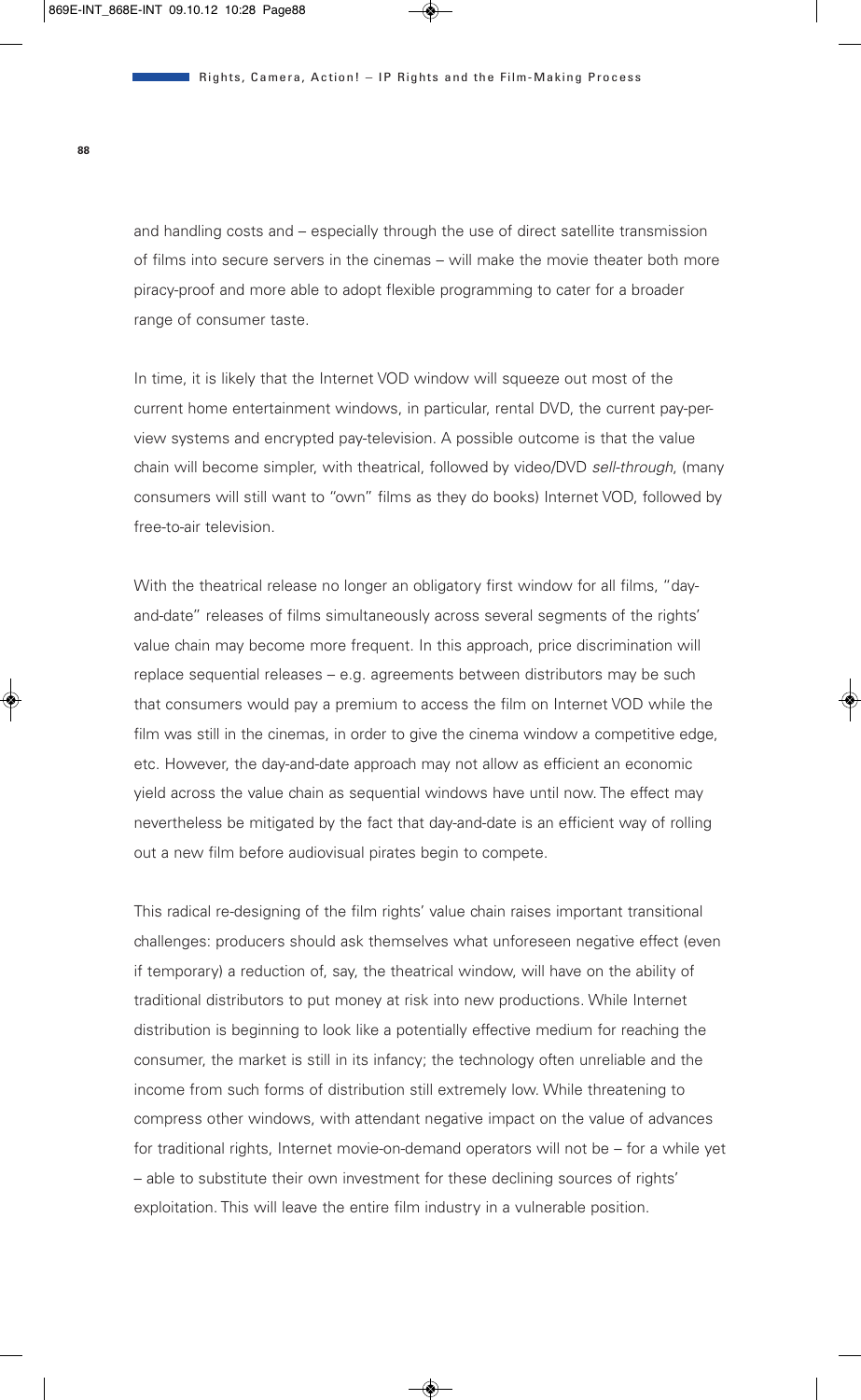and handling costs and – especially through the use of direct satellite transmission of films into secure servers in the cinemas – will make the movie theater both more piracy-proof and more able to adopt flexible programming to cater for a broader range of consumer taste.

In time, it is likely that the Internet VOD window will squeeze out most of the current home entertainment windows, in particular, rental DVD, the current pay-perview systems and encrypted pay-television. A possible outcome is that the value chain will become simpler, with theatrical, followed by video/DVD *sell-through*, (many consumers will still want to "own" films as they do books) Internet VOD, followed by free-to-air television.

With the theatrical release no longer an obligatory first window for all films, "dayand-date" releases of films simultaneously across several segments of the rights' value chain may become more frequent. In this approach, price discrimination will replace sequential releases – e.g. agreements between distributors may be such that consumers would pay a premium to access the film on Internet VOD while the film was still in the cinemas, in order to give the cinema window a competitive edge, etc. However, the day-and-date approach may not allow as efficient an economic yield across the value chain as sequential windows have until now. The effect may nevertheless be mitigated by the fact that day-and-date is an efficient way of rolling out a new film before audiovisual pirates begin to compete.

This radical re-designing of the film rights' value chain raises important transitional challenges: producers should ask themselves what unforeseen negative effect (even if temporary) a reduction of, say, the theatrical window, will have on the ability of traditional distributors to put money at risk into new productions. While Internet distribution is beginning to look like a potentially effective medium for reaching the consumer, the market is still in its infancy; the technology often unreliable and the income from such forms of distribution still extremely low. While threatening to compress other windows, with attendant negative impact on the value of advances for traditional rights, Internet movie-on-demand operators will not be – for a while yet – able to substitute their own investment for these declining sources of rights' exploitation. This will leave the entire film industry in a vulnerable position.

**88**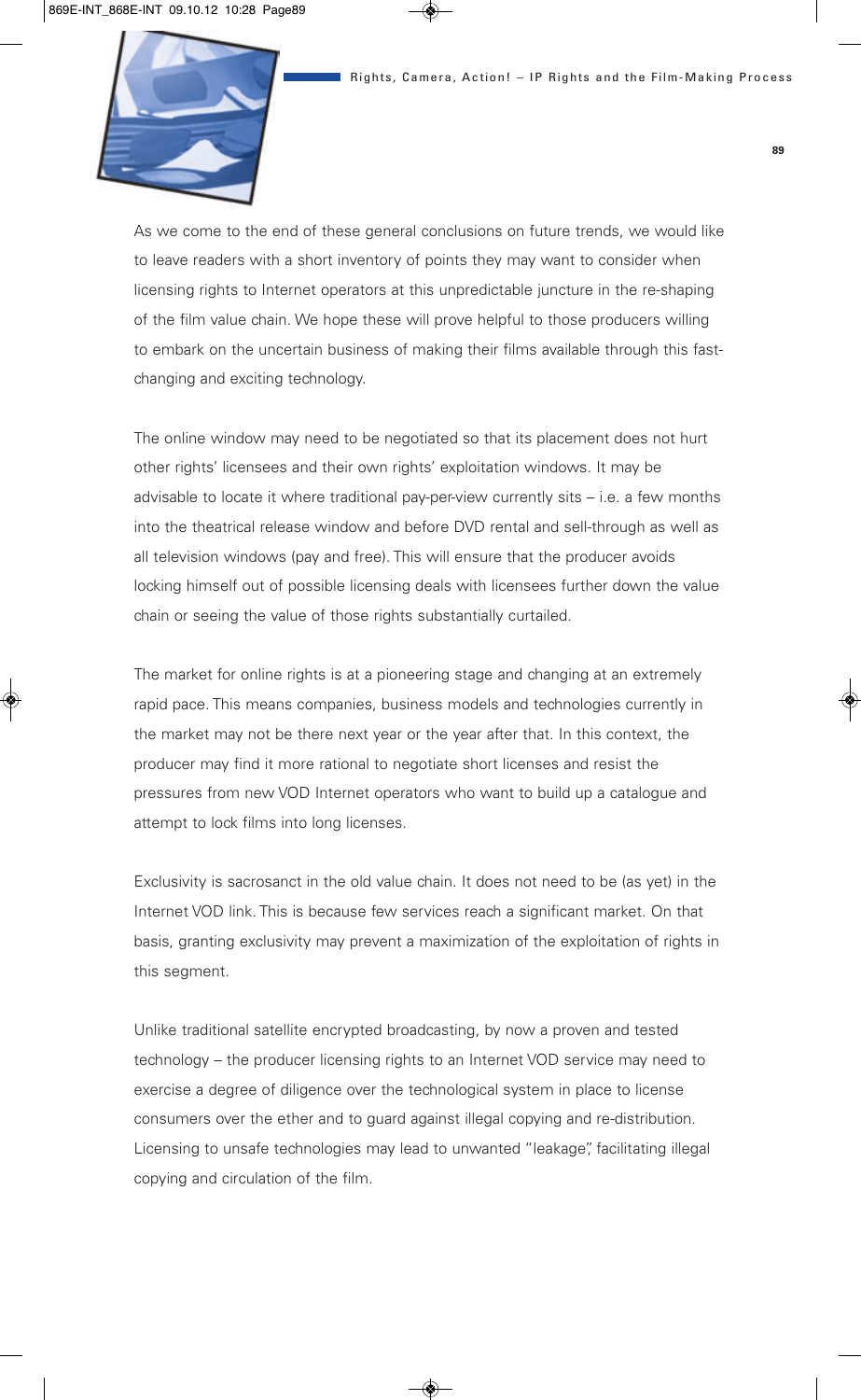

As we come to the end of these general conclusions on future trends, we would like to leave readers with a short inventory of points they may want to consider when licensing rights to Internet operators at this unpredictable juncture in the re-shaping of the film value chain. We hope these will prove helpful to those producers willing to embark on the uncertain business of making their films available through this fastchanging and exciting technology.

The online window may need to be negotiated so that its placement does not hurt other rights' licensees and their own rights' exploitation windows. It may be advisable to locate it where traditional pay-per-view currently sits – i.e. a few months into the theatrical release window and before DVD rental and sell-through as well as all television windows (pay and free). This will ensure that the producer avoids locking himself out of possible licensing deals with licensees further down the value chain or seeing the value of those rights substantially curtailed.

The market for online rights is at a pioneering stage and changing at an extremely rapid pace. This means companies, business models and technologies currently in the market may not be there next year or the year after that. In this context, the producer may find it more rational to negotiate short licenses and resist the pressures from new VOD Internet operators who want to build up a catalogue and attempt to lock films into long licenses.

Exclusivity is sacrosanct in the old value chain. It does not need to be (as yet) in the Internet VOD link. This is because few services reach a significant market. On that basis, granting exclusivity may prevent a maximization of the exploitation of rights in this segment.

Unlike traditional satellite encrypted broadcasting, by now a proven and tested technology – the producer licensing rights to an Internet VOD service may need to exercise a degree of diligence over the technological system in place to license consumers over the ether and to guard against illegal copying and re-distribution. Licensing to unsafe technologies may lead to unwanted "leakage", facilitating illegal copying and circulation of the film.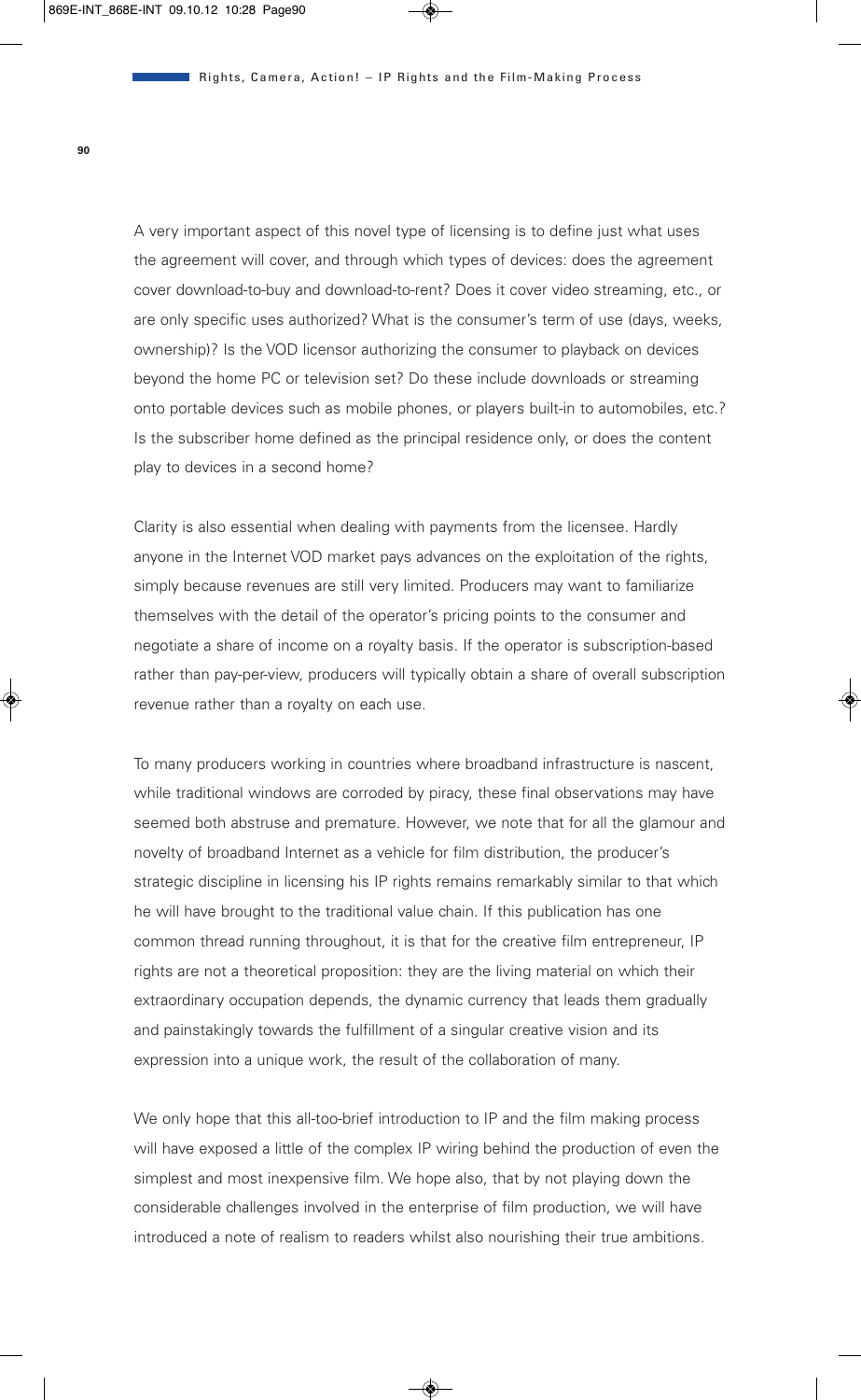A very important aspect of this novel type of licensing is to define just what uses the agreement will cover, and through which types of devices: does the agreement cover download-to-buy and download-to-rent? Does it cover video streaming, etc., or are only specific uses authorized? What is the consumer's term of use (days, weeks, ownership)? Is the VOD licensor authorizing the consumer to playback on devices beyond the home PC or television set? Do these include downloads or streaming onto portable devices such as mobile phones, or players built-in to automobiles, etc.? Is the subscriber home defined as the principal residence only, or does the content play to devices in a second home?

Clarity is also essential when dealing with payments from the licensee. Hardly anyone in the Internet VOD market pays advances on the exploitation of the rights, simply because revenues are still very limited. Producers may want to familiarize themselves with the detail of the operator's pricing points to the consumer and negotiate a share of income on a royalty basis. If the operator is subscription-based rather than pay-per-view, producers will typically obtain a share of overall subscription revenue rather than a royalty on each use.

To many producers working in countries where broadband infrastructure is nascent, while traditional windows are corroded by piracy, these final observations may have seemed both abstruse and premature. However, we note that for all the glamour and novelty of broadband Internet as a vehicle for film distribution, the producer's strategic discipline in licensing his IP rights remains remarkably similar to that which he will have brought to the traditional value chain. If this publication has one common thread running throughout, it is that for the creative film entrepreneur, IP rights are not a theoretical proposition: they are the living material on which their extraordinary occupation depends, the dynamic currency that leads them gradually and painstakingly towards the fulfillment of a singular creative vision and its expression into a unique work, the result of the collaboration of many.

We only hope that this all-too-brief introduction to IP and the film making process will have exposed a little of the complex IP wiring behind the production of even the simplest and most inexpensive film. We hope also, that by not playing down the considerable challenges involved in the enterprise of film production, we will have introduced a note of realism to readers whilst also nourishing their true ambitions.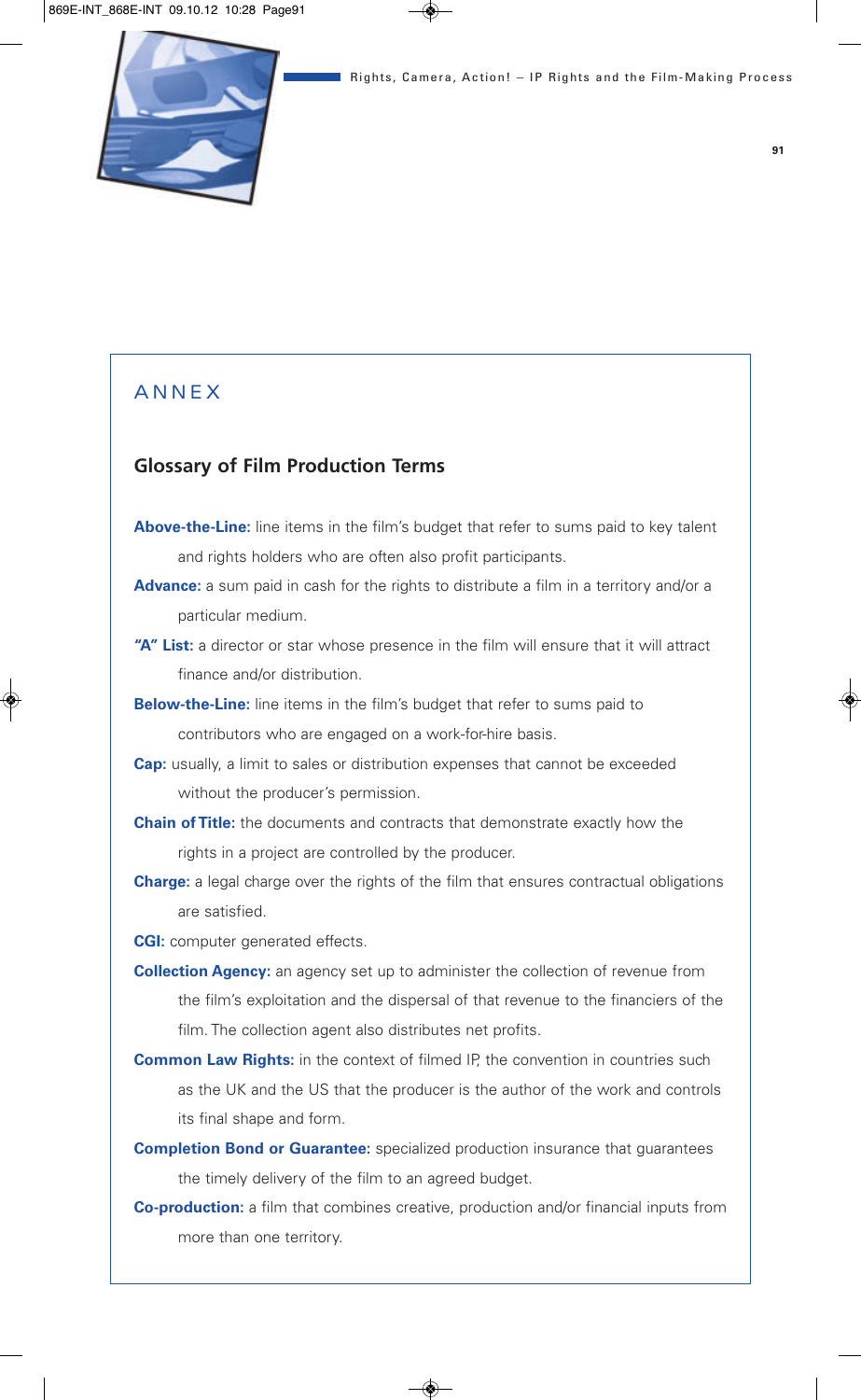# **ANNEX**

# **Glossary of Film Production Terms**

- **Above-the-Line:** line items in the film's budget that refer to sums paid to key talent and rights holders who are often also profit participants.
- **Advance:** a sum paid in cash for the rights to distribute a film in a territory and/or a particular medium.
- "A" List: a director or star whose presence in the film will ensure that it will attract finance and/or distribution.
- **Below-the-Line:** line items in the film's budget that refer to sums paid to contributors who are engaged on a work-for-hire basis.
- **Cap:** usually, a limit to sales or distribution expenses that cannot be exceeded without the producer's permission.
- **Chain of Title:** the documents and contracts that demonstrate exactly how the rights in a project are controlled by the producer.
- **Charge:** a legal charge over the rights of the film that ensures contractual obligations are satisfied.
- **CGI:** computer generated effects.
- **Collection Agency:** an agency set up to administer the collection of revenue from the film's exploitation and the dispersal of that revenue to the financiers of the film. The collection agent also distributes net profits.
- **Common Law Rights:** in the context of filmed IP, the convention in countries such as the UK and the US that the producer is the author of the work and controls its final shape and form.
- **Completion Bond or Guarantee:** specialized production insurance that guarantees the timely delivery of the film to an agreed budget.
- **Co-production:** a film that combines creative, production and/or financial inputs from more than one territory.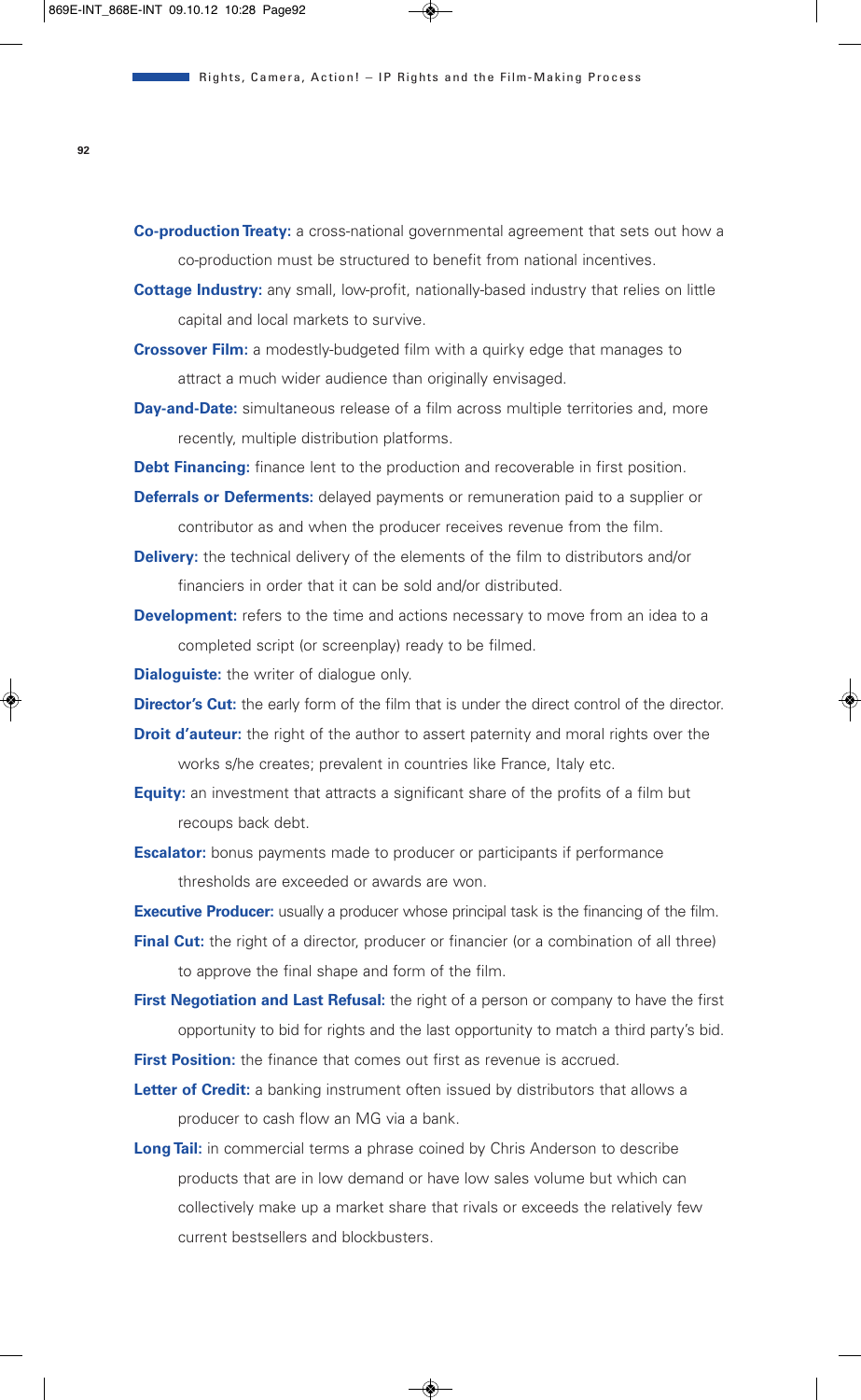**Co-production Treaty:** a cross-national governmental agreement that sets out how a co-production must be structured to benefit from national incentives.

- **Cottage Industry:** any small, low-profit, nationally-based industry that relies on little capital and local markets to survive.
- **Crossover Film:** a modestly-budgeted film with a quirky edge that manages to attract a much wider audience than originally envisaged.
- **Day-and-Date:** simultaneous release of a film across multiple territories and, more recently, multiple distribution platforms.
- **Debt Financing:** finance lent to the production and recoverable in first position.
- **Deferrals or Deferments:** delayed payments or remuneration paid to a supplier or contributor as and when the producer receives revenue from the film.
- **Delivery:** the technical delivery of the elements of the film to distributors and/or financiers in order that it can be sold and/or distributed.
- **Development:** refers to the time and actions necessary to move from an idea to a completed script (or screenplay) ready to be filmed.

**Dialoguiste:** the writer of dialogue only.

- **Director's Cut:** the early form of the film that is under the direct control of the director.
- **Droit d'auteur:** the right of the author to assert paternity and moral rights over the works s/he creates; prevalent in countries like France, Italy etc.
- **Equity:** an investment that attracts a significant share of the profits of a film but recoups back debt.
- **Escalator:** bonus payments made to producer or participants if performance thresholds are exceeded or awards are won.

**Executive Producer:** usually a producer whose principal task is the financing of the film.

- **Final Cut:** the right of a director, producer or financier (or a combination of all three) to approve the final shape and form of the film.
- **First Negotiation and Last Refusal:** the right of a person or company to have the first opportunity to bid for rights and the last opportunity to match a third party's bid. **First Position:** the finance that comes out first as revenue is accrued.
- **Letter of Credit:** a banking instrument often issued by distributors that allows a producer to cash flow an MG via a bank.
- **Long Tail:** in commercial terms a phrase coined by Chris Anderson to describe products that are in low demand or have low sales volume but which can collectively make up a market share that rivals or exceeds the relatively few current bestsellers and blockbusters.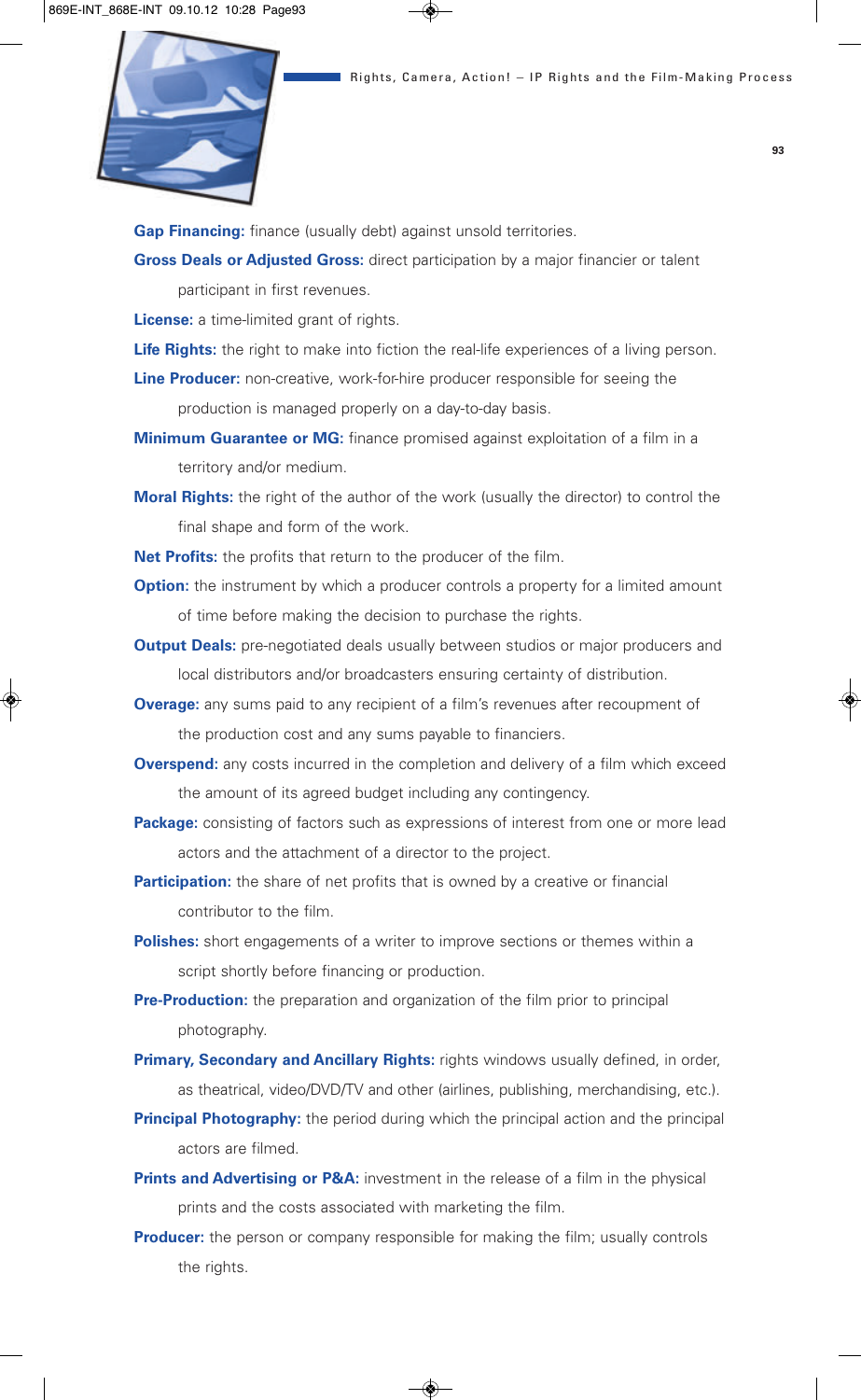

**Gap Financing:** finance (usually debt) against unsold territories.

**Gross Deals or Adjusted Gross:** direct participation by a major financier or talent participant in first revenues.

**License:** a time-limited grant of rights.

**Life Rights:** the right to make into fiction the real-life experiences of a living person.

**Line Producer:** non-creative, work-for-hire producer responsible for seeing the production is managed properly on a day-to-day basis.

**Minimum Guarantee or MG:** finance promised against exploitation of a film in a territory and/or medium.

**Moral Rights:** the right of the author of the work (usually the director) to control the final shape and form of the work.

**Net Profits:** the profits that return to the producer of the film.

**Option:** the instrument by which a producer controls a property for a limited amount of time before making the decision to purchase the rights.

- **Output Deals:** pre-negotiated deals usually between studios or major producers and local distributors and/or broadcasters ensuring certainty of distribution.
- **Overage:** any sums paid to any recipient of a film's revenues after recoupment of the production cost and any sums payable to financiers.
- **Overspend:** any costs incurred in the completion and delivery of a film which exceed the amount of its agreed budget including any contingency.
- **Package:** consisting of factors such as expressions of interest from one or more lead actors and the attachment of a director to the project.
- **Participation:** the share of net profits that is owned by a creative or financial contributor to the film.
- **Polishes:** short engagements of a writer to improve sections or themes within a script shortly before financing or production.

**Pre-Production:** the preparation and organization of the film prior to principal photography.

- **Primary, Secondary and Ancillary Rights:** rights windows usually defined, in order, as theatrical, video/DVD/TV and other (airlines, publishing, merchandising, etc.).
- **Principal Photography:** the period during which the principal action and the principal actors are filmed.
- **Prints and Advertising or P&A:** investment in the release of a film in the physical prints and the costs associated with marketing the film.
- **Producer:** the person or company responsible for making the film; usually controls the rights.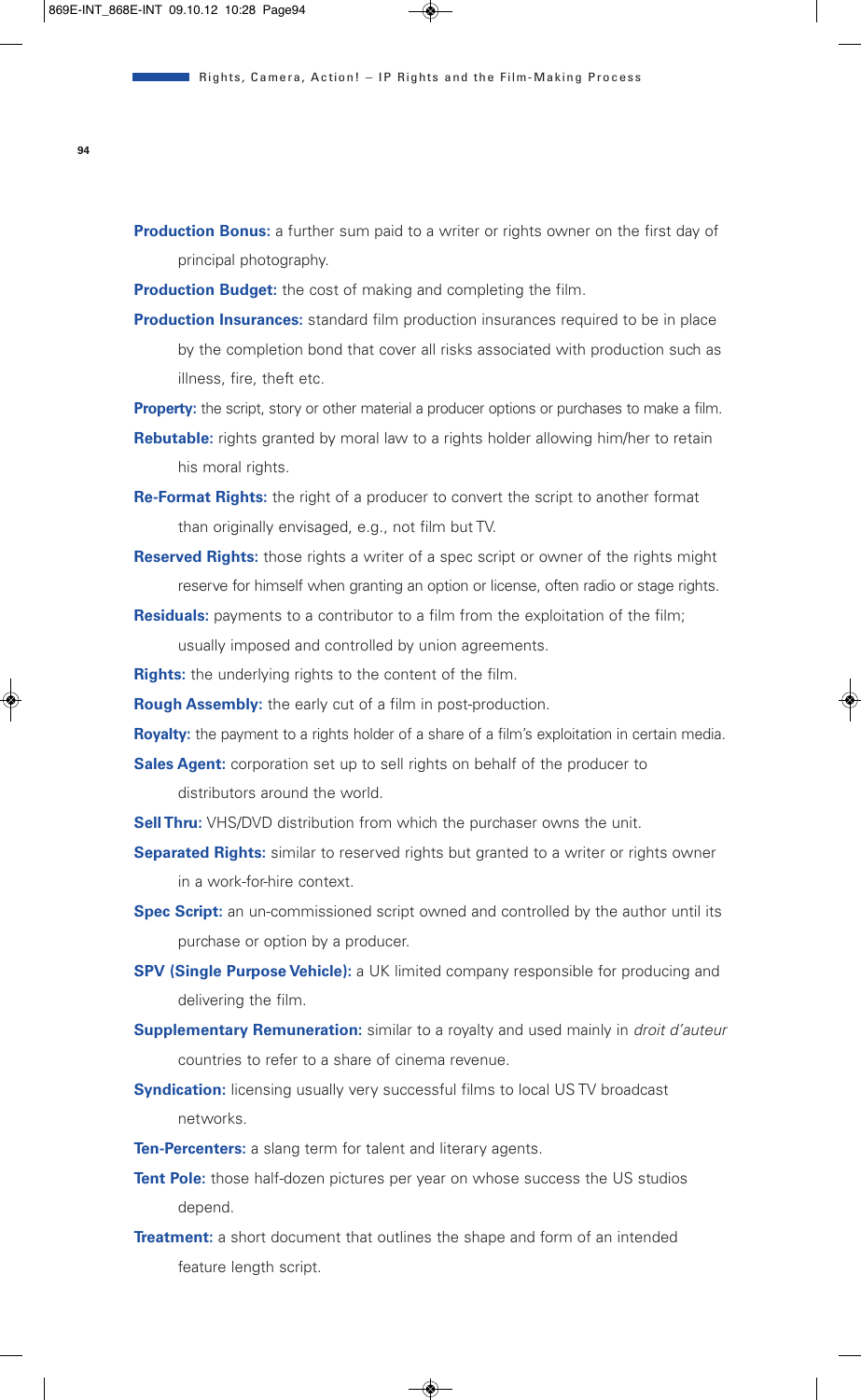**Production Bonus:** a further sum paid to a writer or rights owner on the first day of principal photography.

**Production Budget:** the cost of making and completing the film.

- **Production Insurances:** standard film production insurances required to be in place by the completion bond that cover all risks associated with production such as illness, fire, theft etc.
- **Property:** the script, story or other material a producer options or purchases to make a film.
- **Rebutable:** rights granted by moral law to a rights holder allowing him/her to retain his moral rights.
- **Re-Format Rights:** the right of a producer to convert the script to another format than originally envisaged, e.g., not film but TV.
- **Reserved Rights:** those rights a writer of a spec script or owner of the rights might reserve for himself when granting an option or license, often radio or stage rights.
- **Residuals:** payments to a contributor to a film from the exploitation of the film; usually imposed and controlled by union agreements.
- **Rights:** the underlying rights to the content of the film.

**Rough Assembly:** the early cut of a film in post-production.

**Royalty:** the payment to a rights holder of a share of a film's exploitation in certain media.

**Sales Agent:** corporation set up to sell rights on behalf of the producer to distributors around the world.

- **Sell Thru:** VHS/DVD distribution from which the purchaser owns the unit.
- **Separated Rights:** similar to reserved rights but granted to a writer or rights owner in a work-for-hire context.
- **Spec Script:** an un-commissioned script owned and controlled by the author until its purchase or option by a producer.
- **SPV (Single Purpose Vehicle):** a UK limited company responsible for producing and delivering the film.
- **Supplementary Remuneration:** similar to a royalty and used mainly in *droit d'auteur* countries to refer to a share of cinema revenue.
- **Syndication:** licensing usually very successful films to local US TV broadcast networks.
- **Ten-Percenters:** a slang term for talent and literary agents.
- **Tent Pole:** those half-dozen pictures per year on whose success the US studios depend.
- **Treatment:** a short document that outlines the shape and form of an intended feature length script.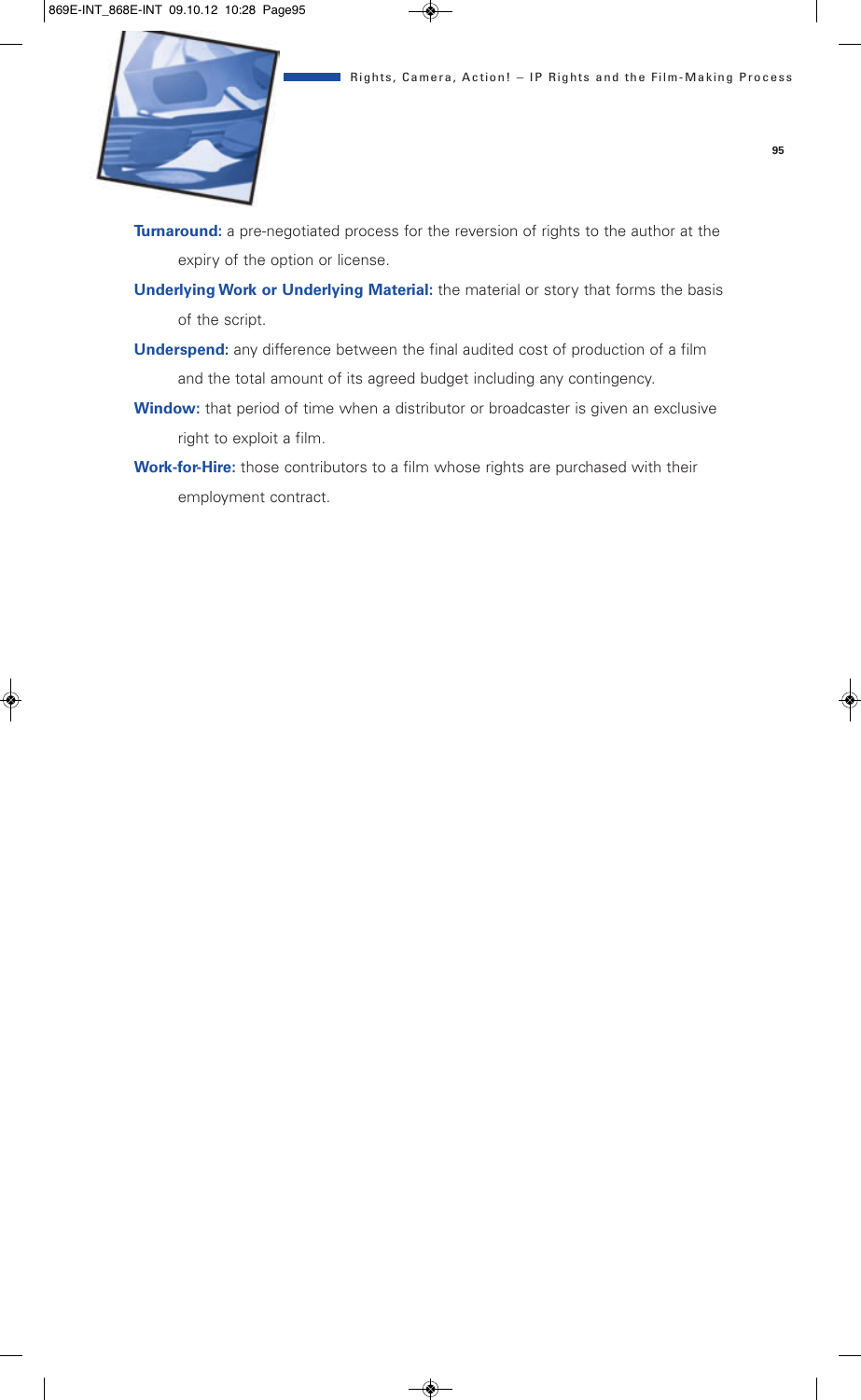

**Turnaround:** a pre-negotiated process for the reversion of rights to the author at the expiry of the option or license.

- **Underlying Work or Underlying Material:** the material or story that forms the basis of the script.
- **Underspend:** any difference between the final audited cost of production of a film and the total amount of its agreed budget including any contingency.
- **Window:** that period of time when a distributor or broadcaster is given an exclusive right to exploit a film.
- **Work-for-Hire:** those contributors to a film whose rights are purchased with their employment contract.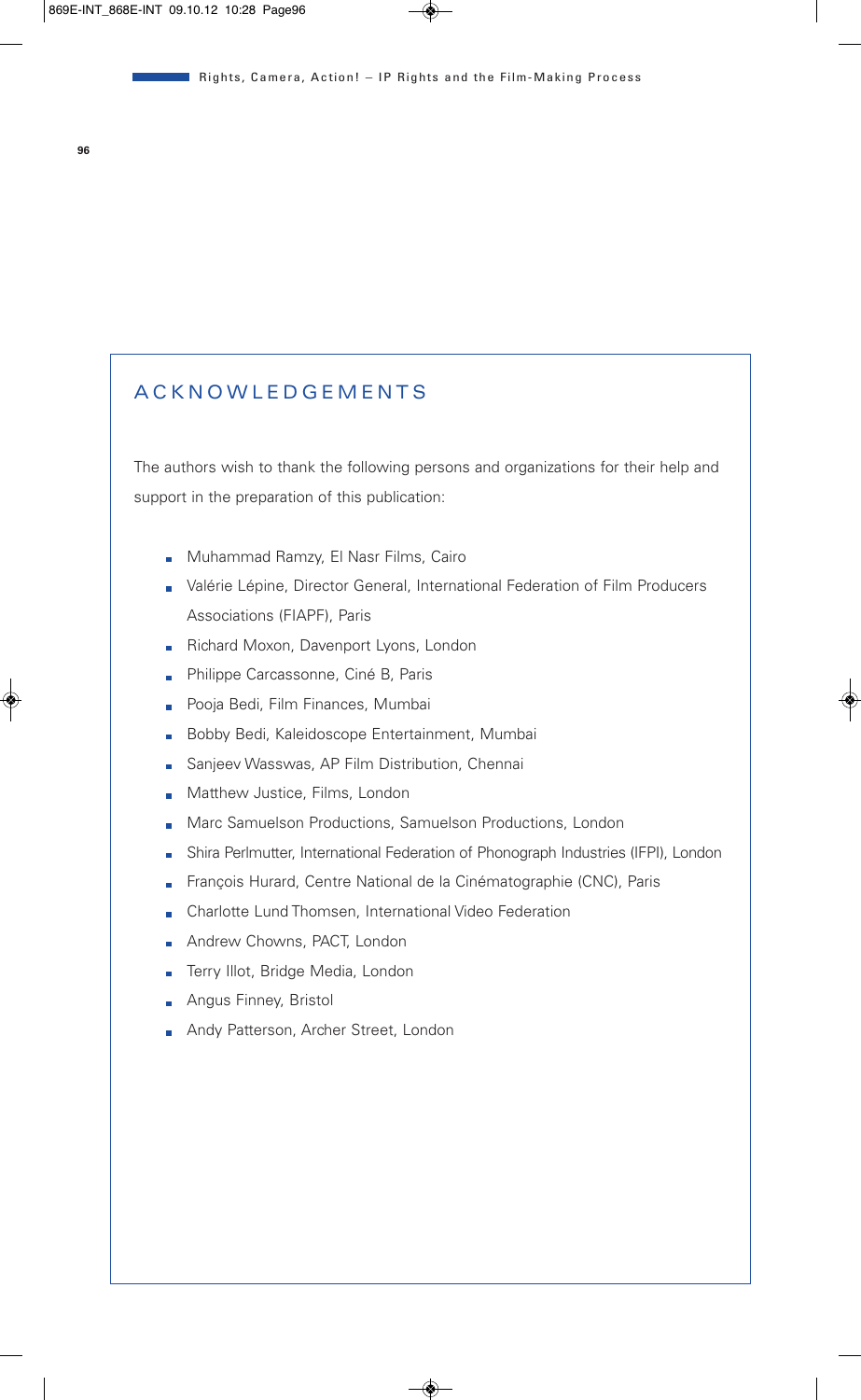# **A C K N O W L E D G E M E N T S**

The authors wish to thank the following persons and organizations for their help and support in the preparation of this publication:

- **Muhammad Ramzy, El Nasr Films, Cairo**
- Valérie Lépine, Director General, International Federation of Film Producers Associations (FIAPF), Paris
- Richard Moxon, Davenport Lyons, London
- **Philippe Carcassonne, Ciné B, Paris**
- **Pooja Bedi, Film Finances, Mumbai**
- Bobby Bedi, Kaleidoscope Entertainment, Mumbai
- Sanjeev Wasswas, AP Film Distribution, Chennai
- **Matthew Justice, Films, London**
- **Marc Samuelson Productions, Samuelson Productions, London**
- Shira Perlmutter, International Federation of Phonograph Industries (IFPI), London
- François Hurard, Centre National de la Cinématographie (CNC), Paris
- **Charlotte Lund Thomsen, International Video Federation**
- **Andrew Chowns, PACT, London**
- Frry Illot, Bridge Media, London
- **Angus Finney, Bristol**
- **Andy Patterson, Archer Street, London**